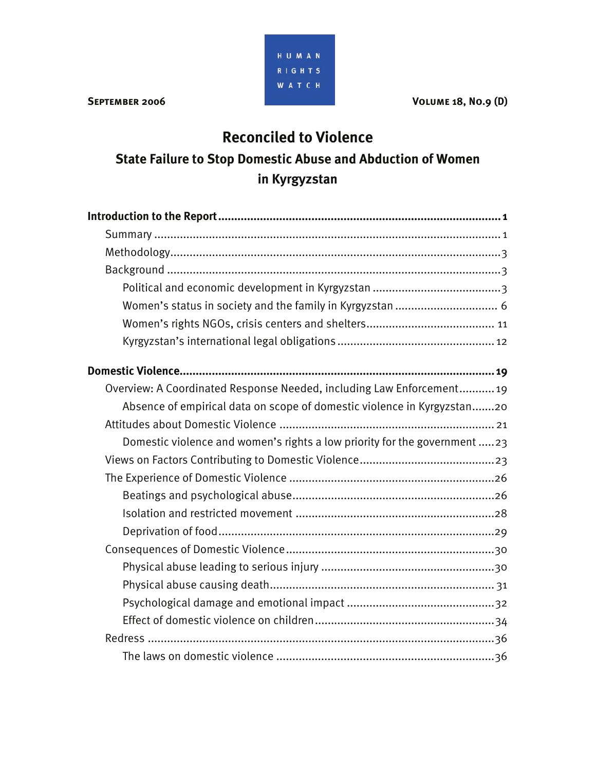HUMAN RIGHTS **WATCH** 

**SEPTEMBER 2006** VOLUME 18, NO.9 (D)

# **Reconciled to Violence**

# **State Failure to Stop Domestic Abuse and Abduction of Women in Kyrgyzstan**

| Overview: A Coordinated Response Needed, including Law Enforcement 19     |
|---------------------------------------------------------------------------|
| Absence of empirical data on scope of domestic violence in Kyrgyzstan20   |
|                                                                           |
| Domestic violence and women's rights a low priority for the government 23 |
|                                                                           |
|                                                                           |
|                                                                           |
|                                                                           |
|                                                                           |
|                                                                           |
|                                                                           |
|                                                                           |
|                                                                           |
|                                                                           |
|                                                                           |
|                                                                           |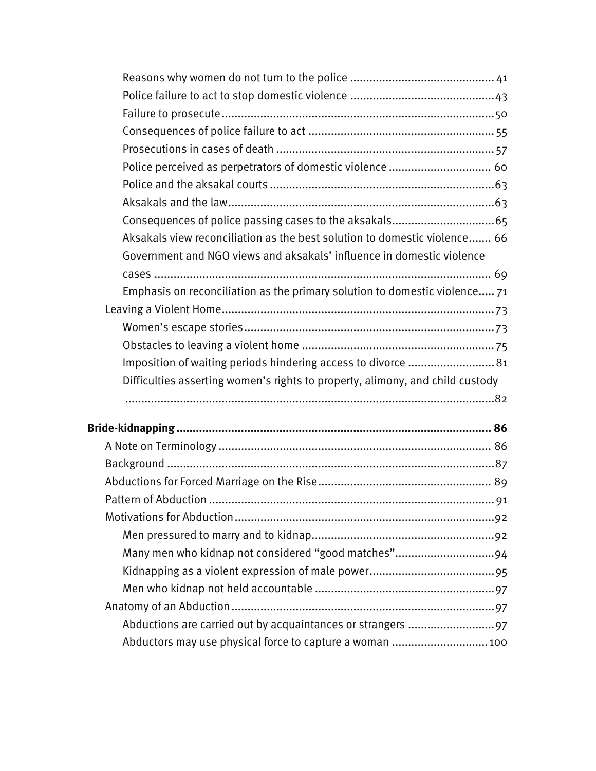| Police perceived as perpetrators of domestic violence  60                     |  |
|-------------------------------------------------------------------------------|--|
|                                                                               |  |
|                                                                               |  |
|                                                                               |  |
| Aksakals view reconciliation as the best solution to domestic violence 66     |  |
| Government and NGO views and aksakals' influence in domestic violence         |  |
|                                                                               |  |
| Emphasis on reconciliation as the primary solution to domestic violence 71    |  |
|                                                                               |  |
|                                                                               |  |
|                                                                               |  |
| Imposition of waiting periods hindering access to divorce  81                 |  |
| Difficulties asserting women's rights to property, alimony, and child custody |  |
|                                                                               |  |
|                                                                               |  |
|                                                                               |  |
|                                                                               |  |
|                                                                               |  |
|                                                                               |  |
|                                                                               |  |
|                                                                               |  |
|                                                                               |  |
|                                                                               |  |
|                                                                               |  |
|                                                                               |  |
|                                                                               |  |
|                                                                               |  |
| Abductors may use physical force to capture a woman  100                      |  |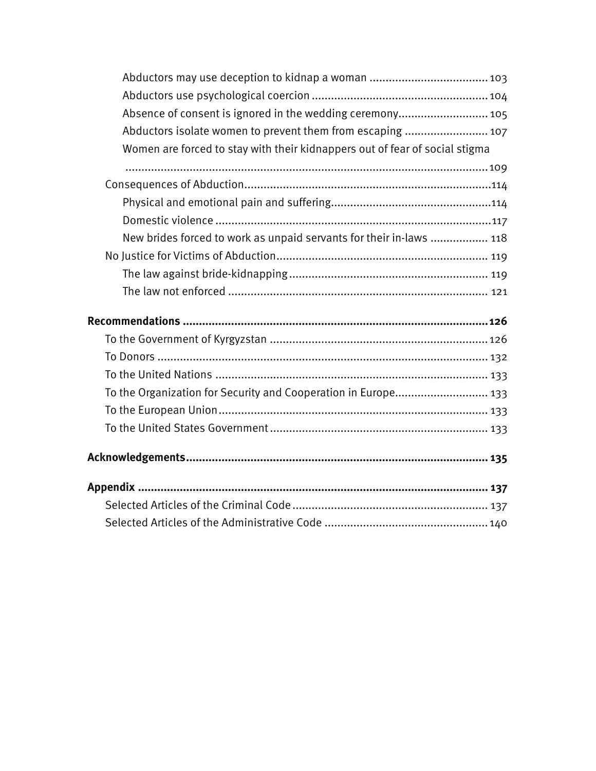| Absence of consent is ignored in the wedding ceremony 105                   |  |
|-----------------------------------------------------------------------------|--|
| Abductors isolate women to prevent them from escaping  107                  |  |
| Women are forced to stay with their kidnappers out of fear of social stigma |  |
|                                                                             |  |
|                                                                             |  |
|                                                                             |  |
|                                                                             |  |
| New brides forced to work as unpaid servants for their in-laws  118         |  |
|                                                                             |  |
|                                                                             |  |
|                                                                             |  |
|                                                                             |  |
|                                                                             |  |
|                                                                             |  |
|                                                                             |  |
|                                                                             |  |
|                                                                             |  |
| To the Organization for Security and Cooperation in Europe 133              |  |
|                                                                             |  |
|                                                                             |  |
|                                                                             |  |
|                                                                             |  |
|                                                                             |  |
|                                                                             |  |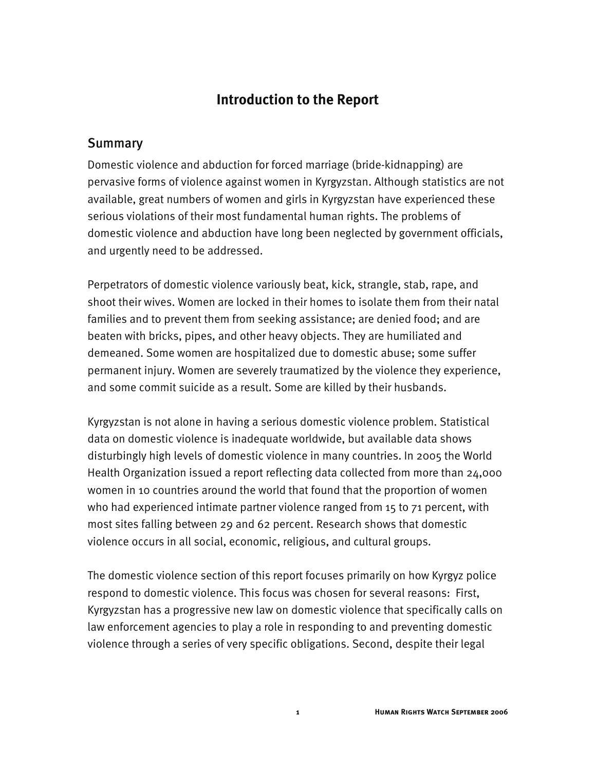## **Introduction to the Report**

## **Summary**

Domestic violence and abduction for forced marriage (bride-kidnapping) are pervasive forms of violence against women in Kyrgyzstan. Although statistics are not available, great numbers of women and girls in Kyrgyzstan have experienced these serious violations of their most fundamental human rights. The problems of domestic violence and abduction have long been neglected by government officials, and urgently need to be addressed.

Perpetrators of domestic violence variously beat, kick, strangle, stab, rape, and shoot their wives. Women are locked in their homes to isolate them from their natal families and to prevent them from seeking assistance; are denied food; and are beaten with bricks, pipes, and other heavy objects. They are humiliated and demeaned. Some women are hospitalized due to domestic abuse; some suffer permanent injury. Women are severely traumatized by the violence they experience, and some commit suicide as a result. Some are killed by their husbands.

Kyrgyzstan is not alone in having a serious domestic violence problem. Statistical data on domestic violence is inadequate worldwide, but available data shows disturbingly high levels of domestic violence in many countries. In 2005 the World Health Organization issued a report reflecting data collected from more than 24,000 women in 10 countries around the world that found that the proportion of women who had experienced intimate partner violence ranged from 15 to 71 percent, with most sites falling between 29 and 62 percent. Research shows that domestic violence occurs in all social, economic, religious, and cultural groups.

The domestic violence section of this report focuses primarily on how Kyrgyz police respond to domestic violence. This focus was chosen for several reasons: First, Kyrgyzstan has a progressive new law on domestic violence that specifically calls on law enforcement agencies to play a role in responding to and preventing domestic violence through a series of very specific obligations. Second, despite their legal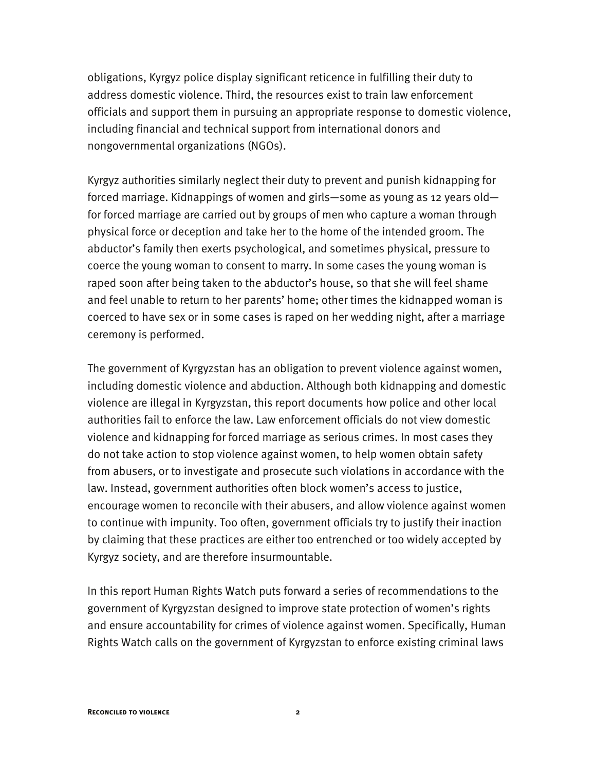obligations, Kyrgyz police display significant reticence in fulfilling their duty to address domestic violence. Third, the resources exist to train law enforcement officials and support them in pursuing an appropriate response to domestic violence, including financial and technical support from international donors and nongovernmental organizations (NGOs).

Kyrgyz authorities similarly neglect their duty to prevent and punish kidnapping for forced marriage. Kidnappings of women and girls—some as young as 12 years old for forced marriage are carried out by groups of men who capture a woman through physical force or deception and take her to the home of the intended groom. The abductor's family then exerts psychological, and sometimes physical, pressure to coerce the young woman to consent to marry. In some cases the young woman is raped soon after being taken to the abductor's house, so that she will feel shame and feel unable to return to her parents' home; other times the kidnapped woman is coerced to have sex or in some cases is raped on her wedding night, after a marriage ceremony is performed.

The government of Kyrgyzstan has an obligation to prevent violence against women, including domestic violence and abduction. Although both kidnapping and domestic violence are illegal in Kyrgyzstan, this report documents how police and other local authorities fail to enforce the law. Law enforcement officials do not view domestic violence and kidnapping for forced marriage as serious crimes. In most cases they do not take action to stop violence against women, to help women obtain safety from abusers, or to investigate and prosecute such violations in accordance with the law. Instead, government authorities often block women's access to justice, encourage women to reconcile with their abusers, and allow violence against women to continue with impunity. Too often, government officials try to justify their inaction by claiming that these practices are either too entrenched or too widely accepted by Kyrgyz society, and are therefore insurmountable.

In this report Human Rights Watch puts forward a series of recommendations to the government of Kyrgyzstan designed to improve state protection of women's rights and ensure accountability for crimes of violence against women. Specifically, Human Rights Watch calls on the government of Kyrgyzstan to enforce existing criminal laws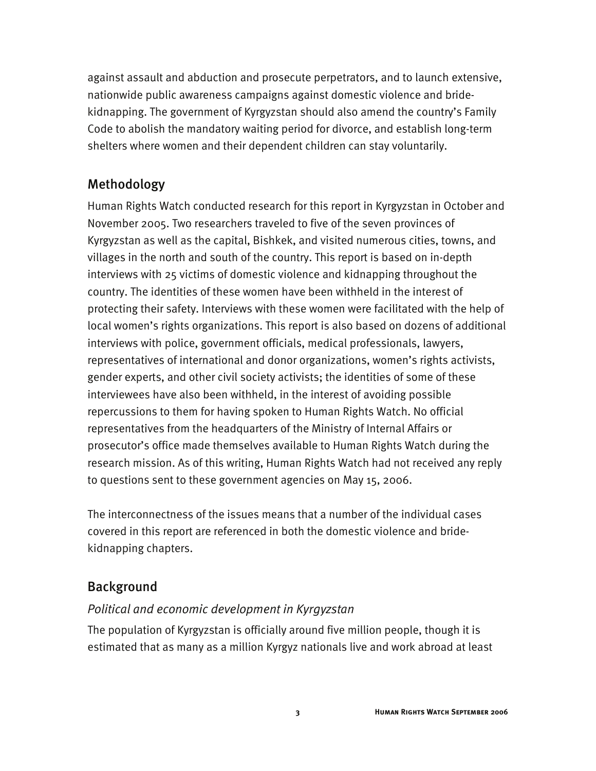against assault and abduction and prosecute perpetrators, and to launch extensive, nationwide public awareness campaigns against domestic violence and bridekidnapping. The government of Kyrgyzstan should also amend the country's Family Code to abolish the mandatory waiting period for divorce, and establish long-term shelters where women and their dependent children can stay voluntarily.

## Methodology

Human Rights Watch conducted research for this report in Kyrgyzstan in October and November 2005. Two researchers traveled to five of the seven provinces of Kyrgyzstan as well as the capital, Bishkek, and visited numerous cities, towns, and villages in the north and south of the country. This report is based on in-depth interviews with 25 victims of domestic violence and kidnapping throughout the country. The identities of these women have been withheld in the interest of protecting their safety. Interviews with these women were facilitated with the help of local women's rights organizations. This report is also based on dozens of additional interviews with police, government officials, medical professionals, lawyers, representatives of international and donor organizations, women's rights activists, gender experts, and other civil society activists; the identities of some of these interviewees have also been withheld, in the interest of avoiding possible repercussions to them for having spoken to Human Rights Watch. No official representatives from the headquarters of the Ministry of Internal Affairs or prosecutor's office made themselves available to Human Rights Watch during the research mission. As of this writing, Human Rights Watch had not received any reply to questions sent to these government agencies on May 15, 2006.

The interconnectness of the issues means that a number of the individual cases covered in this report are referenced in both the domestic violence and bridekidnapping chapters.

## Background

## *Political and economic development in Kyrgyzstan*

The population of Kyrgyzstan is officially around five million people, though it is estimated that as many as a million Kyrgyz nationals live and work abroad at least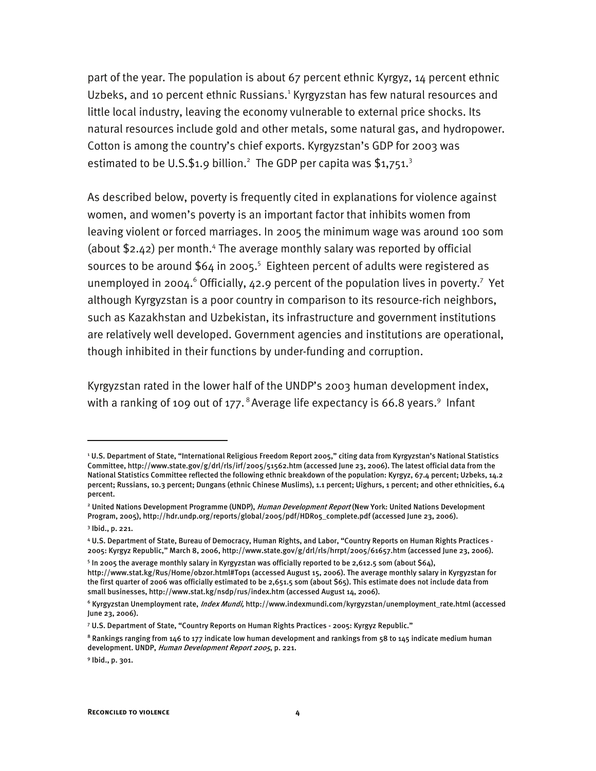part of the year. The population is about 67 percent ethnic Kyrgyz, 14 percent ethnic Uzbeks, and 10 percent ethnic Russians.<sup>1</sup> Kyrgyzstan has few natural resources and little local industry, leaving the economy vulnerable to external price shocks. Its natural resources include gold and other metals, some natural gas, and hydropower. Cotton is among the country's chief exports. Kyrgyzstan's GDP for 2003 was estimated to be U.S.\$1.9 billion.<sup>2</sup> The GDP per capita was \$1,751.<sup>3</sup>

As described below, poverty is frequently cited in explanations for violence against women, and women's poverty is an important factor that inhibits women from leaving violent or forced marriages. In 2005 the minimum wage was around 100 som (about \$2.42) per month.<sup>4</sup> The average monthly salary was reported by official sources to be around  $$64$  in 2005.<sup>5</sup> Eighteen percent of adults were registered as unemployed in 2004. $\degree$  Officially, 42.9 percent of the population lives in poverty.<sup>7</sup> Yet although Kyrgyzstan is a poor country in comparison to its resource-rich neighbors, such as Kazakhstan and Uzbekistan, its infrastructure and government institutions are relatively well developed. Government agencies and institutions are operational, though inhibited in their functions by under-funding and corruption.

Kyrgyzstan rated in the lower half of the UNDP's 2003 human development index, with a ranking of 109 out of 177. $^8$  Average life expectancy is 66.8 years. $^9$  Infant

I

9 Ibid., p. 301.

<sup>1</sup> U.S. Department of State, "International Religious Freedom Report 2005," citing data from Kyrgyzstan's National Statistics Committee, http://www.state.gov/g/drl/rls/irf/2005/51562.htm (accessed June 23, 2006). The latest official data from the National Statistics Committee reflected the following ethnic breakdown of the population: Kyrgyz, 67.4 percent; Uzbeks, 14.2 percent; Russians, 10.3 percent; Dungans (ethnic Chinese Muslims), 1.1 percent; Uighurs, 1 percent; and other ethnicities, 6.4 percent.

<sup>&</sup>lt;sup>2</sup> United Nations Development Programme (UNDP), *Human Development Report* (New York: United Nations Development Program, 2005), http://hdr.undp.org/reports/global/2005/pdf/HDR05\_complete.pdf (accessed June 23, 2006).

<sup>3</sup> Ibid., p. 221.

<sup>4</sup> U.S. Department of State, Bureau of Democracy, Human Rights, and Labor, "Country Reports on Human Rights Practices - 2005: Kyrgyz Republic," March 8, 2006, http://www.state.gov/g/drl/rls/hrrpt/2005/61657.htm (accessed June 23, 2006).

<sup>5</sup> In 2005 the average monthly salary in Kyrgyzstan was officially reported to be 2,612.5 som (about \$64), http://www.stat.kg/Rus/Home/obzor.html#Top1 (accessed August 15, 2006). The average monthly salary in Kyrgyzstan for the first quarter of 2006 was officially estimated to be 2,651.5 som (about \$65). This estimate does not include data from small businesses, http://www.stat.kg/nsdp/rus/index.htm (accessed August 14, 2006).

<sup>&</sup>lt;sup>6</sup> Kyrgyzstan Unemployment rate, *Index Mundi,* http://www.indexmundi.com/kyrgyzstan/unemployment\_rate.html (accessed June 23, 2006).

<sup>7</sup> U.S. Department of State, "Country Reports on Human Rights Practices - 2005: Kyrgyz Republic."

 $^8$  Rankings ranging from 146 to 177 indicate low human development and rankings from 58 to 145 indicate medium human development. UNDP, Human Development Report 2005, p. 221.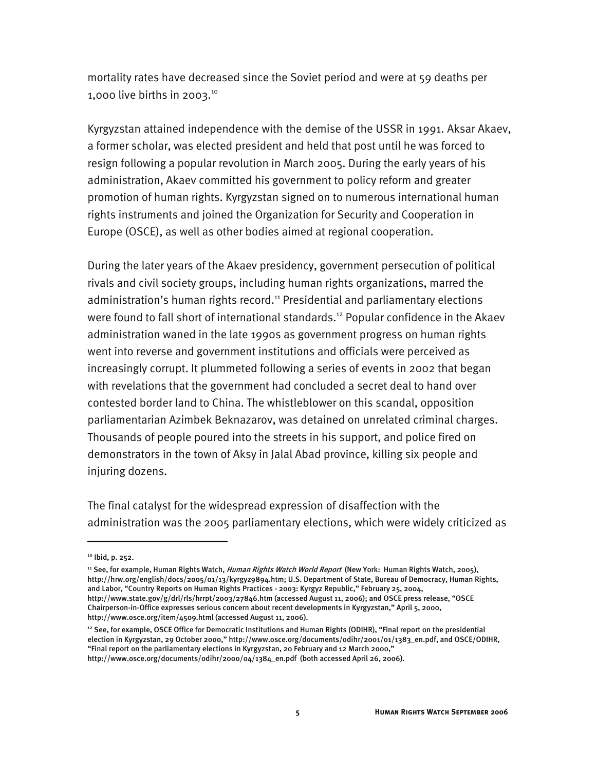mortality rates have decreased since the Soviet period and were at 59 deaths per 1,000 live births in 2003.<sup>10</sup>

Kyrgyzstan attained independence with the demise of the USSR in 1991. Aksar Akaev, a former scholar, was elected president and held that post until he was forced to resign following a popular revolution in March 2005. During the early years of his administration, Akaev committed his government to policy reform and greater promotion of human rights. Kyrgyzstan signed on to numerous international human rights instruments and joined the Organization for Security and Cooperation in Europe (OSCE), as well as other bodies aimed at regional cooperation.

During the later years of the Akaev presidency, government persecution of political rivals and civil society groups, including human rights organizations, marred the administration's human rights record.<sup>11</sup> Presidential and parliamentary elections were found to fall short of international standards.<sup>12</sup> Popular confidence in the Akaev administration waned in the late 1990s as government progress on human rights went into reverse and government institutions and officials were perceived as increasingly corrupt. It plummeted following a series of events in 2002 that began with revelations that the government had concluded a secret deal to hand over contested border land to China. The whistleblower on this scandal, opposition parliamentarian Azimbek Beknazarov, was detained on unrelated criminal charges. Thousands of people poured into the streets in his support, and police fired on demonstrators in the town of Aksy in Jalal Abad province, killing six people and injuring dozens.

The final catalyst for the widespread expression of disaffection with the administration was the 2005 parliamentary elections, which were widely criticized as

I

<sup>11</sup> See, for example, Human Rights Watch, *Human Rights Watch World Report* (New York: Human Rights Watch, 2005), http://hrw.org/english/docs/2005/01/13/kyrgyz9894.htm; U.S. Department of State, Bureau of Democracy, Human Rights, and Labor, "Country Reports on Human Rights Practices - 2003: Kyrgyz Republic," February 25, 2004, http://www.state.gov/g/drl/rls/hrrpt/2003/27846.htm (accessed August 11, 2006); and OSCE press release, "OSCE Chairperson-in-Office expresses serious concern about recent developments in Kyrgyzstan," April 5, 2000, http://www.osce.org/item/4509.html (accessed August 11, 2006).

<sup>&</sup>lt;sup>10</sup> Ibid, p. 252.

<sup>&</sup>lt;sup>12</sup> See, for example, OSCE Office for Democratic Institutions and Human Rights (ODIHR), "Final report on the presidential election in Kyrgyzstan, 29 October 2000," http://www.osce.org/documents/odihr/2001/01/1383\_en.pdf, and OSCE/ODIHR, "Final report on the parliamentary elections in Kyrgyzstan, 20 February and 12 March 2000,"

http://www.osce.org/documents/odihr/2000/04/1384\_en.pdf (both accessed April 26, 2006).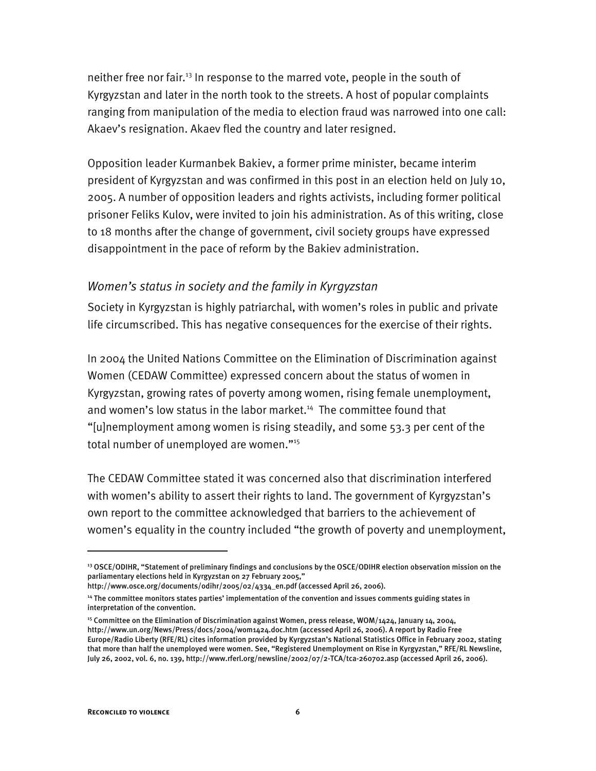neither free nor fair.<sup>13</sup> In response to the marred vote, people in the south of Kyrgyzstan and later in the north took to the streets. A host of popular complaints ranging from manipulation of the media to election fraud was narrowed into one call: Akaev's resignation. Akaev fled the country and later resigned.

Opposition leader Kurmanbek Bakiev, a former prime minister, became interim president of Kyrgyzstan and was confirmed in this post in an election held on July 10, 2005. A number of opposition leaders and rights activists, including former political prisoner Feliks Kulov, were invited to join his administration. As of this writing, close to 18 months after the change of government, civil society groups have expressed disappointment in the pace of reform by the Bakiev administration.

#### *Women's status in society and the family in Kyrgyzstan*

Society in Kyrgyzstan is highly patriarchal, with women's roles in public and private life circumscribed. This has negative consequences for the exercise of their rights.

In 2004 the United Nations Committee on the Elimination of Discrimination against Women (CEDAW Committee) expressed concern about the status of women in Kyrgyzstan, growing rates of poverty among women, rising female unemployment, and women's low status in the labor market.<sup>14</sup> The committee found that "[u]nemployment among women is rising steadily, and some 53.3 per cent of the total number of unemployed are women."<sup>15</sup>

The CEDAW Committee stated it was concerned also that discrimination interfered with women's ability to assert their rights to land. The government of Kyrgyzstan's own report to the committee acknowledged that barriers to the achievement of women's equality in the country included "the growth of poverty and unemployment,

I

<sup>13</sup> OSCE/ODIHR, "Statement of preliminary findings and conclusions by the OSCE/ODIHR election observation mission on the parliamentary elections held in Kyrgyzstan on 27 February 2005,"

http://www.osce.org/documents/odihr/2005/02/4334\_en.pdf (accessed April 26, 2006).

<sup>14</sup> The committee monitors states parties' implementation of the convention and issues comments guiding states in interpretation of the convention.

<sup>&</sup>lt;sup>15</sup> Committee on the Elimination of Discrimination against Women, press release, WOM/1424, January 14, 2004, http://www.un.org/News/Press/docs/2004/wom1424.doc.htm (accessed April 26, 2006). A report by Radio Free Europe/Radio Liberty (RFE/RL) cites information provided by Kyrgyzstan's National Statistics Office in February 2002, stating that more than half the unemployed were women. See, "Registered Unemployment on Rise in Kyrgyzstan," RFE/RL Newsline, July 26, 2002, vol. 6, no. 139, http://www.rferl.org/newsline/2002/07/2-TCA/tca-260702.asp (accessed April 26, 2006).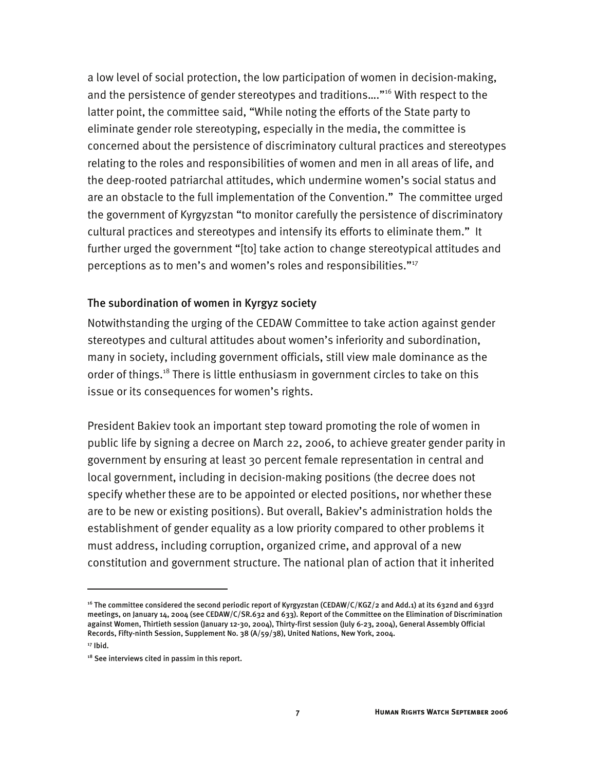a low level of social protection, the low participation of women in decision-making, and the persistence of gender stereotypes and traditions…."16 With respect to the latter point, the committee said, "While noting the efforts of the State party to eliminate gender role stereotyping, especially in the media, the committee is concerned about the persistence of discriminatory cultural practices and stereotypes relating to the roles and responsibilities of women and men in all areas of life, and the deep-rooted patriarchal attitudes, which undermine women's social status and are an obstacle to the full implementation of the Convention." The committee urged the government of Kyrgyzstan "to monitor carefully the persistence of discriminatory cultural practices and stereotypes and intensify its efforts to eliminate them." It further urged the government "[to] take action to change stereotypical attitudes and perceptions as to men's and women's roles and responsibilities."17

#### The subordination of women in Kyrgyz society

Notwithstanding the urging of the CEDAW Committee to take action against gender stereotypes and cultural attitudes about women's inferiority and subordination, many in society, including government officials, still view male dominance as the order of things.<sup>18</sup> There is little enthusiasm in government circles to take on this issue or its consequences for women's rights.

President Bakiev took an important step toward promoting the role of women in public life by signing a decree on March 22, 2006, to achieve greater gender parity in government by ensuring at least 30 percent female representation in central and local government, including in decision-making positions (the decree does not specify whether these are to be appointed or elected positions, nor whether these are to be new or existing positions). But overall, Bakiev's administration holds the establishment of gender equality as a low priority compared to other problems it must address, including corruption, organized crime, and approval of a new constitution and government structure. The national plan of action that it inherited

<sup>&</sup>lt;sup>16</sup> The committee considered the second periodic report of Kyrgyzstan (CEDAW/C/KGZ/2 and Add.1) at its 632nd and 633rd meetings, on January 14, 2004 (see CEDAW/C/SR.632 and 633). Report of the Committee on the Elimination of Discrimination against Women, Thirtieth session (January 12-30, 2004), Thirty-first session (July 6-23, 2004), General Assembly Official Records, Fifty-ninth Session, Supplement No. 38 (A/59/38), United Nations, New York, 2004.

 $17$  Ibid.

<sup>&</sup>lt;sup>18</sup> See interviews cited in passim in this report.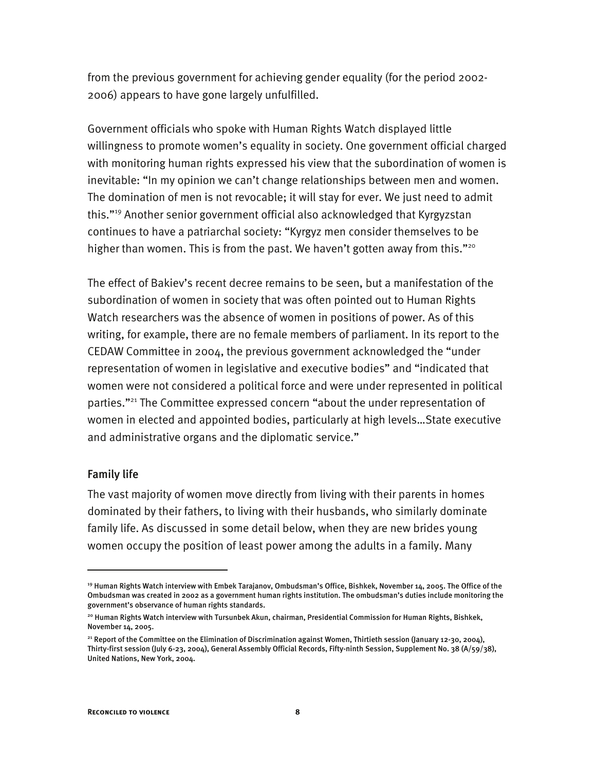from the previous government for achieving gender equality (for the period 2002- 2006) appears to have gone largely unfulfilled.

Government officials who spoke with Human Rights Watch displayed little willingness to promote women's equality in society. One government official charged with monitoring human rights expressed his view that the subordination of women is inevitable: "In my opinion we can't change relationships between men and women. The domination of men is not revocable; it will stay for ever. We just need to admit this."19 Another senior government official also acknowledged that Kyrgyzstan continues to have a patriarchal society: "Kyrgyz men consider themselves to be higher than women. This is from the past. We haven't gotten away from this."<sup>20</sup>

The effect of Bakiev's recent decree remains to be seen, but a manifestation of the subordination of women in society that was often pointed out to Human Rights Watch researchers was the absence of women in positions of power. As of this writing, for example, there are no female members of parliament. In its report to the CEDAW Committee in 2004, the previous government acknowledged the "under representation of women in legislative and executive bodies" and "indicated that women were not considered a political force and were under represented in political parties."21 The Committee expressed concern "about the under representation of women in elected and appointed bodies, particularly at high levels…State executive and administrative organs and the diplomatic service."

#### Family life

j

The vast majority of women move directly from living with their parents in homes dominated by their fathers, to living with their husbands, who similarly dominate family life. As discussed in some detail below, when they are new brides young women occupy the position of least power among the adults in a family. Many

<sup>19</sup> Human Rights Watch interview with Embek Tarajanov, Ombudsman's Office, Bishkek, November 14, 2005. The Office of the Ombudsman was created in 2002 as a government human rights institution. The ombudsman's duties include monitoring the government's observance of human rights standards.

<sup>20</sup> Human Rights Watch interview with Tursunbek Akun, chairman, Presidential Commission for Human Rights, Bishkek, November 14, 2005.

<sup>&</sup>lt;sup>21</sup> Report of the Committee on the Elimination of Discrimination against Women, Thirtieth session (January 12-30, 2004), Thirty-first session (July 6-23, 2004), General Assembly Official Records, Fifty-ninth Session, Supplement No. 38 (A/59/38), United Nations, New York, 2004.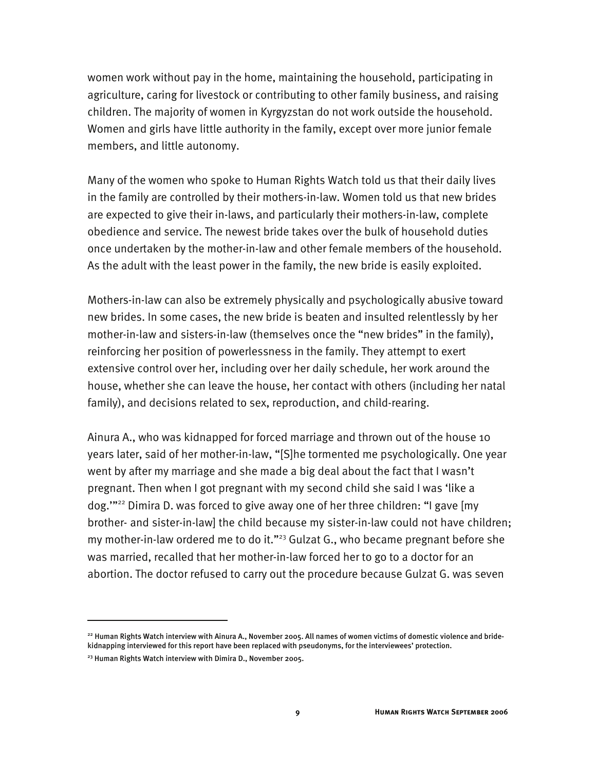women work without pay in the home, maintaining the household, participating in agriculture, caring for livestock or contributing to other family business, and raising children. The majority of women in Kyrgyzstan do not work outside the household. Women and girls have little authority in the family, except over more junior female members, and little autonomy.

Many of the women who spoke to Human Rights Watch told us that their daily lives in the family are controlled by their mothers-in-law. Women told us that new brides are expected to give their in-laws, and particularly their mothers-in-law, complete obedience and service. The newest bride takes over the bulk of household duties once undertaken by the mother-in-law and other female members of the household. As the adult with the least power in the family, the new bride is easily exploited.

Mothers-in-law can also be extremely physically and psychologically abusive toward new brides. In some cases, the new bride is beaten and insulted relentlessly by her mother-in-law and sisters-in-law (themselves once the "new brides" in the family), reinforcing her position of powerlessness in the family. They attempt to exert extensive control over her, including over her daily schedule, her work around the house, whether she can leave the house, her contact with others (including her natal family), and decisions related to sex, reproduction, and child-rearing.

Ainura A., who was kidnapped for forced marriage and thrown out of the house 10 years later, said of her mother-in-law, "[S]he tormented me psychologically. One year went by after my marriage and she made a big deal about the fact that I wasn't pregnant. Then when I got pregnant with my second child she said I was 'like a dog.'"22 Dimira D. was forced to give away one of her three children: "I gave [my brother- and sister-in-law] the child because my sister-in-law could not have children; my mother-in-law ordered me to do it."<sup>23</sup> Gulzat G., who became pregnant before she was married, recalled that her mother-in-law forced her to go to a doctor for an abortion. The doctor refused to carry out the procedure because Gulzat G. was seven

I

<sup>&</sup>lt;sup>22</sup> Human Rights Watch interview with Ainura A., November 2005. All names of women victims of domestic violence and bridekidnapping interviewed for this report have been replaced with pseudonyms, for the interviewees' protection.

<sup>&</sup>lt;sup>23</sup> Human Rights Watch interview with Dimira D., November 2005.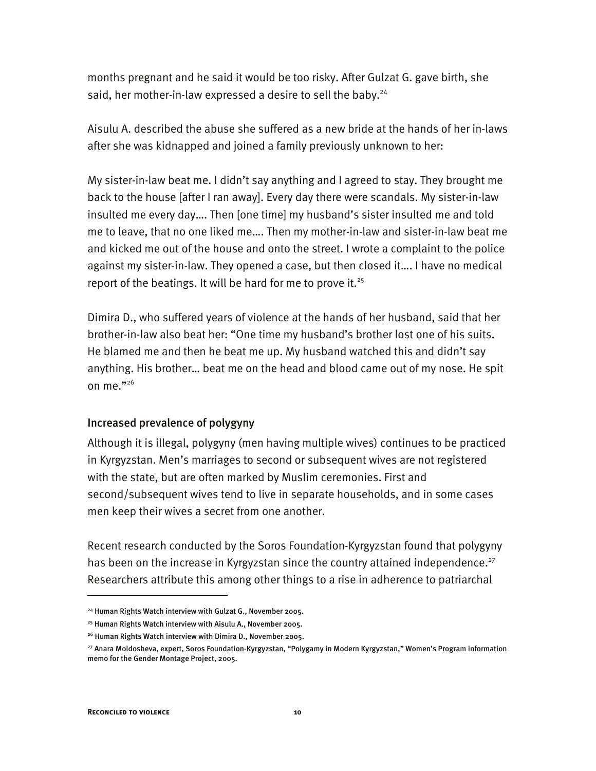months pregnant and he said it would be too risky. After Gulzat G. gave birth, she said, her mother-in-law expressed a desire to sell the baby.<sup>24</sup>

Aisulu A. described the abuse she suffered as a new bride at the hands of her in-laws after she was kidnapped and joined a family previously unknown to her:

My sister-in-law beat me. I didn't say anything and I agreed to stay. They brought me back to the house [after I ran away]. Every day there were scandals. My sister-in-law insulted me every day…. Then [one time] my husband's sister insulted me and told me to leave, that no one liked me…. Then my mother-in-law and sister-in-law beat me and kicked me out of the house and onto the street. I wrote a complaint to the police against my sister-in-law. They opened a case, but then closed it…. I have no medical report of the beatings. It will be hard for me to prove it. $25$ 

Dimira D., who suffered years of violence at the hands of her husband, said that her brother-in-law also beat her: "One time my husband's brother lost one of his suits. He blamed me and then he beat me up. My husband watched this and didn't say anything. His brother… beat me on the head and blood came out of my nose. He spit on me. $"^{26}$ 

#### Increased prevalence of polygyny

Although it is illegal, polygyny (men having multiple wives) continues to be practiced in Kyrgyzstan. Men's marriages to second or subsequent wives are not registered with the state, but are often marked by Muslim ceremonies. First and second/subsequent wives tend to live in separate households, and in some cases men keep their wives a secret from one another.

Recent research conducted by the Soros Foundation-Kyrgyzstan found that polygyny has been on the increase in Kyrgyzstan since the country attained independence.<sup>27</sup> Researchers attribute this among other things to a rise in adherence to patriarchal

<sup>&</sup>lt;sup>24</sup> Human Rights Watch interview with Gulzat G., November 2005.

<sup>25</sup> Human Rights Watch interview with Aisulu A., November 2005.

<sup>&</sup>lt;sup>26</sup> Human Rights Watch interview with Dimira D., November 2005.

<sup>27</sup> Anara Moldosheva, expert, Soros Foundation-Kyrgyzstan, "Polygamy in Modern Kyrgyzstan," Women's Program information memo for the Gender Montage Project, 2005.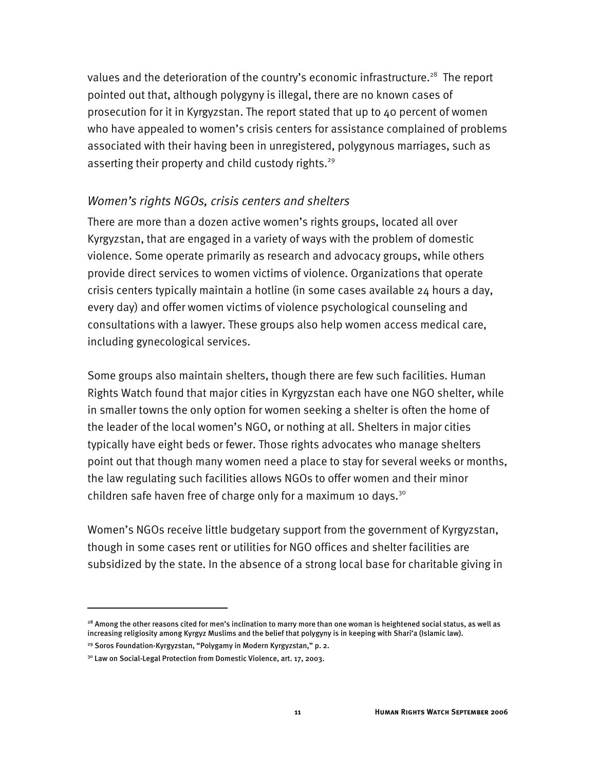values and the deterioration of the country's economic infrastructure.<sup>28</sup> The report pointed out that, although polygyny is illegal, there are no known cases of prosecution for it in Kyrgyzstan. The report stated that up to 40 percent of women who have appealed to women's crisis centers for assistance complained of problems associated with their having been in unregistered, polygynous marriages, such as asserting their property and child custody rights.<sup>29</sup>

#### *Women's rights NGOs, crisis centers and shelters*

There are more than a dozen active women's rights groups, located all over Kyrgyzstan, that are engaged in a variety of ways with the problem of domestic violence. Some operate primarily as research and advocacy groups, while others provide direct services to women victims of violence. Organizations that operate crisis centers typically maintain a hotline (in some cases available 24 hours a day, every day) and offer women victims of violence psychological counseling and consultations with a lawyer. These groups also help women access medical care, including gynecological services.

Some groups also maintain shelters, though there are few such facilities. Human Rights Watch found that major cities in Kyrgyzstan each have one NGO shelter, while in smaller towns the only option for women seeking a shelter is often the home of the leader of the local women's NGO, or nothing at all. Shelters in major cities typically have eight beds or fewer. Those rights advocates who manage shelters point out that though many women need a place to stay for several weeks or months, the law regulating such facilities allows NGOs to offer women and their minor children safe haven free of charge only for a maximum 10 days.<sup>30</sup>

Women's NGOs receive little budgetary support from the government of Kyrgyzstan, though in some cases rent or utilities for NGO offices and shelter facilities are subsidized by the state. In the absence of a strong local base for charitable giving in

<sup>&</sup>lt;sup>28</sup> Among the other reasons cited for men's inclination to marry more than one woman is heightened social status, as well as increasing religiosity among Kyrgyz Muslims and the belief that polygyny is in keeping with Shari'a (Islamic law).

<sup>&</sup>lt;sup>29</sup> Soros Foundation-Kyrgyzstan, "Polygamy in Modern Kyrgyzstan," p. 2.

<sup>&</sup>lt;sup>30</sup> Law on Social-Legal Protection from Domestic Violence, art. 17, 2003.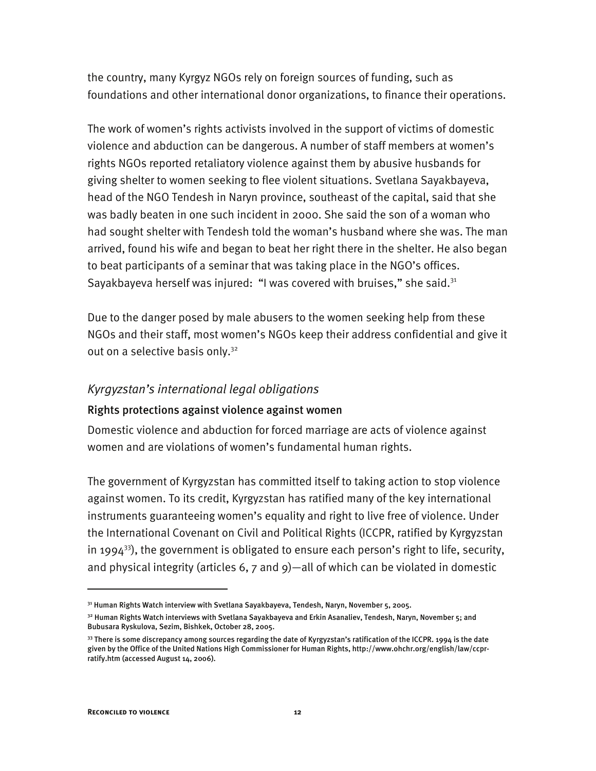the country, many Kyrgyz NGOs rely on foreign sources of funding, such as foundations and other international donor organizations, to finance their operations.

The work of women's rights activists involved in the support of victims of domestic violence and abduction can be dangerous. A number of staff members at women's rights NGOs reported retaliatory violence against them by abusive husbands for giving shelter to women seeking to flee violent situations. Svetlana Sayakbayeva, head of the NGO Tendesh in Naryn province, southeast of the capital, said that she was badly beaten in one such incident in 2000. She said the son of a woman who had sought shelter with Tendesh told the woman's husband where she was. The man arrived, found his wife and began to beat her right there in the shelter. He also began to beat participants of a seminar that was taking place in the NGO's offices. Sayakbayeva herself was injured: "I was covered with bruises," she said.<sup>31</sup>

Due to the danger posed by male abusers to the women seeking help from these NGOs and their staff, most women's NGOs keep their address confidential and give it out on a selective basis only.<sup>32</sup>

#### *Kyrgyzstan's international legal obligations*

#### Rights protections against violence against women

Domestic violence and abduction for forced marriage are acts of violence against women and are violations of women's fundamental human rights.

The government of Kyrgyzstan has committed itself to taking action to stop violence against women. To its credit, Kyrgyzstan has ratified many of the key international instruments guaranteeing women's equality and right to live free of violence. Under the International Covenant on Civil and Political Rights (ICCPR, ratified by Kyrgyzstan in 1994<sup>33</sup>), the government is obligated to ensure each person's right to life, security, and physical integrity (articles 6, 7 and 9)—all of which can be violated in domestic

<sup>&</sup>lt;sup>31</sup> Human Rights Watch interview with Svetlana Sayakbayeva, Tendesh, Naryn, November 5, 2005.

<sup>32</sup> Human Rights Watch interviews with Svetlana Sayakbayeva and Erkin Asanaliev, Tendesh, Naryn, November 5; and Bubusara Ryskulova, Sezim, Bishkek, October 28, 2005.

<sup>&</sup>lt;sup>33</sup> There is some discrepancy among sources regarding the date of Kyrgyzstan's ratification of the ICCPR. 1994 is the date given by the Office of the United Nations High Commissioner for Human Rights, http://www.ohchr.org/english/law/ccprratify.htm (accessed August 14, 2006).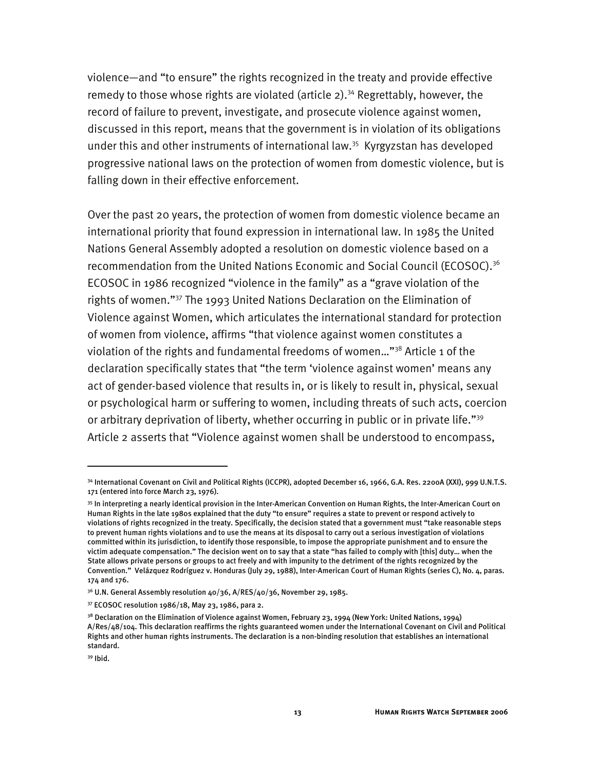violence—and "to ensure" the rights recognized in the treaty and provide effective remedy to those whose rights are violated (article  $2$ ).<sup>34</sup> Regrettably, however, the record of failure to prevent, investigate, and prosecute violence against women, discussed in this report, means that the government is in violation of its obligations under this and other instruments of international law.<sup>35</sup> Kyrgyzstan has developed progressive national laws on the protection of women from domestic violence, but is falling down in their effective enforcement.

Over the past 20 years, the protection of women from domestic violence became an international priority that found expression in international law. In 1985 the United Nations General Assembly adopted a resolution on domestic violence based on a recommendation from the United Nations Economic and Social Council (ECOSOC).<sup>36</sup> ECOSOC in 1986 recognized "violence in the family" as a "grave violation of the rights of women."37 The 1993 United Nations Declaration on the Elimination of Violence against Women, which articulates the international standard for protection of women from violence, affirms "that violence against women constitutes a violation of the rights and fundamental freedoms of women..."<sup>38</sup> Article 1 of the declaration specifically states that "the term 'violence against women' means any act of gender-based violence that results in, or is likely to result in, physical, sexual or psychological harm or suffering to women, including threats of such acts, coercion or arbitrary deprivation of liberty, whether occurring in public or in private life."<sup>39</sup> Article 2 asserts that "Violence against women shall be understood to encompass,

<sup>34</sup> International Covenant on Civil and Political Rights (ICCPR), adopted December 16, 1966, G.A. Res. 2200A (XXI), 999 U.N.T.S. 171 (entered into force March 23, 1976).

<sup>35</sup> In interpreting a nearly identical provision in the Inter-American Convention on Human Rights, the Inter-American Court on Human Rights in the late 1980s explained that the duty "to ensure" requires a state to prevent or respond actively to violations of rights recognized in the treaty. Specifically, the decision stated that a government must "take reasonable steps to prevent human rights violations and to use the means at its disposal to carry out a serious investigation of violations committed within its jurisdiction, to identify those responsible, to impose the appropriate punishment and to ensure the victim adequate compensation." The decision went on to say that a state "has failed to comply with [this] duty… when the State allows private persons or groups to act freely and with impunity to the detriment of the rights recognized by the Convention." Velázquez Rodríguez v. Honduras (July 29, 1988), Inter-American Court of Human Rights (series C), No. 4, paras. 174 and 176.

 $36$  U.N. General Assembly resolution 40/36, A/RES/40/36, November 29, 1985.

<sup>37</sup> ECOSOC resolution 1986/18, May 23, 1986, para 2.

<sup>&</sup>lt;sup>38</sup> Declaration on the Elimination of Violence against Women, February 23, 1994 (New York: United Nations, 1994) A/Res/48/104. This declaration reaffirms the rights guaranteed women under the International Covenant on Civil and Political Rights and other human rights instruments. The declaration is a non-binding resolution that establishes an international standard.

<sup>39</sup> Ibid.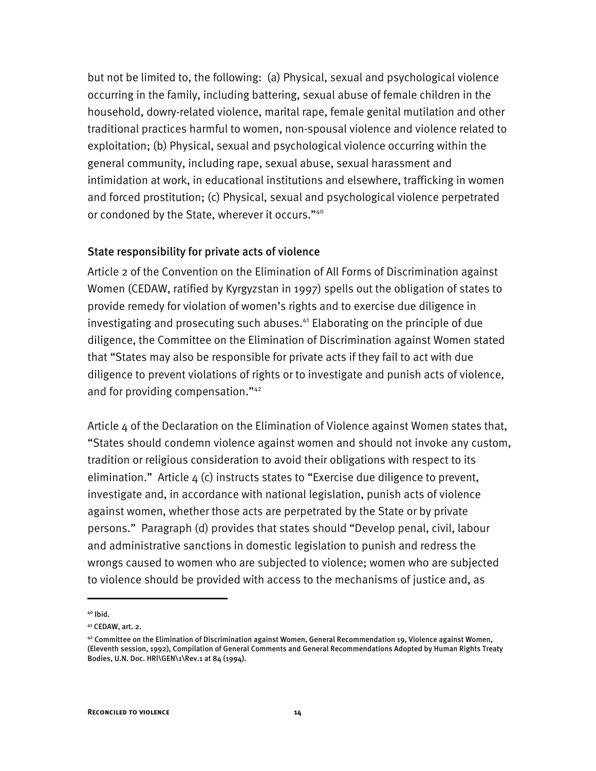but not be limited to, the following: (a) Physical, sexual and psychological violence occurring in the family, including battering, sexual abuse of female children in the household, dowry-related violence, marital rape, female genital mutilation and other traditional practices harmful to women, non-spousal violence and violence related to exploitation; (b) Physical, sexual and psychological violence occurring within the general community, including rape, sexual abuse, sexual harassment and intimidation at work, in educational institutions and elsewhere, trafficking in women and forced prostitution; (c) Physical, sexual and psychological violence perpetrated or condoned by the State, wherever it occurs."<sup>40</sup>

#### State responsibility for private acts of violence

Article 2 of the Convention on the Elimination of All Forms of Discrimination against Women (CEDAW, ratified by Kyrgyzstan in 1997) spells out the obligation of states to provide remedy for violation of women's rights and to exercise due diligence in investigating and prosecuting such abuses. $44$  Elaborating on the principle of due diligence, the Committee on the Elimination of Discrimination against Women stated that "States may also be responsible for private acts if they fail to act with due diligence to prevent violations of rights or to investigate and punish acts of violence, and for providing compensation."42

Article 4 of the Declaration on the Elimination of Violence against Women states that, "States should condemn violence against women and should not invoke any custom, tradition or religious consideration to avoid their obligations with respect to its elimination." Article  $4$  (c) instructs states to "Exercise due diligence to prevent, investigate and, in accordance with national legislation, punish acts of violence against women, whether those acts are perpetrated by the State or by private persons." Paragraph (d) provides that states should "Develop penal, civil, labour and administrative sanctions in domestic legislation to punish and redress the wrongs caused to women who are subjected to violence; women who are subjected to violence should be provided with access to the mechanisms of justice and, as

<sup>40</sup> Ibid.

<sup>41</sup> CEDAW, art. 2.

 $42$  Committee on the Elimination of Discrimination against Women, General Recommendation 19, Violence against Women, (Eleventh session, 1992), Compilation of General Comments and General Recommendations Adopted by Human Rights Treaty Bodies, U.N. Doc. HRI\GEN\1\Rev.1 at 84 (1994).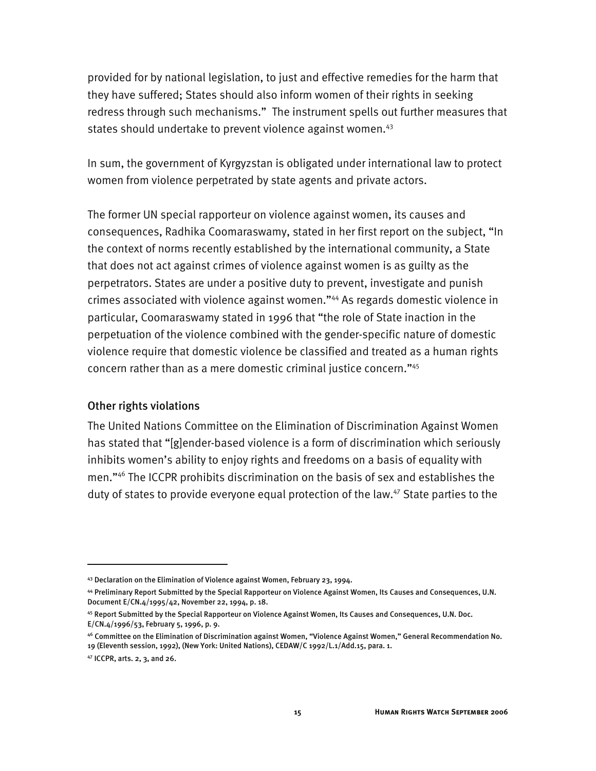provided for by national legislation, to just and effective remedies for the harm that they have suffered; States should also inform women of their rights in seeking redress through such mechanisms." The instrument spells out further measures that states should undertake to prevent violence against women.<sup>43</sup>

In sum, the government of Kyrgyzstan is obligated under international law to protect women from violence perpetrated by state agents and private actors.

The former UN special rapporteur on violence against women, its causes and consequences, Radhika Coomaraswamy, stated in her first report on the subject, "In the context of norms recently established by the international community, a State that does not act against crimes of violence against women is as guilty as the perpetrators. States are under a positive duty to prevent, investigate and punish crimes associated with violence against women."44 As regards domestic violence in particular, Coomaraswamy stated in 1996 that "the role of State inaction in the perpetuation of the violence combined with the gender-specific nature of domestic violence require that domestic violence be classified and treated as a human rights concern rather than as a mere domestic criminal justice concern."45

#### Other rights violations

The United Nations Committee on the Elimination of Discrimination Against Women has stated that "[g]ender-based violence is a form of discrimination which seriously inhibits women's ability to enjoy rights and freedoms on a basis of equality with men."46 The ICCPR prohibits discrimination on the basis of sex and establishes the duty of states to provide everyone equal protection of the law.<sup>47</sup> State parties to the

<sup>43</sup> Declaration on the Elimination of Violence against Women, February 23, 1994.

<sup>44</sup> Preliminary Report Submitted by the Special Rapporteur on Violence Against Women, Its Causes and Consequences, U.N. Document E/CN.4/1995/42, November 22, 1994, p. 18.

<sup>45</sup> Report Submitted by the Special Rapporteur on Violence Against Women, Its Causes and Consequences, U.N. Doc. E/CN.4/1996/53, February 5, 1996, p. 9.

<sup>46</sup> Committee on the Elimination of Discrimination against Women, "Violence Against Women," General Recommendation No. 19 (Eleventh session, 1992), (New York: United Nations), CEDAW/C 1992/L.1/Add.15, para. 1.

<sup>47</sup> ICCPR, arts. 2, 3, and 26.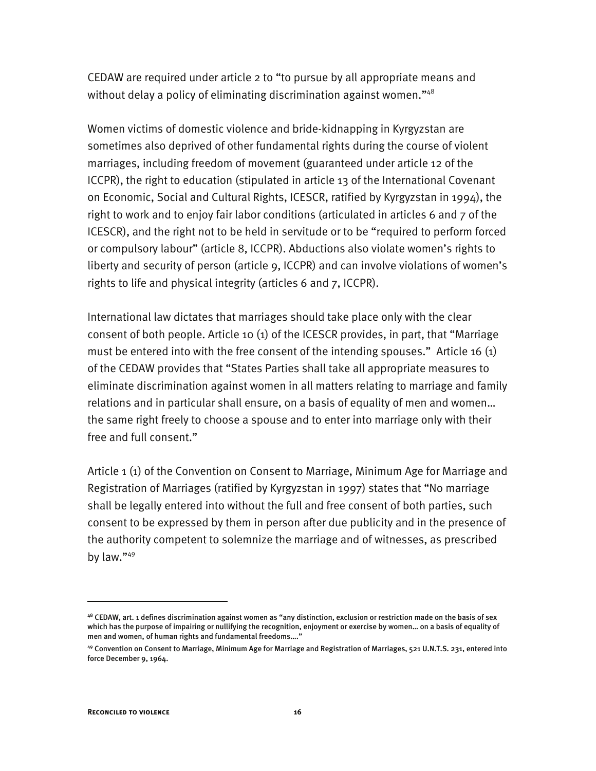CEDAW are required under article 2 to "to pursue by all appropriate means and without delay a policy of eliminating discrimination against women."<sup>48</sup>

Women victims of domestic violence and bride-kidnapping in Kyrgyzstan are sometimes also deprived of other fundamental rights during the course of violent marriages, including freedom of movement (guaranteed under article 12 of the ICCPR), the right to education (stipulated in article 13 of the International Covenant on Economic, Social and Cultural Rights, ICESCR, ratified by Kyrgyzstan in 1994), the right to work and to enjoy fair labor conditions (articulated in articles 6 and 7 of the ICESCR), and the right not to be held in servitude or to be "required to perform forced or compulsory labour" (article 8, ICCPR). Abductions also violate women's rights to liberty and security of person (article 9, ICCPR) and can involve violations of women's rights to life and physical integrity (articles 6 and 7, ICCPR).

International law dictates that marriages should take place only with the clear consent of both people. Article 10 (1) of the ICESCR provides, in part, that "Marriage must be entered into with the free consent of the intending spouses." Article 16 (1) of the CEDAW provides that "States Parties shall take all appropriate measures to eliminate discrimination against women in all matters relating to marriage and family relations and in particular shall ensure, on a basis of equality of men and women… the same right freely to choose a spouse and to enter into marriage only with their free and full consent."

Article 1 (1) of the Convention on Consent to Marriage, Minimum Age for Marriage and Registration of Marriages (ratified by Kyrgyzstan in 1997) states that "No marriage shall be legally entered into without the full and free consent of both parties, such consent to be expressed by them in person after due publicity and in the presence of the authority competent to solemnize the marriage and of witnesses, as prescribed by law."49

 $48$  CEDAW, art. 1 defines discrimination against women as "any distinction, exclusion or restriction made on the basis of sex which has the purpose of impairing or nullifying the recognition, enjoyment or exercise by women… on a basis of equality of men and women, of human rights and fundamental freedoms....'

<sup>49</sup> Convention on Consent to Marriage, Minimum Age for Marriage and Registration of Marriages, 521 U.N.T.S. 231, entered into force December 9, 1964.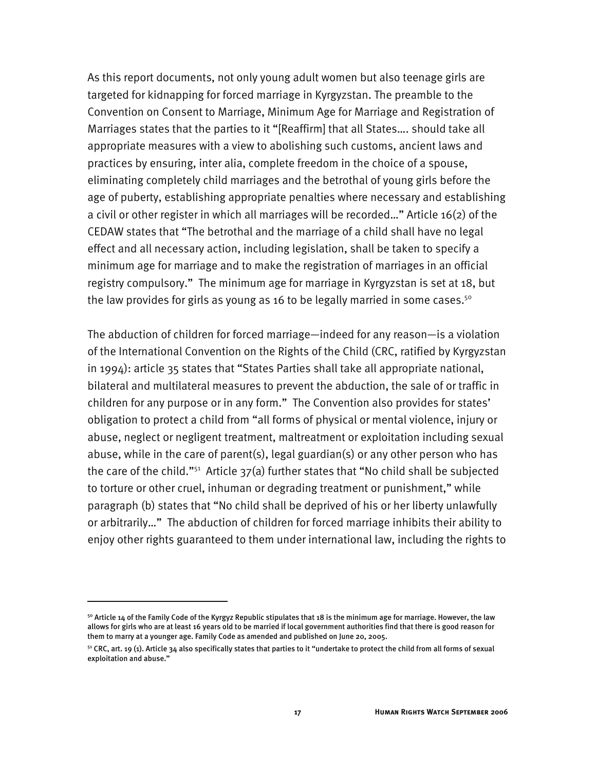As this report documents, not only young adult women but also teenage girls are targeted for kidnapping for forced marriage in Kyrgyzstan. The preamble to the Convention on Consent to Marriage, Minimum Age for Marriage and Registration of Marriages states that the parties to it "[Reaffirm] that all States…. should take all appropriate measures with a view to abolishing such customs, ancient laws and practices by ensuring, inter alia, complete freedom in the choice of a spouse, eliminating completely child marriages and the betrothal of young girls before the age of puberty, establishing appropriate penalties where necessary and establishing a civil or other register in which all marriages will be recorded…" Article 16(2) of the CEDAW states that "The betrothal and the marriage of a child shall have no legal effect and all necessary action, including legislation, shall be taken to specify a minimum age for marriage and to make the registration of marriages in an official registry compulsory." The minimum age for marriage in Kyrgyzstan is set at 18, but the law provides for girls as young as 16 to be legally married in some cases.<sup>50</sup>

The abduction of children for forced marriage—indeed for any reason—is a violation of the International Convention on the Rights of the Child (CRC, ratified by Kyrgyzstan in 1994): article 35 states that "States Parties shall take all appropriate national, bilateral and multilateral measures to prevent the abduction, the sale of or traffic in children for any purpose or in any form." The Convention also provides for states' obligation to protect a child from "all forms of physical or mental violence, injury or abuse, neglect or negligent treatment, maltreatment or exploitation including sexual abuse, while in the care of parent(s), legal guardian(s) or any other person who has the care of the child."<sup>51</sup> Article  $37(a)$  further states that "No child shall be subjected to torture or other cruel, inhuman or degrading treatment or punishment," while paragraph (b) states that "No child shall be deprived of his or her liberty unlawfully or arbitrarily…" The abduction of children for forced marriage inhibits their ability to enjoy other rights guaranteed to them under international law, including the rights to

 $50$  Article 14 of the Family Code of the Kyrgyz Republic stipulates that 18 is the minimum age for marriage. However, the law allows for girls who are at least 16 years old to be married if local government authorities find that there is good reason for them to marry at a younger age. Family Code as amended and published on June 20, 2005.

 $51$  CRC, art. 19 (1). Article 34 also specifically states that parties to it "undertake to protect the child from all forms of sexual exploitation and abuse."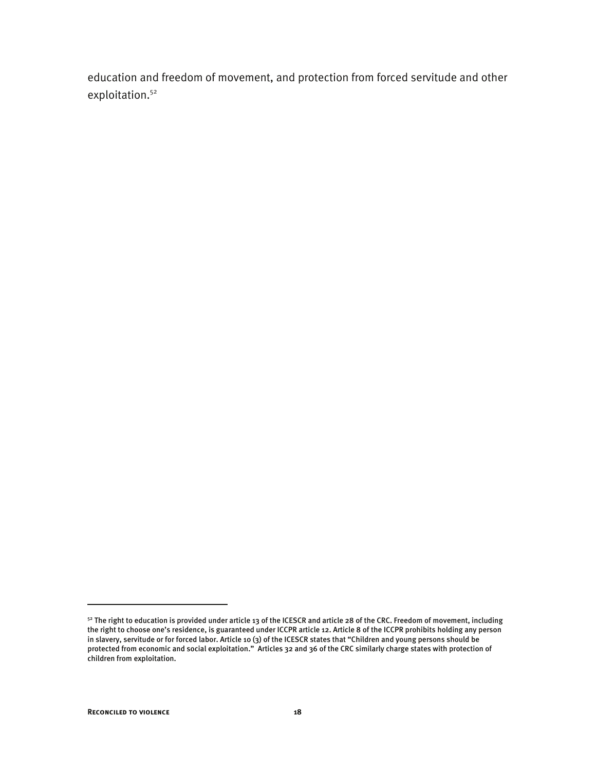education and freedom of movement, and protection from forced servitude and other exploitation.<sup>52</sup>

<sup>&</sup>lt;sup>52</sup> The right to education is provided under article 13 of the ICESCR and article 28 of the CRC. Freedom of movement, including the right to choose one's residence, is guaranteed under ICCPR article 12. Article 8 of the ICCPR prohibits holding any person in slavery, servitude or for forced labor. Article 10 (3) of the ICESCR states that "Children and young persons should be protected from economic and social exploitation." Articles 32 and 36 of the CRC similarly charge states with protection of children from exploitation.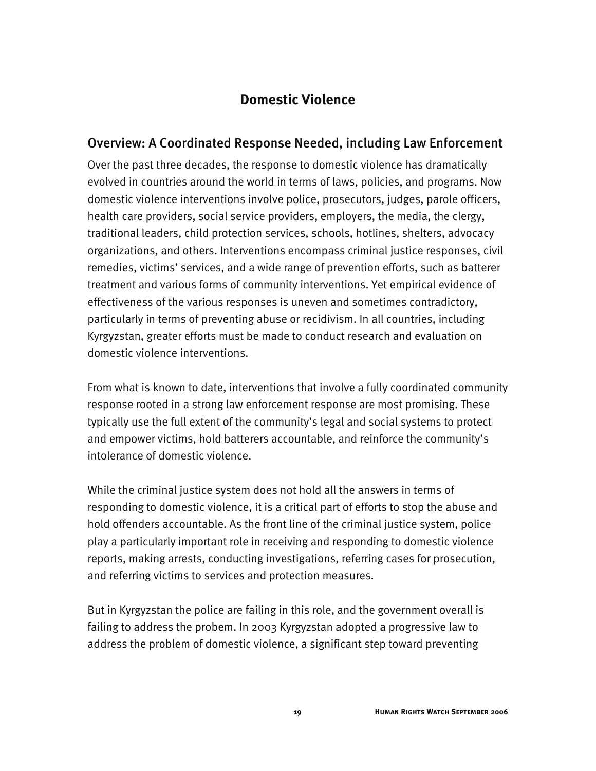## **Domestic Violence**

## Overview: A Coordinated Response Needed, including Law Enforcement

Over the past three decades, the response to domestic violence has dramatically evolved in countries around the world in terms of laws, policies, and programs. Now domestic violence interventions involve police, prosecutors, judges, parole officers, health care providers, social service providers, employers, the media, the clergy, traditional leaders, child protection services, schools, hotlines, shelters, advocacy organizations, and others. Interventions encompass criminal justice responses, civil remedies, victims' services, and a wide range of prevention efforts, such as batterer treatment and various forms of community interventions. Yet empirical evidence of effectiveness of the various responses is uneven and sometimes contradictory, particularly in terms of preventing abuse or recidivism. In all countries, including Kyrgyzstan, greater efforts must be made to conduct research and evaluation on domestic violence interventions.

From what is known to date, interventions that involve a fully coordinated community response rooted in a strong law enforcement response are most promising. These typically use the full extent of the community's legal and social systems to protect and empower victims, hold batterers accountable, and reinforce the community's intolerance of domestic violence.

While the criminal justice system does not hold all the answers in terms of responding to domestic violence, it is a critical part of efforts to stop the abuse and hold offenders accountable. As the front line of the criminal justice system, police play a particularly important role in receiving and responding to domestic violence reports, making arrests, conducting investigations, referring cases for prosecution, and referring victims to services and protection measures.

But in Kyrgyzstan the police are failing in this role, and the government overall is failing to address the probem. In 2003 Kyrgyzstan adopted a progressive law to address the problem of domestic violence, a significant step toward preventing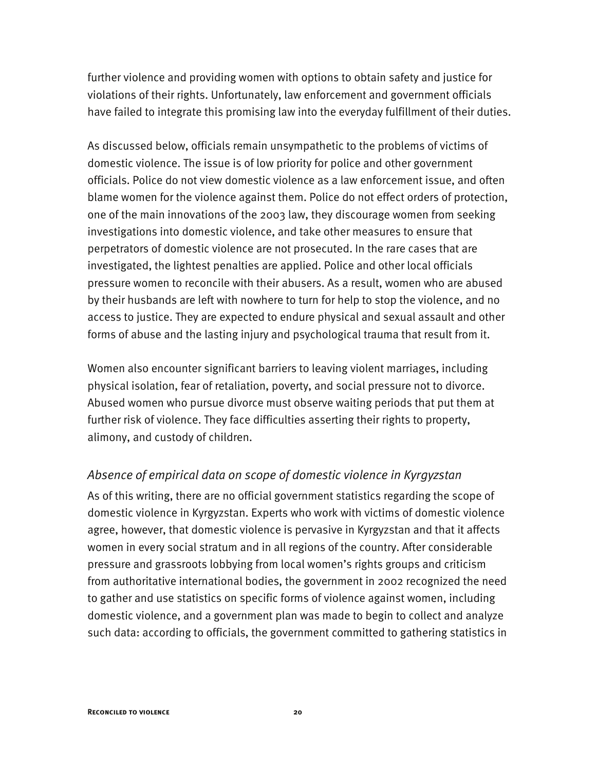further violence and providing women with options to obtain safety and justice for violations of their rights. Unfortunately, law enforcement and government officials have failed to integrate this promising law into the everyday fulfillment of their duties.

As discussed below, officials remain unsympathetic to the problems of victims of domestic violence. The issue is of low priority for police and other government officials. Police do not view domestic violence as a law enforcement issue, and often blame women for the violence against them. Police do not effect orders of protection, one of the main innovations of the 2003 law, they discourage women from seeking investigations into domestic violence, and take other measures to ensure that perpetrators of domestic violence are not prosecuted. In the rare cases that are investigated, the lightest penalties are applied. Police and other local officials pressure women to reconcile with their abusers. As a result, women who are abused by their husbands are left with nowhere to turn for help to stop the violence, and no access to justice. They are expected to endure physical and sexual assault and other forms of abuse and the lasting injury and psychological trauma that result from it.

Women also encounter significant barriers to leaving violent marriages, including physical isolation, fear of retaliation, poverty, and social pressure not to divorce. Abused women who pursue divorce must observe waiting periods that put them at further risk of violence. They face difficulties asserting their rights to property, alimony, and custody of children.

## *Absence of empirical data on scope of domestic violence in Kyrgyzstan*

As of this writing, there are no official government statistics regarding the scope of domestic violence in Kyrgyzstan. Experts who work with victims of domestic violence agree, however, that domestic violence is pervasive in Kyrgyzstan and that it affects women in every social stratum and in all regions of the country. After considerable pressure and grassroots lobbying from local women's rights groups and criticism from authoritative international bodies, the government in 2002 recognized the need to gather and use statistics on specific forms of violence against women, including domestic violence, and a government plan was made to begin to collect and analyze such data: according to officials, the government committed to gathering statistics in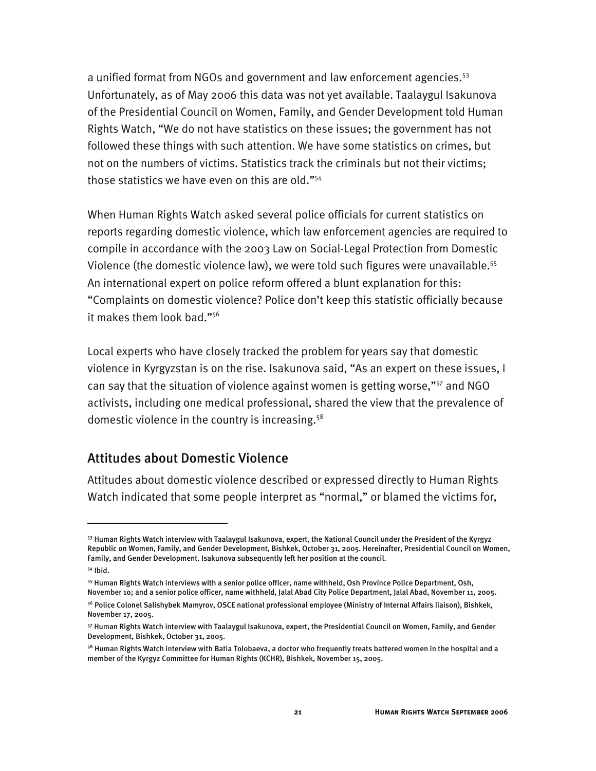a unified format from NGOs and government and law enforcement agencies.<sup>53</sup> Unfortunately, as of May 2006 this data was not yet available. Taalaygul Isakunova of the Presidential Council on Women, Family, and Gender Development told Human Rights Watch, "We do not have statistics on these issues; the government has not followed these things with such attention. We have some statistics on crimes, but not on the numbers of victims. Statistics track the criminals but not their victims; those statistics we have even on this are old."54

When Human Rights Watch asked several police officials for current statistics on reports regarding domestic violence, which law enforcement agencies are required to compile in accordance with the 2003 Law on Social-Legal Protection from Domestic Violence (the domestic violence law), we were told such figures were unavailable.55 An international expert on police reform offered a blunt explanation for this: "Complaints on domestic violence? Police don't keep this statistic officially because it makes them look bad."56

Local experts who have closely tracked the problem for years say that domestic violence in Kyrgyzstan is on the rise. Isakunova said, "As an expert on these issues, I can say that the situation of violence against women is getting worse,"57 and NGO activists, including one medical professional, shared the view that the prevalence of domestic violence in the country is increasing.<sup>58</sup>

## Attitudes about Domestic Violence

Attitudes about domestic violence described or expressed directly to Human Rights Watch indicated that some people interpret as "normal," or blamed the victims for,

I

<sup>53</sup> Human Rights Watch interview with Taalaygul Isakunova, expert, the National Council under the President of the Kyrgyz Republic on Women, Family, and Gender Development, Bishkek, October 31, 2005. Hereinafter, Presidential Council on Women, Family, and Gender Development. Isakunova subsequently left her position at the council.

<sup>54</sup> Ibid.

<sup>55</sup> Human Rights Watch interviews with a senior police officer, name withheld, Osh Province Police Department, Osh, November 10; and a senior police officer, name withheld, Jalal Abad City Police Department, Jalal Abad, November 11, 2005.

<sup>56</sup> Police Colonel Salishybek Mamyrov, OSCE national professional employee (Ministry of Internal Affairs liaison), Bishkek, November 17, 2005.

<sup>57</sup> Human Rights Watch interview with Taalaygul Isakunova, expert, the Presidential Council on Women, Family, and Gender Development, Bishkek, October 31, 2005.

<sup>&</sup>lt;sup>58</sup> Human Rights Watch interview with Batia Tolobaeva, a doctor who frequently treats battered women in the hospital and a member of the Kyrgyz Committee for Human Rights (KCHR), Bishkek, November 15, 2005.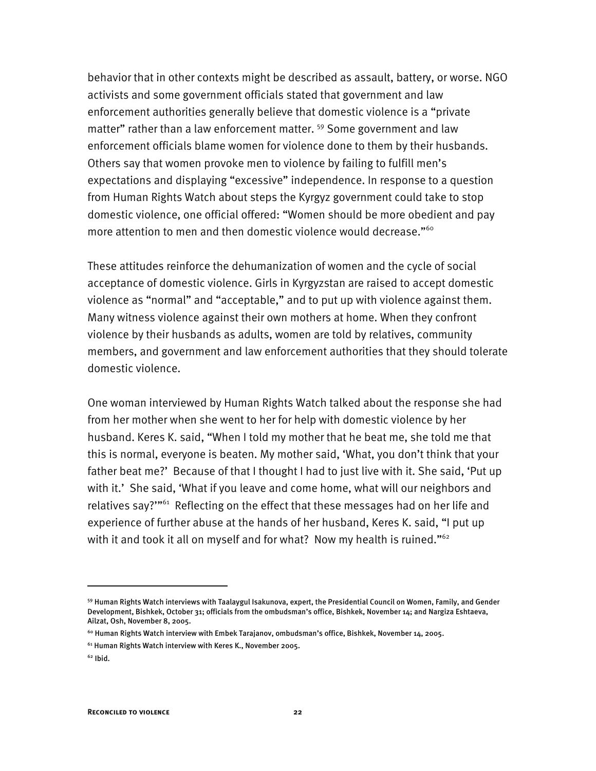behavior that in other contexts might be described as assault, battery, or worse. NGO activists and some government officials stated that government and law enforcement authorities generally believe that domestic violence is a "private matter" rather than a law enforcement matter.<sup>59</sup> Some government and law enforcement officials blame women for violence done to them by their husbands. Others say that women provoke men to violence by failing to fulfill men's expectations and displaying "excessive" independence. In response to a question from Human Rights Watch about steps the Kyrgyz government could take to stop domestic violence, one official offered: "Women should be more obedient and pay more attention to men and then domestic violence would decrease."<sup>60</sup>

These attitudes reinforce the dehumanization of women and the cycle of social acceptance of domestic violence. Girls in Kyrgyzstan are raised to accept domestic violence as "normal" and "acceptable," and to put up with violence against them. Many witness violence against their own mothers at home. When they confront violence by their husbands as adults, women are told by relatives, community members, and government and law enforcement authorities that they should tolerate domestic violence.

One woman interviewed by Human Rights Watch talked about the response she had from her mother when she went to her for help with domestic violence by her husband. Keres K. said, "When I told my mother that he beat me, she told me that this is normal, everyone is beaten. My mother said, 'What, you don't think that your father beat me?' Because of that I thought I had to just live with it. She said, 'Put up with it.' She said, 'What if you leave and come home, what will our neighbors and relatives say?"<sup>61</sup> Reflecting on the effect that these messages had on her life and experience of further abuse at the hands of her husband, Keres K. said, "I put up with it and took it all on myself and for what? Now my health is ruined."<sup>62</sup>

<sup>59</sup> Human Rights Watch interviews with Taalaygul Isakunova, expert, the Presidential Council on Women, Family, and Gender Development, Bishkek, October 31; officials from the ombudsman's office, Bishkek, November 14; and Nargiza Eshtaeva, Ailzat, Osh, November 8, 2005.

 $^{60}$  Human Rights Watch interview with Embek Tarajanov, ombudsman's office, Bishkek, November 14, 2005.

<sup>61</sup> Human Rights Watch interview with Keres K., November 2005.

 $62$  Ibid.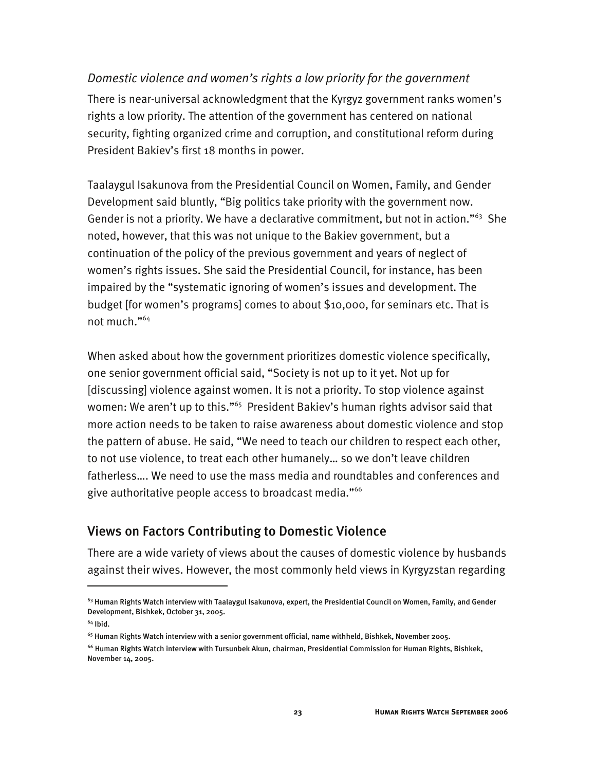#### *Domestic violence and women's rights a low priority for the government*

There is near-universal acknowledgment that the Kyrgyz government ranks women's rights a low priority. The attention of the government has centered on national security, fighting organized crime and corruption, and constitutional reform during President Bakiev's first 18 months in power.

Taalaygul Isakunova from the Presidential Council on Women, Family, and Gender Development said bluntly, "Big politics take priority with the government now. Gender is not a priority. We have a declarative commitment, but not in action."<sup>63</sup> She noted, however, that this was not unique to the Bakiev government, but a continuation of the policy of the previous government and years of neglect of women's rights issues. She said the Presidential Council, for instance, has been impaired by the "systematic ignoring of women's issues and development. The budget [for women's programs] comes to about \$10,000, for seminars etc. That is not much."64

When asked about how the government prioritizes domestic violence specifically, one senior government official said, "Society is not up to it yet. Not up for [discussing] violence against women. It is not a priority. To stop violence against women: We aren't up to this."<sup>65</sup> President Bakiev's human rights advisor said that more action needs to be taken to raise awareness about domestic violence and stop the pattern of abuse. He said, "We need to teach our children to respect each other, to not use violence, to treat each other humanely… so we don't leave children fatherless…. We need to use the mass media and roundtables and conferences and give authoritative people access to broadcast media."<sup>66</sup>

## Views on Factors Contributing to Domestic Violence

There are a wide variety of views about the causes of domestic violence by husbands against their wives. However, the most commonly held views in Kyrgyzstan regarding

 $^{63}$  Human Rights Watch interview with Taalaygul Isakunova, expert, the Presidential Council on Women, Family, and Gender Development, Bishkek, October 31, 2005.

<sup>64</sup> Ibid.

<sup>&</sup>lt;sup>65</sup> Human Rights Watch interview with a senior government official, name withheld, Bishkek, November 2005.

<sup>66</sup> Human Rights Watch interview with Tursunbek Akun, chairman, Presidential Commission for Human Rights, Bishkek, November 14, 2005.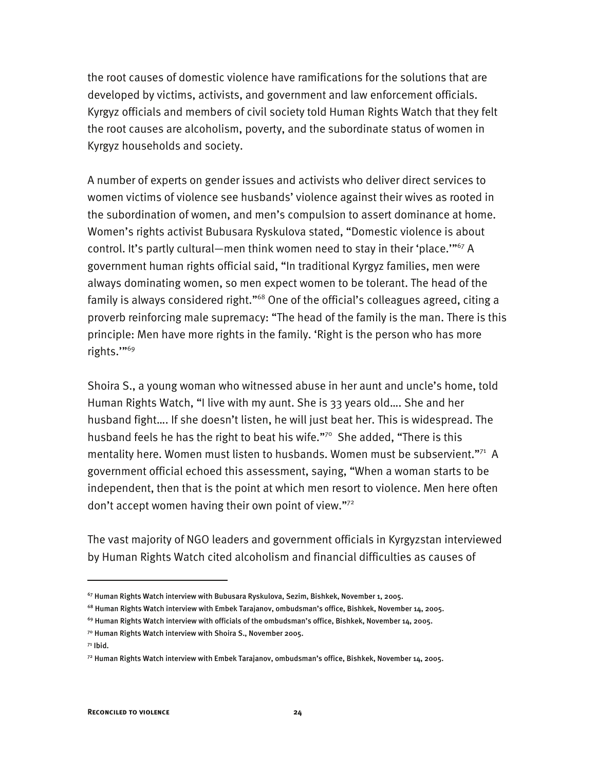the root causes of domestic violence have ramifications for the solutions that are developed by victims, activists, and government and law enforcement officials. Kyrgyz officials and members of civil society told Human Rights Watch that they felt the root causes are alcoholism, poverty, and the subordinate status of women in Kyrgyz households and society.

A number of experts on gender issues and activists who deliver direct services to women victims of violence see husbands' violence against their wives as rooted in the subordination of women, and men's compulsion to assert dominance at home. Women's rights activist Bubusara Ryskulova stated, "Domestic violence is about control. It's partly cultural—men think women need to stay in their 'place."<sup>67</sup> A government human rights official said, "In traditional Kyrgyz families, men were always dominating women, so men expect women to be tolerant. The head of the family is always considered right."<sup>68</sup> One of the official's colleagues agreed, citing a proverb reinforcing male supremacy: "The head of the family is the man. There is this principle: Men have more rights in the family. 'Right is the person who has more rights.'"69

Shoira S., a young woman who witnessed abuse in her aunt and uncle's home, told Human Rights Watch, "I live with my aunt. She is 33 years old…. She and her husband fight…. If she doesn't listen, he will just beat her. This is widespread. The husband feels he has the right to beat his wife."<sup>70</sup> She added, "There is this mentality here. Women must listen to husbands. Women must be subservient."<sup>71</sup> A government official echoed this assessment, saying, "When a woman starts to be independent, then that is the point at which men resort to violence. Men here often don't accept women having their own point of view."72

The vast majority of NGO leaders and government officials in Kyrgyzstan interviewed by Human Rights Watch cited alcoholism and financial difficulties as causes of

<sup>67</sup> Human Rights Watch interview with Bubusara Ryskulova, Sezim, Bishkek, November 1, 2005.

 $^{68}$  Human Rights Watch interview with Embek Tarajanov, ombudsman's office, Bishkek, November 14, 2005.

<sup>69</sup> Human Rights Watch interview with officials of the ombudsman's office, Bishkek, November 14, 2005.

<sup>70</sup> Human Rights Watch interview with Shoira S., November 2005.

 $71$  Ibid.

 $^{72}$  Human Rights Watch interview with Embek Tarajanov, ombudsman's office, Bishkek, November 14, 2005.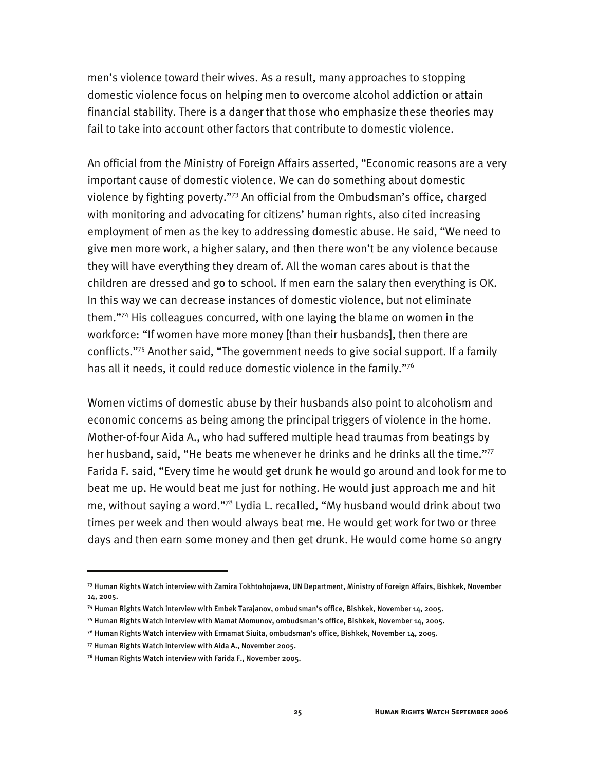men's violence toward their wives. As a result, many approaches to stopping domestic violence focus on helping men to overcome alcohol addiction or attain financial stability. There is a danger that those who emphasize these theories may fail to take into account other factors that contribute to domestic violence.

An official from the Ministry of Foreign Affairs asserted, "Economic reasons are a very important cause of domestic violence. We can do something about domestic violence by fighting poverty."73 An official from the Ombudsman's office, charged with monitoring and advocating for citizens' human rights, also cited increasing employment of men as the key to addressing domestic abuse. He said, "We need to give men more work, a higher salary, and then there won't be any violence because they will have everything they dream of. All the woman cares about is that the children are dressed and go to school. If men earn the salary then everything is OK. In this way we can decrease instances of domestic violence, but not eliminate them."74 His colleagues concurred, with one laying the blame on women in the workforce: "If women have more money [than their husbands], then there are conflicts."75 Another said, "The government needs to give social support. If a family has all it needs, it could reduce domestic violence in the family."<sup>76</sup>

Women victims of domestic abuse by their husbands also point to alcoholism and economic concerns as being among the principal triggers of violence in the home. Mother-of-four Aida A., who had suffered multiple head traumas from beatings by her husband, said, "He beats me whenever he drinks and he drinks all the time."<sup>77</sup> Farida F. said, "Every time he would get drunk he would go around and look for me to beat me up. He would beat me just for nothing. He would just approach me and hit me, without saying a word."78 Lydia L. recalled, "My husband would drink about two times per week and then would always beat me. He would get work for two or three days and then earn some money and then get drunk. He would come home so angry

<sup>73</sup> Human Rights Watch interview with Zamira Tokhtohojaeva, UN Department, Ministry of Foreign Affairs, Bishkek, November 14, 2005.

<sup>74</sup> Human Rights Watch interview with Embek Tarajanov, ombudsman's office, Bishkek, November 14, 2005.

<sup>75</sup> Human Rights Watch interview with Mamat Momunov, ombudsman's office, Bishkek, November 14, 2005.

 $^{76}$  Human Rights Watch interview with Ermamat Siuita, ombudsman's office, Bishkek, November 14, 2005.

<sup>77</sup> Human Rights Watch interview with Aida A., November 2005.

<sup>78</sup> Human Rights Watch interview with Farida F., November 2005.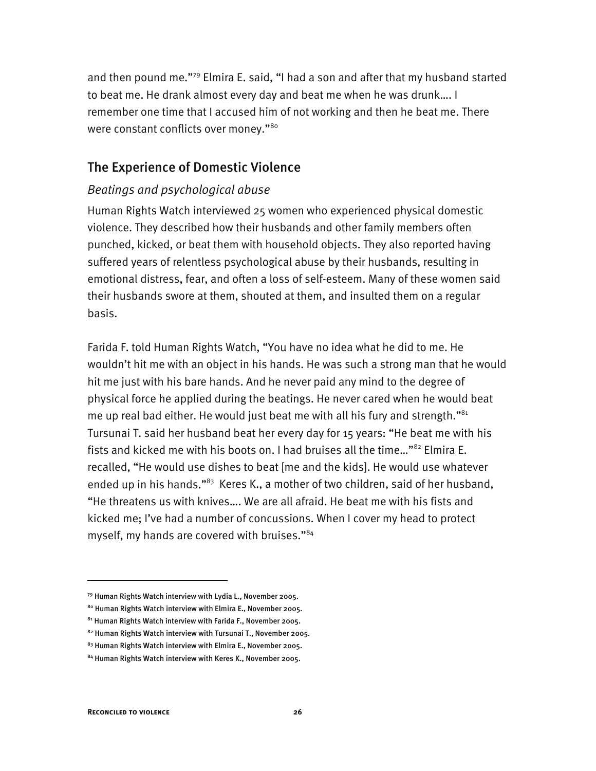and then pound me."79 Elmira E. said, "I had a son and after that my husband started to beat me. He drank almost every day and beat me when he was drunk…. I remember one time that I accused him of not working and then he beat me. There were constant conflicts over money."<sup>80</sup>

## The Experience of Domestic Violence

#### *Beatings and psychological abuse*

Human Rights Watch interviewed 25 women who experienced physical domestic violence. They described how their husbands and other family members often punched, kicked, or beat them with household objects. They also reported having suffered years of relentless psychological abuse by their husbands, resulting in emotional distress, fear, and often a loss of self-esteem. Many of these women said their husbands swore at them, shouted at them, and insulted them on a regular basis.

Farida F. told Human Rights Watch, "You have no idea what he did to me. He wouldn't hit me with an object in his hands. He was such a strong man that he would hit me just with his bare hands. And he never paid any mind to the degree of physical force he applied during the beatings. He never cared when he would beat me up real bad either. He would just beat me with all his fury and strength." $81$ Tursunai T. said her husband beat her every day for 15 years: "He beat me with his fists and kicked me with his boots on. I had bruises all the time…"82 Elmira E. recalled, "He would use dishes to beat [me and the kids]. He would use whatever ended up in his hands."<sup>83</sup> Keres K., a mother of two children, said of her husband, "He threatens us with knives…. We are all afraid. He beat me with his fists and kicked me; I've had a number of concussions. When I cover my head to protect myself, my hands are covered with bruises."84

<sup>79</sup> Human Rights Watch interview with Lydia L., November 2005.

<sup>80</sup> Human Rights Watch interview with Elmira E., November 2005.

<sup>81</sup> Human Rights Watch interview with Farida F., November 2005.

<sup>82</sup> Human Rights Watch interview with Tursunai T., November 2005.

<sup>83</sup> Human Rights Watch interview with Elmira E., November 2005.

<sup>84</sup> Human Rights Watch interview with Keres K., November 2005.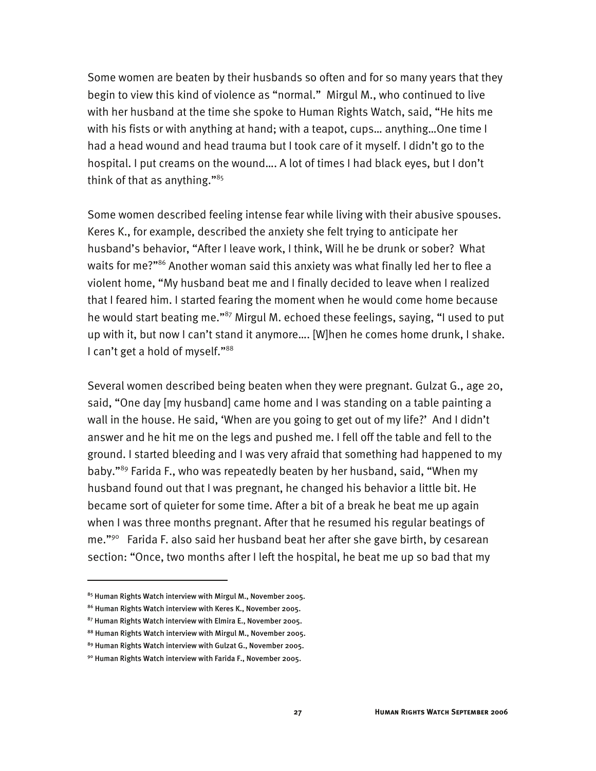Some women are beaten by their husbands so often and for so many years that they begin to view this kind of violence as "normal." Mirgul M., who continued to live with her husband at the time she spoke to Human Rights Watch, said, "He hits me with his fists or with anything at hand; with a teapot, cups… anything…One time I had a head wound and head trauma but I took care of it myself. I didn't go to the hospital. I put creams on the wound…. A lot of times I had black eyes, but I don't think of that as anything." $85$ 

Some women described feeling intense fear while living with their abusive spouses. Keres K., for example, described the anxiety she felt trying to anticipate her husband's behavior, "After I leave work, I think, Will he be drunk or sober? What waits for me?"<sup>86</sup> Another woman said this anxiety was what finally led her to flee a violent home, "My husband beat me and I finally decided to leave when I realized that I feared him. I started fearing the moment when he would come home because he would start beating me."<sup>87</sup> Mirgul M. echoed these feelings, saying, "I used to put up with it, but now I can't stand it anymore…. [W]hen he comes home drunk, I shake. I can't get a hold of myself."<sup>88</sup>

Several women described being beaten when they were pregnant. Gulzat G., age 20, said, "One day [my husband] came home and I was standing on a table painting a wall in the house. He said, 'When are you going to get out of my life?' And I didn't answer and he hit me on the legs and pushed me. I fell off the table and fell to the ground. I started bleeding and I was very afraid that something had happened to my baby."89 Farida F., who was repeatedly beaten by her husband, said, "When my husband found out that I was pregnant, he changed his behavior a little bit. He became sort of quieter for some time. After a bit of a break he beat me up again when I was three months pregnant. After that he resumed his regular beatings of me."90 Farida F. also said her husband beat her after she gave birth, by cesarean section: "Once, two months after I left the hospital, he beat me up so bad that my

<sup>85</sup> Human Rights Watch interview with Mirgul M., November 2005.

<sup>86</sup> Human Rights Watch interview with Keres K., November 2005.

<sup>87</sup> Human Rights Watch interview with Elmira E., November 2005.

<sup>88</sup> Human Rights Watch interview with Mirgul M., November 2005.

<sup>89</sup> Human Rights Watch interview with Gulzat G., November 2005.

<sup>90</sup> Human Rights Watch interview with Farida F., November 2005.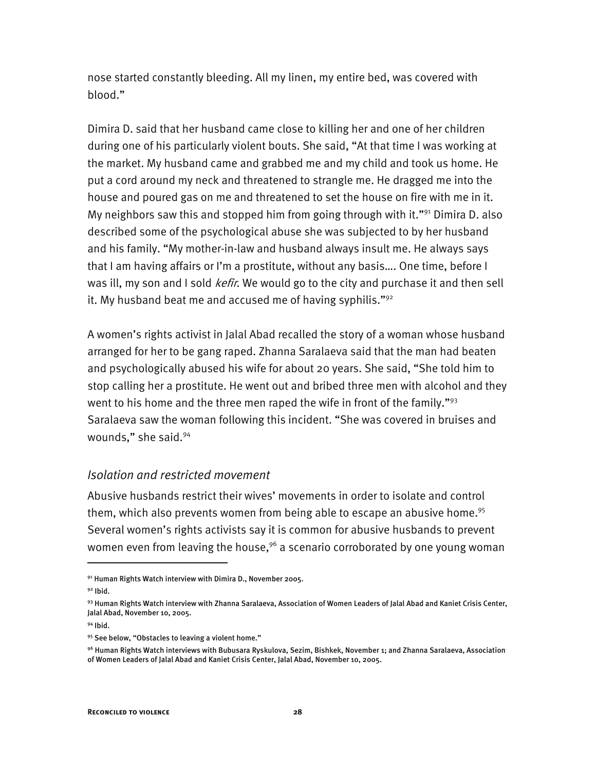nose started constantly bleeding. All my linen, my entire bed, was covered with blood."

Dimira D. said that her husband came close to killing her and one of her children during one of his particularly violent bouts. She said, "At that time I was working at the market. My husband came and grabbed me and my child and took us home. He put a cord around my neck and threatened to strangle me. He dragged me into the house and poured gas on me and threatened to set the house on fire with me in it. My neighbors saw this and stopped him from going through with it."<sup>91</sup> Dimira D. also described some of the psychological abuse she was subjected to by her husband and his family. "My mother-in-law and husband always insult me. He always says that I am having affairs or I'm a prostitute, without any basis…. One time, before I was ill, my son and I sold *kefir*. We would go to the city and purchase it and then sell it. My husband beat me and accused me of having syphilis." $92$ 

A women's rights activist in Jalal Abad recalled the story of a woman whose husband arranged for her to be gang raped. Zhanna Saralaeva said that the man had beaten and psychologically abused his wife for about 20 years. She said, "She told him to stop calling her a prostitute. He went out and bribed three men with alcohol and they went to his home and the three men raped the wife in front of the family." $93$ Saralaeva saw the woman following this incident. "She was covered in bruises and wounds," she said.94

#### *Isolation and restricted movement*

Abusive husbands restrict their wives' movements in order to isolate and control them, which also prevents women from being able to escape an abusive home.<sup>95</sup> Several women's rights activists say it is common for abusive husbands to prevent women even from leaving the house,  $96$  a scenario corroborated by one young woman

 $91$  Human Rights Watch interview with Dimira D., November 2005.

 $92$  Ibid.

<sup>93</sup> Human Rights Watch interview with Zhanna Saralaeva, Association of Women Leaders of Jalal Abad and Kaniet Crisis Center, Jalal Abad, November 10, 2005.

<sup>94</sup> Ibid.

<sup>95</sup> See below, "Obstacles to leaving a violent home."

<sup>96</sup> Human Rights Watch interviews with Bubusara Ryskulova, Sezim, Bishkek, November 1; and Zhanna Saralaeva, Association of Women Leaders of Jalal Abad and Kaniet Crisis Center, Jalal Abad, November 10, 2005.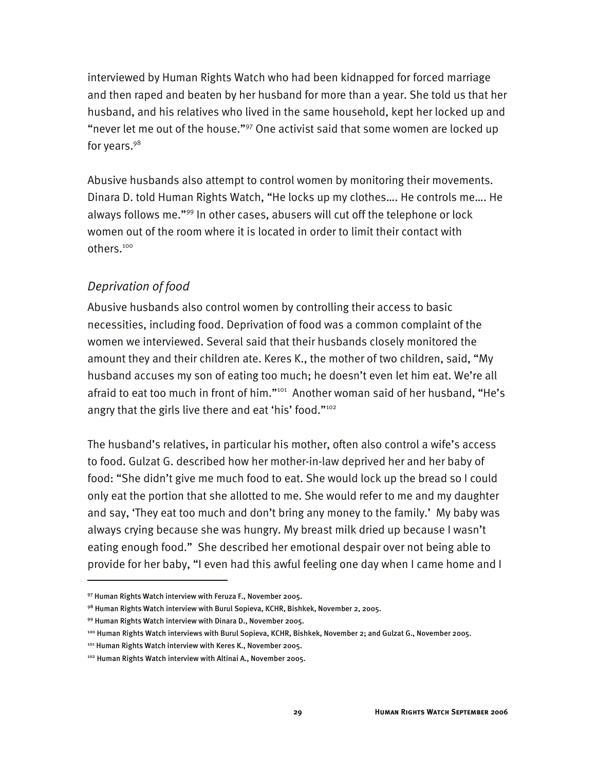interviewed by Human Rights Watch who had been kidnapped for forced marriage and then raped and beaten by her husband for more than a year. She told us that her husband, and his relatives who lived in the same household, kept her locked up and "never let me out of the house."97 One activist said that some women are locked up for years.<sup>98</sup>

Abusive husbands also attempt to control women by monitoring their movements. Dinara D. told Human Rights Watch, "He locks up my clothes…. He controls me…. He always follows me."99 In other cases, abusers will cut off the telephone or lock women out of the room where it is located in order to limit their contact with others.100

## *Deprivation of food*

Abusive husbands also control women by controlling their access to basic necessities, including food. Deprivation of food was a common complaint of the women we interviewed. Several said that their husbands closely monitored the amount they and their children ate. Keres K., the mother of two children, said, "My husband accuses my son of eating too much; he doesn't even let him eat. We're all afraid to eat too much in front of him."<sup>101</sup> Another woman said of her husband, "He's angry that the girls live there and eat 'his' food."<sup>102</sup>

The husband's relatives, in particular his mother, often also control a wife's access to food. Gulzat G. described how her mother-in-law deprived her and her baby of food: "She didn't give me much food to eat. She would lock up the bread so I could only eat the portion that she allotted to me. She would refer to me and my daughter and say, 'They eat too much and don't bring any money to the family.' My baby was always crying because she was hungry. My breast milk dried up because I wasn't eating enough food." She described her emotional despair over not being able to provide for her baby, "I even had this awful feeling one day when I came home and I

<sup>97</sup> Human Rights Watch interview with Feruza F., November 2005.

<sup>98</sup> Human Rights Watch interview with Burul Sopieva, KCHR, Bishkek, November 2, 2005.

<sup>99</sup> Human Rights Watch interview with Dinara D., November 2005.

<sup>100</sup> Human Rights Watch interviews with Burul Sopieva, KCHR, Bishkek, November 2; and Gulzat G., November 2005.

<sup>101</sup> Human Rights Watch interview with Keres K., November 2005.

<sup>102</sup> Human Rights Watch interview with Altinai A., November 2005.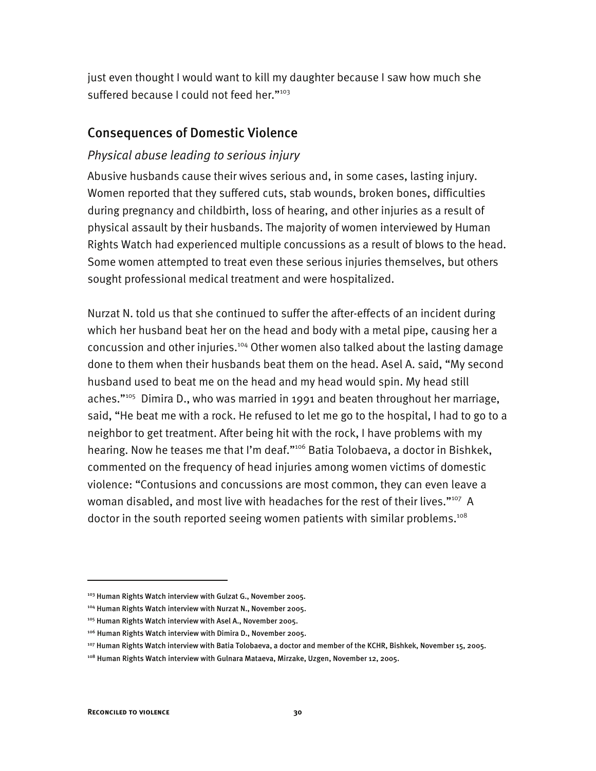just even thought I would want to kill my daughter because I saw how much she suffered because I could not feed her."<sup>103</sup>

## Consequences of Domestic Violence

## *Physical abuse leading to serious injury*

Abusive husbands cause their wives serious and, in some cases, lasting injury. Women reported that they suffered cuts, stab wounds, broken bones, difficulties during pregnancy and childbirth, loss of hearing, and other injuries as a result of physical assault by their husbands. The majority of women interviewed by Human Rights Watch had experienced multiple concussions as a result of blows to the head. Some women attempted to treat even these serious injuries themselves, but others sought professional medical treatment and were hospitalized.

Nurzat N. told us that she continued to suffer the after-effects of an incident during which her husband beat her on the head and body with a metal pipe, causing her a concussion and other injuries.<sup>104</sup> Other women also talked about the lasting damage done to them when their husbands beat them on the head. Asel A. said, "My second husband used to beat me on the head and my head would spin. My head still aches."<sup>105</sup> Dimira D., who was married in 1991 and beaten throughout her marriage, said, "He beat me with a rock. He refused to let me go to the hospital, I had to go to a neighbor to get treatment. After being hit with the rock, I have problems with my hearing. Now he teases me that I'm deaf."106 Batia Tolobaeva, a doctor in Bishkek, commented on the frequency of head injuries among women victims of domestic violence: "Contusions and concussions are most common, they can even leave a woman disabled, and most live with headaches for the rest of their lives."<sup>107</sup> A doctor in the south reported seeing women patients with similar problems.<sup>108</sup>

<sup>&</sup>lt;sup>103</sup> Human Rights Watch interview with Gulzat G., November 2005.

<sup>104</sup> Human Rights Watch interview with Nurzat N., November 2005.

<sup>105</sup> Human Rights Watch interview with Asel A., November 2005.

<sup>106</sup> Human Rights Watch interview with Dimira D., November 2005.

<sup>107</sup> Human Rights Watch interview with Batia Tolobaeva, a doctor and member of the KCHR, Bishkek, November 15, 2005.

<sup>&</sup>lt;sup>108</sup> Human Rights Watch interview with Gulnara Mataeva, Mirzake, Uzgen, November 12, 2005.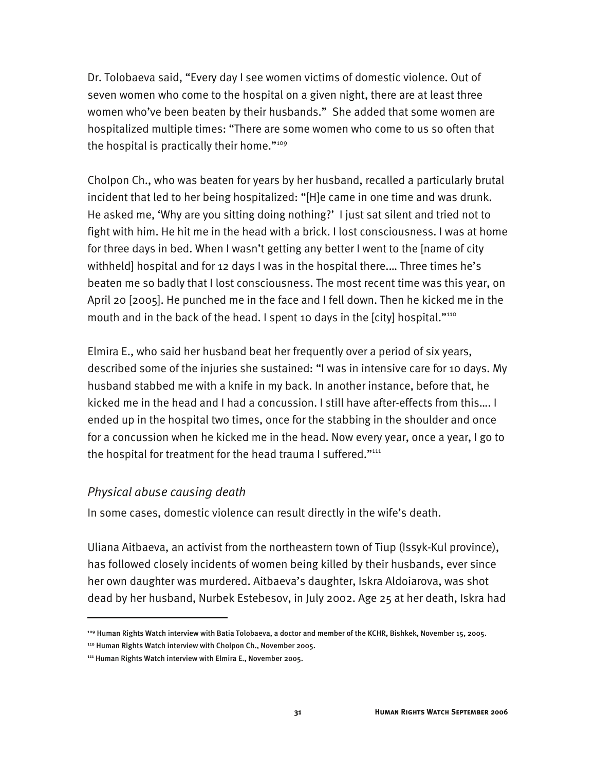Dr. Tolobaeva said, "Every day I see women victims of domestic violence. Out of seven women who come to the hospital on a given night, there are at least three women who've been beaten by their husbands." She added that some women are hospitalized multiple times: "There are some women who come to us so often that the hospital is practically their home."<sup>109</sup>

Cholpon Ch., who was beaten for years by her husband, recalled a particularly brutal incident that led to her being hospitalized: "[H]e came in one time and was drunk. He asked me, 'Why are you sitting doing nothing?' I just sat silent and tried not to fight with him. He hit me in the head with a brick. I lost consciousness. I was at home for three days in bed. When I wasn't getting any better I went to the [name of city withheld] hospital and for 12 days I was in the hospital there.… Three times he's beaten me so badly that I lost consciousness. The most recent time was this year, on April 20 [2005]. He punched me in the face and I fell down. Then he kicked me in the mouth and in the back of the head. I spent 10 days in the [city] hospital."<sup>110</sup>

Elmira E., who said her husband beat her frequently over a period of six years, described some of the injuries she sustained: "I was in intensive care for 10 days. My husband stabbed me with a knife in my back. In another instance, before that, he kicked me in the head and I had a concussion. I still have after-effects from this…. I ended up in the hospital two times, once for the stabbing in the shoulder and once for a concussion when he kicked me in the head. Now every year, once a year, I go to the hospital for treatment for the head trauma I suffered." $1111$ 

#### *Physical abuse causing death*

I

In some cases, domestic violence can result directly in the wife's death.

Uliana Aitbaeva, an activist from the northeastern town of Tiup (Issyk-Kul province), has followed closely incidents of women being killed by their husbands, ever since her own daughter was murdered. Aitbaeva's daughter, Iskra Aldoiarova, was shot dead by her husband, Nurbek Estebesov, in July 2002. Age 25 at her death, Iskra had

<sup>109</sup> Human Rights Watch interview with Batia Tolobaeva, a doctor and member of the KCHR, Bishkek, November 15, 2005.

<sup>110</sup> Human Rights Watch interview with Cholpon Ch., November 2005.

<sup>&</sup>lt;sup>111</sup> Human Rights Watch interview with Elmira E., November 2005.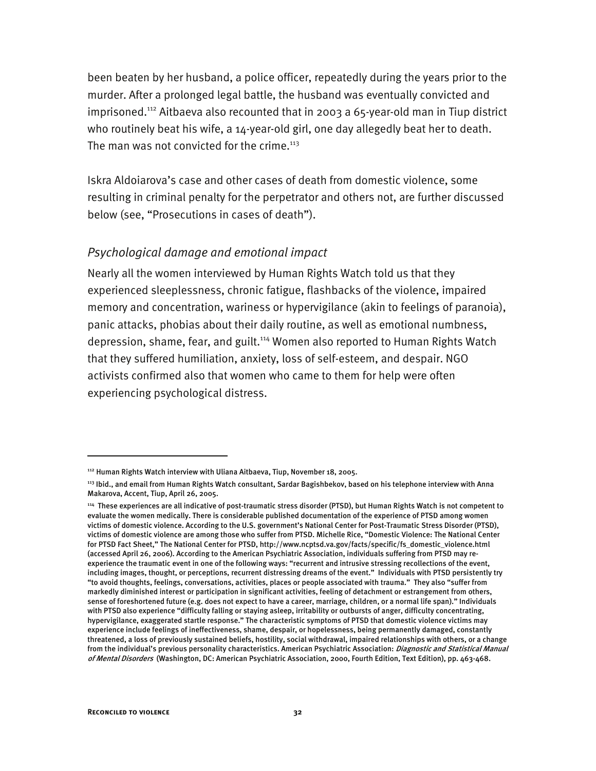been beaten by her husband, a police officer, repeatedly during the years prior to the murder. After a prolonged legal battle, the husband was eventually convicted and imprisoned.112 Aitbaeva also recounted that in 2003 a 65-year-old man in Tiup district who routinely beat his wife, a 14-year-old girl, one day allegedly beat her to death. The man was not convicted for the crime. $113$ 

Iskra Aldoiarova's case and other cases of death from domestic violence, some resulting in criminal penalty for the perpetrator and others not, are further discussed below (see, "Prosecutions in cases of death").

## *Psychological damage and emotional impact*

Nearly all the women interviewed by Human Rights Watch told us that they experienced sleeplessness, chronic fatigue, flashbacks of the violence, impaired memory and concentration, wariness or hypervigilance (akin to feelings of paranoia), panic attacks, phobias about their daily routine, as well as emotional numbness, depression, shame, fear, and guilt.114 Women also reported to Human Rights Watch that they suffered humiliation, anxiety, loss of self-esteem, and despair. NGO activists confirmed also that women who came to them for help were often experiencing psychological distress.

I

<sup>112</sup> Human Rights Watch interview with Uliana Aitbaeva, Tiup, November 18, 2005.

<sup>113</sup> Ibid., and email from Human Rights Watch consultant, Sardar Bagishbekov, based on his telephone interview with Anna Makarova, Accent, Tiup, April 26, 2005.

<sup>114</sup> These experiences are all indicative of post-traumatic stress disorder (PTSD), but Human Rights Watch is not competent to evaluate the women medically. There is considerable published documentation of the experience of PTSD among women victims of domestic violence. According to the U.S. government's National Center for Post-Traumatic Stress Disorder (PTSD), victims of domestic violence are among those who suffer from PTSD. Michelle Rice, "Domestic Violence: The National Center for PTSD Fact Sheet," The National Center for PTSD, http://www.ncptsd.va.gov/facts/specific/fs\_domestic\_violence.html (accessed April 26, 2006). According to the American Psychiatric Association, individuals suffering from PTSD may reexperience the traumatic event in one of the following ways: "recurrent and intrusive stressing recollections of the event, including images, thought, or perceptions, recurrent distressing dreams of the event." Individuals with PTSD persistently try "to avoid thoughts, feelings, conversations, activities, places or people associated with trauma." They also "suffer from markedly diminished interest or participation in significant activities, feeling of detachment or estrangement from others, sense of foreshortened future (e.g. does not expect to have a career, marriage, children, or a normal life span)." Individuals with PTSD also experience "difficulty falling or staying asleep, irritability or outbursts of anger, difficulty concentrating, hypervigilance, exaggerated startle response." The characteristic symptoms of PTSD that domestic violence victims may experience include feelings of ineffectiveness, shame, despair, or hopelessness, being permanently damaged, constantly threatened, a loss of previously sustained beliefs, hostility, social withdrawal, impaired relationships with others, or a change from the individual's previous personality characteristics. American Psychiatric Association: Diagnostic and Statistical Manual of Mental Disorders (Washington, DC: American Psychiatric Association, 2000, Fourth Edition, Text Edition), pp. 463-468.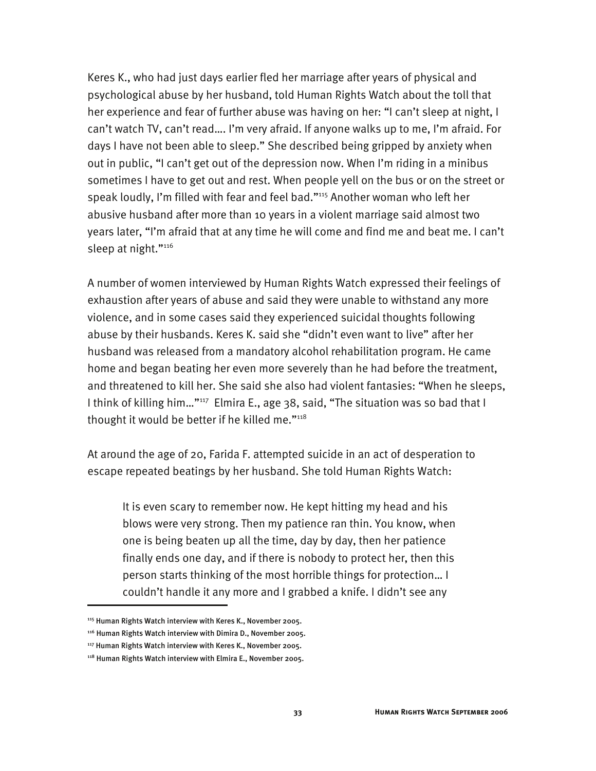Keres K., who had just days earlier fled her marriage after years of physical and psychological abuse by her husband, told Human Rights Watch about the toll that her experience and fear of further abuse was having on her: "I can't sleep at night, I can't watch TV, can't read…. I'm very afraid. If anyone walks up to me, I'm afraid. For days I have not been able to sleep." She described being gripped by anxiety when out in public, "I can't get out of the depression now. When I'm riding in a minibus sometimes I have to get out and rest. When people yell on the bus or on the street or speak loudly, I'm filled with fear and feel bad."115 Another woman who left her abusive husband after more than 10 years in a violent marriage said almost two years later, "I'm afraid that at any time he will come and find me and beat me. I can't sleep at night."<sup>116</sup>

A number of women interviewed by Human Rights Watch expressed their feelings of exhaustion after years of abuse and said they were unable to withstand any more violence, and in some cases said they experienced suicidal thoughts following abuse by their husbands. Keres K. said she "didn't even want to live" after her husband was released from a mandatory alcohol rehabilitation program. He came home and began beating her even more severely than he had before the treatment, and threatened to kill her. She said she also had violent fantasies: "When he sleeps, I think of killing him..."<sup>117</sup> Elmira E., age 38, said, "The situation was so bad that I thought it would be better if he killed me." $118$ 

At around the age of 20, Farida F. attempted suicide in an act of desperation to escape repeated beatings by her husband. She told Human Rights Watch:

It is even scary to remember now. He kept hitting my head and his blows were very strong. Then my patience ran thin. You know, when one is being beaten up all the time, day by day, then her patience finally ends one day, and if there is nobody to protect her, then this person starts thinking of the most horrible things for protection… I couldn't handle it any more and I grabbed a knife. I didn't see any

<sup>115</sup> Human Rights Watch interview with Keres K., November 2005.

<sup>116</sup> Human Rights Watch interview with Dimira D., November 2005.

<sup>117</sup> Human Rights Watch interview with Keres K., November 2005.

<sup>118</sup> Human Rights Watch interview with Elmira E., November 2005.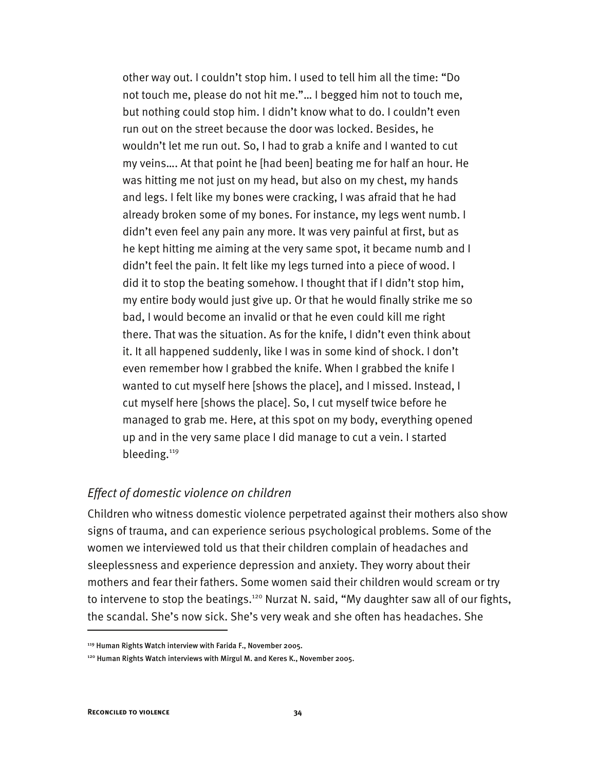other way out. I couldn't stop him. I used to tell him all the time: "Do not touch me, please do not hit me."… I begged him not to touch me, but nothing could stop him. I didn't know what to do. I couldn't even run out on the street because the door was locked. Besides, he wouldn't let me run out. So, I had to grab a knife and I wanted to cut my veins…. At that point he [had been] beating me for half an hour. He was hitting me not just on my head, but also on my chest, my hands and legs. I felt like my bones were cracking, I was afraid that he had already broken some of my bones. For instance, my legs went numb. I didn't even feel any pain any more. It was very painful at first, but as he kept hitting me aiming at the very same spot, it became numb and I didn't feel the pain. It felt like my legs turned into a piece of wood. I did it to stop the beating somehow. I thought that if I didn't stop him, my entire body would just give up. Or that he would finally strike me so bad, I would become an invalid or that he even could kill me right there. That was the situation. As for the knife, I didn't even think about it. It all happened suddenly, like I was in some kind of shock. I don't even remember how I grabbed the knife. When I grabbed the knife I wanted to cut myself here [shows the place], and I missed. Instead, I cut myself here [shows the place]. So, I cut myself twice before he managed to grab me. Here, at this spot on my body, everything opened up and in the very same place I did manage to cut a vein. I started bleeding.<sup>119</sup>

## *Effect of domestic violence on children*

Children who witness domestic violence perpetrated against their mothers also show signs of trauma, and can experience serious psychological problems. Some of the women we interviewed told us that their children complain of headaches and sleeplessness and experience depression and anxiety. They worry about their mothers and fear their fathers. Some women said their children would scream or try to intervene to stop the beatings.<sup>120</sup> Nurzat N. said, "My daughter saw all of our fights, the scandal. She's now sick. She's very weak and she often has headaches. She

<sup>119</sup> Human Rights Watch interview with Farida F., November 2005.

<sup>&</sup>lt;sup>120</sup> Human Rights Watch interviews with Mirgul M. and Keres K., November 2005.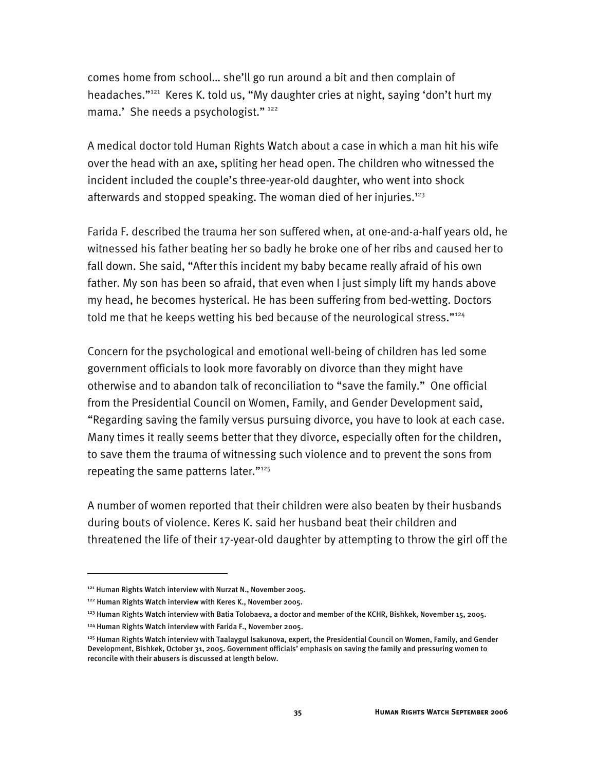comes home from school… she'll go run around a bit and then complain of headaches."121 Keres K. told us, "My daughter cries at night, saying 'don't hurt my mama.' She needs a psychologist." 122

A medical doctor told Human Rights Watch about a case in which a man hit his wife over the head with an axe, spliting her head open. The children who witnessed the incident included the couple's three-year-old daughter, who went into shock afterwards and stopped speaking. The woman died of her injuries. $123$ 

Farida F. described the trauma her son suffered when, at one-and-a-half years old, he witnessed his father beating her so badly he broke one of her ribs and caused her to fall down. She said, "After this incident my baby became really afraid of his own father. My son has been so afraid, that even when I just simply lift my hands above my head, he becomes hysterical. He has been suffering from bed-wetting. Doctors told me that he keeps wetting his bed because of the neurological stress."<sup>124</sup>

Concern for the psychological and emotional well-being of children has led some government officials to look more favorably on divorce than they might have otherwise and to abandon talk of reconciliation to "save the family." One official from the Presidential Council on Women, Family, and Gender Development said, "Regarding saving the family versus pursuing divorce, you have to look at each case. Many times it really seems better that they divorce, especially often for the children, to save them the trauma of witnessing such violence and to prevent the sons from repeating the same patterns later."125

A number of women reported that their children were also beaten by their husbands during bouts of violence. Keres K. said her husband beat their children and threatened the life of their 17-year-old daughter by attempting to throw the girl off the

<sup>121</sup> Human Rights Watch interview with Nurzat N., November 2005.

<sup>122</sup> Human Rights Watch interview with Keres K., November 2005.

<sup>123</sup> Human Rights Watch interview with Batia Tolobaeva, a doctor and member of the KCHR, Bishkek, November 15, 2005.

<sup>124</sup> Human Rights Watch interview with Farida F., November 2005.

<sup>&</sup>lt;sup>125</sup> Human Rights Watch interview with Taalaygul Isakunova, expert, the Presidential Council on Women, Family, and Gender Development, Bishkek, October 31, 2005. Government officials' emphasis on saving the family and pressuring women to reconcile with their abusers is discussed at length below.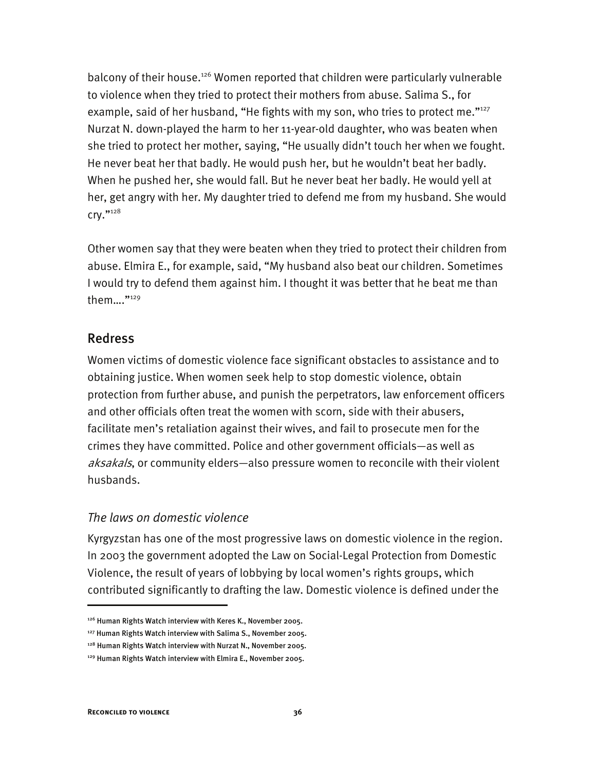balcony of their house.<sup>126</sup> Women reported that children were particularly vulnerable to violence when they tried to protect their mothers from abuse. Salima S., for example, said of her husband, "He fights with my son, who tries to protect me."<sup>127</sup> Nurzat N. down-played the harm to her 11-year-old daughter, who was beaten when she tried to protect her mother, saying, "He usually didn't touch her when we fought. He never beat her that badly. He would push her, but he wouldn't beat her badly. When he pushed her, she would fall. But he never beat her badly. He would yell at her, get angry with her. My daughter tried to defend me from my husband. She would cry."128

Other women say that they were beaten when they tried to protect their children from abuse. Elmira E., for example, said, "My husband also beat our children. Sometimes I would try to defend them against him. I thought it was better that he beat me than them…."129

## Redress

Women victims of domestic violence face significant obstacles to assistance and to obtaining justice. When women seek help to stop domestic violence, obtain protection from further abuse, and punish the perpetrators, law enforcement officers and other officials often treat the women with scorn, side with their abusers, facilitate men's retaliation against their wives, and fail to prosecute men for the crimes they have committed. Police and other government officials—as well as aksakals, or community elders—also pressure women to reconcile with their violent husbands.

## *The laws on domestic violence*

Kyrgyzstan has one of the most progressive laws on domestic violence in the region. In 2003 the government adopted the Law on Social-Legal Protection from Domestic Violence, the result of years of lobbying by local women's rights groups, which contributed significantly to drafting the law. Domestic violence is defined under the

<sup>&</sup>lt;sup>126</sup> Human Rights Watch interview with Keres K., November 2005.

<sup>127</sup> Human Rights Watch interview with Salima S., November 2005.

<sup>&</sup>lt;sup>128</sup> Human Rights Watch interview with Nurzat N., November 2005.

<sup>129</sup> Human Rights Watch interview with Elmira E., November 2005.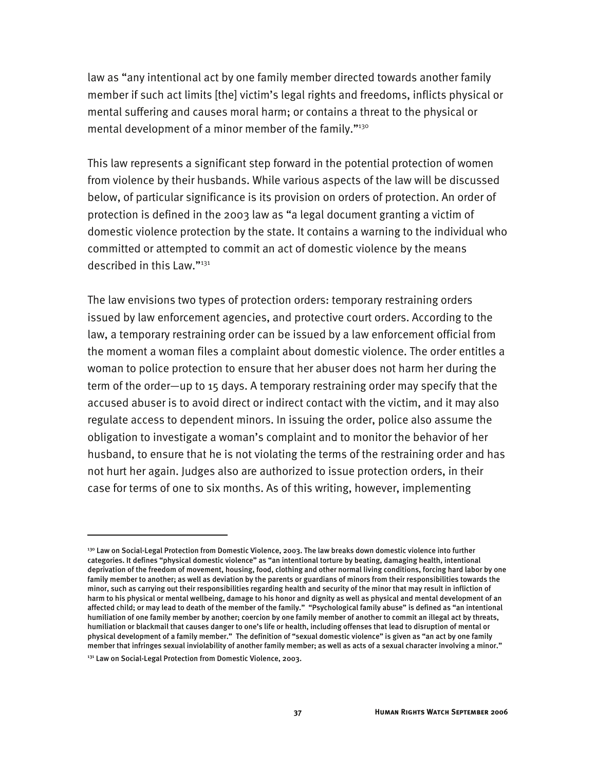law as "any intentional act by one family member directed towards another family member if such act limits [the] victim's legal rights and freedoms, inflicts physical or mental suffering and causes moral harm; or contains a threat to the physical or mental development of a minor member of the family."<sup>130</sup>

This law represents a significant step forward in the potential protection of women from violence by their husbands. While various aspects of the law will be discussed below, of particular significance is its provision on orders of protection. An order of protection is defined in the 2003 law as "a legal document granting a victim of domestic violence protection by the state. It contains a warning to the individual who committed or attempted to commit an act of domestic violence by the means described in this Law."131

The law envisions two types of protection orders: temporary restraining orders issued by law enforcement agencies, and protective court orders. According to the law, a temporary restraining order can be issued by a law enforcement official from the moment a woman files a complaint about domestic violence. The order entitles a woman to police protection to ensure that her abuser does not harm her during the term of the order—up to 15 days. A temporary restraining order may specify that the accused abuser is to avoid direct or indirect contact with the victim, and it may also regulate access to dependent minors. In issuing the order, police also assume the obligation to investigate a woman's complaint and to monitor the behavior of her husband, to ensure that he is not violating the terms of the restraining order and has not hurt her again. Judges also are authorized to issue protection orders, in their case for terms of one to six months. As of this writing, however, implementing

<sup>&</sup>lt;sup>130</sup> Law on Social-Legal Protection from Domestic Violence, 2003. The law breaks down domestic violence into further categories. It defines "physical domestic violence" as "an intentional torture by beating, damaging health, intentional deprivation of the freedom of movement, housing, food, clothing and other normal living conditions, forcing hard labor by one family member to another; as well as deviation by the parents or guardians of minors from their responsibilities towards the minor, such as carrying out their responsibilities regarding health and security of the minor that may result in infliction of harm to his physical or mental wellbeing, damage to his honor and dignity as well as physical and mental development of an affected child; or may lead to death of the member of the family." "Psychological family abuse" is defined as "an intentional humiliation of one family member by another; coercion by one family member of another to commit an illegal act by threats, humiliation or blackmail that causes danger to one's life or health, including offenses that lead to disruption of mental or physical development of a family member." The definition of "sexual domestic violence" is given as "an act by one family member that infringes sexual inviolability of another family member; as well as acts of a sexual character involving a minor."

<sup>&</sup>lt;sup>131</sup> Law on Social-Legal Protection from Domestic Violence, 2003.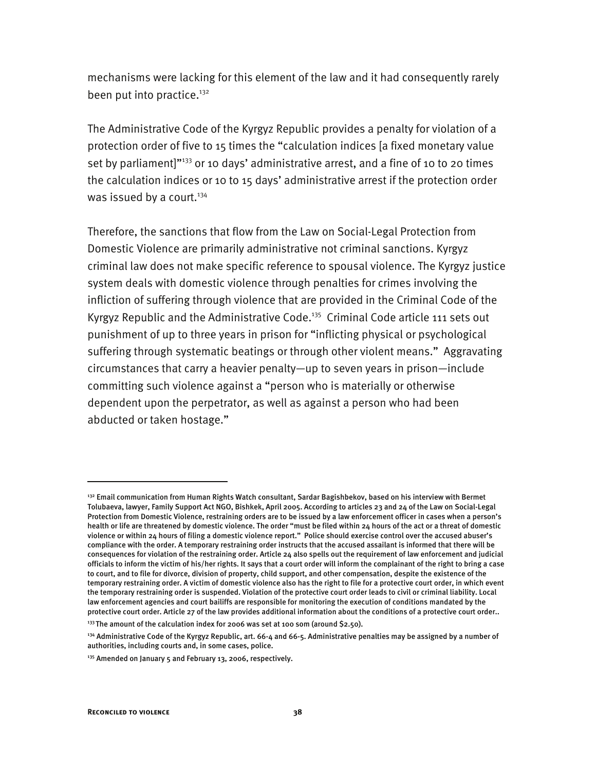mechanisms were lacking for this element of the law and it had consequently rarely been put into practice.<sup>132</sup>

The Administrative Code of the Kyrgyz Republic provides a penalty for violation of a protection order of five to 15 times the "calculation indices [a fixed monetary value set by parliament] $"133}$  or 10 days' administrative arrest, and a fine of 10 to 20 times the calculation indices or 10 to 15 days' administrative arrest if the protection order was issued by a court. $134$ 

Therefore, the sanctions that flow from the Law on Social-Legal Protection from Domestic Violence are primarily administrative not criminal sanctions. Kyrgyz criminal law does not make specific reference to spousal violence. The Kyrgyz justice system deals with domestic violence through penalties for crimes involving the infliction of suffering through violence that are provided in the Criminal Code of the Kyrgyz Republic and the Administrative Code.<sup>135</sup> Criminal Code article 111 sets out punishment of up to three years in prison for "inflicting physical or psychological suffering through systematic beatings or through other violent means." Aggravating circumstances that carry a heavier penalty—up to seven years in prison—include committing such violence against a "person who is materially or otherwise dependent upon the perpetrator, as well as against a person who had been abducted or taken hostage."

I

<sup>&</sup>lt;sup>132</sup> Email communication from Human Rights Watch consultant, Sardar Bagishbekov, based on his interview with Bermet Tolubaeva, lawyer, Family Support Act NGO, Bishkek, April 2005. According to articles 23 and 24 of the Law on Social-Legal Protection from Domestic Violence, restraining orders are to be issued by a law enforcement officer in cases when a person's health or life are threatened by domestic violence. The order "must be filed within 24 hours of the act or a threat of domestic violence or within 24 hours of filing a domestic violence report." Police should exercise control over the accused abuser's compliance with the order. A temporary restraining order instructs that the accused assailant is informed that there will be consequences for violation of the restraining order. Article 24 also spells out the requirement of law enforcement and judicial officials to inform the victim of his/her rights. It says that a court order will inform the complainant of the right to bring a case to court, and to file for divorce, division of property, child support, and other compensation, despite the existence of the temporary restraining order. A victim of domestic violence also has the right to file for a protective court order, in which event the temporary restraining order is suspended. Violation of the protective court order leads to civil or criminal liability. Local law enforcement agencies and court bailiffs are responsible for monitoring the execution of conditions mandated by the protective court order. Article 27 of the law provides additional information about the conditions of a protective court order..

 $133$  The amount of the calculation index for 2006 was set at 100 som (around \$2.50).

<sup>&</sup>lt;sup>134</sup> Administrative Code of the Kyrgyz Republic, art. 66-4 and 66-5. Administrative penalties may be assigned by a number of authorities, including courts and, in some cases, police.

<sup>&</sup>lt;sup>135</sup> Amended on January 5 and February 13, 2006, respectively.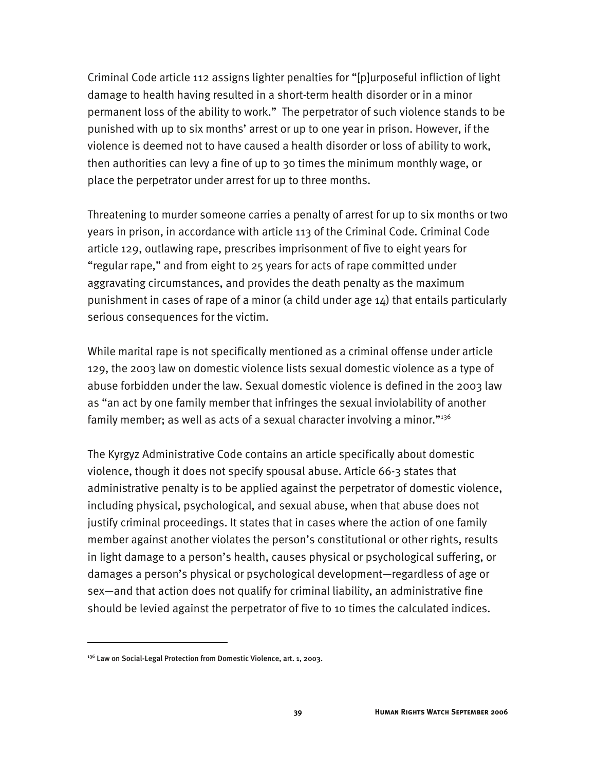Criminal Code article 112 assigns lighter penalties for "[p]urposeful infliction of light damage to health having resulted in a short-term health disorder or in a minor permanent loss of the ability to work." The perpetrator of such violence stands to be punished with up to six months' arrest or up to one year in prison. However, if the violence is deemed not to have caused a health disorder or loss of ability to work, then authorities can levy a fine of up to 30 times the minimum monthly wage, or place the perpetrator under arrest for up to three months.

Threatening to murder someone carries a penalty of arrest for up to six months or two years in prison, in accordance with article 113 of the Criminal Code. Criminal Code article 129, outlawing rape, prescribes imprisonment of five to eight years for "regular rape," and from eight to 25 years for acts of rape committed under aggravating circumstances, and provides the death penalty as the maximum punishment in cases of rape of a minor (a child under age 14) that entails particularly serious consequences for the victim.

While marital rape is not specifically mentioned as a criminal offense under article 129, the 2003 law on domestic violence lists sexual domestic violence as a type of abuse forbidden under the law. Sexual domestic violence is defined in the 2003 law as "an act by one family member that infringes the sexual inviolability of another family member; as well as acts of a sexual character involving a minor."136

The Kyrgyz Administrative Code contains an article specifically about domestic violence, though it does not specify spousal abuse. Article 66-3 states that administrative penalty is to be applied against the perpetrator of domestic violence, including physical, psychological, and sexual abuse, when that abuse does not justify criminal proceedings. It states that in cases where the action of one family member against another violates the person's constitutional or other rights, results in light damage to a person's health, causes physical or psychological suffering, or damages a person's physical or psychological development—regardless of age or sex—and that action does not qualify for criminal liability, an administrative fine should be levied against the perpetrator of five to 10 times the calculated indices.

I

<sup>&</sup>lt;sup>136</sup> Law on Social-Legal Protection from Domestic Violence, art. 1, 2003.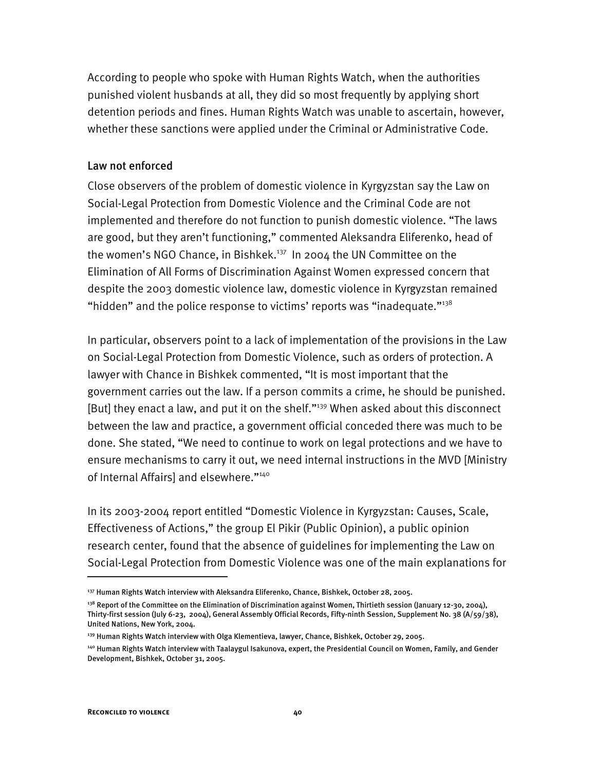According to people who spoke with Human Rights Watch, when the authorities punished violent husbands at all, they did so most frequently by applying short detention periods and fines. Human Rights Watch was unable to ascertain, however, whether these sanctions were applied under the Criminal or Administrative Code.

### Law not enforced

Close observers of the problem of domestic violence in Kyrgyzstan say the Law on Social-Legal Protection from Domestic Violence and the Criminal Code are not implemented and therefore do not function to punish domestic violence. "The laws are good, but they aren't functioning," commented Aleksandra Eliferenko, head of the women's NGO Chance, in Bishkek.<sup>137</sup> In 2004 the UN Committee on the Elimination of All Forms of Discrimination Against Women expressed concern that despite the 2003 domestic violence law, domestic violence in Kyrgyzstan remained "hidden" and the police response to victims' reports was "inadequate." $138$ 

In particular, observers point to a lack of implementation of the provisions in the Law on Social-Legal Protection from Domestic Violence, such as orders of protection. A lawyer with Chance in Bishkek commented, "It is most important that the government carries out the law. If a person commits a crime, he should be punished. [But] they enact a law, and put it on the shelf."<sup>139</sup> When asked about this disconnect between the law and practice, a government official conceded there was much to be done. She stated, "We need to continue to work on legal protections and we have to ensure mechanisms to carry it out, we need internal instructions in the MVD [Ministry of Internal Affairs] and elsewhere."<sup>140</sup>

In its 2003-2004 report entitled "Domestic Violence in Kyrgyzstan: Causes, Scale, Effectiveness of Actions," the group El Pikir (Public Opinion), a public opinion research center, found that the absence of guidelines for implementing the Law on Social-Legal Protection from Domestic Violence was one of the main explanations for

<sup>137</sup> Human Rights Watch interview with Aleksandra Eliferenko, Chance, Bishkek, October 28, 2005.

<sup>&</sup>lt;sup>138</sup> Report of the Committee on the Elimination of Discrimination against Women, Thirtieth session (January 12-30, 2004), Thirty-first session (July 6-23, 2004), General Assembly Official Records, Fifty-ninth Session, Supplement No. 38 (A/59/38), United Nations, New York, 2004.

<sup>&</sup>lt;sup>139</sup> Human Rights Watch interview with Olga Klementieva, lawyer, Chance, Bishkek, October 29, 2005.

<sup>140</sup> Human Rights Watch interview with Taalaygul Isakunova, expert, the Presidential Council on Women, Family, and Gender Development, Bishkek, October 31, 2005.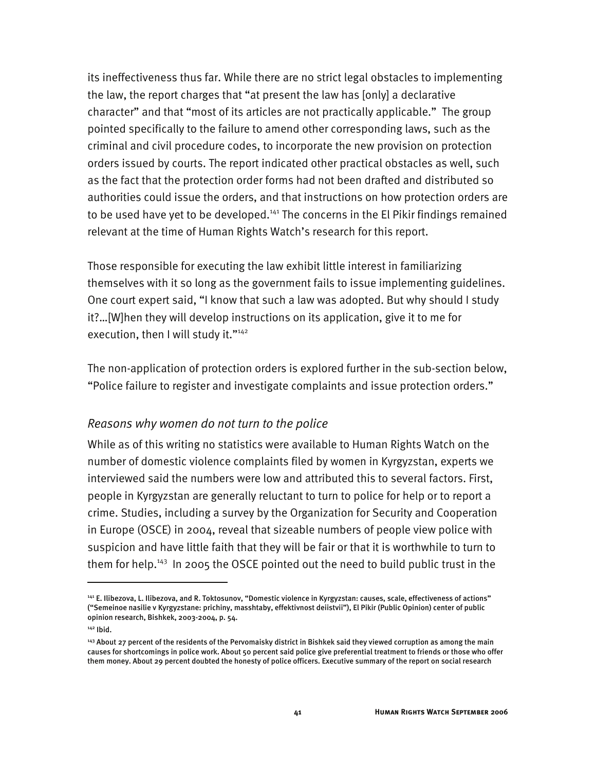its ineffectiveness thus far. While there are no strict legal obstacles to implementing the law, the report charges that "at present the law has [only] a declarative character" and that "most of its articles are not practically applicable." The group pointed specifically to the failure to amend other corresponding laws, such as the criminal and civil procedure codes, to incorporate the new provision on protection orders issued by courts. The report indicated other practical obstacles as well, such as the fact that the protection order forms had not been drafted and distributed so authorities could issue the orders, and that instructions on how protection orders are to be used have yet to be developed.<sup>141</sup> The concerns in the El Pikir findings remained relevant at the time of Human Rights Watch's research for this report.

Those responsible for executing the law exhibit little interest in familiarizing themselves with it so long as the government fails to issue implementing guidelines. One court expert said, "I know that such a law was adopted. But why should I study it?…[W]hen they will develop instructions on its application, give it to me for execution, then I will study it."<sup>142</sup>

The non-application of protection orders is explored further in the sub-section below, "Police failure to register and investigate complaints and issue protection orders."

## *Reasons why women do not turn to the police*

While as of this writing no statistics were available to Human Rights Watch on the number of domestic violence complaints filed by women in Kyrgyzstan, experts we interviewed said the numbers were low and attributed this to several factors. First, people in Kyrgyzstan are generally reluctant to turn to police for help or to report a crime. Studies, including a survey by the Organization for Security and Cooperation in Europe (OSCE) in 2004, reveal that sizeable numbers of people view police with suspicion and have little faith that they will be fair or that it is worthwhile to turn to them for help.<sup>143</sup> In 2005 the OSCE pointed out the need to build public trust in the

<sup>141</sup> E. Ilibezova, L. Ilibezova, and R. Toktosunov, "Domestic violence in Kyrgyzstan: causes, scale, effectiveness of actions" ("Semeinoe nasilie v Kyrgyzstane: prichiny, masshtaby, effektivnost deiistvii"), El Pikir (Public Opinion) center of public opinion research, Bishkek, 2003-2004, p. 54.

<sup>142</sup> Ibid.

<sup>&</sup>lt;sup>143</sup> About 27 percent of the residents of the Pervomaisky district in Bishkek said they viewed corruption as among the main causes for shortcomings in police work. About 50 percent said police give preferential treatment to friends or those who offer them money. About 29 percent doubted the honesty of police officers. Executive summary of the report on social research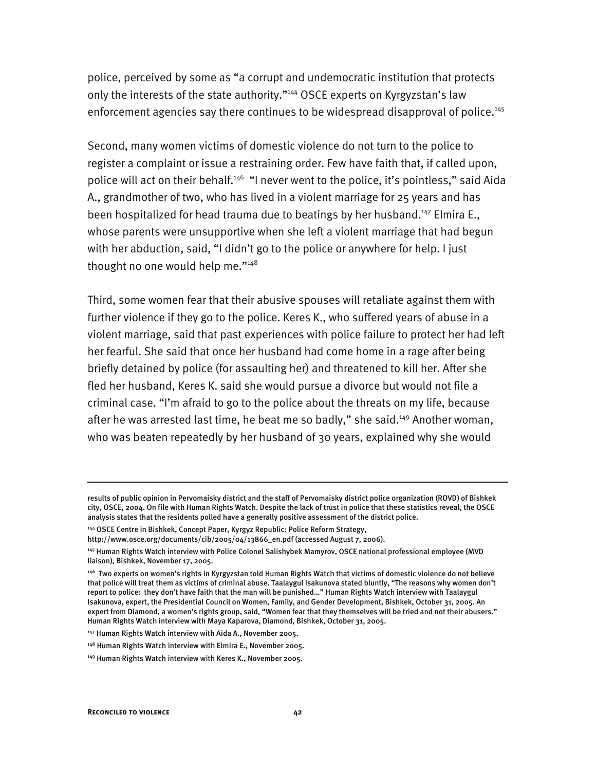police, perceived by some as "a corrupt and undemocratic institution that protects only the interests of the state authority."<sup>144</sup> OSCE experts on Kyrgyzstan's law enforcement agencies say there continues to be widespread disapproval of police.<sup>145</sup>

Second, many women victims of domestic violence do not turn to the police to register a complaint or issue a restraining order. Few have faith that, if called upon, police will act on their behalf.<sup>146</sup> "I never went to the police, it's pointless," said Aida A., grandmother of two, who has lived in a violent marriage for 25 years and has been hospitalized for head trauma due to beatings by her husband.<sup>147</sup> Elmira E., whose parents were unsupportive when she left a violent marriage that had begun with her abduction, said, "I didn't go to the police or anywhere for help. I just thought no one would help me."<sup>148</sup>

Third, some women fear that their abusive spouses will retaliate against them with further violence if they go to the police. Keres K., who suffered years of abuse in a violent marriage, said that past experiences with police failure to protect her had left her fearful. She said that once her husband had come home in a rage after being briefly detained by police (for assaulting her) and threatened to kill her. After she fled her husband, Keres K. said she would pursue a divorce but would not file a criminal case. "I'm afraid to go to the police about the threats on my life, because after he was arrested last time, he beat me so badly," she said.<sup>149</sup> Another woman, who was beaten repeatedly by her husband of 30 years, explained why she would

I

results of public opinion in Pervomaisky district and the staff of Pervomaisky district police organization (ROVD) of Bishkek city, OSCE, 2004. On file with Human Rights Watch. Despite the lack of trust in police that these statistics reveal, the OSCE analysis states that the residents polled have a generally positive assessment of the district police.

<sup>144</sup> OSCE Centre in Bishkek, Concept Paper, Kyrgyz Republic: Police Reform Strategy,

http://www.osce.org/documents/cib/2005/04/13866\_en.pdf (accessed August 7, 2006).

<sup>145</sup> Human Rights Watch interview with Police Colonel Salishybek Mamyrov, OSCE national professional employee (MVD liaison), Bishkek, November 17, 2005.

<sup>146</sup> Two experts on women's rights in Kyrgyzstan told Human Rights Watch that victims of domestic violence do not believe that police will treat them as victims of criminal abuse. Taalaygul Isakunova stated bluntly, "The reasons why women don't report to police: they don't have faith that the man will be punished…" Human Rights Watch interview with Taalaygul Isakunova, expert, the Presidential Council on Women, Family, and Gender Development, Bishkek, October 31, 2005. An expert from Diamond, a women's rights group, said, "Women fear that they themselves will be tried and not their abusers." Human Rights Watch interview with Maya Kaparova, Diamond, Bishkek, October 31, 2005.

<sup>147</sup> Human Rights Watch interview with Aida A., November 2005.

<sup>148</sup> Human Rights Watch interview with Elmira E., November 2005.

<sup>149</sup> Human Rights Watch interview with Keres K., November 2005.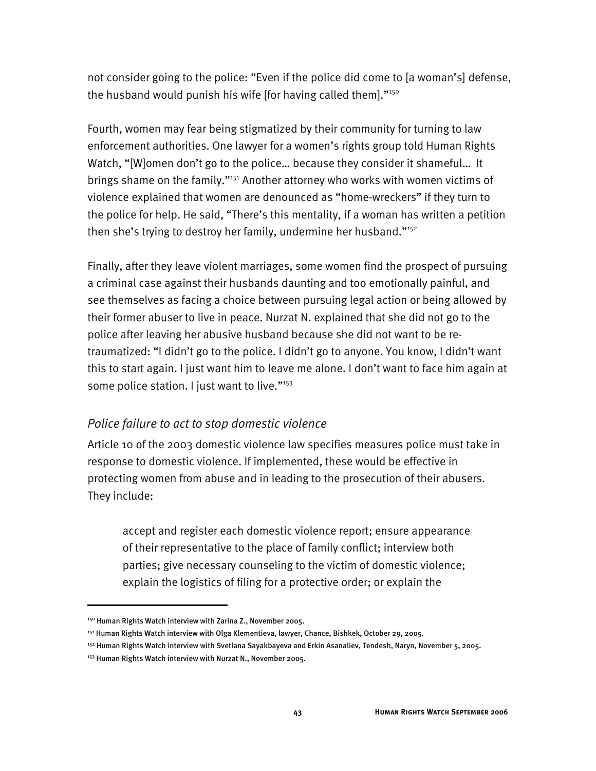not consider going to the police: "Even if the police did come to [a woman's] defense, the husband would punish his wife [for having called them]."150

Fourth, women may fear being stigmatized by their community for turning to law enforcement authorities. One lawyer for a women's rights group told Human Rights Watch, "[W]omen don't go to the police… because they consider it shameful… It brings shame on the family."151 Another attorney who works with women victims of violence explained that women are denounced as "home-wreckers" if they turn to the police for help. He said, "There's this mentality, if a woman has written a petition then she's trying to destroy her family, undermine her husband."152

Finally, after they leave violent marriages, some women find the prospect of pursuing a criminal case against their husbands daunting and too emotionally painful, and see themselves as facing a choice between pursuing legal action or being allowed by their former abuser to live in peace. Nurzat N. explained that she did not go to the police after leaving her abusive husband because she did not want to be retraumatized: "I didn't go to the police. I didn't go to anyone. You know, I didn't want this to start again. I just want him to leave me alone. I don't want to face him again at some police station. I just want to live."<sup>153</sup>

# *Police failure to act to stop domestic violence*

Article 10 of the 2003 domestic violence law specifies measures police must take in response to domestic violence. If implemented, these would be effective in protecting women from abuse and in leading to the prosecution of their abusers. They include:

accept and register each domestic violence report; ensure appearance of their representative to the place of family conflict; interview both parties; give necessary counseling to the victim of domestic violence; explain the logistics of filing for a protective order; or explain the

<sup>&</sup>lt;sup>150</sup> Human Rights Watch interview with Zarina Z., November 2005.

<sup>&</sup>lt;sup>151</sup> Human Rights Watch interview with Olga Klementieva, lawyer, Chance, Bishkek, October 29, 2005.

<sup>152</sup> Human Rights Watch interview with Svetlana Sayakbayeva and Erkin Asanaliev, Tendesh, Naryn, November 5, 2005.

<sup>153</sup> Human Rights Watch interview with Nurzat N., November 2005.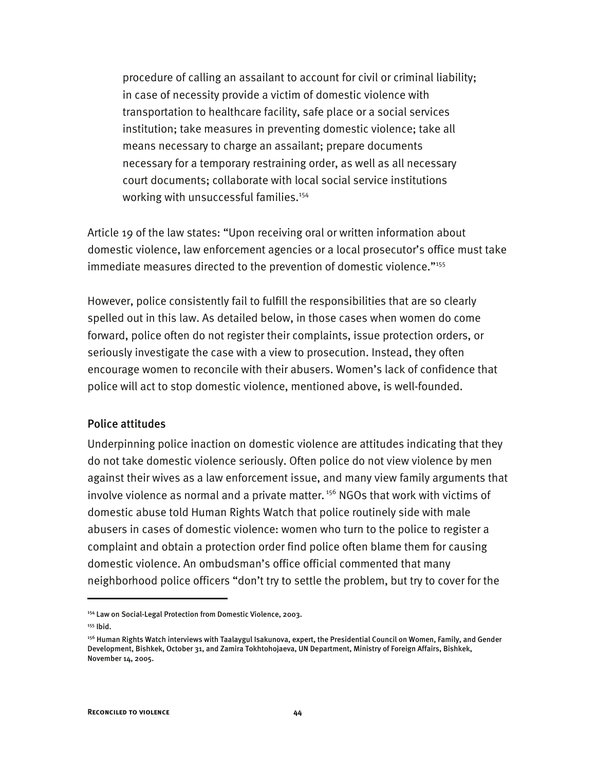procedure of calling an assailant to account for civil or criminal liability; in case of necessity provide a victim of domestic violence with transportation to healthcare facility, safe place or a social services institution; take measures in preventing domestic violence; take all means necessary to charge an assailant; prepare documents necessary for a temporary restraining order, as well as all necessary court documents; collaborate with local social service institutions working with unsuccessful families.<sup>154</sup>

Article 19 of the law states: "Upon receiving oral or written information about domestic violence, law enforcement agencies or a local prosecutor's office must take immediate measures directed to the prevention of domestic violence."155

However, police consistently fail to fulfill the responsibilities that are so clearly spelled out in this law. As detailed below, in those cases when women do come forward, police often do not register their complaints, issue protection orders, or seriously investigate the case with a view to prosecution. Instead, they often encourage women to reconcile with their abusers. Women's lack of confidence that police will act to stop domestic violence, mentioned above, is well-founded.

### Police attitudes

Underpinning police inaction on domestic violence are attitudes indicating that they do not take domestic violence seriously. Often police do not view violence by men against their wives as a law enforcement issue, and many view family arguments that involve violence as normal and a private matter.<sup>156</sup> NGOs that work with victims of domestic abuse told Human Rights Watch that police routinely side with male abusers in cases of domestic violence: women who turn to the police to register a complaint and obtain a protection order find police often blame them for causing domestic violence. An ombudsman's office official commented that many neighborhood police officers "don't try to settle the problem, but try to cover for the

<sup>154</sup> Law on Social-Legal Protection from Domestic Violence, 2003.

 $155$  Ihid.

<sup>&</sup>lt;sup>156</sup> Human Rights Watch interviews with Taalaygul Isakunova, expert, the Presidential Council on Women, Family, and Gender Development, Bishkek, October 31, and Zamira Tokhtohojaeva, UN Department, Ministry of Foreign Affairs, Bishkek, November 14, 2005.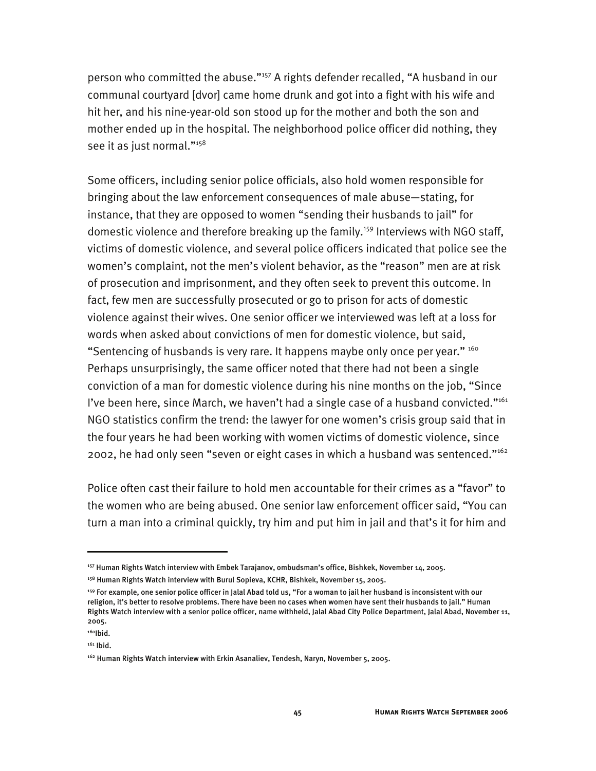person who committed the abuse."157 A rights defender recalled, "A husband in our communal courtyard [dvor] came home drunk and got into a fight with his wife and hit her, and his nine-year-old son stood up for the mother and both the son and mother ended up in the hospital. The neighborhood police officer did nothing, they see it as just normal."158

Some officers, including senior police officials, also hold women responsible for bringing about the law enforcement consequences of male abuse—stating, for instance, that they are opposed to women "sending their husbands to jail" for domestic violence and therefore breaking up the family.<sup>159</sup> Interviews with NGO staff, victims of domestic violence, and several police officers indicated that police see the women's complaint, not the men's violent behavior, as the "reason" men are at risk of prosecution and imprisonment, and they often seek to prevent this outcome. In fact, few men are successfully prosecuted or go to prison for acts of domestic violence against their wives. One senior officer we interviewed was left at a loss for words when asked about convictions of men for domestic violence, but said, "Sentencing of husbands is very rare. It happens maybe only once per year."  $160$ Perhaps unsurprisingly, the same officer noted that there had not been a single conviction of a man for domestic violence during his nine months on the job, "Since I've been here, since March, we haven't had a single case of a husband convicted." $161$ NGO statistics confirm the trend: the lawyer for one women's crisis group said that in the four years he had been working with women victims of domestic violence, since 2002, he had only seen "seven or eight cases in which a husband was sentenced."162

Police often cast their failure to hold men accountable for their crimes as a "favor" to the women who are being abused. One senior law enforcement officer said, "You can turn a man into a criminal quickly, try him and put him in jail and that's it for him and

<sup>157</sup> Human Rights Watch interview with Embek Tarajanov, ombudsman's office, Bishkek, November 14, 2005.

<sup>&</sup>lt;sup>158</sup> Human Rights Watch interview with Burul Sopieva, KCHR, Bishkek, November 15, 2005.

<sup>&</sup>lt;sup>159</sup> For example, one senior police officer in Jalal Abad told us, "For a woman to jail her husband is inconsistent with our religion, it's better to resolve problems. There have been no cases when women have sent their husbands to jail." Human Rights Watch interview with a senior police officer, name withheld, Jalal Abad City Police Department, Jalal Abad, November 11, 2005.

 $160$ Ibid.

<sup>&</sup>lt;sup>161</sup> Ibid.

<sup>&</sup>lt;sup>162</sup> Human Rights Watch interview with Erkin Asanaliev, Tendesh, Naryn, November 5, 2005.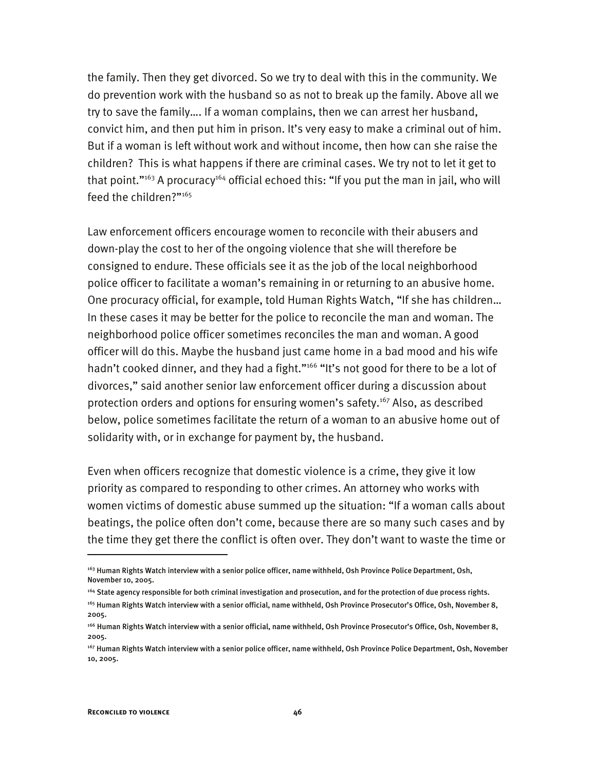the family. Then they get divorced. So we try to deal with this in the community. We do prevention work with the husband so as not to break up the family. Above all we try to save the family…. If a woman complains, then we can arrest her husband, convict him, and then put him in prison. It's very easy to make a criminal out of him. But if a woman is left without work and without income, then how can she raise the children? This is what happens if there are criminal cases. We try not to let it get to that point."<sup>163</sup> A procuracy<sup>164</sup> official echoed this: "If you put the man in jail, who will feed the children?"<sup>165</sup>

Law enforcement officers encourage women to reconcile with their abusers and down-play the cost to her of the ongoing violence that she will therefore be consigned to endure. These officials see it as the job of the local neighborhood police officer to facilitate a woman's remaining in or returning to an abusive home. One procuracy official, for example, told Human Rights Watch, "If she has children… In these cases it may be better for the police to reconcile the man and woman. The neighborhood police officer sometimes reconciles the man and woman. A good officer will do this. Maybe the husband just came home in a bad mood and his wife hadn't cooked dinner, and they had a fight."<sup>166</sup> "It's not good for there to be a lot of divorces," said another senior law enforcement officer during a discussion about protection orders and options for ensuring women's safety.<sup>167</sup> Also, as described below, police sometimes facilitate the return of a woman to an abusive home out of solidarity with, or in exchange for payment by, the husband.

Even when officers recognize that domestic violence is a crime, they give it low priority as compared to responding to other crimes. An attorney who works with women victims of domestic abuse summed up the situation: "If a woman calls about beatings, the police often don't come, because there are so many such cases and by the time they get there the conflict is often over. They don't want to waste the time or

<sup>&</sup>lt;sup>163</sup> Human Rights Watch interview with a senior police officer, name withheld, Osh Province Police Department, Osh, November 10, 2005.

<sup>164</sup> State agency responsible for both criminal investigation and prosecution, and for the protection of due process rights.

<sup>165</sup> Human Rights Watch interview with a senior official, name withheld, Osh Province Prosecutor's Office, Osh, November 8, 2005.

<sup>166</sup> Human Rights Watch interview with a senior official, name withheld, Osh Province Prosecutor's Office, Osh, November 8, 2005.

<sup>167</sup> Human Rights Watch interview with a senior police officer, name withheld, Osh Province Police Department, Osh, November 10, 2005.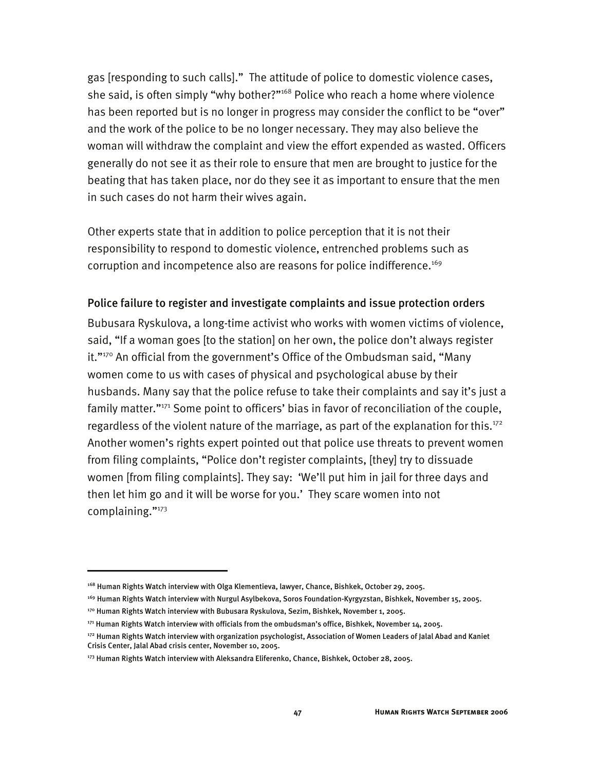gas [responding to such calls]." The attitude of police to domestic violence cases, she said, is often simply "why bother?"<sup>168</sup> Police who reach a home where violence has been reported but is no longer in progress may consider the conflict to be "over" and the work of the police to be no longer necessary. They may also believe the woman will withdraw the complaint and view the effort expended as wasted. Officers generally do not see it as their role to ensure that men are brought to justice for the beating that has taken place, nor do they see it as important to ensure that the men in such cases do not harm their wives again.

Other experts state that in addition to police perception that it is not their responsibility to respond to domestic violence, entrenched problems such as corruption and incompetence also are reasons for police indifference.<sup>169</sup>

#### Police failure to register and investigate complaints and issue protection orders

Bubusara Ryskulova, a long-time activist who works with women victims of violence, said, "If a woman goes [to the station] on her own, the police don't always register it."<sup>170</sup> An official from the government's Office of the Ombudsman said, "Many women come to us with cases of physical and psychological abuse by their husbands. Many say that the police refuse to take their complaints and say it's just a family matter."<sup>171</sup> Some point to officers' bias in favor of reconciliation of the couple, regardless of the violent nature of the marriage, as part of the explanation for this.<sup>172</sup> Another women's rights expert pointed out that police use threats to prevent women from filing complaints, "Police don't register complaints, [they] try to dissuade women [from filing complaints]. They say: 'We'll put him in jail for three days and then let him go and it will be worse for you.' They scare women into not complaining."173

<sup>168</sup> Human Rights Watch interview with Olga Klementieva, lawyer, Chance, Bishkek, October 29, 2005.

<sup>169</sup> Human Rights Watch interview with Nurgul Asylbekova, Soros Foundation-Kyrgyzstan, Bishkek, November 15, 2005.

<sup>&</sup>lt;sup>170</sup> Human Rights Watch interview with Bubusara Ryskulova, Sezim, Bishkek, November 1, 2005.

<sup>171</sup> Human Rights Watch interview with officials from the ombudsman's office, Bishkek, November 14, 2005.

<sup>&</sup>lt;sup>172</sup> Human Rights Watch interview with organization psychologist, Association of Women Leaders of Jalal Abad and Kaniet Crisis Center, Jalal Abad crisis center, November 10, 2005.

<sup>173</sup> Human Rights Watch interview with Aleksandra Eliferenko, Chance, Bishkek, October 28, 2005.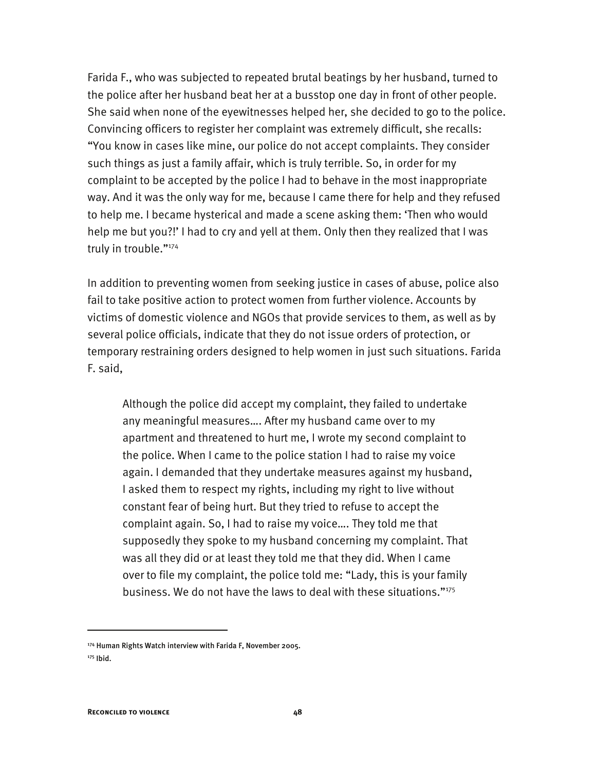Farida F., who was subjected to repeated brutal beatings by her husband, turned to the police after her husband beat her at a busstop one day in front of other people. She said when none of the eyewitnesses helped her, she decided to go to the police. Convincing officers to register her complaint was extremely difficult, she recalls: "You know in cases like mine, our police do not accept complaints. They consider such things as just a family affair, which is truly terrible. So, in order for my complaint to be accepted by the police I had to behave in the most inappropriate way. And it was the only way for me, because I came there for help and they refused to help me. I became hysterical and made a scene asking them: 'Then who would help me but you?!' I had to cry and yell at them. Only then they realized that I was truly in trouble."174

In addition to preventing women from seeking justice in cases of abuse, police also fail to take positive action to protect women from further violence. Accounts by victims of domestic violence and NGOs that provide services to them, as well as by several police officials, indicate that they do not issue orders of protection, or temporary restraining orders designed to help women in just such situations. Farida F. said,

Although the police did accept my complaint, they failed to undertake any meaningful measures…. After my husband came over to my apartment and threatened to hurt me, I wrote my second complaint to the police. When I came to the police station I had to raise my voice again. I demanded that they undertake measures against my husband, I asked them to respect my rights, including my right to live without constant fear of being hurt. But they tried to refuse to accept the complaint again. So, I had to raise my voice…. They told me that supposedly they spoke to my husband concerning my complaint. That was all they did or at least they told me that they did. When I came over to file my complaint, the police told me: "Lady, this is your family business. We do not have the laws to deal with these situations."175

<sup>174</sup> Human Rights Watch interview with Farida F, November 2005.

<sup>175</sup> Ibid.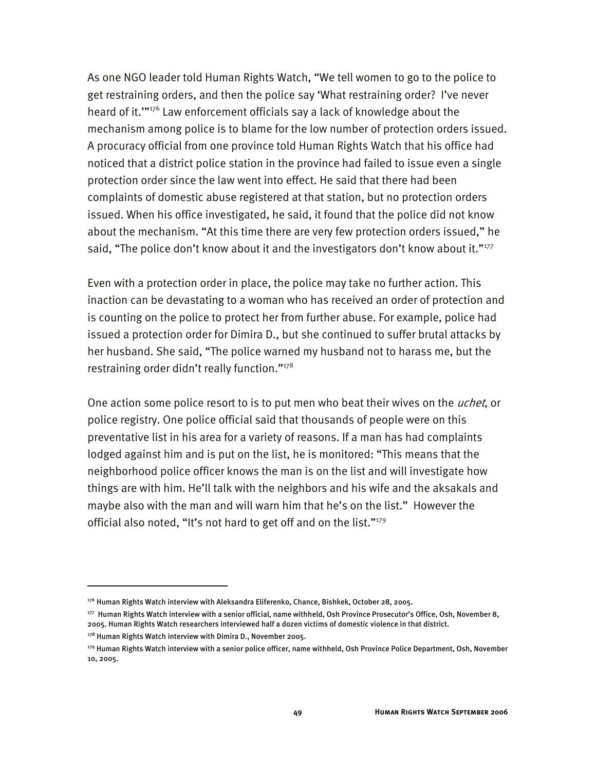As one NGO leader told Human Rights Watch, "We tell women to go to the police to get restraining orders, and then the police say 'What restraining order? I've never heard of it.'"176 Law enforcement officials say a lack of knowledge about the mechanism among police is to blame for the low number of protection orders issued. A procuracy official from one province told Human Rights Watch that his office had noticed that a district police station in the province had failed to issue even a single protection order since the law went into effect. He said that there had been complaints of domestic abuse registered at that station, but no protection orders issued. When his office investigated, he said, it found that the police did not know about the mechanism. "At this time there are very few protection orders issued," he said, "The police don't know about it and the investigators don't know about it."<sup>177</sup>

Even with a protection order in place, the police may take no further action. This inaction can be devastating to a woman who has received an order of protection and is counting on the police to protect her from further abuse. For example, police had issued a protection order for Dimira D., but she continued to suffer brutal attacks by her husband. She said, "The police warned my husband not to harass me, but the restraining order didn't really function."178

One action some police resort to is to put men who beat their wives on the *uchet*, or police registry. One police official said that thousands of people were on this preventative list in his area for a variety of reasons. If a man has had complaints lodged against him and is put on the list, he is monitored: "This means that the neighborhood police officer knows the man is on the list and will investigate how things are with him. He'll talk with the neighbors and his wife and the aksakals and maybe also with the man and will warn him that he's on the list." However the official also noted, "It's not hard to get off and on the list."<sup>179</sup>

<sup>176</sup> Human Rights Watch interview with Aleksandra Eliferenko, Chance, Bishkek, October 28, 2005.

<sup>177</sup> Human Rights Watch interview with a senior official, name withheld, Osh Province Prosecutor's Office, Osh, November 8, 2005. Human Rights Watch researchers interviewed half a dozen victims of domestic violence in that district.

<sup>&</sup>lt;sup>178</sup> Human Rights Watch interview with Dimira D., November 2005.

<sup>179</sup> Human Rights Watch interview with a senior police officer, name withheld, Osh Province Police Department, Osh, November 10, 2005.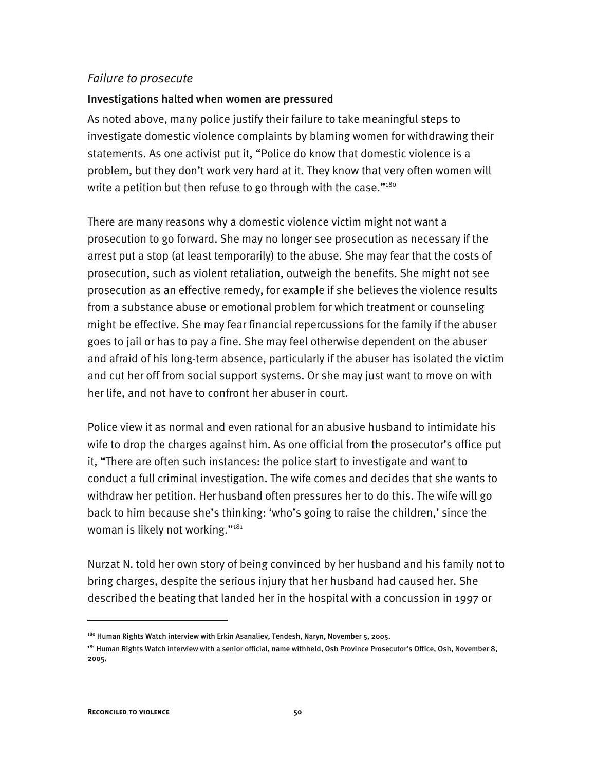### *Failure to prosecute*

### Investigations halted when women are pressured

As noted above, many police justify their failure to take meaningful steps to investigate domestic violence complaints by blaming women for withdrawing their statements. As one activist put it, "Police do know that domestic violence is a problem, but they don't work very hard at it. They know that very often women will write a petition but then refuse to go through with the case." $180^\circ$ 

There are many reasons why a domestic violence victim might not want a prosecution to go forward. She may no longer see prosecution as necessary if the arrest put a stop (at least temporarily) to the abuse. She may fear that the costs of prosecution, such as violent retaliation, outweigh the benefits. She might not see prosecution as an effective remedy, for example if she believes the violence results from a substance abuse or emotional problem for which treatment or counseling might be effective. She may fear financial repercussions for the family if the abuser goes to jail or has to pay a fine. She may feel otherwise dependent on the abuser and afraid of his long-term absence, particularly if the abuser has isolated the victim and cut her off from social support systems. Or she may just want to move on with her life, and not have to confront her abuser in court.

Police view it as normal and even rational for an abusive husband to intimidate his wife to drop the charges against him. As one official from the prosecutor's office put it, "There are often such instances: the police start to investigate and want to conduct a full criminal investigation. The wife comes and decides that she wants to withdraw her petition. Her husband often pressures her to do this. The wife will go back to him because she's thinking: 'who's going to raise the children,' since the woman is likely not working."<sup>181</sup>

Nurzat N. told her own story of being convinced by her husband and his family not to bring charges, despite the serious injury that her husband had caused her. She described the beating that landed her in the hospital with a concussion in 1997 or

<sup>&</sup>lt;sup>180</sup> Human Rights Watch interview with Erkin Asanaliev, Tendesh, Naryn, November 5, 2005.

<sup>&</sup>lt;sup>181</sup> Human Rights Watch interview with a senior official, name withheld, Osh Province Prosecutor's Office, Osh, November 8, 2005.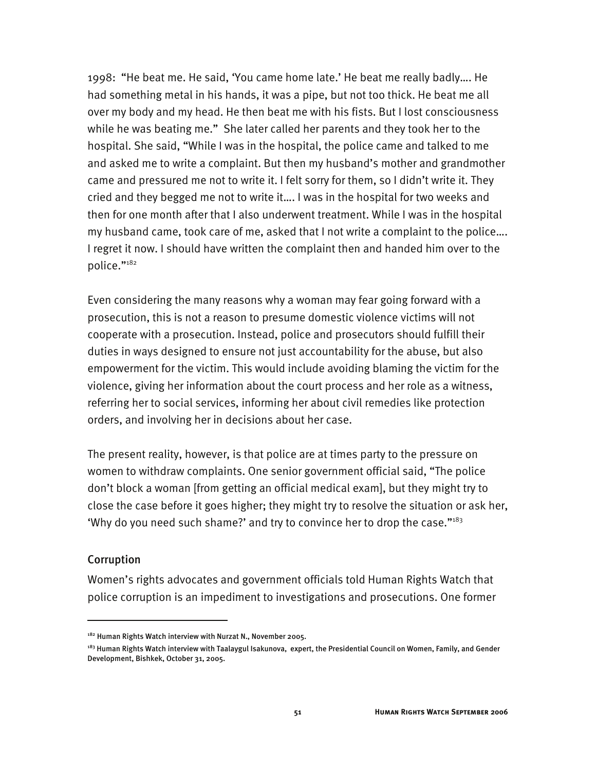1998: "He beat me. He said, 'You came home late.' He beat me really badly…. He had something metal in his hands, it was a pipe, but not too thick. He beat me all over my body and my head. He then beat me with his fists. But I lost consciousness while he was beating me." She later called her parents and they took her to the hospital. She said, "While I was in the hospital, the police came and talked to me and asked me to write a complaint. But then my husband's mother and grandmother came and pressured me not to write it. I felt sorry for them, so I didn't write it. They cried and they begged me not to write it…. I was in the hospital for two weeks and then for one month after that I also underwent treatment. While I was in the hospital my husband came, took care of me, asked that I not write a complaint to the police…. I regret it now. I should have written the complaint then and handed him over to the police."182

Even considering the many reasons why a woman may fear going forward with a prosecution, this is not a reason to presume domestic violence victims will not cooperate with a prosecution. Instead, police and prosecutors should fulfill their duties in ways designed to ensure not just accountability for the abuse, but also empowerment for the victim. This would include avoiding blaming the victim for the violence, giving her information about the court process and her role as a witness, referring her to social services, informing her about civil remedies like protection orders, and involving her in decisions about her case.

The present reality, however, is that police are at times party to the pressure on women to withdraw complaints. One senior government official said, "The police don't block a woman [from getting an official medical exam], but they might try to close the case before it goes higher; they might try to resolve the situation or ask her, 'Why do you need such shame?' and try to convince her to drop the case."183

### Corruption

I

Women's rights advocates and government officials told Human Rights Watch that police corruption is an impediment to investigations and prosecutions. One former

<sup>&</sup>lt;sup>182</sup> Human Rights Watch interview with Nurzat N., November 2005.

<sup>&</sup>lt;sup>183</sup> Human Rights Watch interview with Taalaygul Isakunova, expert, the Presidential Council on Women, Family, and Gender Development, Bishkek, October 31, 2005.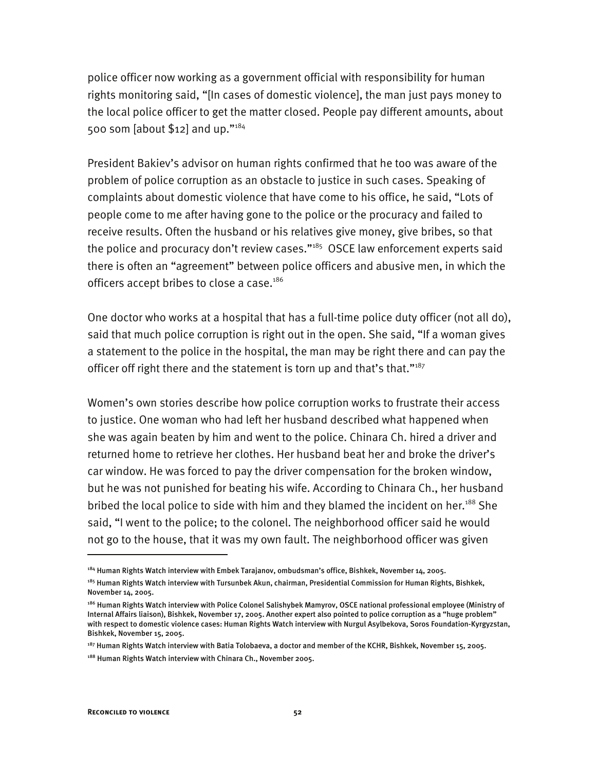police officer now working as a government official with responsibility for human rights monitoring said, "[In cases of domestic violence], the man just pays money to the local police officer to get the matter closed. People pay different amounts, about 500 som [about \$12] and up."184

President Bakiev's advisor on human rights confirmed that he too was aware of the problem of police corruption as an obstacle to justice in such cases. Speaking of complaints about domestic violence that have come to his office, he said, "Lots of people come to me after having gone to the police or the procuracy and failed to receive results. Often the husband or his relatives give money, give bribes, so that the police and procuracy don't review cases."<sup>185</sup> OSCE law enforcement experts said there is often an "agreement" between police officers and abusive men, in which the officers accept bribes to close a case.<sup>186</sup>

One doctor who works at a hospital that has a full-time police duty officer (not all do), said that much police corruption is right out in the open. She said, "If a woman gives a statement to the police in the hospital, the man may be right there and can pay the officer off right there and the statement is torn up and that's that."<sup>187</sup>

Women's own stories describe how police corruption works to frustrate their access to justice. One woman who had left her husband described what happened when she was again beaten by him and went to the police. Chinara Ch. hired a driver and returned home to retrieve her clothes. Her husband beat her and broke the driver's car window. He was forced to pay the driver compensation for the broken window, but he was not punished for beating his wife. According to Chinara Ch., her husband bribed the local police to side with him and they blamed the incident on her.<sup>188</sup> She said, "I went to the police; to the colonel. The neighborhood officer said he would not go to the house, that it was my own fault. The neighborhood officer was given

<sup>184</sup> Human Rights Watch interview with Embek Tarajanov, ombudsman's office, Bishkek, November 14, 2005.

<sup>185</sup> Human Rights Watch interview with Tursunbek Akun, chairman, Presidential Commission for Human Rights, Bishkek, November 14, 2005.

<sup>186</sup> Human Rights Watch interview with Police Colonel Salishybek Mamyrov, OSCE national professional employee (Ministry of Internal Affairs liaison), Bishkek, November 17, 2005. Another expert also pointed to police corruption as a "huge problem" with respect to domestic violence cases: Human Rights Watch interview with Nurgul Asylbekova, Soros Foundation-Kyrgyzstan, Bishkek, November 15, 2005.

<sup>187</sup> Human Rights Watch interview with Batia Tolobaeva, a doctor and member of the KCHR, Bishkek, November 15, 2005.

<sup>188</sup> Human Rights Watch interview with Chinara Ch., November 2005.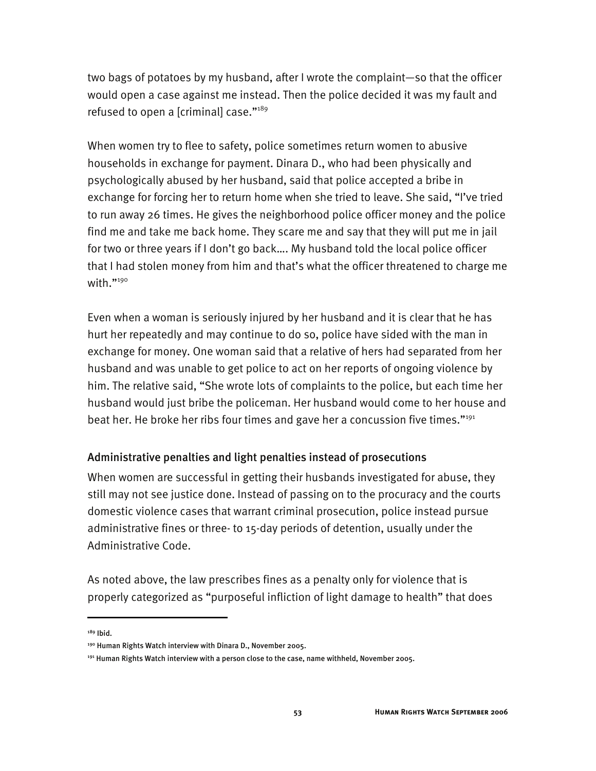two bags of potatoes by my husband, after I wrote the complaint—so that the officer would open a case against me instead. Then the police decided it was my fault and refused to open a [criminal] case."189

When women try to flee to safety, police sometimes return women to abusive households in exchange for payment. Dinara D., who had been physically and psychologically abused by her husband, said that police accepted a bribe in exchange for forcing her to return home when she tried to leave. She said, "I've tried to run away 26 times. He gives the neighborhood police officer money and the police find me and take me back home. They scare me and say that they will put me in jail for two or three years if I don't go back…. My husband told the local police officer that I had stolen money from him and that's what the officer threatened to charge me with. $"190"$ 

Even when a woman is seriously injured by her husband and it is clear that he has hurt her repeatedly and may continue to do so, police have sided with the man in exchange for money. One woman said that a relative of hers had separated from her husband and was unable to get police to act on her reports of ongoing violence by him. The relative said, "She wrote lots of complaints to the police, but each time her husband would just bribe the policeman. Her husband would come to her house and beat her. He broke her ribs four times and gave her a concussion five times."<sup>191</sup>

## Administrative penalties and light penalties instead of prosecutions

When women are successful in getting their husbands investigated for abuse, they still may not see justice done. Instead of passing on to the procuracy and the courts domestic violence cases that warrant criminal prosecution, police instead pursue administrative fines or three- to 15-day periods of detention, usually under the Administrative Code.

As noted above, the law prescribes fines as a penalty only for violence that is properly categorized as "purposeful infliction of light damage to health" that does

189 Ibid.

I

<sup>190</sup> Human Rights Watch interview with Dinara D., November 2005.

 $191$  Human Rights Watch interview with a person close to the case, name withheld, November 2005.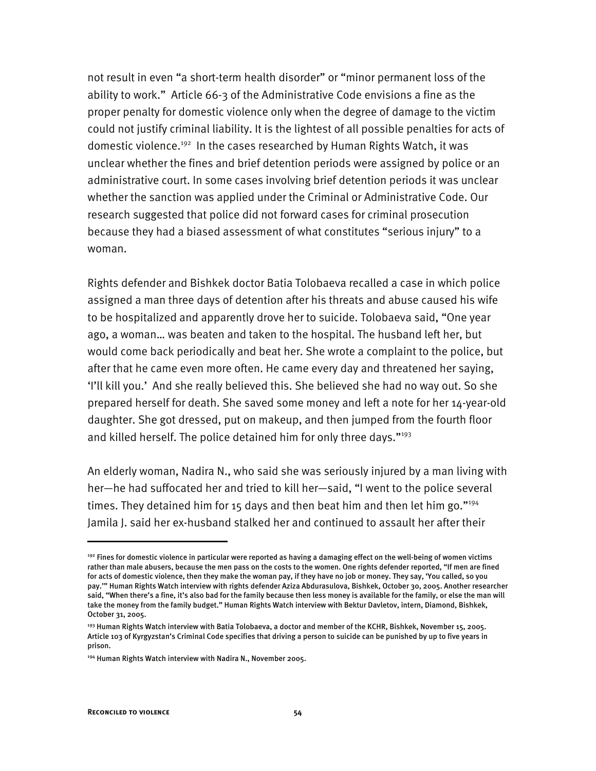not result in even "a short-term health disorder" or "minor permanent loss of the ability to work." Article 66-3 of the Administrative Code envisions a fine as the proper penalty for domestic violence only when the degree of damage to the victim could not justify criminal liability. It is the lightest of all possible penalties for acts of domestic violence.<sup>192</sup> In the cases researched by Human Rights Watch, it was unclear whether the fines and brief detention periods were assigned by police or an administrative court. In some cases involving brief detention periods it was unclear whether the sanction was applied under the Criminal or Administrative Code. Our research suggested that police did not forward cases for criminal prosecution because they had a biased assessment of what constitutes "serious injury" to a woman.

Rights defender and Bishkek doctor Batia Tolobaeva recalled a case in which police assigned a man three days of detention after his threats and abuse caused his wife to be hospitalized and apparently drove her to suicide. Tolobaeva said, "One year ago, a woman… was beaten and taken to the hospital. The husband left her, but would come back periodically and beat her. She wrote a complaint to the police, but after that he came even more often. He came every day and threatened her saying, 'I'll kill you.' And she really believed this. She believed she had no way out. So she prepared herself for death. She saved some money and left a note for her 14-year-old daughter. She got dressed, put on makeup, and then jumped from the fourth floor and killed herself. The police detained him for only three days."<sup>193</sup>

An elderly woman, Nadira N., who said she was seriously injured by a man living with her—he had suffocated her and tried to kill her—said, "I went to the police several times. They detained him for 15 days and then beat him and then let him go." $194$ Jamila J. said her ex-husband stalked her and continued to assault her after their

<sup>&</sup>lt;sup>192</sup> Fines for domestic violence in particular were reported as having a damaging effect on the well-being of women victims rather than male abusers, because the men pass on the costs to the women. One rights defender reported, "If men are fined for acts of domestic violence, then they make the woman pay, if they have no job or money. They say, 'You called, so you pay.'" Human Rights Watch interview with rights defender Aziza Abdurasulova, Bishkek, October 30, 2005. Another researcher said, "When there's a fine, it's also bad for the family because then less money is available for the family, or else the man will take the money from the family budget." Human Rights Watch interview with Bektur Davletov, intern, Diamond, Bishkek, October 31, 2005.

<sup>&</sup>lt;sup>193</sup> Human Rights Watch interview with Batia Tolobaeva, a doctor and member of the KCHR, Bishkek, November 15, 2005. Article 103 of Kyrgyzstan's Criminal Code specifies that driving a person to suicide can be punished by up to five years in prison.

<sup>194</sup> Human Rights Watch interview with Nadira N., November 2005.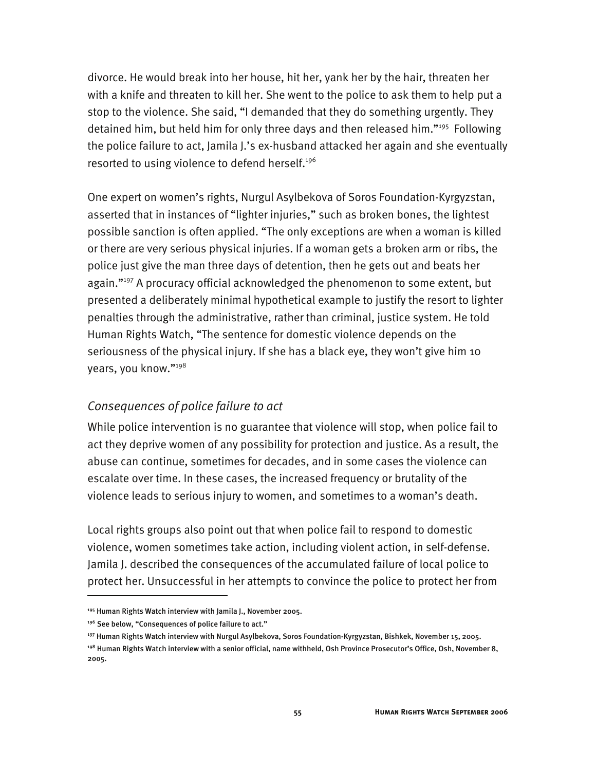divorce. He would break into her house, hit her, yank her by the hair, threaten her with a knife and threaten to kill her. She went to the police to ask them to help put a stop to the violence. She said, "I demanded that they do something urgently. They detained him, but held him for only three days and then released him."<sup>195</sup> Following the police failure to act, Jamila J.'s ex-husband attacked her again and she eventually resorted to using violence to defend herself.<sup>196</sup>

One expert on women's rights, Nurgul Asylbekova of Soros Foundation-Kyrgyzstan, asserted that in instances of "lighter injuries," such as broken bones, the lightest possible sanction is often applied. "The only exceptions are when a woman is killed or there are very serious physical injuries. If a woman gets a broken arm or ribs, the police just give the man three days of detention, then he gets out and beats her again."<sup>197</sup> A procuracy official acknowledged the phenomenon to some extent, but presented a deliberately minimal hypothetical example to justify the resort to lighter penalties through the administrative, rather than criminal, justice system. He told Human Rights Watch, "The sentence for domestic violence depends on the seriousness of the physical injury. If she has a black eye, they won't give him 10 years, you know."198

## *Consequences of police failure to act*

While police intervention is no guarantee that violence will stop, when police fail to act they deprive women of any possibility for protection and justice. As a result, the abuse can continue, sometimes for decades, and in some cases the violence can escalate over time. In these cases, the increased frequency or brutality of the violence leads to serious injury to women, and sometimes to a woman's death.

Local rights groups also point out that when police fail to respond to domestic violence, women sometimes take action, including violent action, in self-defense. Jamila J. described the consequences of the accumulated failure of local police to protect her. Unsuccessful in her attempts to convince the police to protect her from

<sup>&</sup>lt;sup>195</sup> Human Rights Watch interview with Jamila J., November 2005.

<sup>&</sup>lt;sup>196</sup> See below, "Consequences of police failure to act."

<sup>197</sup> Human Rights Watch interview with Nurgul Asylbekova, Soros Foundation-Kyrgyzstan, Bishkek, November 15, 2005.

<sup>198</sup> Human Rights Watch interview with a senior official, name withheld, Osh Province Prosecutor's Office, Osh, November 8, 2005.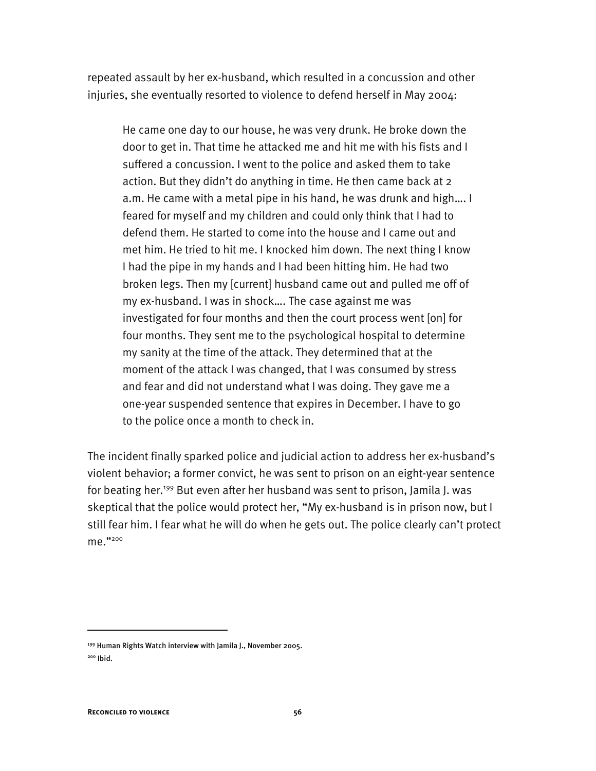repeated assault by her ex-husband, which resulted in a concussion and other injuries, she eventually resorted to violence to defend herself in May 2004:

He came one day to our house, he was very drunk. He broke down the door to get in. That time he attacked me and hit me with his fists and I suffered a concussion. I went to the police and asked them to take action. But they didn't do anything in time. He then came back at 2 a.m. He came with a metal pipe in his hand, he was drunk and high…. I feared for myself and my children and could only think that I had to defend them. He started to come into the house and I came out and met him. He tried to hit me. I knocked him down. The next thing I know I had the pipe in my hands and I had been hitting him. He had two broken legs. Then my [current] husband came out and pulled me off of my ex-husband. I was in shock…. The case against me was investigated for four months and then the court process went [on] for four months. They sent me to the psychological hospital to determine my sanity at the time of the attack. They determined that at the moment of the attack I was changed, that I was consumed by stress and fear and did not understand what I was doing. They gave me a one-year suspended sentence that expires in December. I have to go to the police once a month to check in.

The incident finally sparked police and judicial action to address her ex-husband's violent behavior; a former convict, he was sent to prison on an eight-year sentence for beating her.<sup>199</sup> But even after her husband was sent to prison, Jamila J. was skeptical that the police would protect her, "My ex-husband is in prison now, but I still fear him. I fear what he will do when he gets out. The police clearly can't protect me."200

<sup>199</sup> Human Rights Watch interview with Jamila J., November 2005.

<sup>200</sup> Ibid.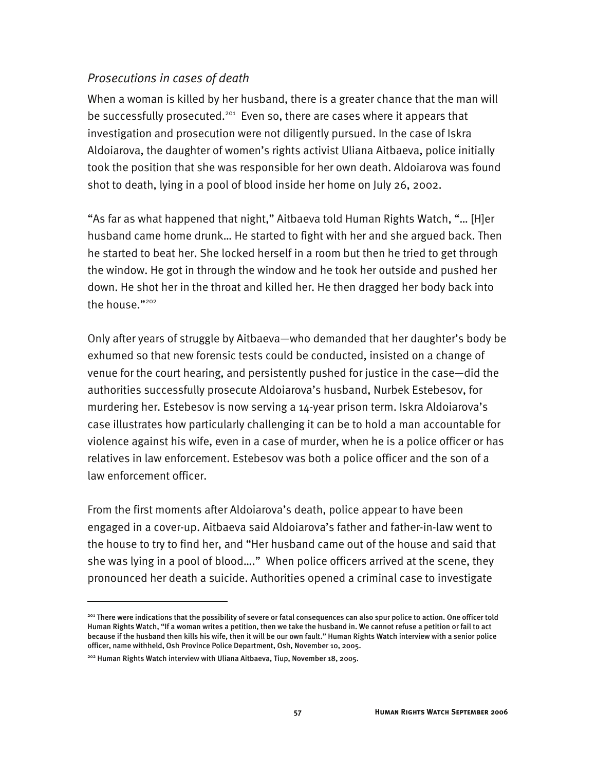## *Prosecutions in cases of death*

When a woman is killed by her husband, there is a greater chance that the man will be successfully prosecuted.<sup>201</sup> Even so, there are cases where it appears that investigation and prosecution were not diligently pursued. In the case of Iskra Aldoiarova, the daughter of women's rights activist Uliana Aitbaeva, police initially took the position that she was responsible for her own death. Aldoiarova was found shot to death, lying in a pool of blood inside her home on July 26, 2002.

"As far as what happened that night," Aitbaeva told Human Rights Watch, "… [H]er husband came home drunk… He started to fight with her and she argued back. Then he started to beat her. She locked herself in a room but then he tried to get through the window. He got in through the window and he took her outside and pushed her down. He shot her in the throat and killed her. He then dragged her body back into the house."<sup>202</sup>

Only after years of struggle by Aitbaeva—who demanded that her daughter's body be exhumed so that new forensic tests could be conducted, insisted on a change of venue for the court hearing, and persistently pushed for justice in the case—did the authorities successfully prosecute Aldoiarova's husband, Nurbek Estebesov, for murdering her. Estebesov is now serving a 14-year prison term. Iskra Aldoiarova's case illustrates how particularly challenging it can be to hold a man accountable for violence against his wife, even in a case of murder, when he is a police officer or has relatives in law enforcement. Estebesov was both a police officer and the son of a law enforcement officer.

From the first moments after Aldoiarova's death, police appear to have been engaged in a cover-up. Aitbaeva said Aldoiarova's father and father-in-law went to the house to try to find her, and "Her husband came out of the house and said that she was lying in a pool of blood…." When police officers arrived at the scene, they pronounced her death a suicide. Authorities opened a criminal case to investigate

<sup>201</sup> There were indications that the possibility of severe or fatal consequences can also spur police to action. One officer told Human Rights Watch, "If a woman writes a petition, then we take the husband in. We cannot refuse a petition or fail to act because if the husband then kills his wife, then it will be our own fault." Human Rights Watch interview with a senior police officer, name withheld, Osh Province Police Department, Osh, November 10, 2005.

<sup>202</sup> Human Rights Watch interview with Uliana Aitbaeva, Tiup, November 18, 2005.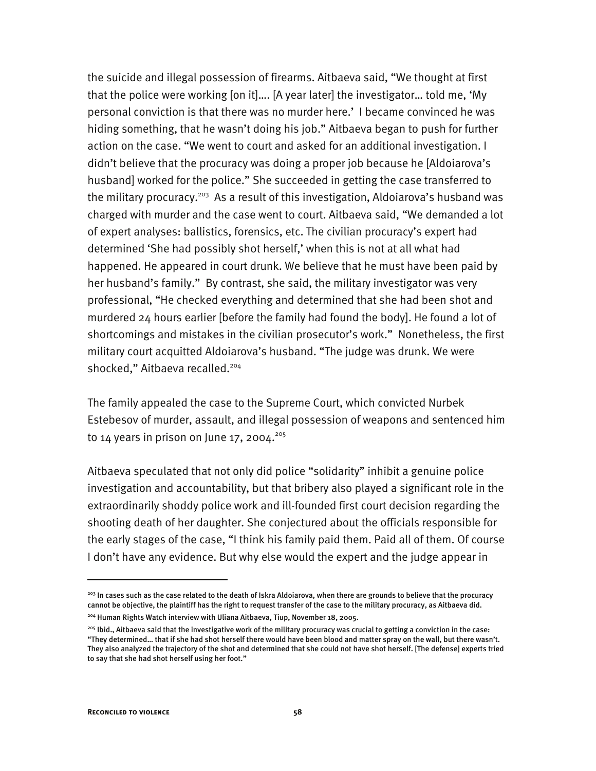the suicide and illegal possession of firearms. Aitbaeva said, "We thought at first that the police were working [on it]…. [A year later] the investigator… told me, 'My personal conviction is that there was no murder here.' I became convinced he was hiding something, that he wasn't doing his job." Aitbaeva began to push for further action on the case. "We went to court and asked for an additional investigation. I didn't believe that the procuracy was doing a proper job because he [Aldoiarova's husband] worked for the police." She succeeded in getting the case transferred to the military procuracy.<sup>203</sup> As a result of this investigation, Aldoiarova's husband was charged with murder and the case went to court. Aitbaeva said, "We demanded a lot of expert analyses: ballistics, forensics, etc. The civilian procuracy's expert had determined 'She had possibly shot herself,' when this is not at all what had happened. He appeared in court drunk. We believe that he must have been paid by her husband's family." By contrast, she said, the military investigator was very professional, "He checked everything and determined that she had been shot and murdered 24 hours earlier [before the family had found the body]. He found a lot of shortcomings and mistakes in the civilian prosecutor's work." Nonetheless, the first military court acquitted Aldoiarova's husband. "The judge was drunk. We were shocked," Aitbaeva recalled.<sup>204</sup>

The family appealed the case to the Supreme Court, which convicted Nurbek Estebesov of murder, assault, and illegal possession of weapons and sentenced him to 14 years in prison on June 17, 2004.<sup>205</sup>

Aitbaeva speculated that not only did police "solidarity" inhibit a genuine police investigation and accountability, but that bribery also played a significant role in the extraordinarily shoddy police work and ill-founded first court decision regarding the shooting death of her daughter. She conjectured about the officials responsible for the early stages of the case, "I think his family paid them. Paid all of them. Of course I don't have any evidence. But why else would the expert and the judge appear in

<sup>&</sup>lt;sup>203</sup> In cases such as the case related to the death of Iskra Aldoiarova, when there are grounds to believe that the procuracy cannot be objective, the plaintiff has the right to request transfer of the case to the military procuracy, as Aitbaeva did.

<sup>204</sup> Human Rights Watch interview with Uliana Aitbaeva, Tiup, November 18, 2005.

<sup>&</sup>lt;sup>205</sup> Ibid., Aitbaeva said that the investigative work of the military procuracy was crucial to getting a conviction in the case: "They determined… that if she had shot herself there would have been blood and matter spray on the wall, but there wasn't. They also analyzed the trajectory of the shot and determined that she could not have shot herself. [The defense] experts tried to say that she had shot herself using her foot."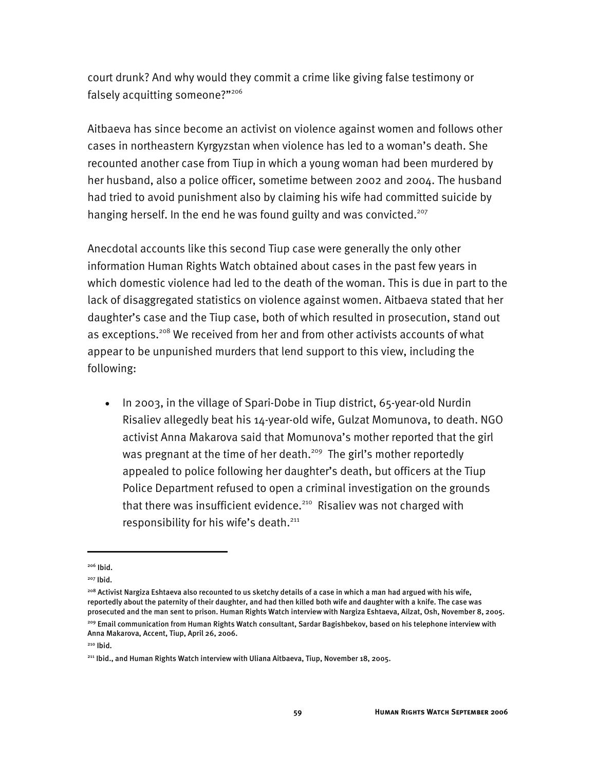court drunk? And why would they commit a crime like giving false testimony or falsely acquitting someone?"206

Aitbaeva has since become an activist on violence against women and follows other cases in northeastern Kyrgyzstan when violence has led to a woman's death. She recounted another case from Tiup in which a young woman had been murdered by her husband, also a police officer, sometime between 2002 and 2004. The husband had tried to avoid punishment also by claiming his wife had committed suicide by hanging herself. In the end he was found guilty and was convicted.<sup>207</sup>

Anecdotal accounts like this second Tiup case were generally the only other information Human Rights Watch obtained about cases in the past few years in which domestic violence had led to the death of the woman. This is due in part to the lack of disaggregated statistics on violence against women. Aitbaeva stated that her daughter's case and the Tiup case, both of which resulted in prosecution, stand out as exceptions.<sup>208</sup> We received from her and from other activists accounts of what appear to be unpunished murders that lend support to this view, including the following:

• In 2003, in the village of Spari-Dobe in Tiup district, 65-year-old Nurdin Risaliev allegedly beat his 14-year-old wife, Gulzat Momunova, to death. NGO activist Anna Makarova said that Momunova's mother reported that the girl was pregnant at the time of her death.<sup>209</sup> The girl's mother reportedly appealed to police following her daughter's death, but officers at the Tiup Police Department refused to open a criminal investigation on the grounds that there was insufficient evidence.<sup>210</sup> Risaliev was not charged with responsibility for his wife's death.<sup>211</sup>

<sup>206</sup> Ibid.

<sup>207</sup> Ibid.

<sup>&</sup>lt;sup>208</sup> Activist Nargiza Eshtaeva also recounted to us sketchy details of a case in which a man had argued with his wife, reportedly about the paternity of their daughter, and had then killed both wife and daughter with a knife. The case was prosecuted and the man sent to prison. Human Rights Watch interview with Nargiza Eshtaeva, Ailzat, Osh, November 8, 2005. 209 Email communication from Human Rights Watch consultant, Sardar Bagishbekov, based on his telephone interview with Anna Makarova, Accent, Tiup, April 26, 2006.

<sup>210</sup> Ibid.

<sup>&</sup>lt;sup>211</sup> Ibid., and Human Rights Watch interview with Uliana Aitbaeva, Tiup, November 18, 2005.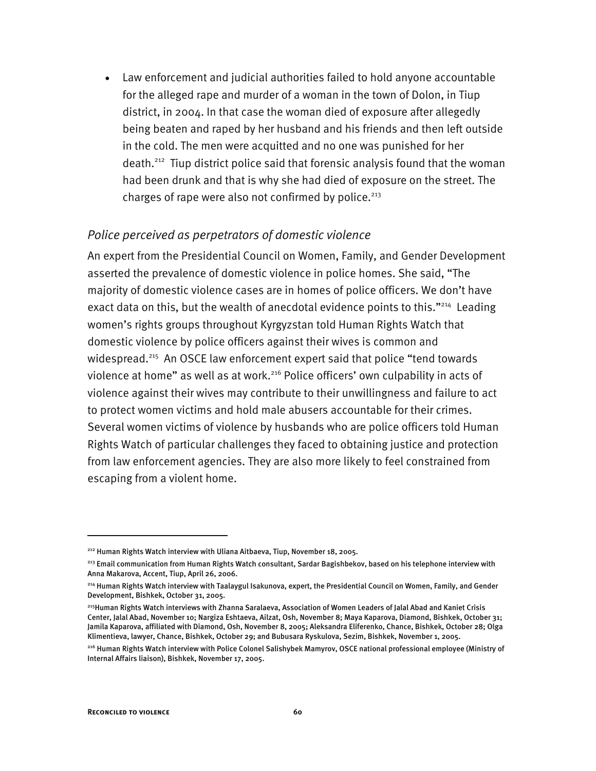• Law enforcement and judicial authorities failed to hold anyone accountable for the alleged rape and murder of a woman in the town of Dolon, in Tiup district, in 2004. In that case the woman died of exposure after allegedly being beaten and raped by her husband and his friends and then left outside in the cold. The men were acquitted and no one was punished for her death.212 Tiup district police said that forensic analysis found that the woman had been drunk and that is why she had died of exposure on the street. The charges of rape were also not confirmed by police. $^{213}$ 

## *Police perceived as perpetrators of domestic violence*

An expert from the Presidential Council on Women, Family, and Gender Development asserted the prevalence of domestic violence in police homes. She said, "The majority of domestic violence cases are in homes of police officers. We don't have exact data on this, but the wealth of anecdotal evidence points to this."<sup>214</sup> Leading women's rights groups throughout Kyrgyzstan told Human Rights Watch that domestic violence by police officers against their wives is common and widespread.<sup>215</sup> An OSCE law enforcement expert said that police "tend towards violence at home" as well as at work.<sup>216</sup> Police officers' own culpability in acts of violence against their wives may contribute to their unwillingness and failure to act to protect women victims and hold male abusers accountable for their crimes. Several women victims of violence by husbands who are police officers told Human Rights Watch of particular challenges they faced to obtaining justice and protection from law enforcement agencies. They are also more likely to feel constrained from escaping from a violent home.

<sup>&</sup>lt;sup>212</sup> Human Rights Watch interview with Uliana Aitbaeva, Tiup, November 18, 2005.

<sup>&</sup>lt;sup>213</sup> Email communication from Human Rights Watch consultant, Sardar Bagishbekov, based on his telephone interview with Anna Makarova, Accent, Tiup, April 26, 2006.

<sup>214</sup> Human Rights Watch interview with Taalaygul Isakunova, expert, the Presidential Council on Women, Family, and Gender Development, Bishkek, October 31, 2005.

<sup>215</sup>Human Rights Watch interviews with Zhanna Saralaeva, Association of Women Leaders of Jalal Abad and Kaniet Crisis Center, Jalal Abad, November 10; Nargiza Eshtaeva, Ailzat, Osh, November 8; Maya Kaparova, Diamond, Bishkek, October 31; Jamila Kaparova, affiliated with Diamond, Osh, November 8, 2005; Aleksandra Eliferenko, Chance, Bishkek, October 28; Olga Klimentieva, lawyer, Chance, Bishkek, October 29; and Bubusara Ryskulova, Sezim, Bishkek, November 1, 2005.

<sup>216</sup> Human Rights Watch interview with Police Colonel Salishybek Mamyrov, OSCE national professional employee (Ministry of Internal Affairs liaison), Bishkek, November 17, 2005.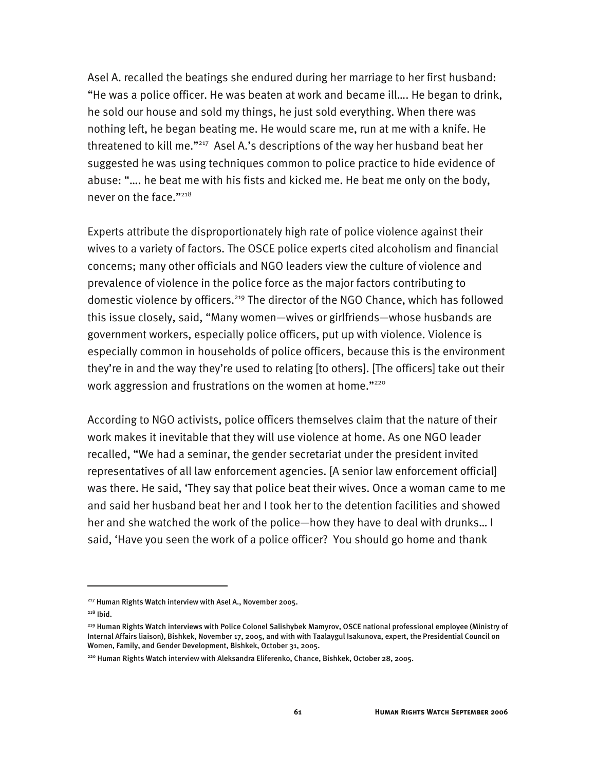Asel A. recalled the beatings she endured during her marriage to her first husband: "He was a police officer. He was beaten at work and became ill…. He began to drink, he sold our house and sold my things, he just sold everything. When there was nothing left, he began beating me. He would scare me, run at me with a knife. He threatened to kill me."217 Asel A.'s descriptions of the way her husband beat her suggested he was using techniques common to police practice to hide evidence of abuse: "…. he beat me with his fists and kicked me. He beat me only on the body, never on the face."218

Experts attribute the disproportionately high rate of police violence against their wives to a variety of factors. The OSCE police experts cited alcoholism and financial concerns; many other officials and NGO leaders view the culture of violence and prevalence of violence in the police force as the major factors contributing to domestic violence by officers.<sup>219</sup> The director of the NGO Chance, which has followed this issue closely, said, "Many women—wives or girlfriends—whose husbands are government workers, especially police officers, put up with violence. Violence is especially common in households of police officers, because this is the environment they're in and the way they're used to relating [to others]. [The officers] take out their work aggression and frustrations on the women at home."<sup>220</sup>

According to NGO activists, police officers themselves claim that the nature of their work makes it inevitable that they will use violence at home. As one NGO leader recalled, "We had a seminar, the gender secretariat under the president invited representatives of all law enforcement agencies. [A senior law enforcement official] was there. He said, 'They say that police beat their wives. Once a woman came to me and said her husband beat her and I took her to the detention facilities and showed her and she watched the work of the police—how they have to deal with drunks… I said, 'Have you seen the work of a police officer? You should go home and thank

<sup>&</sup>lt;sup>217</sup> Human Rights Watch interview with Asel A., November 2005.

 $218$  Ibid.

<sup>219</sup> Human Rights Watch interviews with Police Colonel Salishybek Mamyrov, OSCE national professional employee (Ministry of Internal Affairs liaison), Bishkek, November 17, 2005, and with with Taalaygul Isakunova, expert, the Presidential Council on Women, Family, and Gender Development, Bishkek, October 31, 2005.

<sup>220</sup> Human Rights Watch interview with Aleksandra Eliferenko, Chance, Bishkek, October 28, 2005.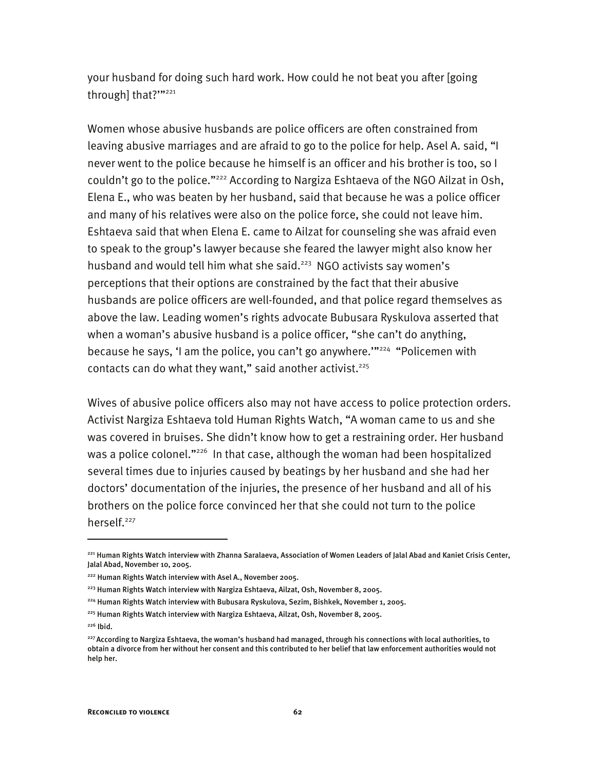your husband for doing such hard work. How could he not beat you after [going through] that?""<sup>221</sup>

Women whose abusive husbands are police officers are often constrained from leaving abusive marriages and are afraid to go to the police for help. Asel A. said, "I never went to the police because he himself is an officer and his brother is too, so I couldn't go to the police."<sup>222</sup> According to Nargiza Eshtaeva of the NGO Ailzat in Osh, Elena E., who was beaten by her husband, said that because he was a police officer and many of his relatives were also on the police force, she could not leave him. Eshtaeva said that when Elena E. came to Ailzat for counseling she was afraid even to speak to the group's lawyer because she feared the lawyer might also know her husband and would tell him what she said. $223$  NGO activists say women's perceptions that their options are constrained by the fact that their abusive husbands are police officers are well-founded, and that police regard themselves as above the law. Leading women's rights advocate Bubusara Ryskulova asserted that when a woman's abusive husband is a police officer, "she can't do anything, because he says, 'I am the police, you can't go anywhere."<sup>224</sup> "Policemen with contacts can do what they want," said another activist. $225$ 

Wives of abusive police officers also may not have access to police protection orders. Activist Nargiza Eshtaeva told Human Rights Watch, "A woman came to us and she was covered in bruises. She didn't know how to get a restraining order. Her husband was a police colonel."<sup>226</sup> In that case, although the woman had been hospitalized several times due to injuries caused by beatings by her husband and she had her doctors' documentation of the injuries, the presence of her husband and all of his brothers on the police force convinced her that she could not turn to the police herself.<sup>227</sup>

I

<sup>221</sup> Human Rights Watch interview with Zhanna Saralaeva, Association of Women Leaders of Jalal Abad and Kaniet Crisis Center, Jalal Abad, November 10, 2005.

<sup>&</sup>lt;sup>222</sup> Human Rights Watch interview with Asel A., November 2005.

<sup>&</sup>lt;sup>223</sup> Human Rights Watch interview with Nargiza Eshtaeva, Ailzat, Osh, November 8, 2005.

<sup>224</sup> Human Rights Watch interview with Bubusara Ryskulova, Sezim, Bishkek, November 1, 2005.

<sup>225</sup> Human Rights Watch interview with Nargiza Eshtaeva, Ailzat, Osh, November 8, 2005.

 $226$  Ibid.

<sup>&</sup>lt;sup>227</sup> According to Nargiza Eshtaeva, the woman's husband had managed, through his connections with local authorities, to obtain a divorce from her without her consent and this contributed to her belief that law enforcement authorities would not help her.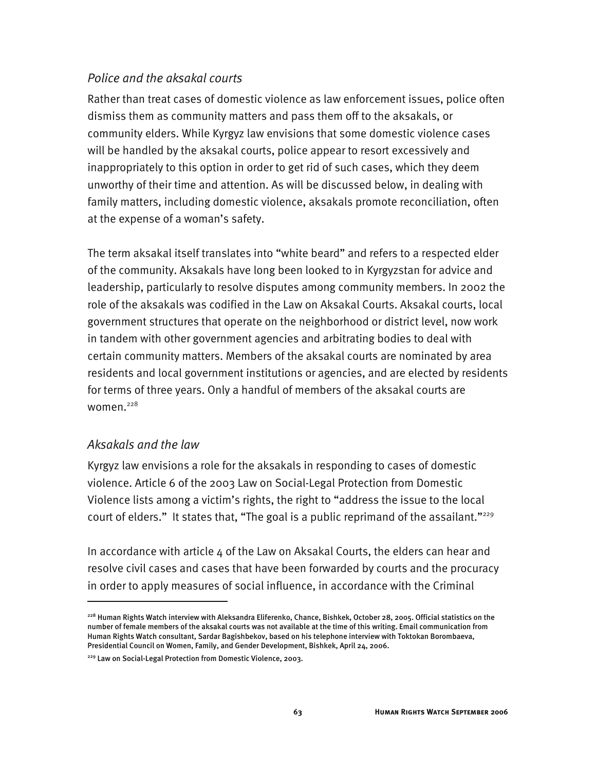# *Police and the aksakal courts*

Rather than treat cases of domestic violence as law enforcement issues, police often dismiss them as community matters and pass them off to the aksakals, or community elders. While Kyrgyz law envisions that some domestic violence cases will be handled by the aksakal courts, police appear to resort excessively and inappropriately to this option in order to get rid of such cases, which they deem unworthy of their time and attention. As will be discussed below, in dealing with family matters, including domestic violence, aksakals promote reconciliation, often at the expense of a woman's safety.

The term aksakal itself translates into "white beard" and refers to a respected elder of the community. Aksakals have long been looked to in Kyrgyzstan for advice and leadership, particularly to resolve disputes among community members. In 2002 the role of the aksakals was codified in the Law on Aksakal Courts. Aksakal courts, local government structures that operate on the neighborhood or district level, now work in tandem with other government agencies and arbitrating bodies to deal with certain community matters. Members of the aksakal courts are nominated by area residents and local government institutions or agencies, and are elected by residents for terms of three years. Only a handful of members of the aksakal courts are women. $228$ 

# *Aksakals and the law*

-

Kyrgyz law envisions a role for the aksakals in responding to cases of domestic violence. Article 6 of the 2003 Law on Social-Legal Protection from Domestic Violence lists among a victim's rights, the right to "address the issue to the local court of elders." It states that, "The goal is a public reprimand of the assailant."<sup>229</sup>

In accordance with article 4 of the Law on Aksakal Courts, the elders can hear and resolve civil cases and cases that have been forwarded by courts and the procuracy in order to apply measures of social influence, in accordance with the Criminal

<sup>228</sup> Human Rights Watch interview with Aleksandra Eliferenko, Chance, Bishkek, October 28, 2005. Official statistics on the number of female members of the aksakal courts was not available at the time of this writing. Email communication from Human Rights Watch consultant, Sardar Bagishbekov, based on his telephone interview with Toktokan Borombaeva, Presidential Council on Women, Family, and Gender Development, Bishkek, April 24, 2006.

<sup>229</sup> Law on Social-Legal Protection from Domestic Violence, 2003.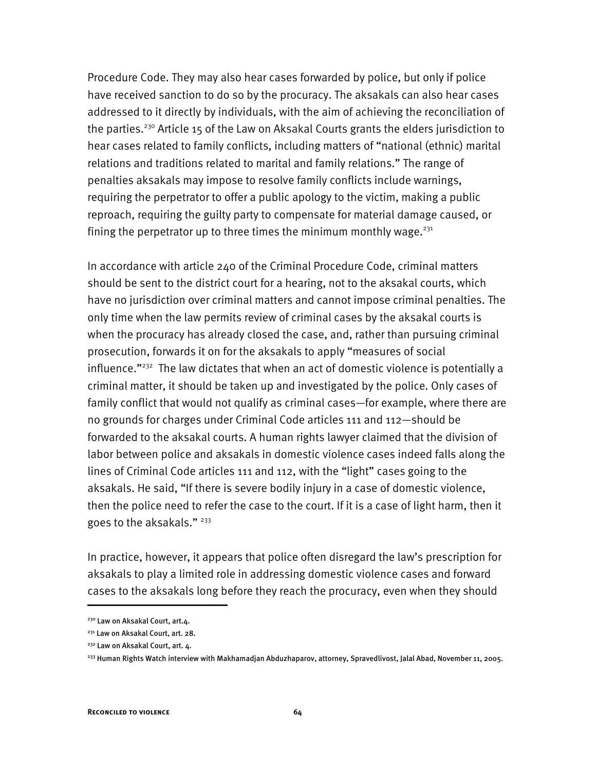Procedure Code. They may also hear cases forwarded by police, but only if police have received sanction to do so by the procuracy. The aksakals can also hear cases addressed to it directly by individuals, with the aim of achieving the reconciliation of the parties.<sup>230</sup> Article 15 of the Law on Aksakal Courts grants the elders jurisdiction to hear cases related to family conflicts, including matters of "national (ethnic) marital relations and traditions related to marital and family relations." The range of penalties aksakals may impose to resolve family conflicts include warnings, requiring the perpetrator to offer a public apology to the victim, making a public reproach, requiring the guilty party to compensate for material damage caused, or fining the perpetrator up to three times the minimum monthly wage.<sup>231</sup>

In accordance with article 240 of the Criminal Procedure Code, criminal matters should be sent to the district court for a hearing, not to the aksakal courts, which have no jurisdiction over criminal matters and cannot impose criminal penalties. The only time when the law permits review of criminal cases by the aksakal courts is when the procuracy has already closed the case, and, rather than pursuing criminal prosecution, forwards it on for the aksakals to apply "measures of social influence."<sup>232</sup> The law dictates that when an act of domestic violence is potentially a criminal matter, it should be taken up and investigated by the police. Only cases of family conflict that would not qualify as criminal cases—for example, where there are no grounds for charges under Criminal Code articles 111 and 112—should be forwarded to the aksakal courts. A human rights lawyer claimed that the division of labor between police and aksakals in domestic violence cases indeed falls along the lines of Criminal Code articles 111 and 112, with the "light" cases going to the aksakals. He said, "If there is severe bodily injury in a case of domestic violence, then the police need to refer the case to the court. If it is a case of light harm, then it goes to the aksakals."<sup>233</sup>

In practice, however, it appears that police often disregard the law's prescription for aksakals to play a limited role in addressing domestic violence cases and forward cases to the aksakals long before they reach the procuracy, even when they should

<sup>&</sup>lt;sup>230</sup> Law on Aksakal Court, art.4.

<sup>&</sup>lt;sup>231</sup> Law on Aksakal Court, art. 28.

<sup>&</sup>lt;sup>232</sup> Law on Aksakal Court, art. 4.

<sup>&</sup>lt;sup>233</sup> Human Rights Watch interview with Makhamadjan Abduzhaparov, attorney, Spravedlivost, Jalal Abad, November 11, 2005.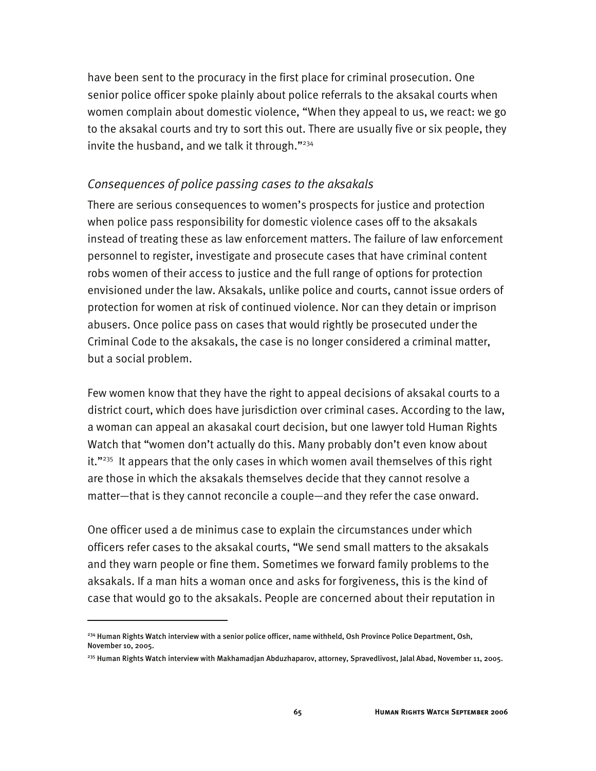have been sent to the procuracy in the first place for criminal prosecution. One senior police officer spoke plainly about police referrals to the aksakal courts when women complain about domestic violence, "When they appeal to us, we react: we go to the aksakal courts and try to sort this out. There are usually five or six people, they invite the husband, and we talk it through."<sup>234</sup>

### *Consequences of police passing cases to the aksakals*

There are serious consequences to women's prospects for justice and protection when police pass responsibility for domestic violence cases off to the aksakals instead of treating these as law enforcement matters. The failure of law enforcement personnel to register, investigate and prosecute cases that have criminal content robs women of their access to justice and the full range of options for protection envisioned under the law. Aksakals, unlike police and courts, cannot issue orders of protection for women at risk of continued violence. Nor can they detain or imprison abusers. Once police pass on cases that would rightly be prosecuted under the Criminal Code to the aksakals, the case is no longer considered a criminal matter, but a social problem.

Few women know that they have the right to appeal decisions of aksakal courts to a district court, which does have jurisdiction over criminal cases. According to the law, a woman can appeal an akasakal court decision, but one lawyer told Human Rights Watch that "women don't actually do this. Many probably don't even know about it."<sup>235</sup> It appears that the only cases in which women avail themselves of this right are those in which the aksakals themselves decide that they cannot resolve a matter—that is they cannot reconcile a couple—and they refer the case onward.

One officer used a de minimus case to explain the circumstances under which officers refer cases to the aksakal courts, "We send small matters to the aksakals and they warn people or fine them. Sometimes we forward family problems to the aksakals. If a man hits a woman once and asks for forgiveness, this is the kind of case that would go to the aksakals. People are concerned about their reputation in

I

<sup>&</sup>lt;sup>234</sup> Human Rights Watch interview with a senior police officer, name withheld, Osh Province Police Department, Osh, November 10, 2005.

<sup>235</sup> Human Rights Watch interview with Makhamadjan Abduzhaparov, attorney, Spravedlivost, Jalal Abad, November 11, 2005.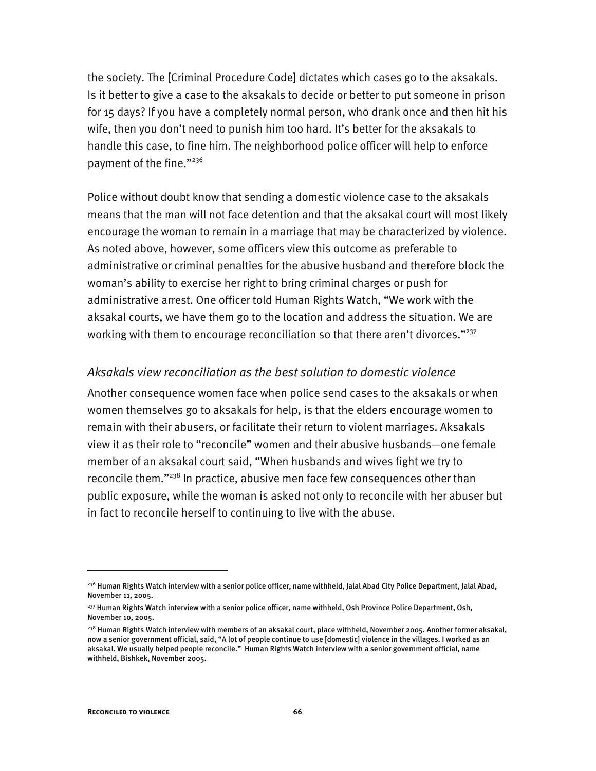the society. The [Criminal Procedure Code] dictates which cases go to the aksakals. Is it better to give a case to the aksakals to decide or better to put someone in prison for 15 days? If you have a completely normal person, who drank once and then hit his wife, then you don't need to punish him too hard. It's better for the aksakals to handle this case, to fine him. The neighborhood police officer will help to enforce payment of the fine."236

Police without doubt know that sending a domestic violence case to the aksakals means that the man will not face detention and that the aksakal court will most likely encourage the woman to remain in a marriage that may be characterized by violence. As noted above, however, some officers view this outcome as preferable to administrative or criminal penalties for the abusive husband and therefore block the woman's ability to exercise her right to bring criminal charges or push for administrative arrest. One officer told Human Rights Watch, "We work with the aksakal courts, we have them go to the location and address the situation. We are working with them to encourage reconciliation so that there aren't divorces."<sup>237</sup>

#### *Aksakals view reconciliation as the best solution to domestic violence*

Another consequence women face when police send cases to the aksakals or when women themselves go to aksakals for help, is that the elders encourage women to remain with their abusers, or facilitate their return to violent marriages. Aksakals view it as their role to "reconcile" women and their abusive husbands—one female member of an aksakal court said, "When husbands and wives fight we try to reconcile them."<sup>238</sup> In practice, abusive men face few consequences other than public exposure, while the woman is asked not only to reconcile with her abuser but in fact to reconcile herself to continuing to live with the abuse.

 $^{236}$  Human Rights Watch interview with a senior police officer, name withheld, Jalal Abad City Police Department, Jalal Abad, November 11, 2005.

<sup>&</sup>lt;sup>237</sup> Human Rights Watch interview with a senior police officer, name withheld, Osh Province Police Department, Osh, November 10, 2005.

<sup>&</sup>lt;sup>238</sup> Human Rights Watch interview with members of an aksakal court, place withheld, November 2005. Another former aksakal, now a senior government official, said, "A lot of people continue to use [domestic] violence in the villages. I worked as an aksakal. We usually helped people reconcile." Human Rights Watch interview with a senior government official, name withheld, Bishkek, November 2005.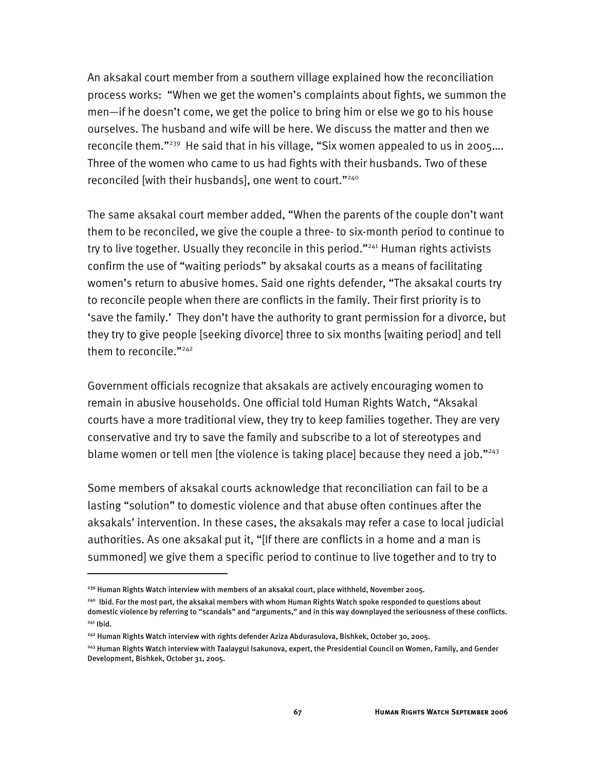An aksakal court member from a southern village explained how the reconciliation process works: "When we get the women's complaints about fights, we summon the men—if he doesn't come, we get the police to bring him or else we go to his house ourselves. The husband and wife will be here. We discuss the matter and then we reconcile them."<sup>239</sup> He said that in his village, "Six women appealed to us in 2005.... Three of the women who came to us had fights with their husbands. Two of these reconciled [with their husbands], one went to court."240

The same aksakal court member added, "When the parents of the couple don't want them to be reconciled, we give the couple a three- to six-month period to continue to try to live together. Usually they reconcile in this period."<sup>241</sup> Human rights activists confirm the use of "waiting periods" by aksakal courts as a means of facilitating women's return to abusive homes. Said one rights defender, "The aksakal courts try to reconcile people when there are conflicts in the family. Their first priority is to 'save the family.' They don't have the authority to grant permission for a divorce, but they try to give people [seeking divorce] three to six months [waiting period] and tell them to reconcile."<sup>242</sup>

Government officials recognize that aksakals are actively encouraging women to remain in abusive households. One official told Human Rights Watch, "Aksakal courts have a more traditional view, they try to keep families together. They are very conservative and try to save the family and subscribe to a lot of stereotypes and blame women or tell men [the violence is taking place] because they need a job."243

Some members of aksakal courts acknowledge that reconciliation can fail to be a lasting "solution" to domestic violence and that abuse often continues after the aksakals' intervention. In these cases, the aksakals may refer a case to local judicial authorities. As one aksakal put it, "[If there are conflicts in a home and a man is summoned] we give them a specific period to continue to live together and to try to

<sup>&</sup>lt;sup>239</sup> Human Rights Watch interview with members of an aksakal court, place withheld, November 2005.

<sup>240</sup> Ibid. For the most part, the aksakal members with whom Human Rights Watch spoke responded to questions about domestic violence by referring to "scandals" and "arguments," and in this way downplayed the seriousness of these conflicts.  $241$  Ibid.

<sup>242</sup> Human Rights Watch interview with rights defender Aziza Abdurasulova, Bishkek, October 30, 2005.

<sup>&</sup>lt;sup>243</sup> Human Rights Watch interview with Taalaygul Isakunova, expert, the Presidential Council on Women, Family, and Gender Development, Bishkek, October 31, 2005.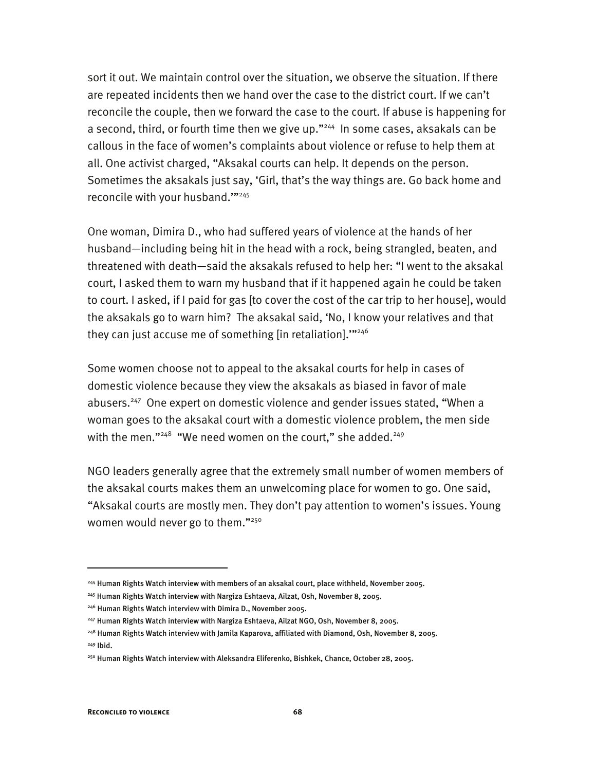sort it out. We maintain control over the situation, we observe the situation. If there are repeated incidents then we hand over the case to the district court. If we can't reconcile the couple, then we forward the case to the court. If abuse is happening for a second, third, or fourth time then we give up."<sup>244</sup> In some cases, aksakals can be callous in the face of women's complaints about violence or refuse to help them at all. One activist charged, "Aksakal courts can help. It depends on the person. Sometimes the aksakals just say, 'Girl, that's the way things are. Go back home and reconcile with your husband.""<sup>245</sup>

One woman, Dimira D., who had suffered years of violence at the hands of her husband—including being hit in the head with a rock, being strangled, beaten, and threatened with death—said the aksakals refused to help her: "I went to the aksakal court, I asked them to warn my husband that if it happened again he could be taken to court. I asked, if I paid for gas [to cover the cost of the car trip to her house], would the aksakals go to warn him? The aksakal said, 'No, I know your relatives and that they can just accuse me of something [in retaliation].""<sup>246</sup>

Some women choose not to appeal to the aksakal courts for help in cases of domestic violence because they view the aksakals as biased in favor of male abusers.<sup>247</sup> One expert on domestic violence and gender issues stated, "When a woman goes to the aksakal court with a domestic violence problem, the men side with the men." $^{248}$  "We need women on the court," she added. $^{249}$ 

NGO leaders generally agree that the extremely small number of women members of the aksakal courts makes them an unwelcoming place for women to go. One said, "Aksakal courts are mostly men. They don't pay attention to women's issues. Young women would never go to them."<sup>250</sup>

<sup>244</sup> Human Rights Watch interview with members of an aksakal court, place withheld, November 2005.

<sup>245</sup> Human Rights Watch interview with Nargiza Eshtaeva, Ailzat, Osh, November 8, 2005.

<sup>246</sup> Human Rights Watch interview with Dimira D., November 2005.

<sup>&</sup>lt;sup>247</sup> Human Rights Watch interview with Nargiza Eshtaeva, Ailzat NGO, Osh, November 8, 2005.

<sup>248</sup> Human Rights Watch interview with Jamila Kaparova, affiliated with Diamond, Osh, November 8, 2005. 249 Ibid.

<sup>250</sup> Human Rights Watch interview with Aleksandra Eliferenko, Bishkek, Chance, October 28, 2005.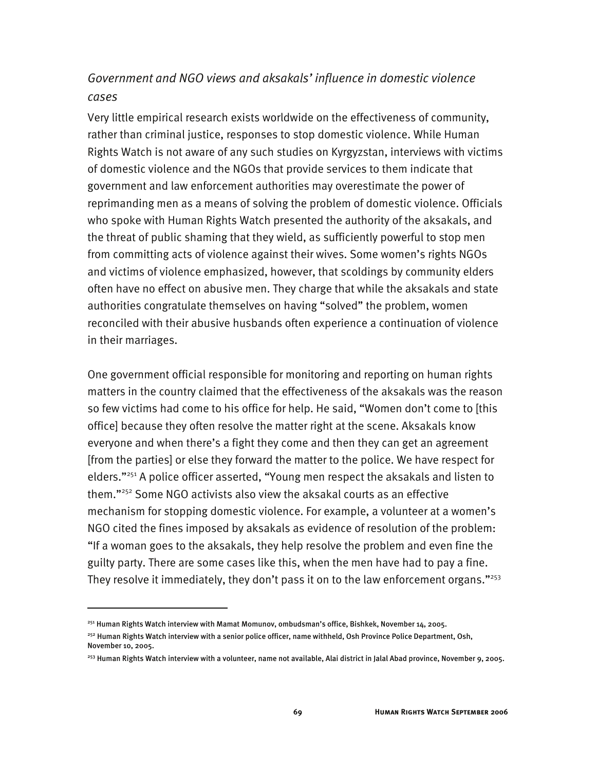# *Government and NGO views and aksakals' influence in domestic violence cases*

Very little empirical research exists worldwide on the effectiveness of community, rather than criminal justice, responses to stop domestic violence. While Human Rights Watch is not aware of any such studies on Kyrgyzstan, interviews with victims of domestic violence and the NGOs that provide services to them indicate that government and law enforcement authorities may overestimate the power of reprimanding men as a means of solving the problem of domestic violence. Officials who spoke with Human Rights Watch presented the authority of the aksakals, and the threat of public shaming that they wield, as sufficiently powerful to stop men from committing acts of violence against their wives. Some women's rights NGOs and victims of violence emphasized, however, that scoldings by community elders often have no effect on abusive men. They charge that while the aksakals and state authorities congratulate themselves on having "solved" the problem, women reconciled with their abusive husbands often experience a continuation of violence in their marriages.

One government official responsible for monitoring and reporting on human rights matters in the country claimed that the effectiveness of the aksakals was the reason so few victims had come to his office for help. He said, "Women don't come to [this office] because they often resolve the matter right at the scene. Aksakals know everyone and when there's a fight they come and then they can get an agreement [from the parties] or else they forward the matter to the police. We have respect for elders."<sup>251</sup> A police officer asserted, "Young men respect the aksakals and listen to them."<sup>252</sup> Some NGO activists also view the aksakal courts as an effective mechanism for stopping domestic violence. For example, a volunteer at a women's NGO cited the fines imposed by aksakals as evidence of resolution of the problem: "If a woman goes to the aksakals, they help resolve the problem and even fine the guilty party. There are some cases like this, when the men have had to pay a fine. They resolve it immediately, they don't pass it on to the law enforcement organs."<sup>253</sup>

<sup>251</sup> Human Rights Watch interview with Mamat Momunov, ombudsman's office, Bishkek, November 14, 2005.

<sup>&</sup>lt;sup>252</sup> Human Rights Watch interview with a senior police officer, name withheld, Osh Province Police Department, Osh, November 10, 2005.

<sup>253</sup> Human Rights Watch interview with a volunteer, name not available, Alai district in Jalal Abad province, November 9, 2005.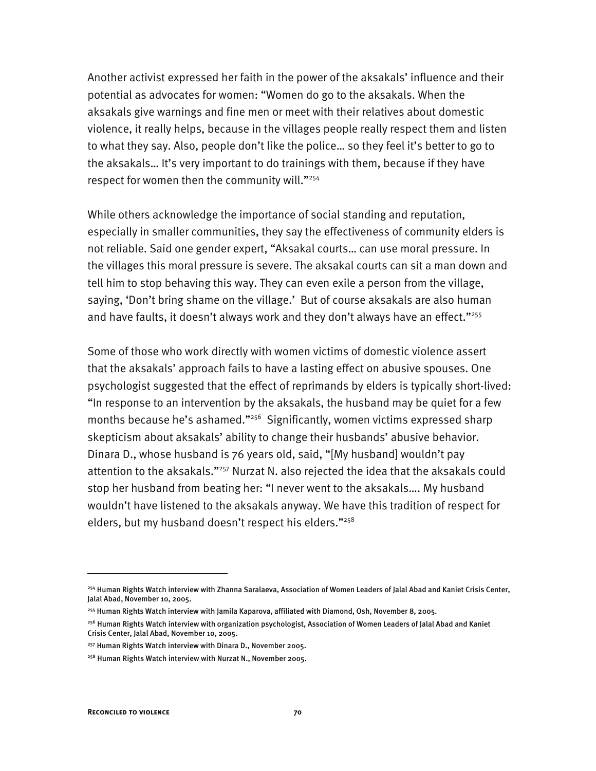Another activist expressed her faith in the power of the aksakals' influence and their potential as advocates for women: "Women do go to the aksakals. When the aksakals give warnings and fine men or meet with their relatives about domestic violence, it really helps, because in the villages people really respect them and listen to what they say. Also, people don't like the police… so they feel it's better to go to the aksakals… It's very important to do trainings with them, because if they have respect for women then the community will."<sup>254</sup>

While others acknowledge the importance of social standing and reputation, especially in smaller communities, they say the effectiveness of community elders is not reliable. Said one gender expert, "Aksakal courts… can use moral pressure. In the villages this moral pressure is severe. The aksakal courts can sit a man down and tell him to stop behaving this way. They can even exile a person from the village, saying, 'Don't bring shame on the village.' But of course aksakals are also human and have faults, it doesn't always work and they don't always have an effect."<sup>255</sup>

Some of those who work directly with women victims of domestic violence assert that the aksakals' approach fails to have a lasting effect on abusive spouses. One psychologist suggested that the effect of reprimands by elders is typically short-lived: "In response to an intervention by the aksakals, the husband may be quiet for a few months because he's ashamed."<sup>256</sup> Significantly, women victims expressed sharp skepticism about aksakals' ability to change their husbands' abusive behavior. Dinara D., whose husband is 76 years old, said, "[My husband] wouldn't pay attention to the aksakals."<sup>257</sup> Nurzat N. also rejected the idea that the aksakals could stop her husband from beating her: "I never went to the aksakals…. My husband wouldn't have listened to the aksakals anyway. We have this tradition of respect for elders, but my husband doesn't respect his elders."<sup>258</sup>

<sup>&</sup>lt;sup>254</sup> Human Rights Watch interview with Zhanna Saralaeva, Association of Women Leaders of Jalal Abad and Kaniet Crisis Center, Jalal Abad, November 10, 2005.

<sup>255</sup> Human Rights Watch interview with Jamila Kaparova, affiliated with Diamond, Osh, November 8, 2005.

<sup>&</sup>lt;sup>256</sup> Human Rights Watch interview with organization psychologist, Association of Women Leaders of Jalal Abad and Kaniet Crisis Center, Jalal Abad, November 10, 2005.

<sup>257</sup> Human Rights Watch interview with Dinara D., November 2005.

<sup>&</sup>lt;sup>258</sup> Human Rights Watch interview with Nurzat N., November 2005.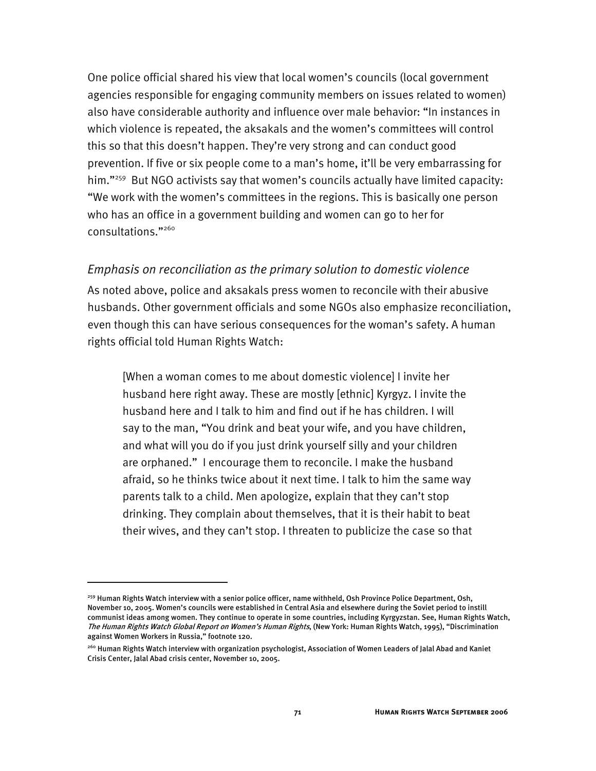One police official shared his view that local women's councils (local government agencies responsible for engaging community members on issues related to women) also have considerable authority and influence over male behavior: "In instances in which violence is repeated, the aksakals and the women's committees will control this so that this doesn't happen. They're very strong and can conduct good prevention. If five or six people come to a man's home, it'll be very embarrassing for him."<sup>259</sup> But NGO activists say that women's councils actually have limited capacity: "We work with the women's committees in the regions. This is basically one person who has an office in a government building and women can go to her for consultations."260

#### *Emphasis on reconciliation as the primary solution to domestic violence*

As noted above, police and aksakals press women to reconcile with their abusive husbands. Other government officials and some NGOs also emphasize reconciliation, even though this can have serious consequences for the woman's safety. A human rights official told Human Rights Watch:

[When a woman comes to me about domestic violence] I invite her husband here right away. These are mostly [ethnic] Kyrgyz. I invite the husband here and I talk to him and find out if he has children. I will say to the man, "You drink and beat your wife, and you have children, and what will you do if you just drink yourself silly and your children are orphaned." I encourage them to reconcile. I make the husband afraid, so he thinks twice about it next time. I talk to him the same way parents talk to a child. Men apologize, explain that they can't stop drinking. They complain about themselves, that it is their habit to beat their wives, and they can't stop. I threaten to publicize the case so that

<sup>&</sup>lt;sup>259</sup> Human Rights Watch interview with a senior police officer, name withheld, Osh Province Police Department, Osh, November 10, 2005. Women's councils were established in Central Asia and elsewhere during the Soviet period to instill communist ideas among women. They continue to operate in some countries, including Kyrgyzstan. See, Human Rights Watch, The Human Rights Watch Global Report on Women's Human Rights, (New York: Human Rights Watch, 1995), "Discrimination against Women Workers in Russia," footnote 120.

<sup>260</sup> Human Rights Watch interview with organization psychologist, Association of Women Leaders of Jalal Abad and Kaniet Crisis Center, Jalal Abad crisis center, November 10, 2005.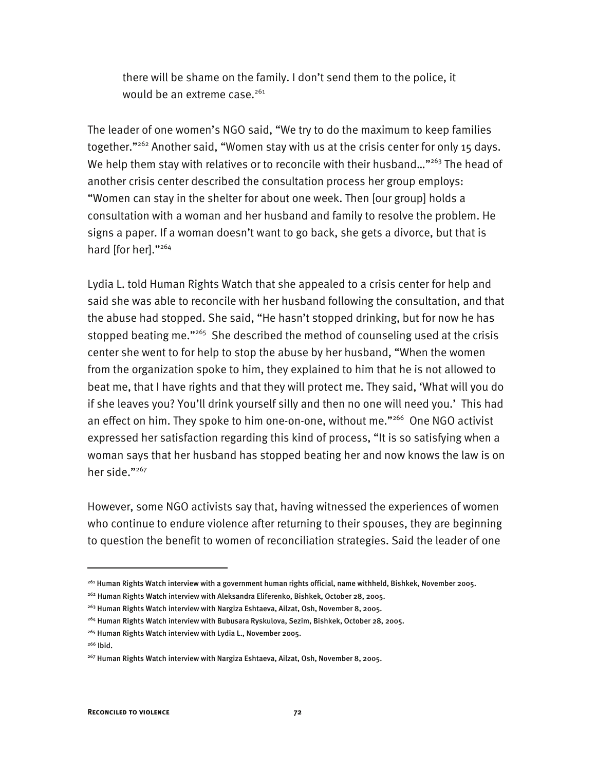there will be shame on the family. I don't send them to the police, it would be an extreme case.<sup>261</sup>

The leader of one women's NGO said, "We try to do the maximum to keep families together."<sup>262</sup> Another said, "Women stay with us at the crisis center for only 15 days. We help them stay with relatives or to reconcile with their husband..."<sup>263</sup> The head of another crisis center described the consultation process her group employs: "Women can stay in the shelter for about one week. Then [our group] holds a consultation with a woman and her husband and family to resolve the problem. He signs a paper. If a woman doesn't want to go back, she gets a divorce, but that is hard [for her]."264

Lydia L. told Human Rights Watch that she appealed to a crisis center for help and said she was able to reconcile with her husband following the consultation, and that the abuse had stopped. She said, "He hasn't stopped drinking, but for now he has stopped beating me."<sup>265</sup> She described the method of counseling used at the crisis center she went to for help to stop the abuse by her husband, "When the women from the organization spoke to him, they explained to him that he is not allowed to beat me, that I have rights and that they will protect me. They said, 'What will you do if she leaves you? You'll drink yourself silly and then no one will need you.' This had an effect on him. They spoke to him one-on-one, without me."<sup>266</sup> One NGO activist expressed her satisfaction regarding this kind of process, "It is so satisfying when a woman says that her husband has stopped beating her and now knows the law is on her side."<sup>267</sup>

However, some NGO activists say that, having witnessed the experiences of women who continue to endure violence after returning to their spouses, they are beginning to question the benefit to women of reconciliation strategies. Said the leader of one

<sup>261</sup> Human Rights Watch interview with a government human rights official, name withheld, Bishkek, November 2005.

<sup>&</sup>lt;sup>262</sup> Human Rights Watch interview with Aleksandra Eliferenko, Bishkek, October 28, 2005.

<sup>263</sup> Human Rights Watch interview with Nargiza Eshtaeva, Ailzat, Osh, November 8, 2005.

<sup>&</sup>lt;sup>264</sup> Human Rights Watch interview with Bubusara Ryskulova, Sezim, Bishkek, October 28, 2005.

<sup>265</sup> Human Rights Watch interview with Lydia L., November 2005.

<sup>266</sup> Ibid.

<sup>267</sup> Human Rights Watch interview with Nargiza Eshtaeva, Ailzat, Osh, November 8, 2005.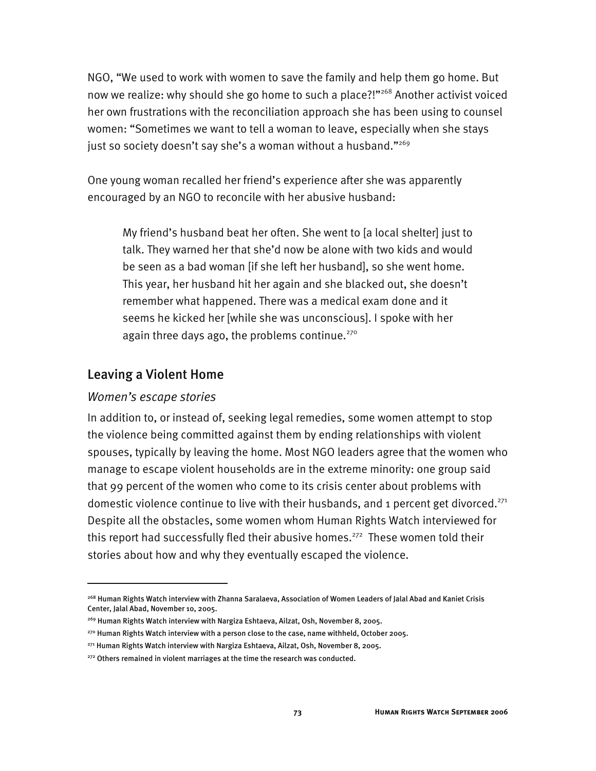NGO, "We used to work with women to save the family and help them go home. But now we realize: why should she go home to such a place?!"<sup>268</sup> Another activist voiced her own frustrations with the reconciliation approach she has been using to counsel women: "Sometimes we want to tell a woman to leave, especially when she stays just so society doesn't say she's a woman without a husband."<sup>269</sup>

One young woman recalled her friend's experience after she was apparently encouraged by an NGO to reconcile with her abusive husband:

My friend's husband beat her often. She went to [a local shelter] just to talk. They warned her that she'd now be alone with two kids and would be seen as a bad woman [if she left her husband], so she went home. This year, her husband hit her again and she blacked out, she doesn't remember what happened. There was a medical exam done and it seems he kicked her [while she was unconscious]. I spoke with her again three days ago, the problems continue. $270$ 

### Leaving a Violent Home

#### *Women's escape stories*

j

In addition to, or instead of, seeking legal remedies, some women attempt to stop the violence being committed against them by ending relationships with violent spouses, typically by leaving the home. Most NGO leaders agree that the women who manage to escape violent households are in the extreme minority: one group said that 99 percent of the women who come to its crisis center about problems with domestic violence continue to live with their husbands, and 1 percent get divorced.<sup>271</sup> Despite all the obstacles, some women whom Human Rights Watch interviewed for this report had successfully fled their abusive homes.<sup>272</sup> These women told their stories about how and why they eventually escaped the violence.

<sup>268</sup> Human Rights Watch interview with Zhanna Saralaeva, Association of Women Leaders of Jalal Abad and Kaniet Crisis Center, Jalal Abad, November 10, 2005.

<sup>&</sup>lt;sup>269</sup> Human Rights Watch interview with Nargiza Eshtaeva, Ailzat, Osh, November 8, 2005.

<sup>&</sup>lt;sup>270</sup> Human Rights Watch interview with a person close to the case, name withheld, October 2005.

<sup>271</sup> Human Rights Watch interview with Nargiza Eshtaeva, Ailzat, Osh, November 8, 2005.

 $272$  Others remained in violent marriages at the time the research was conducted.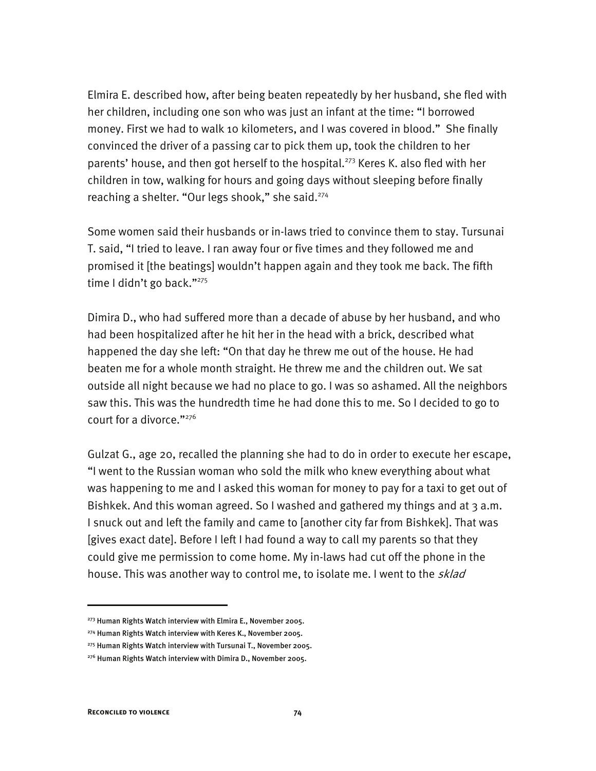Elmira E. described how, after being beaten repeatedly by her husband, she fled with her children, including one son who was just an infant at the time: "I borrowed money. First we had to walk 10 kilometers, and I was covered in blood." She finally convinced the driver of a passing car to pick them up, took the children to her parents' house, and then got herself to the hospital.<sup>273</sup> Keres K. also fled with her children in tow, walking for hours and going days without sleeping before finally reaching a shelter. "Our legs shook," she said.<sup>274</sup>

Some women said their husbands or in-laws tried to convince them to stay. Tursunai T. said, "I tried to leave. I ran away four or five times and they followed me and promised it [the beatings] wouldn't happen again and they took me back. The fifth time I didn't go back."<sup>275</sup>

Dimira D., who had suffered more than a decade of abuse by her husband, and who had been hospitalized after he hit her in the head with a brick, described what happened the day she left: "On that day he threw me out of the house. He had beaten me for a whole month straight. He threw me and the children out. We sat outside all night because we had no place to go. I was so ashamed. All the neighbors saw this. This was the hundredth time he had done this to me. So I decided to go to court for a divorce."276

Gulzat G., age 20, recalled the planning she had to do in order to execute her escape, "I went to the Russian woman who sold the milk who knew everything about what was happening to me and I asked this woman for money to pay for a taxi to get out of Bishkek. And this woman agreed. So I washed and gathered my things and at 3 a.m. I snuck out and left the family and came to [another city far from Bishkek]. That was [gives exact date]. Before I left I had found a way to call my parents so that they could give me permission to come home. My in-laws had cut off the phone in the house. This was another way to control me, to isolate me. I went to the *sklad* 

<sup>&</sup>lt;sup>273</sup> Human Rights Watch interview with Elmira E., November 2005.

<sup>274</sup> Human Rights Watch interview with Keres K., November 2005.

<sup>275</sup> Human Rights Watch interview with Tursunai T., November 2005.

<sup>&</sup>lt;sup>276</sup> Human Rights Watch interview with Dimira D., November 2005.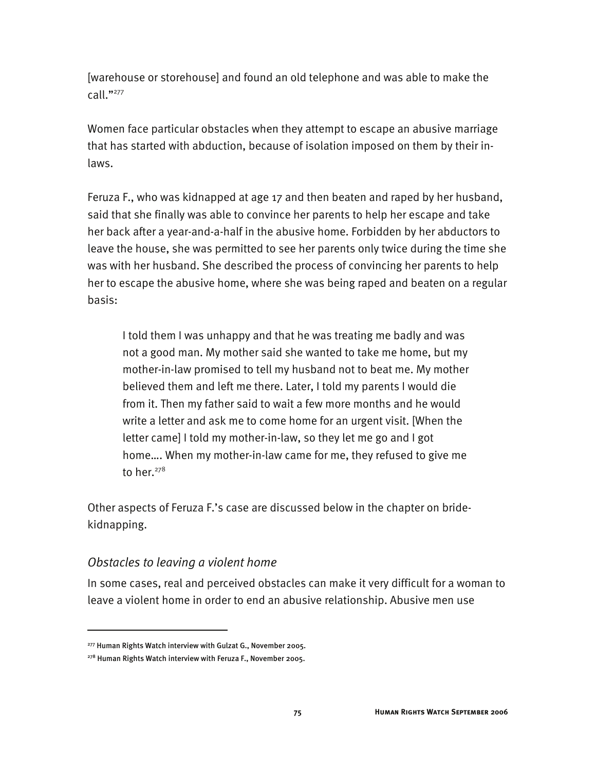[warehouse or storehouse] and found an old telephone and was able to make the call."277

Women face particular obstacles when they attempt to escape an abusive marriage that has started with abduction, because of isolation imposed on them by their inlaws.

Feruza F., who was kidnapped at age 17 and then beaten and raped by her husband, said that she finally was able to convince her parents to help her escape and take her back after a year-and-a-half in the abusive home. Forbidden by her abductors to leave the house, she was permitted to see her parents only twice during the time she was with her husband. She described the process of convincing her parents to help her to escape the abusive home, where she was being raped and beaten on a regular basis:

I told them I was unhappy and that he was treating me badly and was not a good man. My mother said she wanted to take me home, but my mother-in-law promised to tell my husband not to beat me. My mother believed them and left me there. Later, I told my parents I would die from it. Then my father said to wait a few more months and he would write a letter and ask me to come home for an urgent visit. [When the letter came] I told my mother-in-law, so they let me go and I got home…. When my mother-in-law came for me, they refused to give me to her. $278$ 

Other aspects of Feruza F.'s case are discussed below in the chapter on bridekidnapping.

#### *Obstacles to leaving a violent home*

j

In some cases, real and perceived obstacles can make it very difficult for a woman to leave a violent home in order to end an abusive relationship. Abusive men use

<sup>277</sup> Human Rights Watch interview with Gulzat G., November 2005.

<sup>&</sup>lt;sup>278</sup> Human Rights Watch interview with Feruza F., November 2005.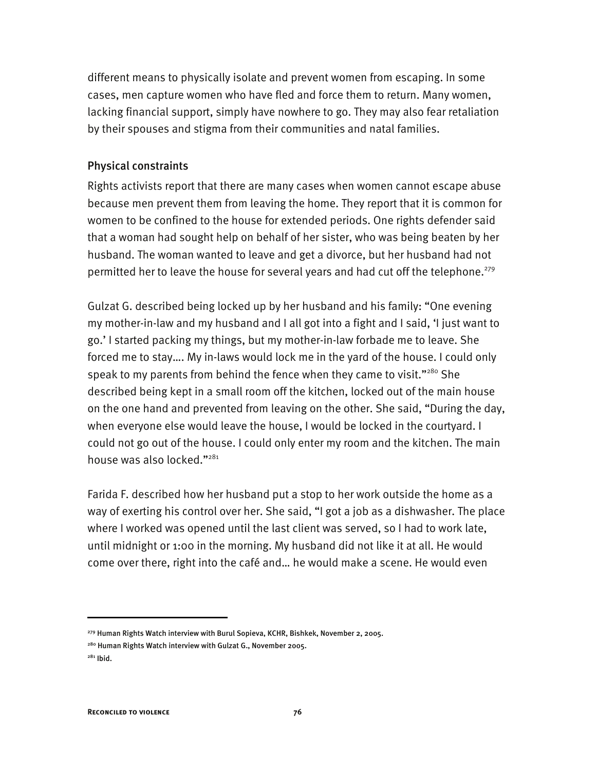different means to physically isolate and prevent women from escaping. In some cases, men capture women who have fled and force them to return. Many women, lacking financial support, simply have nowhere to go. They may also fear retaliation by their spouses and stigma from their communities and natal families.

#### Physical constraints

Rights activists report that there are many cases when women cannot escape abuse because men prevent them from leaving the home. They report that it is common for women to be confined to the house for extended periods. One rights defender said that a woman had sought help on behalf of her sister, who was being beaten by her husband. The woman wanted to leave and get a divorce, but her husband had not permitted her to leave the house for several years and had cut off the telephone.<sup>279</sup>

Gulzat G. described being locked up by her husband and his family: "One evening my mother-in-law and my husband and I all got into a fight and I said, 'I just want to go.' I started packing my things, but my mother-in-law forbade me to leave. She forced me to stay…. My in-laws would lock me in the yard of the house. I could only speak to my parents from behind the fence when they came to visit." $^{280}$  She described being kept in a small room off the kitchen, locked out of the main house on the one hand and prevented from leaving on the other. She said, "During the day, when everyone else would leave the house, I would be locked in the courtyard. I could not go out of the house. I could only enter my room and the kitchen. The main house was also locked."<sup>281</sup>

Farida F. described how her husband put a stop to her work outside the home as a way of exerting his control over her. She said, "I got a job as a dishwasher. The place where I worked was opened until the last client was served, so I had to work late, until midnight or 1:00 in the morning. My husband did not like it at all. He would come over there, right into the café and… he would make a scene. He would even

I

<sup>279</sup> Human Rights Watch interview with Burul Sopieva, KCHR, Bishkek, November 2, 2005.

<sup>&</sup>lt;sup>280</sup> Human Rights Watch interview with Gulzat G., November 2005.

 $281$  Ibid.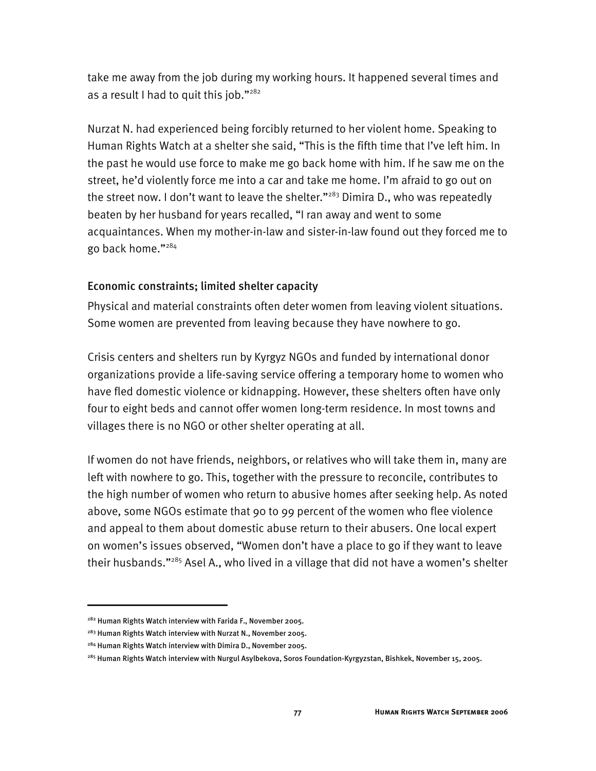take me away from the job during my working hours. It happened several times and as a result I had to quit this job."<sup>282</sup>

Nurzat N. had experienced being forcibly returned to her violent home. Speaking to Human Rights Watch at a shelter she said, "This is the fifth time that I've left him. In the past he would use force to make me go back home with him. If he saw me on the street, he'd violently force me into a car and take me home. I'm afraid to go out on the street now. I don't want to leave the shelter."<sup>283</sup> Dimira D., who was repeatedly beaten by her husband for years recalled, "I ran away and went to some acquaintances. When my mother-in-law and sister-in-law found out they forced me to go back home."284

### Economic constraints; limited shelter capacity

Physical and material constraints often deter women from leaving violent situations. Some women are prevented from leaving because they have nowhere to go.

Crisis centers and shelters run by Kyrgyz NGOs and funded by international donor organizations provide a life-saving service offering a temporary home to women who have fled domestic violence or kidnapping. However, these shelters often have only four to eight beds and cannot offer women long-term residence. In most towns and villages there is no NGO or other shelter operating at all.

If women do not have friends, neighbors, or relatives who will take them in, many are left with nowhere to go. This, together with the pressure to reconcile, contributes to the high number of women who return to abusive homes after seeking help. As noted above, some NGOs estimate that 90 to 99 percent of the women who flee violence and appeal to them about domestic abuse return to their abusers. One local expert on women's issues observed, "Women don't have a place to go if they want to leave their husbands."285 Asel A., who lived in a village that did not have a women's shelter

<sup>&</sup>lt;sup>282</sup> Human Rights Watch interview with Farida F., November 2005.

<sup>&</sup>lt;sup>283</sup> Human Rights Watch interview with Nurzat N., November 2005.

<sup>284</sup> Human Rights Watch interview with Dimira D., November 2005.

<sup>285</sup> Human Rights Watch interview with Nurgul Asylbekova, Soros Foundation-Kyrgyzstan, Bishkek, November 15, 2005.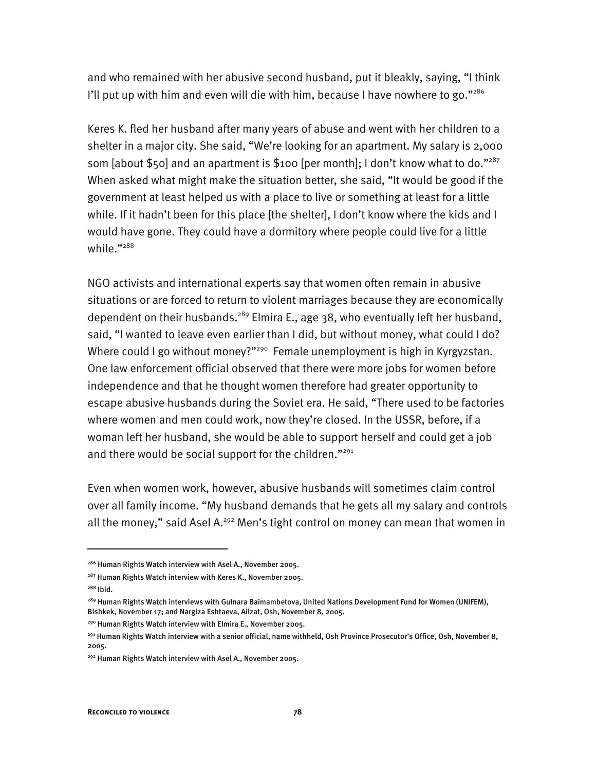and who remained with her abusive second husband, put it bleakly, saying, "I think I'll put up with him and even will die with him, because I have nowhere to go." $286$ 

Keres K. fled her husband after many years of abuse and went with her children to a shelter in a major city. She said, "We're looking for an apartment. My salary is 2,000 som [about \$50] and an apartment is \$100 [per month]; I don't know what to do."<sup>287</sup> When asked what might make the situation better, she said, "It would be good if the government at least helped us with a place to live or something at least for a little while. If it hadn't been for this place [the shelter], I don't know where the kids and I would have gone. They could have a dormitory where people could live for a little while."<sup>288</sup>

NGO activists and international experts say that women often remain in abusive situations or are forced to return to violent marriages because they are economically dependent on their husbands.<sup>289</sup> Elmira E., age 38, who eventually left her husband, said, "I wanted to leave even earlier than I did, but without money, what could I do? Where could I go without money?"<sup>290</sup> Female unemployment is high in Kyrgyzstan. One law enforcement official observed that there were more jobs for women before independence and that he thought women therefore had greater opportunity to escape abusive husbands during the Soviet era. He said, "There used to be factories where women and men could work, now they're closed. In the USSR, before, if a woman left her husband, she would be able to support herself and could get a job and there would be social support for the children."<sup>291</sup>

Even when women work, however, abusive husbands will sometimes claim control over all family income. "My husband demands that he gets all my salary and controls all the money," said Asel A.<sup>292</sup> Men's tight control on money can mean that women in

<sup>&</sup>lt;sup>286</sup> Human Rights Watch interview with Asel A., November 2005.

<sup>&</sup>lt;sup>287</sup> Human Rights Watch interview with Keres K., November 2005.

<sup>288</sup> Ibid.

<sup>289</sup> Human Rights Watch interviews with Gulnara Baimambetova, United Nations Development Fund for Women (UNIFEM), Bishkek, November 17; and Nargiza Eshtaeva, Ailzat, Osh, November 8, 2005.

<sup>&</sup>lt;sup>290</sup> Human Rights Watch interview with Elmira E., November 2005.

<sup>&</sup>lt;sup>291</sup> Human Rights Watch interview with a senior official, name withheld, Osh Province Prosecutor's Office, Osh, November 8, 2005.

<sup>292</sup> Human Rights Watch interview with Asel A., November 2005.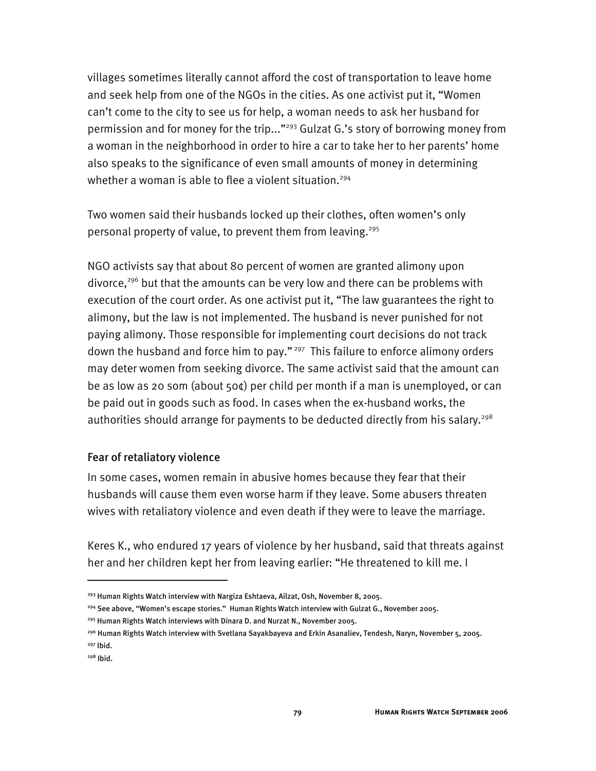villages sometimes literally cannot afford the cost of transportation to leave home and seek help from one of the NGOs in the cities. As one activist put it, "Women can't come to the city to see us for help, a woman needs to ask her husband for permission and for money for the trip..."<sup>293</sup> Gulzat G.'s story of borrowing money from a woman in the neighborhood in order to hire a car to take her to her parents' home also speaks to the significance of even small amounts of money in determining whether a woman is able to flee a violent situation.<sup>294</sup>

Two women said their husbands locked up their clothes, often women's only personal property of value, to prevent them from leaving.<sup>295</sup>

NGO activists say that about 80 percent of women are granted alimony upon divorce,<sup>296</sup> but that the amounts can be very low and there can be problems with execution of the court order. As one activist put it, "The law guarantees the right to alimony, but the law is not implemented. The husband is never punished for not paying alimony. Those responsible for implementing court decisions do not track down the husband and force him to pay."<sup>297</sup> This failure to enforce alimony orders may deter women from seeking divorce. The same activist said that the amount can be as low as 20 som (about 50¢) per child per month if a man is unemployed, or can be paid out in goods such as food. In cases when the ex-husband works, the authorities should arrange for payments to be deducted directly from his salary.<sup>298</sup>

### Fear of retaliatory violence

In some cases, women remain in abusive homes because they fear that their husbands will cause them even worse harm if they leave. Some abusers threaten wives with retaliatory violence and even death if they were to leave the marriage.

Keres K., who endured 17 years of violence by her husband, said that threats against her and her children kept her from leaving earlier: "He threatened to kill me. I

<sup>&</sup>lt;sup>293</sup> Human Rights Watch interview with Nargiza Eshtaeva, Ailzat, Osh, November 8, 2005.

<sup>294</sup> See above, "Women's escape stories." Human Rights Watch interview with Gulzat G., November 2005.

<sup>&</sup>lt;sup>295</sup> Human Rights Watch interviews with Dinara D. and Nurzat N., November 2005.

<sup>296</sup> Human Rights Watch interview with Svetlana Sayakbayeva and Erkin Asanaliev, Tendesh, Naryn, November 5, 2005. 297 Ibid.

<sup>298</sup> Ibid.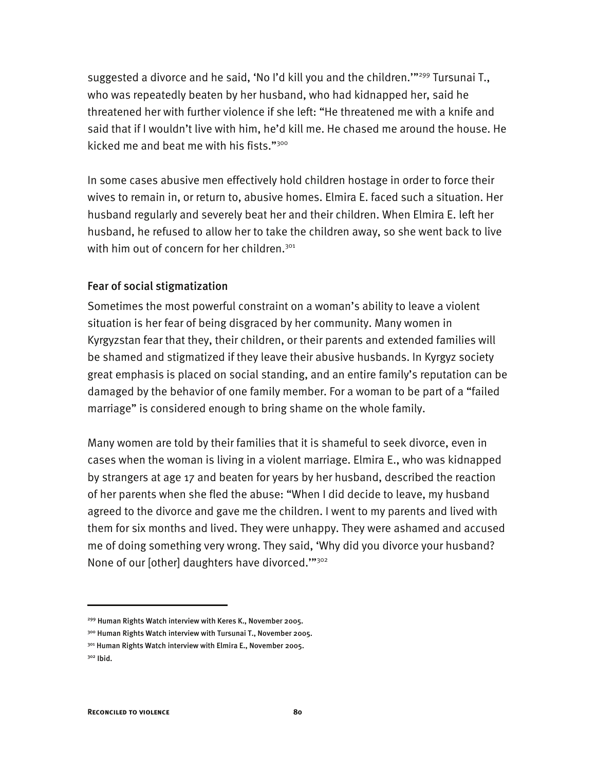suggested a divorce and he said, 'No I'd kill you and the children." $^{299}$  Tursunai T., who was repeatedly beaten by her husband, who had kidnapped her, said he threatened her with further violence if she left: "He threatened me with a knife and said that if I wouldn't live with him, he'd kill me. He chased me around the house. He kicked me and beat me with his fists."<sup>300</sup>

In some cases abusive men effectively hold children hostage in order to force their wives to remain in, or return to, abusive homes. Elmira E. faced such a situation. Her husband regularly and severely beat her and their children. When Elmira E. left her husband, he refused to allow her to take the children away, so she went back to live with him out of concern for her children.<sup>301</sup>

### Fear of social stigmatization

Sometimes the most powerful constraint on a woman's ability to leave a violent situation is her fear of being disgraced by her community. Many women in Kyrgyzstan fear that they, their children, or their parents and extended families will be shamed and stigmatized if they leave their abusive husbands. In Kyrgyz society great emphasis is placed on social standing, and an entire family's reputation can be damaged by the behavior of one family member. For a woman to be part of a "failed marriage" is considered enough to bring shame on the whole family.

Many women are told by their families that it is shameful to seek divorce, even in cases when the woman is living in a violent marriage. Elmira E., who was kidnapped by strangers at age 17 and beaten for years by her husband, described the reaction of her parents when she fled the abuse: "When I did decide to leave, my husband agreed to the divorce and gave me the children. I went to my parents and lived with them for six months and lived. They were unhappy. They were ashamed and accused me of doing something very wrong. They said, 'Why did you divorce your husband? None of our [other] daughters have divorced.""302

<sup>&</sup>lt;sup>299</sup> Human Rights Watch interview with Keres K., November 2005.

<sup>300</sup> Human Rights Watch interview with Tursunai T., November 2005.

<sup>301</sup> Human Rights Watch interview with Elmira E., November 2005.

<sup>302</sup> Ibid.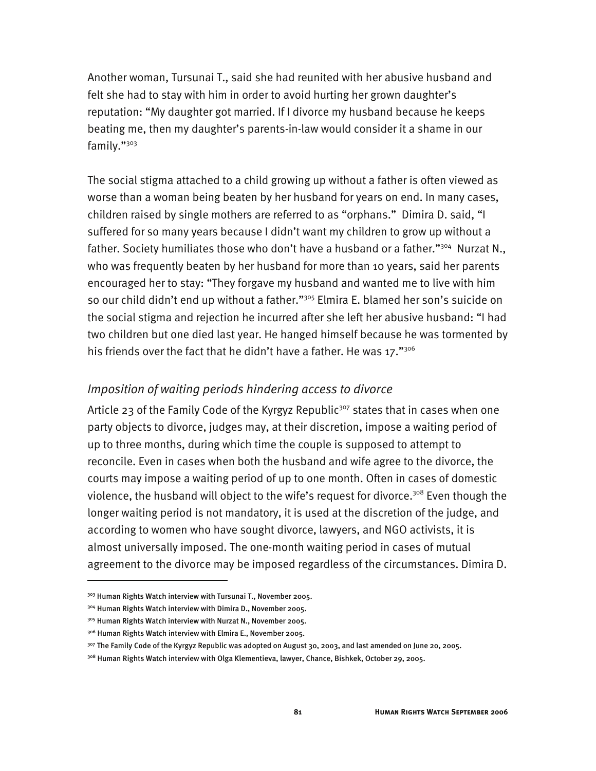Another woman, Tursunai T., said she had reunited with her abusive husband and felt she had to stay with him in order to avoid hurting her grown daughter's reputation: "My daughter got married. If I divorce my husband because he keeps beating me, then my daughter's parents-in-law would consider it a shame in our family."303

The social stigma attached to a child growing up without a father is often viewed as worse than a woman being beaten by her husband for years on end. In many cases, children raised by single mothers are referred to as "orphans." Dimira D. said, "I suffered for so many years because I didn't want my children to grow up without a father. Society humiliates those who don't have a husband or a father."<sup>304</sup> Nurzat N., who was frequently beaten by her husband for more than 10 years, said her parents encouraged her to stay: "They forgave my husband and wanted me to live with him so our child didn't end up without a father."<sup>305</sup> Elmira E. blamed her son's suicide on the social stigma and rejection he incurred after she left her abusive husband: "I had two children but one died last year. He hanged himself because he was tormented by his friends over the fact that he didn't have a father. He was 17."<sup>306</sup>

#### *Imposition of waiting periods hindering access to divorce*

Article 23 of the Family Code of the Kyrgyz Republic<sup>307</sup> states that in cases when one party objects to divorce, judges may, at their discretion, impose a waiting period of up to three months, during which time the couple is supposed to attempt to reconcile. Even in cases when both the husband and wife agree to the divorce, the courts may impose a waiting period of up to one month. Often in cases of domestic violence, the husband will object to the wife's request for divorce.<sup>308</sup> Even though the longer waiting period is not mandatory, it is used at the discretion of the judge, and according to women who have sought divorce, lawyers, and NGO activists, it is almost universally imposed. The one-month waiting period in cases of mutual agreement to the divorce may be imposed regardless of the circumstances. Dimira D.

<sup>303</sup> Human Rights Watch interview with Tursunai T., November 2005.

<sup>304</sup> Human Rights Watch interview with Dimira D., November 2005.

<sup>305</sup> Human Rights Watch interview with Nurzat N., November 2005.

<sup>&</sup>lt;sup>306</sup> Human Rights Watch interview with Elmira E., November 2005.

 $307$  The Family Code of the Kyrgyz Republic was adopted on August 30, 2003, and last amended on June 20, 2005.

<sup>308</sup> Human Rights Watch interview with Olga Klementieva, lawyer, Chance, Bishkek, October 29, 2005.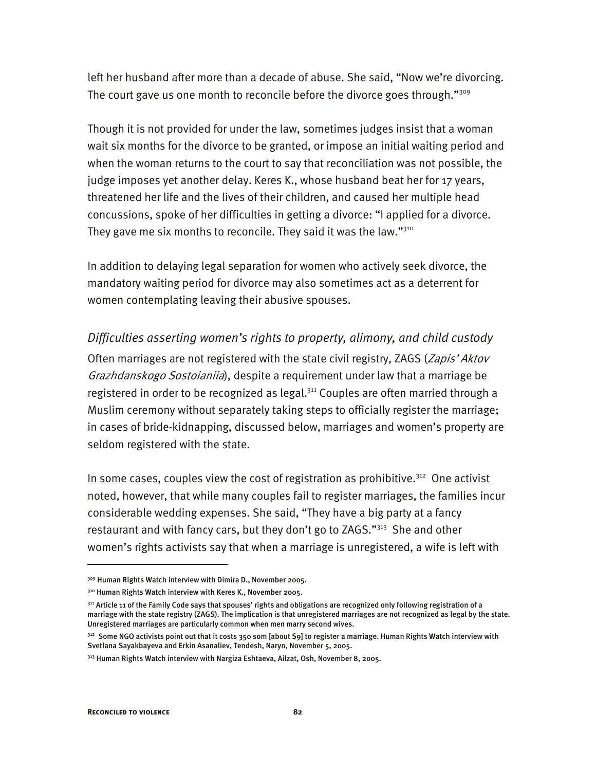left her husband after more than a decade of abuse. She said, "Now we're divorcing. The court gave us one month to reconcile before the divorce goes through."<sup>309</sup>

Though it is not provided for under the law, sometimes judges insist that a woman wait six months for the divorce to be granted, or impose an initial waiting period and when the woman returns to the court to say that reconciliation was not possible, the judge imposes yet another delay. Keres K., whose husband beat her for 17 years, threatened her life and the lives of their children, and caused her multiple head concussions, spoke of her difficulties in getting a divorce: "I applied for a divorce. They gave me six months to reconcile. They said it was the law." $310$ 

In addition to delaying legal separation for women who actively seek divorce, the mandatory waiting period for divorce may also sometimes act as a deterrent for women contemplating leaving their abusive spouses.

### *Difficulties asserting women's rights to property, alimony, and child custody*

Often marriages are not registered with the state civil registry, ZAGS (Zapis' Aktov Grazhdanskogo Sostoianiia), despite a requirement under law that a marriage be registered in order to be recognized as legal.<sup>311</sup> Couples are often married through a Muslim ceremony without separately taking steps to officially register the marriage; in cases of bride-kidnapping, discussed below, marriages and women's property are seldom registered with the state.

In some cases, couples view the cost of registration as prohibitive.<sup>312</sup> One activist noted, however, that while many couples fail to register marriages, the families incur considerable wedding expenses. She said, "They have a big party at a fancy restaurant and with fancy cars, but they don't go to ZAGS."<sup>313</sup> She and other women's rights activists say that when a marriage is unregistered, a wife is left with

<sup>309</sup> Human Rights Watch interview with Dimira D., November 2005.

<sup>310</sup> Human Rights Watch interview with Keres K., November 2005.

<sup>&</sup>lt;sup>311</sup> Article 11 of the Family Code says that spouses' rights and obligations are recognized only following registration of a marriage with the state registry (ZAGS). The implication is that unregistered marriages are not recognized as legal by the state. Unregistered marriages are particularly common when men marry second wives.

<sup>&</sup>lt;sup>312</sup> Some NGO activists point out that it costs 350 som [about \$9] to register a marriage. Human Rights Watch interview with Svetlana Sayakbayeva and Erkin Asanaliev, Tendesh, Naryn, November 5, 2005.

<sup>&</sup>lt;sup>313</sup> Human Rights Watch interview with Nargiza Eshtaeva, Ailzat, Osh, November 8, 2005.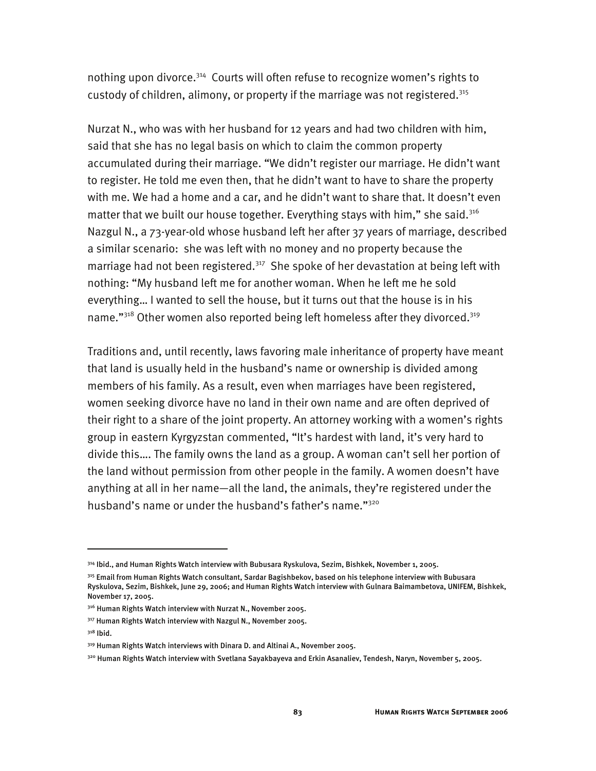nothing upon divorce.<sup>314</sup> Courts will often refuse to recognize women's rights to custody of children, alimony, or property if the marriage was not registered.315

Nurzat N., who was with her husband for 12 years and had two children with him, said that she has no legal basis on which to claim the common property accumulated during their marriage. "We didn't register our marriage. He didn't want to register. He told me even then, that he didn't want to have to share the property with me. We had a home and a car, and he didn't want to share that. It doesn't even matter that we built our house together. Everything stays with him," she said.<sup>316</sup> Nazgul N., a 73-year-old whose husband left her after 37 years of marriage, described a similar scenario: she was left with no money and no property because the marriage had not been registered.<sup>317</sup> She spoke of her devastation at being left with nothing: "My husband left me for another woman. When he left me he sold everything… I wanted to sell the house, but it turns out that the house is in his name."<sup>318</sup> Other women also reported being left homeless after they divorced.<sup>319</sup>

Traditions and, until recently, laws favoring male inheritance of property have meant that land is usually held in the husband's name or ownership is divided among members of his family. As a result, even when marriages have been registered, women seeking divorce have no land in their own name and are often deprived of their right to a share of the joint property. An attorney working with a women's rights group in eastern Kyrgyzstan commented, "It's hardest with land, it's very hard to divide this…. The family owns the land as a group. A woman can't sell her portion of the land without permission from other people in the family. A women doesn't have anything at all in her name—all the land, the animals, they're registered under the husband's name or under the husband's father's name."<sup>320</sup>

<sup>314</sup> Ibid., and Human Rights Watch interview with Bubusara Ryskulova, Sezim, Bishkek, November 1, 2005.

<sup>315</sup> Email from Human Rights Watch consultant, Sardar Bagishbekov, based on his telephone interview with Bubusara Ryskulova, Sezim, Bishkek, June 29, 2006; and Human Rights Watch interview with Gulnara Baimambetova, UNIFEM, Bishkek, November 17, 2005.

<sup>&</sup>lt;sup>316</sup> Human Rights Watch interview with Nurzat N., November 2005.

<sup>&</sup>lt;sup>317</sup> Human Rights Watch interview with Nazgul N., November 2005.

 $318$  Ibid.

<sup>319</sup> Human Rights Watch interviews with Dinara D. and Altinai A., November 2005.

<sup>320</sup> Human Rights Watch interview with Svetlana Sayakbayeva and Erkin Asanaliev, Tendesh, Naryn, November 5, 2005.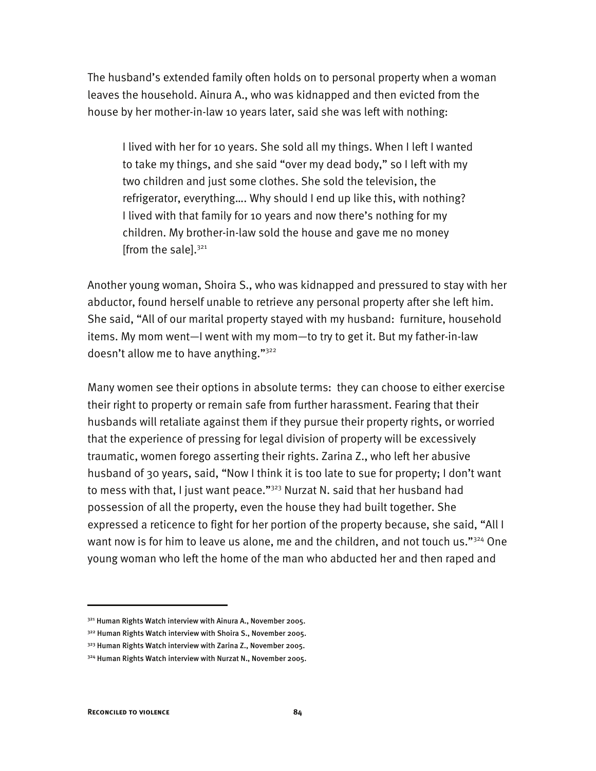The husband's extended family often holds on to personal property when a woman leaves the household. Ainura A., who was kidnapped and then evicted from the house by her mother-in-law 10 years later, said she was left with nothing:

I lived with her for 10 years. She sold all my things. When I left I wanted to take my things, and she said "over my dead body," so I left with my two children and just some clothes. She sold the television, the refrigerator, everything…. Why should I end up like this, with nothing? I lived with that family for 10 years and now there's nothing for my children. My brother-in-law sold the house and gave me no money [from the sale]. $321$ 

Another young woman, Shoira S., who was kidnapped and pressured to stay with her abductor, found herself unable to retrieve any personal property after she left him. She said, "All of our marital property stayed with my husband: furniture, household items. My mom went—I went with my mom—to try to get it. But my father-in-law doesn't allow me to have anything."<sup>322</sup>

Many women see their options in absolute terms: they can choose to either exercise their right to property or remain safe from further harassment. Fearing that their husbands will retaliate against them if they pursue their property rights, or worried that the experience of pressing for legal division of property will be excessively traumatic, women forego asserting their rights. Zarina Z., who left her abusive husband of 30 years, said, "Now I think it is too late to sue for property; I don't want to mess with that, I just want peace."<sup>323</sup> Nurzat N. said that her husband had possession of all the property, even the house they had built together. She expressed a reticence to fight for her portion of the property because, she said, "All I want now is for him to leave us alone, me and the children, and not touch us."<sup>324</sup> One young woman who left the home of the man who abducted her and then raped and

<sup>&</sup>lt;sup>321</sup> Human Rights Watch interview with Ainura A., November 2005.

<sup>&</sup>lt;sup>322</sup> Human Rights Watch interview with Shoira S., November 2005.

<sup>&</sup>lt;sup>323</sup> Human Rights Watch interview with Zarina Z., November 2005.

<sup>324</sup> Human Rights Watch interview with Nurzat N., November 2005.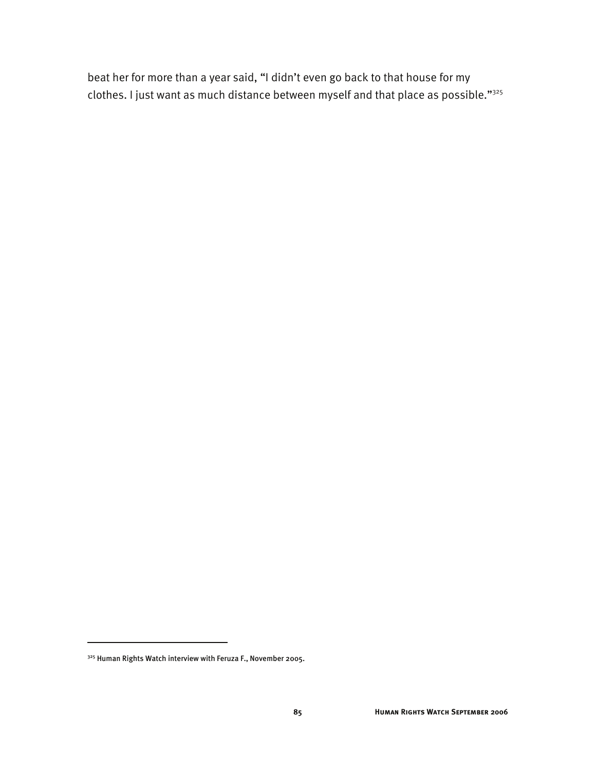beat her for more than a year said, "I didn't even go back to that house for my clothes. I just want as much distance between myself and that place as possible."325

I

<sup>325</sup> Human Rights Watch interview with Feruza F., November 2005.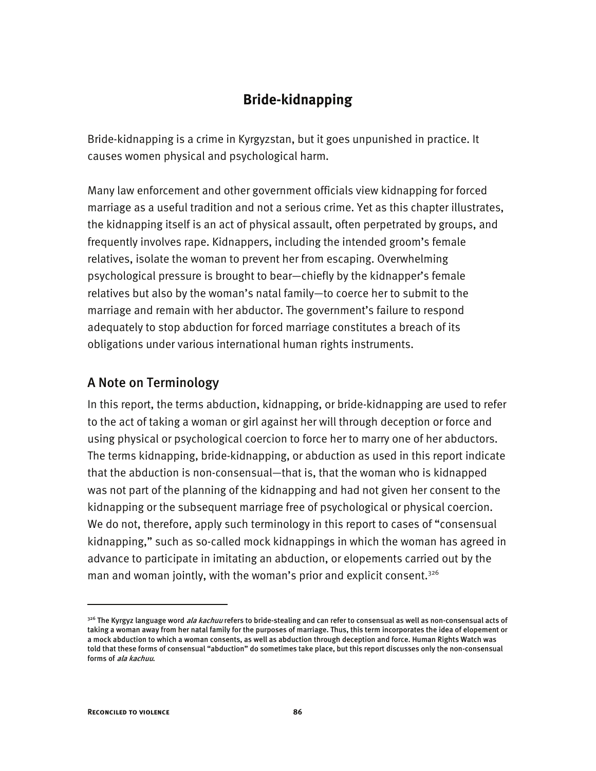# **Bride-kidnapping**

Bride-kidnapping is a crime in Kyrgyzstan, but it goes unpunished in practice. It causes women physical and psychological harm.

Many law enforcement and other government officials view kidnapping for forced marriage as a useful tradition and not a serious crime. Yet as this chapter illustrates, the kidnapping itself is an act of physical assault, often perpetrated by groups, and frequently involves rape. Kidnappers, including the intended groom's female relatives, isolate the woman to prevent her from escaping. Overwhelming psychological pressure is brought to bear—chiefly by the kidnapper's female relatives but also by the woman's natal family—to coerce her to submit to the marriage and remain with her abductor. The government's failure to respond adequately to stop abduction for forced marriage constitutes a breach of its obligations under various international human rights instruments.

# A Note on Terminology

In this report, the terms abduction, kidnapping, or bride-kidnapping are used to refer to the act of taking a woman or girl against her will through deception or force and using physical or psychological coercion to force her to marry one of her abductors. The terms kidnapping, bride-kidnapping, or abduction as used in this report indicate that the abduction is non-consensual—that is, that the woman who is kidnapped was not part of the planning of the kidnapping and had not given her consent to the kidnapping or the subsequent marriage free of psychological or physical coercion. We do not, therefore, apply such terminology in this report to cases of "consensual kidnapping," such as so-called mock kidnappings in which the woman has agreed in advance to participate in imitating an abduction, or elopements carried out by the man and woman jointly, with the woman's prior and explicit consent.<sup>326</sup>

<sup>&</sup>lt;sup>326</sup> The Kyrgyz language word *ala kachuu* refers to bride-stealing and can refer to consensual as well as non-consensual acts of taking a woman away from her natal family for the purposes of marriage. Thus, this term incorporates the idea of elopement or a mock abduction to which a woman consents, as well as abduction through deception and force. Human Rights Watch was told that these forms of consensual "abduction" do sometimes take place, but this report discusses only the non-consensual forms of ala kachuu.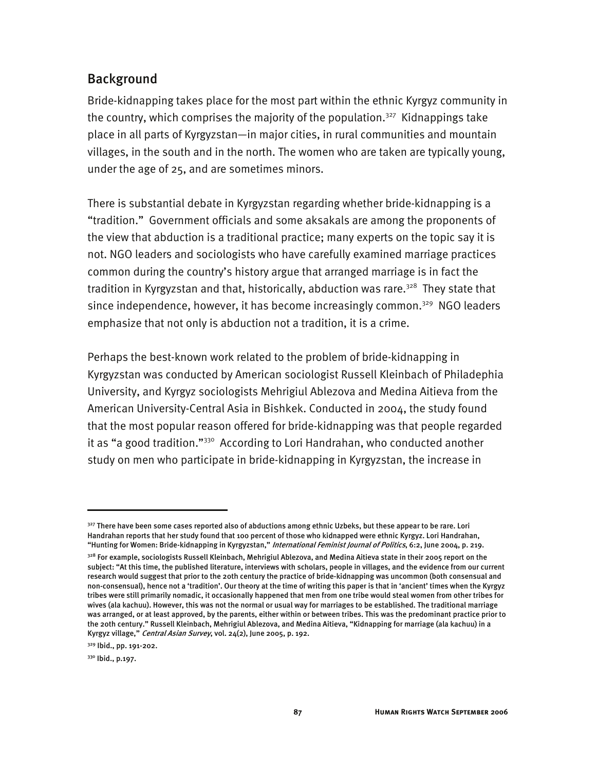# Background

Bride-kidnapping takes place for the most part within the ethnic Kyrgyz community in the country, which comprises the majority of the population.<sup>327</sup> Kidnappings take place in all parts of Kyrgyzstan—in major cities, in rural communities and mountain villages, in the south and in the north. The women who are taken are typically young, under the age of 25, and are sometimes minors.

There is substantial debate in Kyrgyzstan regarding whether bride-kidnapping is a "tradition." Government officials and some aksakals are among the proponents of the view that abduction is a traditional practice; many experts on the topic say it is not. NGO leaders and sociologists who have carefully examined marriage practices common during the country's history argue that arranged marriage is in fact the tradition in Kyrgyzstan and that, historically, abduction was rare.<sup>328</sup> They state that since independence, however, it has become increasingly common.<sup>329</sup> NGO leaders emphasize that not only is abduction not a tradition, it is a crime.

Perhaps the best-known work related to the problem of bride-kidnapping in Kyrgyzstan was conducted by American sociologist Russell Kleinbach of Philadephia University, and Kyrgyz sociologists Mehrigiul Ablezova and Medina Aitieva from the American University-Central Asia in Bishkek. Conducted in 2004, the study found that the most popular reason offered for bride-kidnapping was that people regarded it as "a good tradition."<sup>330</sup> According to Lori Handrahan, who conducted another study on men who participate in bride-kidnapping in Kyrgyzstan, the increase in

I

<sup>327</sup> There have been some cases reported also of abductions among ethnic Uzbeks, but these appear to be rare. Lori Handrahan reports that her study found that 100 percent of those who kidnapped were ethnic Kyrgyz. Lori Handrahan, "Hunting for Women: Bride-kidnapping in Kyrgyzstan," International Feminist Journal of Politics, 6:2, June 2004, p. 219.

 $^{328}$  For example, sociologists Russell Kleinbach, Mehrigiul Ablezova, and Medina Aitieva state in their 2005 report on the subject: "At this time, the published literature, interviews with scholars, people in villages, and the evidence from our current research would suggest that prior to the 20th century the practice of bride-kidnapping was uncommon (both consensual and non-consensual), hence not a 'tradition'. Our theory at the time of writing this paper is that in 'ancient' times when the Kyrgyz tribes were still primarily nomadic, it occasionally happened that men from one tribe would steal women from other tribes for wives (ala kachuu). However, this was not the normal or usual way for marriages to be established. The traditional marriage was arranged, or at least approved, by the parents, either within or between tribes. This was the predominant practice prior to the 20th century." Russell Kleinbach, Mehrigiul Ablezova, and Medina Aitieva, "Kidnapping for marriage (ala kachuu) in a Kyrgyz village," Central Asian Survey, vol. 24(2), June 2005, p. 192.

<sup>329</sup> Ibid., pp. 191-202.

<sup>330</sup> Ibid., p.197.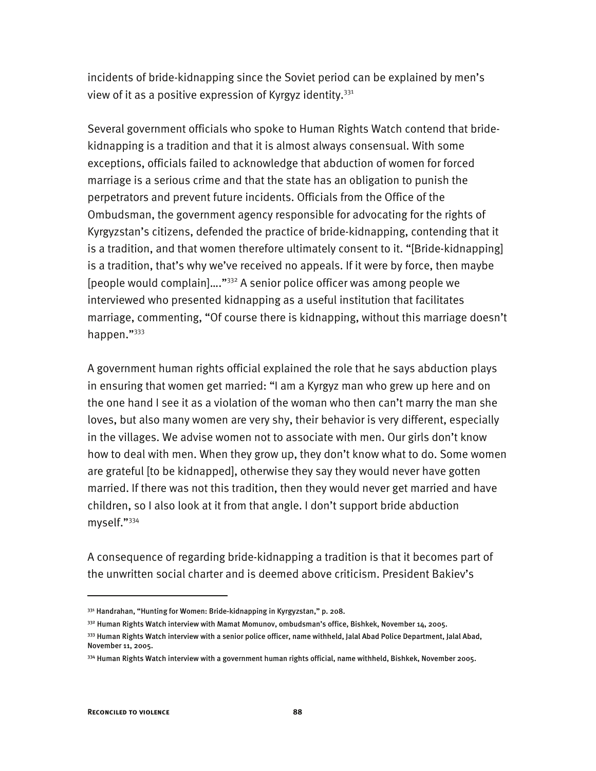incidents of bride-kidnapping since the Soviet period can be explained by men's view of it as a positive expression of Kyrgyz identity.<sup>331</sup>

Several government officials who spoke to Human Rights Watch contend that bridekidnapping is a tradition and that it is almost always consensual. With some exceptions, officials failed to acknowledge that abduction of women for forced marriage is a serious crime and that the state has an obligation to punish the perpetrators and prevent future incidents. Officials from the Office of the Ombudsman, the government agency responsible for advocating for the rights of Kyrgyzstan's citizens, defended the practice of bride-kidnapping, contending that it is a tradition, and that women therefore ultimately consent to it. "[Bride-kidnapping] is a tradition, that's why we've received no appeals. If it were by force, then maybe [people would complain]…."332 A senior police officer was among people we interviewed who presented kidnapping as a useful institution that facilitates marriage, commenting, "Of course there is kidnapping, without this marriage doesn't happen."333

A government human rights official explained the role that he says abduction plays in ensuring that women get married: "I am a Kyrgyz man who grew up here and on the one hand I see it as a violation of the woman who then can't marry the man she loves, but also many women are very shy, their behavior is very different, especially in the villages. We advise women not to associate with men. Our girls don't know how to deal with men. When they grow up, they don't know what to do. Some women are grateful [to be kidnapped], otherwise they say they would never have gotten married. If there was not this tradition, then they would never get married and have children, so I also look at it from that angle. I don't support bride abduction myself."334

A consequence of regarding bride-kidnapping a tradition is that it becomes part of the unwritten social charter and is deemed above criticism. President Bakiev's

332 Human Rights Watch interview with Mamat Momunov, ombudsman's office, Bishkek, November 14, 2005.

<sup>331</sup> Handrahan, "Hunting for Women: Bride-kidnapping in Kyrgyzstan," p. 208.

<sup>333</sup> Human Rights Watch interview with a senior police officer, name withheld, Jalal Abad Police Department, Jalal Abad, November 11, 2005.

<sup>334</sup> Human Rights Watch interview with a government human rights official, name withheld, Bishkek, November 2005.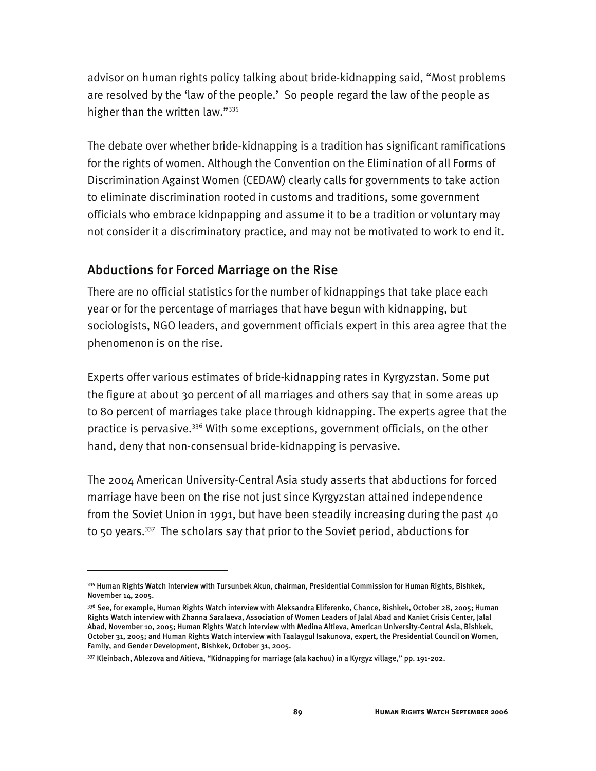advisor on human rights policy talking about bride-kidnapping said, "Most problems are resolved by the 'law of the people.' So people regard the law of the people as higher than the written law."335

The debate over whether bride-kidnapping is a tradition has significant ramifications for the rights of women. Although the Convention on the Elimination of all Forms of Discrimination Against Women (CEDAW) clearly calls for governments to take action to eliminate discrimination rooted in customs and traditions, some government officials who embrace kidnpapping and assume it to be a tradition or voluntary may not consider it a discriminatory practice, and may not be motivated to work to end it.

# Abductions for Forced Marriage on the Rise

-

There are no official statistics for the number of kidnappings that take place each year or for the percentage of marriages that have begun with kidnapping, but sociologists, NGO leaders, and government officials expert in this area agree that the phenomenon is on the rise.

Experts offer various estimates of bride-kidnapping rates in Kyrgyzstan. Some put the figure at about 30 percent of all marriages and others say that in some areas up to 80 percent of marriages take place through kidnapping. The experts agree that the practice is pervasive.<sup>336</sup> With some exceptions, government officials, on the other hand, deny that non-consensual bride-kidnapping is pervasive.

The 2004 American University-Central Asia study asserts that abductions for forced marriage have been on the rise not just since Kyrgyzstan attained independence from the Soviet Union in 1991, but have been steadily increasing during the past  $40$ to 50 years.337 The scholars say that prior to the Soviet period, abductions for

<sup>335</sup> Human Rights Watch interview with Tursunbek Akun, chairman, Presidential Commission for Human Rights, Bishkek, November 14, 2005.

<sup>336</sup> See, for example, Human Rights Watch interview with Aleksandra Eliferenko, Chance, Bishkek, October 28, 2005; Human Rights Watch interview with Zhanna Saralaeva, Association of Women Leaders of Jalal Abad and Kaniet Crisis Center, Jalal Abad, November 10, 2005; Human Rights Watch interview with Medina Aitieva, American University-Central Asia, Bishkek, October 31, 2005; and Human Rights Watch interview with Taalaygul Isakunova, expert, the Presidential Council on Women, Family, and Gender Development, Bishkek, October 31, 2005.

<sup>337</sup> Kleinbach, Ablezova and Aitieva, "Kidnapping for marriage (ala kachuu) in a Kyrgyz village," pp. 191-202.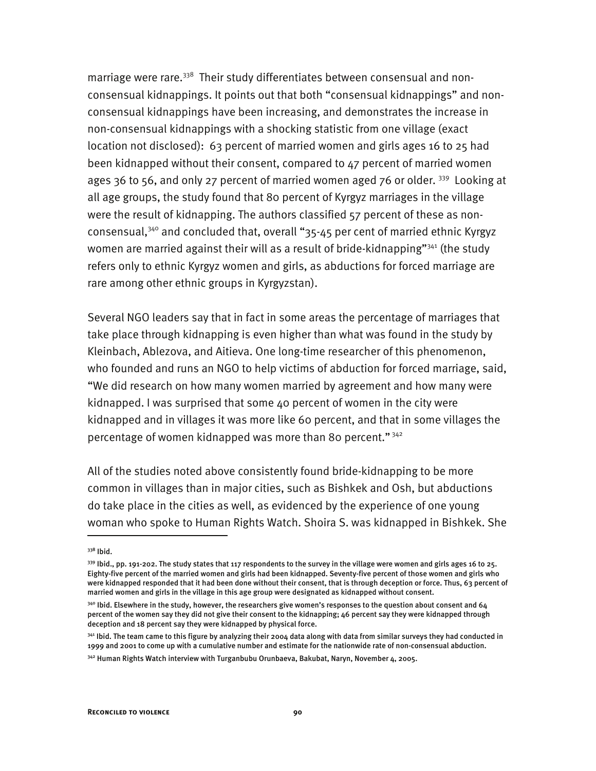marriage were rare.<sup>338</sup> Their study differentiates between consensual and nonconsensual kidnappings. It points out that both "consensual kidnappings" and nonconsensual kidnappings have been increasing, and demonstrates the increase in non-consensual kidnappings with a shocking statistic from one village (exact location not disclosed): 63 percent of married women and girls ages 16 to 25 had been kidnapped without their consent, compared to 47 percent of married women ages 36 to 56, and only 27 percent of married women aged 76 or older.  $339$  Looking at all age groups, the study found that 80 percent of Kyrgyz marriages in the village were the result of kidnapping. The authors classified 57 percent of these as nonconsensual,340 and concluded that, overall "35-45 per cent of married ethnic Kyrgyz women are married against their will as a result of bride-kidnapping"<sup>341</sup> (the study refers only to ethnic Kyrgyz women and girls, as abductions for forced marriage are rare among other ethnic groups in Kyrgyzstan).

Several NGO leaders say that in fact in some areas the percentage of marriages that take place through kidnapping is even higher than what was found in the study by Kleinbach, Ablezova, and Aitieva. One long-time researcher of this phenomenon, who founded and runs an NGO to help victims of abduction for forced marriage, said, "We did research on how many women married by agreement and how many were kidnapped. I was surprised that some 40 percent of women in the city were kidnapped and in villages it was more like 60 percent, and that in some villages the percentage of women kidnapped was more than 80 percent." 342

All of the studies noted above consistently found bride-kidnapping to be more common in villages than in major cities, such as Bishkek and Osh, but abductions do take place in the cities as well, as evidenced by the experience of one young woman who spoke to Human Rights Watch. Shoira S. was kidnapped in Bishkek. She

<sup>338</sup> Ibid.

<sup>339</sup> Ibid., pp. 191-202. The study states that 117 respondents to the survey in the village were women and girls ages 16 to 25. Eighty-five percent of the married women and girls had been kidnapped. Seventy-five percent of those women and girls who were kidnapped responded that it had been done without their consent, that is through deception or force. Thus, 63 percent of married women and girls in the village in this age group were designated as kidnapped without consent.

 $340$  Ibid. Elsewhere in the study, however, the researchers give women's responses to the question about consent and 64 percent of the women say they did not give their consent to the kidnapping; 46 percent say they were kidnapped through deception and 18 percent say they were kidnapped by physical force.

<sup>341</sup> Ibid. The team came to this figure by analyzing their 2004 data along with data from similar surveys they had conducted in 1999 and 2001 to come up with a cumulative number and estimate for the nationwide rate of non-consensual abduction.

<sup>&</sup>lt;sup>342</sup> Human Rights Watch interview with Turganbubu Orunbaeva, Bakubat, Naryn, November 4, 2005.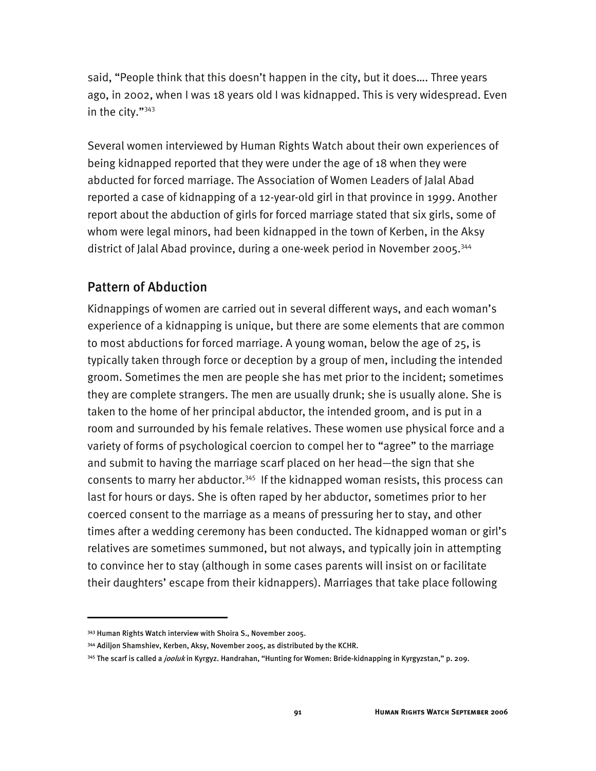said, "People think that this doesn't happen in the city, but it does…. Three years ago, in 2002, when I was 18 years old I was kidnapped. This is very widespread. Even in the city."343

Several women interviewed by Human Rights Watch about their own experiences of being kidnapped reported that they were under the age of 18 when they were abducted for forced marriage. The Association of Women Leaders of Jalal Abad reported a case of kidnapping of a 12-year-old girl in that province in 1999. Another report about the abduction of girls for forced marriage stated that six girls, some of whom were legal minors, had been kidnapped in the town of Kerben, in the Aksy district of Jalal Abad province, during a one-week period in November 2005.344

### Pattern of Abduction

Kidnappings of women are carried out in several different ways, and each woman's experience of a kidnapping is unique, but there are some elements that are common to most abductions for forced marriage. A young woman, below the age of 25, is typically taken through force or deception by a group of men, including the intended groom. Sometimes the men are people she has met prior to the incident; sometimes they are complete strangers. The men are usually drunk; she is usually alone. She is taken to the home of her principal abductor, the intended groom, and is put in a room and surrounded by his female relatives. These women use physical force and a variety of forms of psychological coercion to compel her to "agree" to the marriage and submit to having the marriage scarf placed on her head—the sign that she consents to marry her abductor.<sup>345</sup> If the kidnapped woman resists, this process can last for hours or days. She is often raped by her abductor, sometimes prior to her coerced consent to the marriage as a means of pressuring her to stay, and other times after a wedding ceremony has been conducted. The kidnapped woman or girl's relatives are sometimes summoned, but not always, and typically join in attempting to convince her to stay (although in some cases parents will insist on or facilitate their daughters' escape from their kidnappers). Marriages that take place following

<sup>343</sup> Human Rights Watch interview with Shoira S., November 2005.

<sup>344</sup> Adiljon Shamshiev, Kerben, Aksy, November 2005, as distributed by the KCHR.

<sup>&</sup>lt;sup>345</sup> The scarf is called a *jooluk* in Kyrgyz. Handrahan, "Hunting for Women: Bride-kidnapping in Kyrgyzstan," p. 209.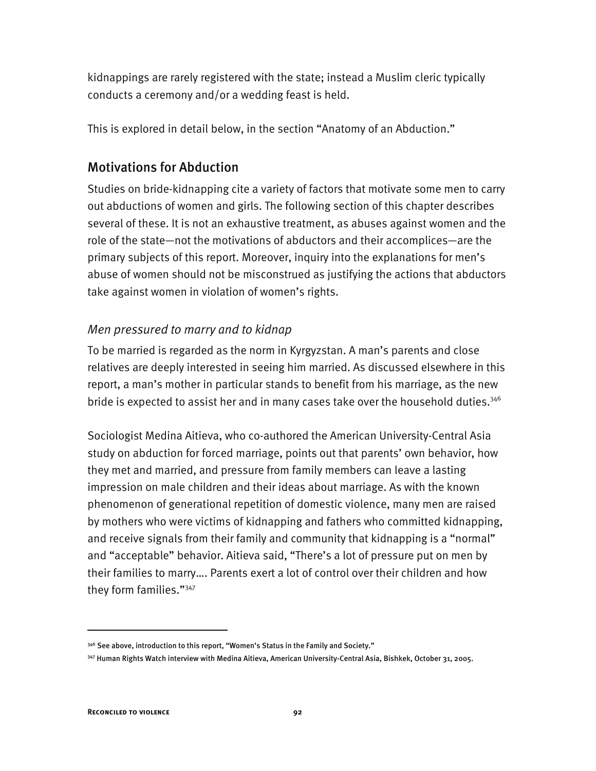kidnappings are rarely registered with the state; instead a Muslim cleric typically conducts a ceremony and/or a wedding feast is held.

This is explored in detail below, in the section "Anatomy of an Abduction."

# Motivations for Abduction

Studies on bride-kidnapping cite a variety of factors that motivate some men to carry out abductions of women and girls. The following section of this chapter describes several of these. It is not an exhaustive treatment, as abuses against women and the role of the state—not the motivations of abductors and their accomplices—are the primary subjects of this report. Moreover, inquiry into the explanations for men's abuse of women should not be misconstrued as justifying the actions that abductors take against women in violation of women's rights.

# *Men pressured to marry and to kidnap*

To be married is regarded as the norm in Kyrgyzstan. A man's parents and close relatives are deeply interested in seeing him married. As discussed elsewhere in this report, a man's mother in particular stands to benefit from his marriage, as the new bride is expected to assist her and in many cases take over the household duties.<sup>346</sup>

Sociologist Medina Aitieva, who co-authored the American University-Central Asia study on abduction for forced marriage, points out that parents' own behavior, how they met and married, and pressure from family members can leave a lasting impression on male children and their ideas about marriage. As with the known phenomenon of generational repetition of domestic violence, many men are raised by mothers who were victims of kidnapping and fathers who committed kidnapping, and receive signals from their family and community that kidnapping is a "normal" and "acceptable" behavior. Aitieva said, "There's a lot of pressure put on men by their families to marry…. Parents exert a lot of control over their children and how they form families."<sup>347</sup>

 $346$  See above, introduction to this report, "Women's Status in the Family and Society."

<sup>347</sup> Human Rights Watch interview with Medina Aitieva, American University-Central Asia, Bishkek, October 31, 2005.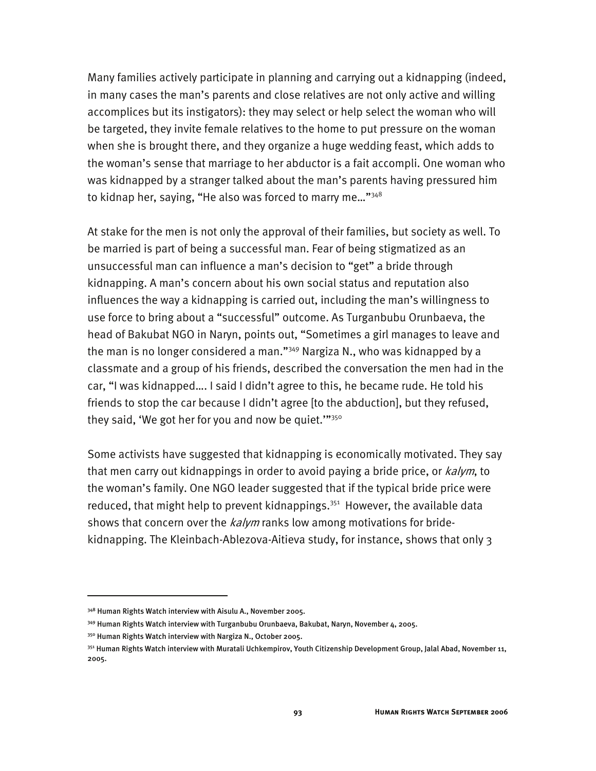Many families actively participate in planning and carrying out a kidnapping (indeed, in many cases the man's parents and close relatives are not only active and willing accomplices but its instigators): they may select or help select the woman who will be targeted, they invite female relatives to the home to put pressure on the woman when she is brought there, and they organize a huge wedding feast, which adds to the woman's sense that marriage to her abductor is a fait accompli. One woman who was kidnapped by a stranger talked about the man's parents having pressured him to kidnap her, saying, "He also was forced to marry me..." $348$ 

At stake for the men is not only the approval of their families, but society as well. To be married is part of being a successful man. Fear of being stigmatized as an unsuccessful man can influence a man's decision to "get" a bride through kidnapping. A man's concern about his own social status and reputation also influences the way a kidnapping is carried out, including the man's willingness to use force to bring about a "successful" outcome. As Turganbubu Orunbaeva, the head of Bakubat NGO in Naryn, points out, "Sometimes a girl manages to leave and the man is no longer considered a man."<sup>349</sup> Nargiza N., who was kidnapped by a classmate and a group of his friends, described the conversation the men had in the car, "I was kidnapped…. I said I didn't agree to this, he became rude. He told his friends to stop the car because I didn't agree [to the abduction], but they refused, they said, 'We got her for you and now be quiet.""<sup>350</sup>

Some activists have suggested that kidnapping is economically motivated. They say that men carry out kidnappings in order to avoid paying a bride price, or kalym, to the woman's family. One NGO leader suggested that if the typical bride price were reduced, that might help to prevent kidnappings.<sup>351</sup> However, the available data shows that concern over the  $kalym$  ranks low among motivations for bridekidnapping. The Kleinbach-Ablezova-Aitieva study, for instance, shows that only 3

<sup>&</sup>lt;sup>348</sup> Human Rights Watch interview with Aisulu A., November 2005.

<sup>349</sup> Human Rights Watch interview with Turganbubu Orunbaeva, Bakubat, Naryn, November 4, 2005.

<sup>350</sup> Human Rights Watch interview with Nargiza N., October 2005.

<sup>&</sup>lt;sup>351</sup> Human Rights Watch interview with Muratali Uchkempirov, Youth Citizenship Development Group, Jalal Abad, November 11, 2005.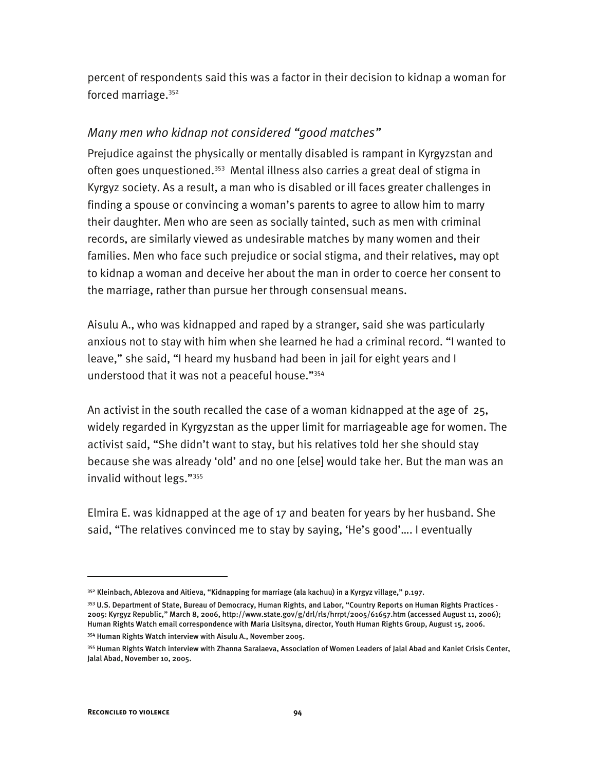percent of respondents said this was a factor in their decision to kidnap a woman for forced marriage.<sup>352</sup>

### *Many men who kidnap not considered "good matches"*

Prejudice against the physically or mentally disabled is rampant in Kyrgyzstan and often goes unquestioned.<sup>353</sup> Mental illness also carries a great deal of stigma in Kyrgyz society. As a result, a man who is disabled or ill faces greater challenges in finding a spouse or convincing a woman's parents to agree to allow him to marry their daughter. Men who are seen as socially tainted, such as men with criminal records, are similarly viewed as undesirable matches by many women and their families. Men who face such prejudice or social stigma, and their relatives, may opt to kidnap a woman and deceive her about the man in order to coerce her consent to the marriage, rather than pursue her through consensual means.

Aisulu A., who was kidnapped and raped by a stranger, said she was particularly anxious not to stay with him when she learned he had a criminal record. "I wanted to leave," she said, "I heard my husband had been in jail for eight years and I understood that it was not a peaceful house."354

An activist in the south recalled the case of a woman kidnapped at the age of 25, widely regarded in Kyrgyzstan as the upper limit for marriageable age for women. The activist said, "She didn't want to stay, but his relatives told her she should stay because she was already 'old' and no one [else] would take her. But the man was an invalid without legs."355

Elmira E. was kidnapped at the age of 17 and beaten for years by her husband. She said, "The relatives convinced me to stay by saying, 'He's good'…. I eventually

<sup>&</sup>lt;sup>352</sup> Kleinbach, Ablezova and Aitieva, "Kidnapping for marriage (ala kachuu) in a Kyrgyz village," p.197.

<sup>353</sup> U.S. Department of State, Bureau of Democracy, Human Rights, and Labor, "Country Reports on Human Rights Practices -2005: Kyrgyz Republic," March 8, 2006, http://www.state.gov/g/drl/rls/hrrpt/2005/61657.htm (accessed August 11, 2006); Human Rights Watch email correspondence with Maria Lisitsyna, director, Youth Human Rights Group, August 15, 2006.

<sup>354</sup> Human Rights Watch interview with Aisulu A., November 2005.

<sup>355</sup> Human Rights Watch interview with Zhanna Saralaeva, Association of Women Leaders of Jalal Abad and Kaniet Crisis Center, Jalal Abad, November 10, 2005.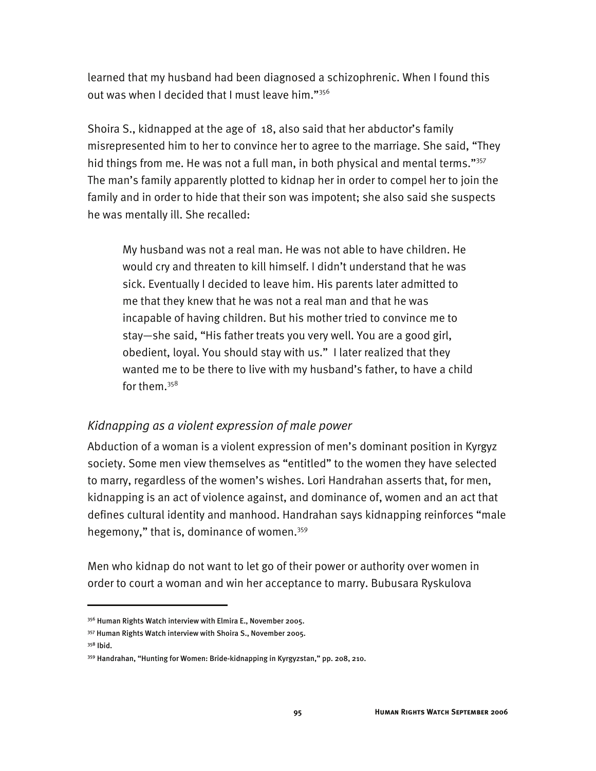learned that my husband had been diagnosed a schizophrenic. When I found this out was when I decided that I must leave him."<sup>356</sup>

Shoira S., kidnapped at the age of 18, also said that her abductor's family misrepresented him to her to convince her to agree to the marriage. She said, "They hid things from me. He was not a full man, in both physical and mental terms."<sup>357</sup> The man's family apparently plotted to kidnap her in order to compel her to join the family and in order to hide that their son was impotent; she also said she suspects he was mentally ill. She recalled:

My husband was not a real man. He was not able to have children. He would cry and threaten to kill himself. I didn't understand that he was sick. Eventually I decided to leave him. His parents later admitted to me that they knew that he was not a real man and that he was incapable of having children. But his mother tried to convince me to stay—she said, "His father treats you very well. You are a good girl, obedient, loyal. You should stay with us." I later realized that they wanted me to be there to live with my husband's father, to have a child for them.358

### *Kidnapping as a violent expression of male power*

Abduction of a woman is a violent expression of men's dominant position in Kyrgyz society. Some men view themselves as "entitled" to the women they have selected to marry, regardless of the women's wishes. Lori Handrahan asserts that, for men, kidnapping is an act of violence against, and dominance of, women and an act that defines cultural identity and manhood. Handrahan says kidnapping reinforces "male hegemony," that is, dominance of women.<sup>359</sup>

Men who kidnap do not want to let go of their power or authority over women in order to court a woman and win her acceptance to marry. Bubusara Ryskulova

<sup>356</sup> Human Rights Watch interview with Elmira E., November 2005.

<sup>357</sup> Human Rights Watch interview with Shoira S., November 2005.

<sup>358</sup> Ibid.

<sup>359</sup> Handrahan, "Hunting for Women: Bride-kidnapping in Kyrgyzstan," pp. 208, 210.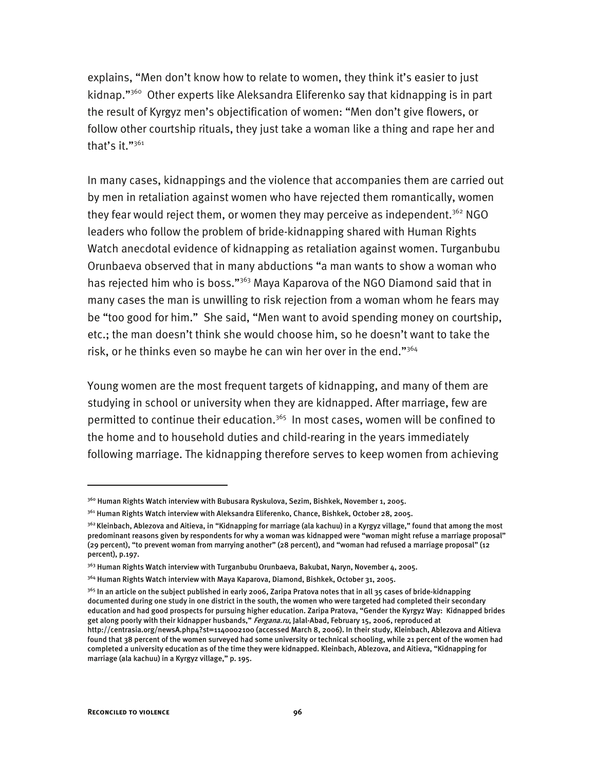explains, "Men don't know how to relate to women, they think it's easier to just kidnap."360 Other experts like Aleksandra Eliferenko say that kidnapping is in part the result of Kyrgyz men's objectification of women: "Men don't give flowers, or follow other courtship rituals, they just take a woman like a thing and rape her and that's it."<sup>361</sup>

In many cases, kidnappings and the violence that accompanies them are carried out by men in retaliation against women who have rejected them romantically, women they fear would reject them, or women they may perceive as independent.<sup>362</sup> NGO leaders who follow the problem of bride-kidnapping shared with Human Rights Watch anecdotal evidence of kidnapping as retaliation against women. Turganbubu Orunbaeva observed that in many abductions "a man wants to show a woman who has rejected him who is boss."<sup>363</sup> Maya Kaparova of the NGO Diamond said that in many cases the man is unwilling to risk rejection from a woman whom he fears may be "too good for him." She said, "Men want to avoid spending money on courtship, etc.; the man doesn't think she would choose him, so he doesn't want to take the risk, or he thinks even so maybe he can win her over in the end." $364$ 

Young women are the most frequent targets of kidnapping, and many of them are studying in school or university when they are kidnapped. After marriage, few are permitted to continue their education.<sup>365</sup> In most cases, women will be confined to the home and to household duties and child-rearing in the years immediately following marriage. The kidnapping therefore serves to keep women from achieving

<sup>360</sup> Human Rights Watch interview with Bubusara Ryskulova, Sezim, Bishkek, November 1, 2005.

<sup>361</sup> Human Rights Watch interview with Aleksandra Eliferenko, Chance, Bishkek, October 28, 2005.

<sup>&</sup>lt;sup>362</sup> Kleinbach, Ablezova and Aitieva, in "Kidnapping for marriage (ala kachuu) in a Kyrgyz village," found that among the most predominant reasons given by respondents for why a woman was kidnapped were "woman might refuse a marriage proposal" (29 percent), "to prevent woman from marrying another" (28 percent), and "woman had refused a marriage proposal" (12 percent), p.197.

<sup>&</sup>lt;sup>363</sup> Human Rights Watch interview with Turganbubu Orunbaeva, Bakubat, Naryn, November 4, 2005.

<sup>&</sup>lt;sup>364</sup> Human Rights Watch interview with Maya Kaparova, Diamond, Bishkek, October 31, 2005.

<sup>&</sup>lt;sup>365</sup> In an article on the subject published in early 2006, Zaripa Pratova notes that in all 35 cases of bride-kidnapping documented during one study in one district in the south, the women who were targeted had completed their secondary education and had good prospects for pursuing higher education. Zaripa Pratova, "Gender the Kyrgyz Way: Kidnapped brides get along poorly with their kidnapper husbands," *Fergana.ru*, Jalal-Abad, February 15, 2006, reproduced at http://centrasia.org/newsA.php4?st=1140002100 (accessed March 8, 2006). In their study, Kleinbach, Ablezova and Aitieva found that 38 percent of the women surveyed had some university or technical schooling, while 21 percent of the women had completed a university education as of the time they were kidnapped. Kleinbach, Ablezova, and Aitieva, "Kidnapping for marriage (ala kachuu) in a Kyrgyz village," p. 195.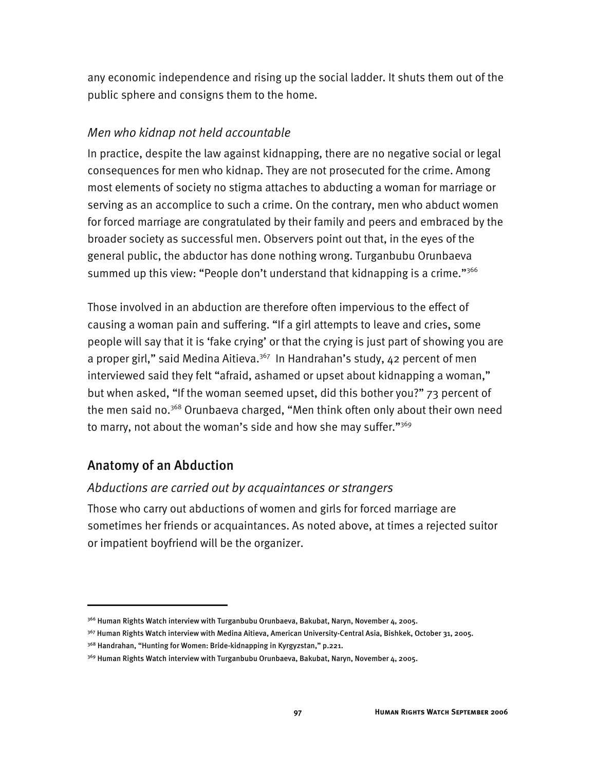any economic independence and rising up the social ladder. It shuts them out of the public sphere and consigns them to the home.

### *Men who kidnap not held accountable*

In practice, despite the law against kidnapping, there are no negative social or legal consequences for men who kidnap. They are not prosecuted for the crime. Among most elements of society no stigma attaches to abducting a woman for marriage or serving as an accomplice to such a crime. On the contrary, men who abduct women for forced marriage are congratulated by their family and peers and embraced by the broader society as successful men. Observers point out that, in the eyes of the general public, the abductor has done nothing wrong. Turganbubu Orunbaeva summed up this view: "People don't understand that kidnapping is a crime."366

Those involved in an abduction are therefore often impervious to the effect of causing a woman pain and suffering. "If a girl attempts to leave and cries, some people will say that it is 'fake crying' or that the crying is just part of showing you are a proper girl," said Medina Aitieva.<sup>367</sup> In Handrahan's study, 42 percent of men interviewed said they felt "afraid, ashamed or upset about kidnapping a woman," but when asked, "If the woman seemed upset, did this bother you?" 73 percent of the men said no.<sup>368</sup> Orunbaeva charged, "Men think often only about their own need to marry, not about the woman's side and how she may suffer."<sup>369</sup>

# Anatomy of an Abduction

j

### *Abductions are carried out by acquaintances or strangers*

Those who carry out abductions of women and girls for forced marriage are sometimes her friends or acquaintances. As noted above, at times a rejected suitor or impatient boyfriend will be the organizer.

<sup>&</sup>lt;sup>366</sup> Human Rights Watch interview with Turganbubu Orunbaeva, Bakubat, Naryn, November 4, 2005.

<sup>367</sup> Human Rights Watch interview with Medina Aitieva, American University-Central Asia, Bishkek, October 31, 2005.

<sup>&</sup>lt;sup>368</sup> Handrahan, "Hunting for Women: Bride-kidnapping in Kyrgyzstan," p.221.

<sup>369</sup> Human Rights Watch interview with Turganbubu Orunbaeva, Bakubat, Naryn, November 4, 2005.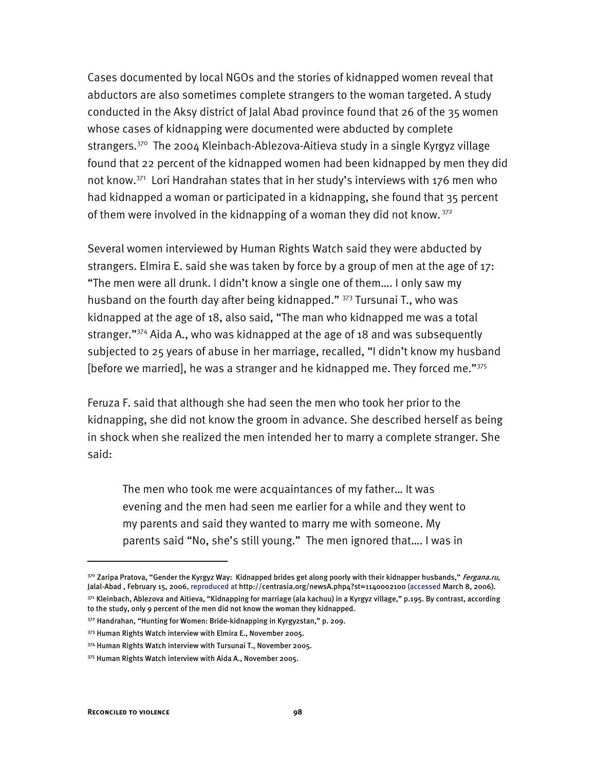Cases documented by local NGOs and the stories of kidnapped women reveal that abductors are also sometimes complete strangers to the woman targeted. A study conducted in the Aksy district of Jalal Abad province found that 26 of the 35 women whose cases of kidnapping were documented were abducted by complete strangers.<sup>370</sup> The 2004 Kleinbach-Ablezova-Aitieva study in a single Kyrgyz village found that 22 percent of the kidnapped women had been kidnapped by men they did not know.<sup>371</sup> Lori Handrahan states that in her study's interviews with 176 men who had kidnapped a woman or participated in a kidnapping, she found that 35 percent of them were involved in the kidnapping of a woman they did not know.  $372$ 

Several women interviewed by Human Rights Watch said they were abducted by strangers. Elmira E. said she was taken by force by a group of men at the age of 17: "The men were all drunk. I didn't know a single one of them…. I only saw my husband on the fourth day after being kidnapped." 373 Tursunai T., who was kidnapped at the age of 18, also said, "The man who kidnapped me was a total stranger."374 Aida A., who was kidnapped at the age of 18 and was subsequently subjected to 25 years of abuse in her marriage, recalled, "I didn't know my husband [before we married], he was a stranger and he kidnapped me. They forced me."375

Feruza F. said that although she had seen the men who took her prior to the kidnapping, she did not know the groom in advance. She described herself as being in shock when she realized the men intended her to marry a complete stranger. She said:

The men who took me were acquaintances of my father… It was evening and the men had seen me earlier for a while and they went to my parents and said they wanted to marry me with someone. My parents said "No, she's still young." The men ignored that…. I was in

<sup>&</sup>lt;sup>370</sup> Zaripa Pratova, "Gender the Kyrgyz Way: Kidnapped brides get along poorly with their kidnapper husbands," *Fergana.ru*, Jalal-Abad, February 15, 2006, reproduced at http://centrasia.org/newsA.php4?st=1140002100 (accessed March 8, 2006).

<sup>371</sup> Kleinbach, Ablezova and Aitieva, "Kidnapping for marriage (ala kachuu) in a Kyrgyz village," p.195. By contrast, according to the study, only 9 percent of the men did not know the woman they kidnapped.

<sup>372</sup> Handrahan, "Hunting for Women: Bride-kidnapping in Kyrgyzstan," p. 209.

<sup>373</sup> Human Rights Watch interview with Elmira E., November 2005.

<sup>374</sup> Human Rights Watch interview with Tursunai T., November 2005.

<sup>375</sup> Human Rights Watch interview with Aida A., November 2005.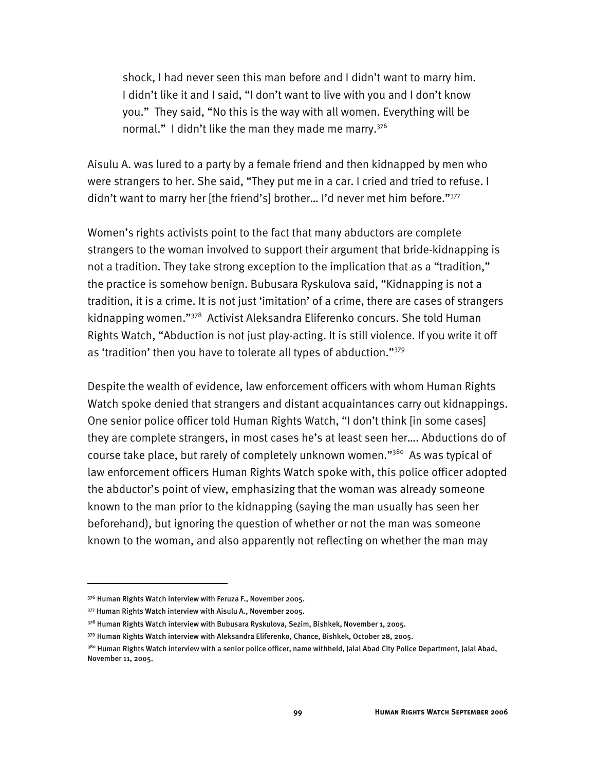shock, I had never seen this man before and I didn't want to marry him. I didn't like it and I said, "I don't want to live with you and I don't know you." They said, "No this is the way with all women. Everything will be normal." I didn't like the man they made me marry.<sup>376</sup>

Aisulu A. was lured to a party by a female friend and then kidnapped by men who were strangers to her. She said, "They put me in a car. I cried and tried to refuse. I didn't want to marry her [the friend's] brother... I'd never met him before."<sup>377</sup>

Women's rights activists point to the fact that many abductors are complete strangers to the woman involved to support their argument that bride-kidnapping is not a tradition. They take strong exception to the implication that as a "tradition," the practice is somehow benign. Bubusara Ryskulova said, "Kidnapping is not a tradition, it is a crime. It is not just 'imitation' of a crime, there are cases of strangers kidnapping women."378 Activist Aleksandra Eliferenko concurs. She told Human Rights Watch, "Abduction is not just play-acting. It is still violence. If you write it off as 'tradition' then you have to tolerate all types of abduction."379

Despite the wealth of evidence, law enforcement officers with whom Human Rights Watch spoke denied that strangers and distant acquaintances carry out kidnappings. One senior police officer told Human Rights Watch, "I don't think [in some cases] they are complete strangers, in most cases he's at least seen her…. Abductions do of course take place, but rarely of completely unknown women."<sup>380</sup> As was typical of law enforcement officers Human Rights Watch spoke with, this police officer adopted the abductor's point of view, emphasizing that the woman was already someone known to the man prior to the kidnapping (saying the man usually has seen her beforehand), but ignoring the question of whether or not the man was someone known to the woman, and also apparently not reflecting on whether the man may

<sup>376</sup> Human Rights Watch interview with Feruza F., November 2005.

<sup>377</sup> Human Rights Watch interview with Aisulu A., November 2005.

<sup>378</sup> Human Rights Watch interview with Bubusara Ryskulova, Sezim, Bishkek, November 1, 2005.

<sup>379</sup> Human Rights Watch interview with Aleksandra Eliferenko, Chance, Bishkek, October 28, 2005.

<sup>&</sup>lt;sup>380</sup> Human Rights Watch interview with a senior police officer, name withheld, Jalal Abad City Police Department, Jalal Abad, November 11, 2005.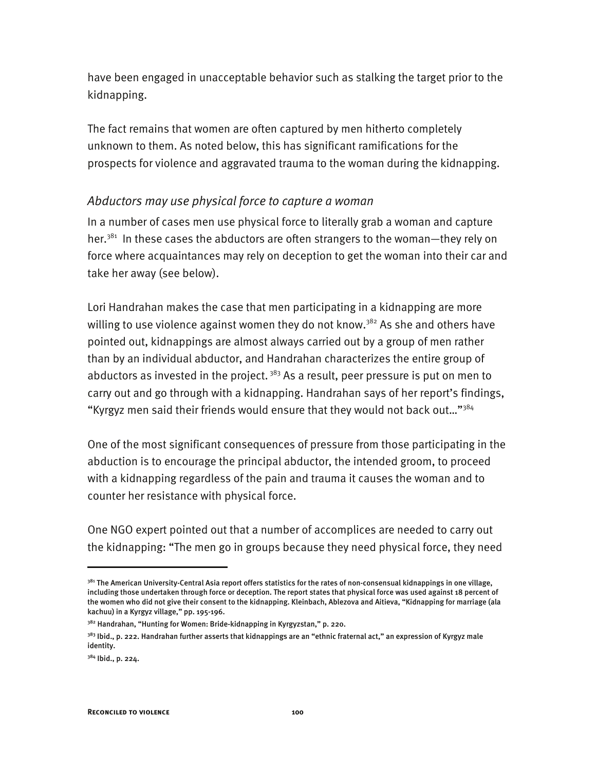have been engaged in unacceptable behavior such as stalking the target prior to the kidnapping.

The fact remains that women are often captured by men hitherto completely unknown to them. As noted below, this has significant ramifications for the prospects for violence and aggravated trauma to the woman during the kidnapping.

### *Abductors may use physical force to capture a woman*

In a number of cases men use physical force to literally grab a woman and capture her.<sup>381</sup> In these cases the abductors are often strangers to the woman-they rely on force where acquaintances may rely on deception to get the woman into their car and take her away (see below).

Lori Handrahan makes the case that men participating in a kidnapping are more willing to use violence against women they do not know.<sup>382</sup> As she and others have pointed out, kidnappings are almost always carried out by a group of men rather than by an individual abductor, and Handrahan characterizes the entire group of abductors as invested in the project.  $383$  As a result, peer pressure is put on men to carry out and go through with a kidnapping. Handrahan says of her report's findings, "Kyrgyz men said their friends would ensure that they would not back out…"384

One of the most significant consequences of pressure from those participating in the abduction is to encourage the principal abductor, the intended groom, to proceed with a kidnapping regardless of the pain and trauma it causes the woman and to counter her resistance with physical force.

One NGO expert pointed out that a number of accomplices are needed to carry out the kidnapping: "The men go in groups because they need physical force, they need

<sup>&</sup>lt;sup>381</sup> The American University-Central Asia report offers statistics for the rates of non-consensual kidnappings in one village, including those undertaken through force or deception. The report states that physical force was used against 18 percent of the women who did not give their consent to the kidnapping. Kleinbach, Ablezova and Aitieva, "Kidnapping for marriage (ala kachuu) in a Kyrgyz village," pp. 195-196.

<sup>382</sup> Handrahan, "Hunting for Women: Bride-kidnapping in Kyrgyzstan," p. 220.

<sup>&</sup>lt;sup>383</sup> Ibid., p. 222. Handrahan further asserts that kidnappings are an "ethnic fraternal act," an expression of Kyrgyz male identity.

<sup>384</sup> Ibid., p. 224.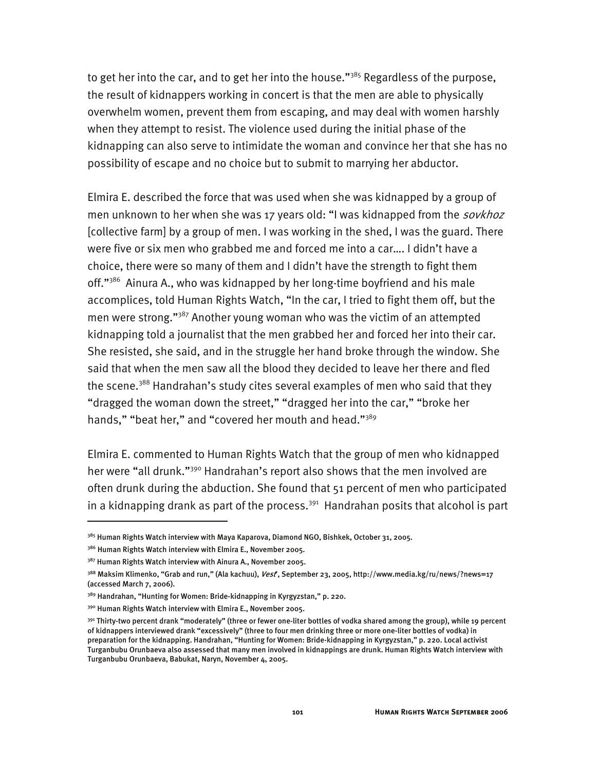to get her into the car, and to get her into the house." $385$  Regardless of the purpose, the result of kidnappers working in concert is that the men are able to physically overwhelm women, prevent them from escaping, and may deal with women harshly when they attempt to resist. The violence used during the initial phase of the kidnapping can also serve to intimidate the woman and convince her that she has no possibility of escape and no choice but to submit to marrying her abductor.

Elmira E. described the force that was used when she was kidnapped by a group of men unknown to her when she was 17 years old: "I was kidnapped from the *sovkhoz* [collective farm] by a group of men. I was working in the shed, I was the guard. There were five or six men who grabbed me and forced me into a car…. I didn't have a choice, there were so many of them and I didn't have the strength to fight them off."<sup>386</sup> Ainura A., who was kidnapped by her long-time boyfriend and his male accomplices, told Human Rights Watch, "In the car, I tried to fight them off, but the men were strong."387 Another young woman who was the victim of an attempted kidnapping told a journalist that the men grabbed her and forced her into their car. She resisted, she said, and in the struggle her hand broke through the window. She said that when the men saw all the blood they decided to leave her there and fled the scene.<sup>388</sup> Handrahan's study cites several examples of men who said that they "dragged the woman down the street," "dragged her into the car," "broke her hands," "beat her," and "covered her mouth and head."<sup>389</sup>

Elmira E. commented to Human Rights Watch that the group of men who kidnapped her were "all drunk."<sup>390</sup> Handrahan's report also shows that the men involved are often drunk during the abduction. She found that 51 percent of men who participated in a kidnapping drank as part of the process. $391$  Handrahan posits that alcohol is part

I

<sup>&</sup>lt;sup>385</sup> Human Rights Watch interview with Maya Kaparova, Diamond NGO, Bishkek, October 31, 2005.

<sup>&</sup>lt;sup>386</sup> Human Rights Watch interview with Elmira E., November 2005.

<sup>&</sup>lt;sup>387</sup> Human Rights Watch interview with Ainura A., November 2005.

<sup>&</sup>lt;sup>388</sup> Maksim Klimenko, "Grab and run," (Ala kachuu), *Vest*°, September 23, 2005, http://www.media.kg/ru/news/?news=17 (accessed March 7, 2006).

<sup>&</sup>lt;sup>389</sup> Handrahan, "Hunting for Women: Bride-kidnapping in Kyrgyzstan," p. 220.

<sup>390</sup> Human Rights Watch interview with Elmira E., November 2005.

<sup>391</sup> Thirty-two percent drank "moderately" (three or fewer one-liter bottles of vodka shared among the group), while 19 percent of kidnappers interviewed drank "excessively" (three to four men drinking three or more one-liter bottles of vodka) in preparation for the kidnapping. Handrahan, "Hunting for Women: Bride-kidnapping in Kyrgyzstan," p. 220. Local activist Turganbubu Orunbaeva also assessed that many men involved in kidnappings are drunk. Human Rights Watch interview with Turganbubu Orunbaeva, Babukat, Naryn, November 4, 2005.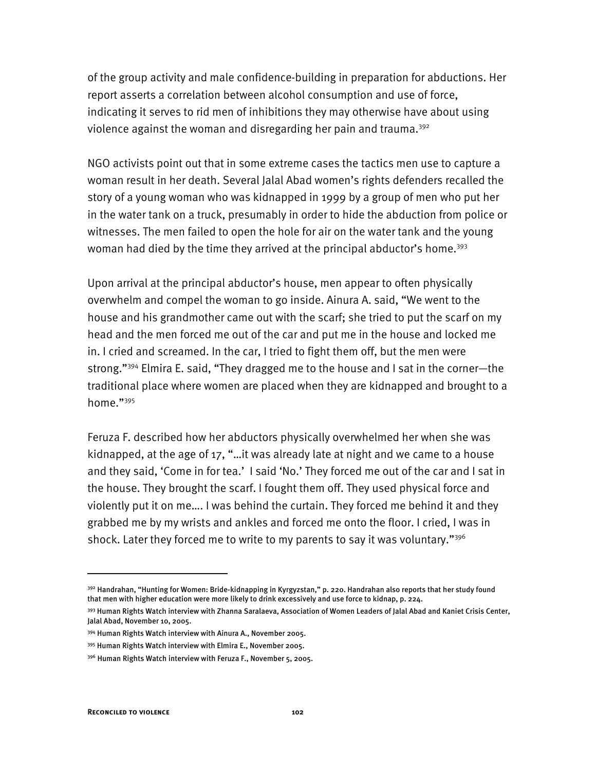of the group activity and male confidence-building in preparation for abductions. Her report asserts a correlation between alcohol consumption and use of force, indicating it serves to rid men of inhibitions they may otherwise have about using violence against the woman and disregarding her pain and trauma.<sup>392</sup>

NGO activists point out that in some extreme cases the tactics men use to capture a woman result in her death. Several Jalal Abad women's rights defenders recalled the story of a young woman who was kidnapped in 1999 by a group of men who put her in the water tank on a truck, presumably in order to hide the abduction from police or witnesses. The men failed to open the hole for air on the water tank and the young woman had died by the time they arrived at the principal abductor's home.<sup>393</sup>

Upon arrival at the principal abductor's house, men appear to often physically overwhelm and compel the woman to go inside. Ainura A. said, "We went to the house and his grandmother came out with the scarf; she tried to put the scarf on my head and the men forced me out of the car and put me in the house and locked me in. I cried and screamed. In the car, I tried to fight them off, but the men were strong."394 Elmira E. said, "They dragged me to the house and I sat in the corner—the traditional place where women are placed when they are kidnapped and brought to a home."<sup>395</sup>

Feruza F. described how her abductors physically overwhelmed her when she was kidnapped, at the age of 17, "…it was already late at night and we came to a house and they said, 'Come in for tea.' I said 'No.' They forced me out of the car and I sat in the house. They brought the scarf. I fought them off. They used physical force and violently put it on me…. I was behind the curtain. They forced me behind it and they grabbed me by my wrists and ankles and forced me onto the floor. I cried, I was in shock. Later they forced me to write to my parents to say it was voluntary."<sup>396</sup>

<sup>&</sup>lt;sup>392</sup> Handrahan, "Hunting for Women: Bride-kidnapping in Kyrgyzstan," p. 220. Handrahan also reports that her study found that men with higher education were more likely to drink excessively and use force to kidnap, p. 224.

<sup>393</sup> Human Rights Watch interview with Zhanna Saralaeva, Association of Women Leaders of Jalal Abad and Kaniet Crisis Center, Jalal Abad, November 10, 2005.

<sup>394</sup> Human Rights Watch interview with Ainura A., November 2005.

<sup>395</sup> Human Rights Watch interview with Elmira E., November 2005.

<sup>396</sup> Human Rights Watch interview with Feruza F., November 5, 2005.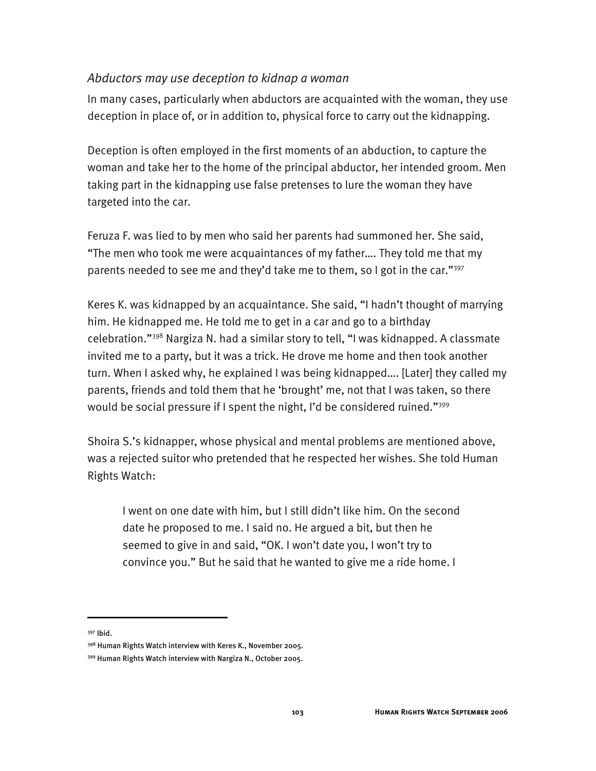### *Abductors may use deception to kidnap a woman*

In many cases, particularly when abductors are acquainted with the woman, they use deception in place of, or in addition to, physical force to carry out the kidnapping.

Deception is often employed in the first moments of an abduction, to capture the woman and take her to the home of the principal abductor, her intended groom. Men taking part in the kidnapping use false pretenses to lure the woman they have targeted into the car.

Feruza F. was lied to by men who said her parents had summoned her. She said, "The men who took me were acquaintances of my father…. They told me that my parents needed to see me and they'd take me to them, so I got in the car."397

Keres K. was kidnapped by an acquaintance. She said, "I hadn't thought of marrying him. He kidnapped me. He told me to get in a car and go to a birthday celebration."398 Nargiza N. had a similar story to tell, "I was kidnapped. A classmate invited me to a party, but it was a trick. He drove me home and then took another turn. When I asked why, he explained I was being kidnapped…. [Later] they called my parents, friends and told them that he 'brought' me, not that I was taken, so there would be social pressure if I spent the night, I'd be considered ruined."<sup>399</sup>

Shoira S.'s kidnapper, whose physical and mental problems are mentioned above, was a rejected suitor who pretended that he respected her wishes. She told Human Rights Watch:

I went on one date with him, but I still didn't like him. On the second date he proposed to me. I said no. He argued a bit, but then he seemed to give in and said, "OK. I won't date you, I won't try to convince you." But he said that he wanted to give me a ride home. I

397 Ibid.

I

<sup>398</sup> Human Rights Watch interview with Keres K., November 2005.

<sup>399</sup> Human Rights Watch interview with Nargiza N., October 2005.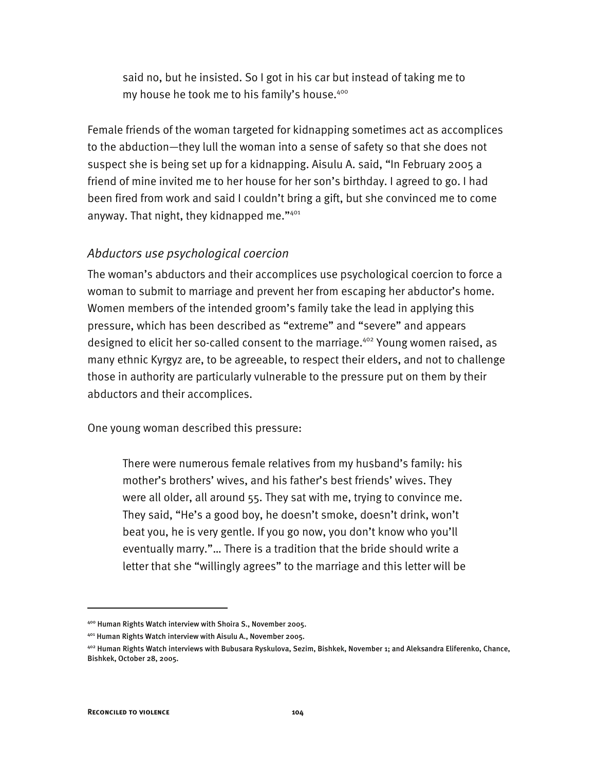said no, but he insisted. So I got in his car but instead of taking me to my house he took me to his family's house.<sup>400</sup>

Female friends of the woman targeted for kidnapping sometimes act as accomplices to the abduction—they lull the woman into a sense of safety so that she does not suspect she is being set up for a kidnapping. Aisulu A. said, "In February 2005 a friend of mine invited me to her house for her son's birthday. I agreed to go. I had been fired from work and said I couldn't bring a gift, but she convinced me to come anyway. That night, they kidnapped me."401

### *Abductors use psychological coercion*

The woman's abductors and their accomplices use psychological coercion to force a woman to submit to marriage and prevent her from escaping her abductor's home. Women members of the intended groom's family take the lead in applying this pressure, which has been described as "extreme" and "severe" and appears designed to elicit her so-called consent to the marriage.<sup>402</sup> Young women raised, as many ethnic Kyrgyz are, to be agreeable, to respect their elders, and not to challenge those in authority are particularly vulnerable to the pressure put on them by their abductors and their accomplices.

One young woman described this pressure:

There were numerous female relatives from my husband's family: his mother's brothers' wives, and his father's best friends' wives. They were all older, all around 55. They sat with me, trying to convince me. They said, "He's a good boy, he doesn't smoke, doesn't drink, won't beat you, he is very gentle. If you go now, you don't know who you'll eventually marry."… There is a tradition that the bride should write a letter that she "willingly agrees" to the marriage and this letter will be

<sup>400</sup> Human Rights Watch interview with Shoira S., November 2005.

<sup>401</sup> Human Rights Watch interview with Aisulu A., November 2005.

<sup>402</sup> Human Rights Watch interviews with Bubusara Ryskulova, Sezim, Bishkek, November 1; and Aleksandra Eliferenko, Chance, Bishkek, October 28, 2005.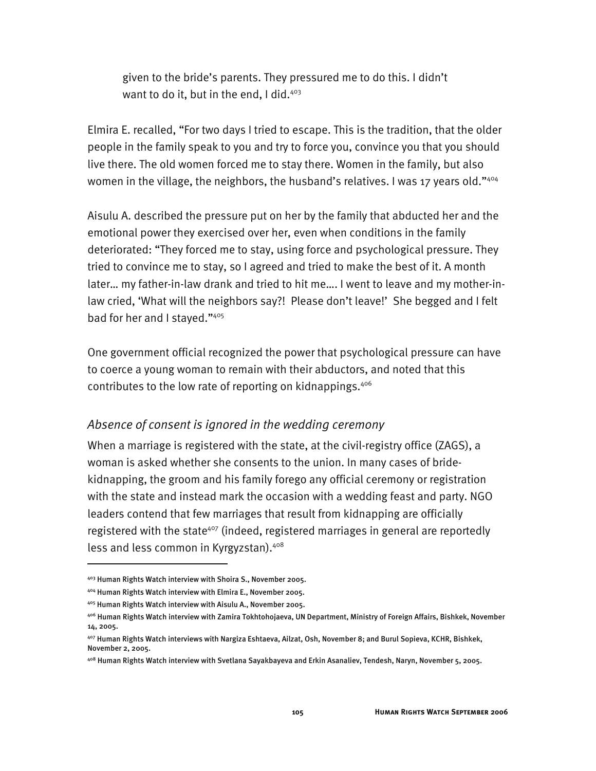given to the bride's parents. They pressured me to do this. I didn't want to do it, but in the end, I did. $403$ 

Elmira E. recalled, "For two days I tried to escape. This is the tradition, that the older people in the family speak to you and try to force you, convince you that you should live there. The old women forced me to stay there. Women in the family, but also women in the village, the neighbors, the husband's relatives. I was 17 years old."404

Aisulu A. described the pressure put on her by the family that abducted her and the emotional power they exercised over her, even when conditions in the family deteriorated: "They forced me to stay, using force and psychological pressure. They tried to convince me to stay, so I agreed and tried to make the best of it. A month later… my father-in-law drank and tried to hit me…. I went to leave and my mother-inlaw cried, 'What will the neighbors say?! Please don't leave!' She begged and I felt bad for her and I stayed."405

One government official recognized the power that psychological pressure can have to coerce a young woman to remain with their abductors, and noted that this contributes to the low rate of reporting on kidnappings.<sup>406</sup>

### *Absence of consent is ignored in the wedding ceremony*

When a marriage is registered with the state, at the civil-registry office (ZAGS), a woman is asked whether she consents to the union. In many cases of bridekidnapping, the groom and his family forego any official ceremony or registration with the state and instead mark the occasion with a wedding feast and party. NGO leaders contend that few marriages that result from kidnapping are officially registered with the state<sup>407</sup> (indeed, registered marriages in general are reportedly less and less common in Kyrgyzstan).408

<sup>403</sup> Human Rights Watch interview with Shoira S., November 2005.

<sup>404</sup> Human Rights Watch interview with Elmira E., November 2005.

<sup>405</sup> Human Rights Watch interview with Aisulu A., November 2005.

<sup>406</sup> Human Rights Watch interview with Zamira Tokhtohojaeva, UN Department, Ministry of Foreign Affairs, Bishkek, November 14, 2005.

<sup>407</sup> Human Rights Watch interviews with Nargiza Eshtaeva, Ailzat, Osh, November 8; and Burul Sopieva, KCHR, Bishkek, November 2, 2005.

<sup>408</sup> Human Rights Watch interview with Svetlana Sayakbayeva and Erkin Asanaliev, Tendesh, Naryn, November 5, 2005.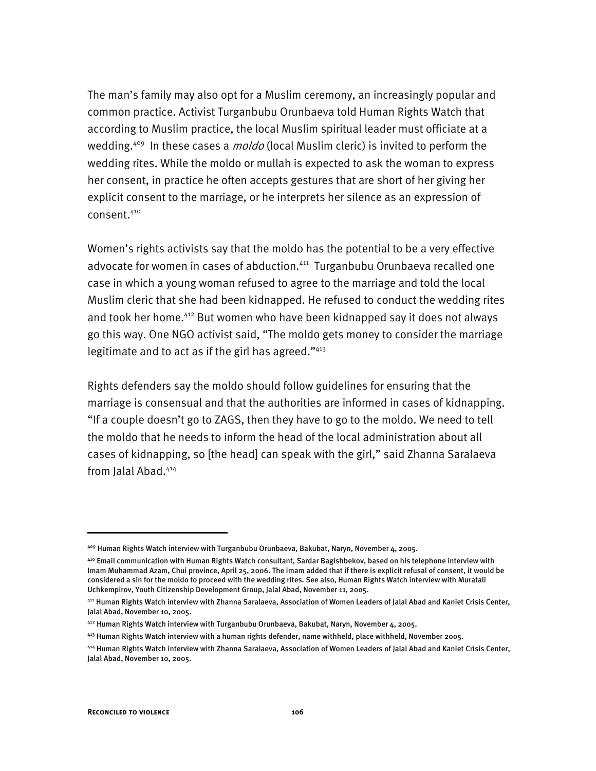The man's family may also opt for a Muslim ceremony, an increasingly popular and common practice. Activist Turganbubu Orunbaeva told Human Rights Watch that according to Muslim practice, the local Muslim spiritual leader must officiate at a wedding.<sup>409</sup> In these cases a *moldo* (local Muslim cleric) is invited to perform the wedding rites. While the moldo or mullah is expected to ask the woman to express her consent, in practice he often accepts gestures that are short of her giving her explicit consent to the marriage, or he interprets her silence as an expression of consent.410

Women's rights activists say that the moldo has the potential to be a very effective advocate for women in cases of abduction.<sup>411</sup> Turganbubu Orunbaeva recalled one case in which a young woman refused to agree to the marriage and told the local Muslim cleric that she had been kidnapped. He refused to conduct the wedding rites and took her home.<sup>412</sup> But women who have been kidnapped say it does not always go this way. One NGO activist said, "The moldo gets money to consider the marriage legitimate and to act as if the girl has agreed." $413$ 

Rights defenders say the moldo should follow guidelines for ensuring that the marriage is consensual and that the authorities are informed in cases of kidnapping. "If a couple doesn't go to ZAGS, then they have to go to the moldo. We need to tell the moldo that he needs to inform the head of the local administration about all cases of kidnapping, so [the head] can speak with the girl," said Zhanna Saralaeva from Jalal Abad.<sup>414</sup>

<sup>409</sup> Human Rights Watch interview with Turganbubu Orunbaeva, Bakubat, Naryn, November 4, 2005.

<sup>410</sup> Email communication with Human Rights Watch consultant, Sardar Bagishbekov, based on his telephone interview with Imam Muhammad Azam, Chui province, April 25, 2006. The imam added that if there is explicit refusal of consent, it would be considered a sin for the moldo to proceed with the wedding rites. See also, Human Rights Watch interview with Muratali Uchkempirov, Youth Citizenship Development Group, Jalal Abad, November 11, 2005.

<sup>411</sup> Human Rights Watch interview with Zhanna Saralaeva, Association of Women Leaders of Jalal Abad and Kaniet Crisis Center, Jalal Abad, November 10, 2005.

<sup>412</sup> Human Rights Watch interview with Turganbubu Orunbaeva, Bakubat, Naryn, November 4, 2005.

<sup>413</sup> Human Rights Watch interview with a human rights defender, name withheld, place withheld, November 2005.

<sup>414</sup> Human Rights Watch interview with Zhanna Saralaeva, Association of Women Leaders of Jalal Abad and Kaniet Crisis Center, Jalal Abad, November 10, 2005.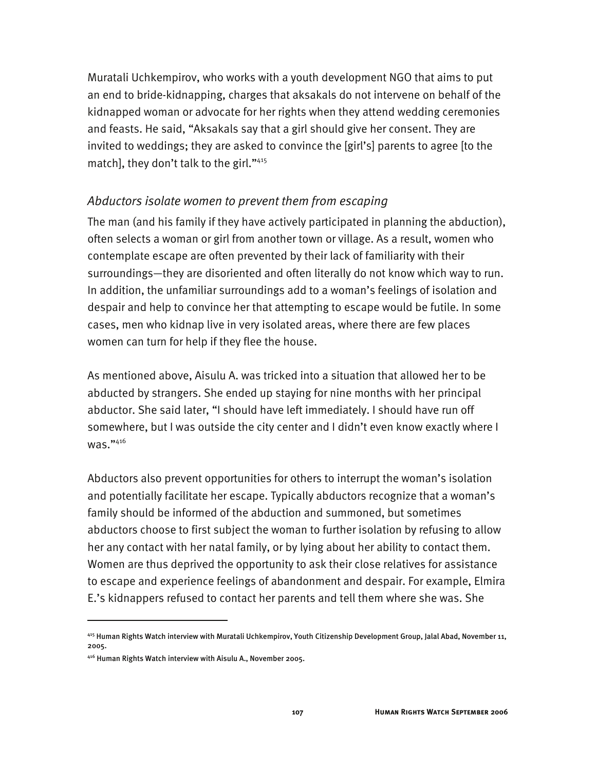Muratali Uchkempirov, who works with a youth development NGO that aims to put an end to bride-kidnapping, charges that aksakals do not intervene on behalf of the kidnapped woman or advocate for her rights when they attend wedding ceremonies and feasts. He said, "Aksakals say that a girl should give her consent. They are invited to weddings; they are asked to convince the [girl's] parents to agree [to the match], they don't talk to the girl."415

### *Abductors isolate women to prevent them from escaping*

The man (and his family if they have actively participated in planning the abduction), often selects a woman or girl from another town or village. As a result, women who contemplate escape are often prevented by their lack of familiarity with their surroundings—they are disoriented and often literally do not know which way to run. In addition, the unfamiliar surroundings add to a woman's feelings of isolation and despair and help to convince her that attempting to escape would be futile. In some cases, men who kidnap live in very isolated areas, where there are few places women can turn for help if they flee the house.

As mentioned above, Aisulu A. was tricked into a situation that allowed her to be abducted by strangers. She ended up staying for nine months with her principal abductor. She said later, "I should have left immediately. I should have run off somewhere, but I was outside the city center and I didn't even know exactly where I was."416

Abductors also prevent opportunities for others to interrupt the woman's isolation and potentially facilitate her escape. Typically abductors recognize that a woman's family should be informed of the abduction and summoned, but sometimes abductors choose to first subject the woman to further isolation by refusing to allow her any contact with her natal family, or by lying about her ability to contact them. Women are thus deprived the opportunity to ask their close relatives for assistance to escape and experience feelings of abandonment and despair. For example, Elmira E.'s kidnappers refused to contact her parents and tell them where she was. She

<sup>415</sup> Human Rights Watch interview with Muratali Uchkempirov, Youth Citizenship Development Group, Jalal Abad, November 11, 2005.

<sup>416</sup> Human Rights Watch interview with Aisulu A., November 2005.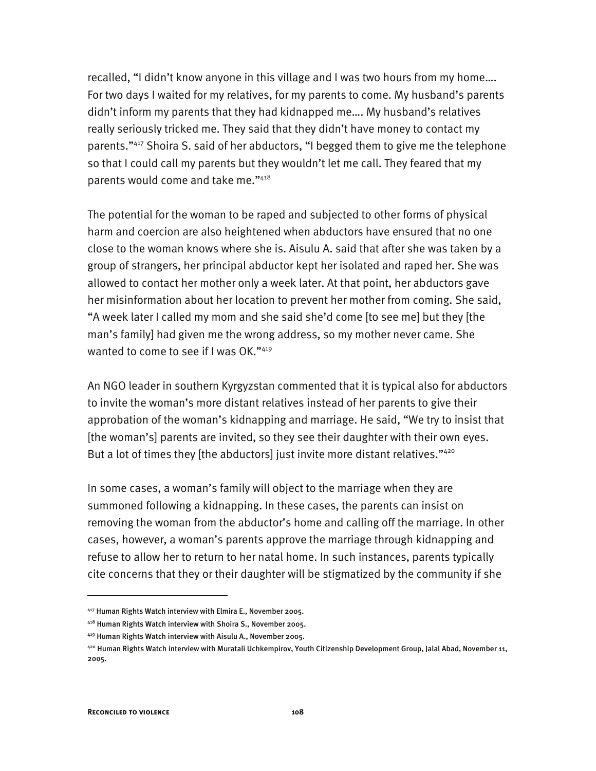recalled, "I didn't know anyone in this village and I was two hours from my home…. For two days I waited for my relatives, for my parents to come. My husband's parents didn't inform my parents that they had kidnapped me…. My husband's relatives really seriously tricked me. They said that they didn't have money to contact my parents."417 Shoira S. said of her abductors, "I begged them to give me the telephone so that I could call my parents but they wouldn't let me call. They feared that my parents would come and take me."418

The potential for the woman to be raped and subjected to other forms of physical harm and coercion are also heightened when abductors have ensured that no one close to the woman knows where she is. Aisulu A. said that after she was taken by a group of strangers, her principal abductor kept her isolated and raped her. She was allowed to contact her mother only a week later. At that point, her abductors gave her misinformation about her location to prevent her mother from coming. She said, "A week later I called my mom and she said she'd come [to see me] but they [the man's family] had given me the wrong address, so my mother never came. She wanted to come to see if I was OK."419

An NGO leader in southern Kyrgyzstan commented that it is typical also for abductors to invite the woman's more distant relatives instead of her parents to give their approbation of the woman's kidnapping and marriage. He said, "We try to insist that [the woman's] parents are invited, so they see their daughter with their own eyes. But a lot of times they [the abductors] just invite more distant relatives."<sup>420</sup>

In some cases, a woman's family will object to the marriage when they are summoned following a kidnapping. In these cases, the parents can insist on removing the woman from the abductor's home and calling off the marriage. In other cases, however, a woman's parents approve the marriage through kidnapping and refuse to allow her to return to her natal home. In such instances, parents typically cite concerns that they or their daughter will be stigmatized by the community if she

<sup>417</sup> Human Rights Watch interview with Elmira E., November 2005.

<sup>418</sup> Human Rights Watch interview with Shoira S., November 2005.

<sup>419</sup> Human Rights Watch interview with Aisulu A., November 2005.

<sup>420</sup> Human Rights Watch interview with Muratali Uchkempirov, Youth Citizenship Development Group, Jalal Abad, November 11, 2005.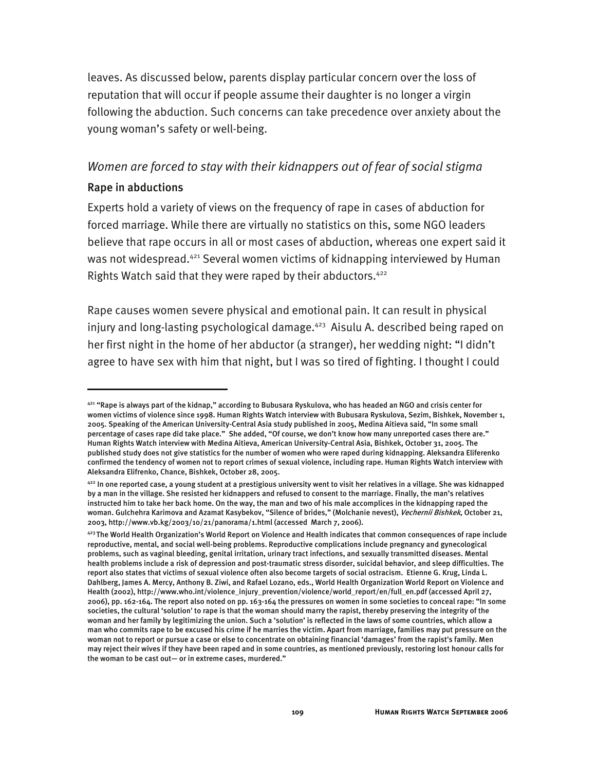leaves. As discussed below, parents display particular concern over the loss of reputation that will occur if people assume their daughter is no longer a virgin following the abduction. Such concerns can take precedence over anxiety about the young woman's safety or well-being.

# *Women are forced to stay with their kidnappers out of fear of social stigma*  Rape in abductions

Experts hold a variety of views on the frequency of rape in cases of abduction for forced marriage. While there are virtually no statistics on this, some NGO leaders believe that rape occurs in all or most cases of abduction, whereas one expert said it was not widespread.<sup>421</sup> Several women victims of kidnapping interviewed by Human Rights Watch said that they were raped by their abductors.<sup>422</sup>

Rape causes women severe physical and emotional pain. It can result in physical injury and long-lasting psychological damage.<sup>423</sup> Aisulu A. described being raped on her first night in the home of her abductor (a stranger), her wedding night: "I didn't agree to have sex with him that night, but I was so tired of fighting. I thought I could

<sup>421 &</sup>quot;Rape is always part of the kidnap," according to Bubusara Ryskulova, who has headed an NGO and crisis center for women victims of violence since 1998. Human Rights Watch interview with Bubusara Ryskulova, Sezim, Bishkek, November 1, 2005. Speaking of the American University-Central Asia study published in 2005, Medina Aitieva said, "In some small percentage of cases rape did take place." She added, "Of course, we don't know how many unreported cases there are." Human Rights Watch interview with Medina Aitieva, American University-Central Asia, Bishkek, October 31, 2005. The published study does not give statistics for the number of women who were raped during kidnapping. Aleksandra Eliferenko confirmed the tendency of women not to report crimes of sexual violence, including rape. Human Rights Watch interview with Aleksandra Elifrenko, Chance, Bishkek, October 28, 2005.

 $422$  In one reported case, a young student at a prestigious university went to visit her relatives in a village. She was kidnapped by a man in the village. She resisted her kidnappers and refused to consent to the marriage. Finally, the man's relatives instructed him to take her back home. On the way, the man and two of his male accomplices in the kidnapping raped the woman. Gulchehra Karimova and Azamat Kasybekov, "Silence of brides," (Molchanie nevest), *Vechernii Bishkek*, October 21, 2003, http://www.vb.kg/2003/10/21/panorama/1.html (accessed March 7, 2006).

<sup>423</sup> The World Health Organization's World Report on Violence and Health indicates that common consequences of rape include reproductive, mental, and social well-being problems. Reproductive complications include pregnancy and gynecological problems, such as vaginal bleeding, genital irritation, urinary tract infections, and sexually transmitted diseases. Mental health problems include a risk of depression and post-traumatic stress disorder, suicidal behavior, and sleep difficulties. The report also states that victims of sexual violence often also become targets of social ostracism. Etienne G. Krug, Linda L. Dahlberg, James A. Mercy, Anthony B. Ziwi, and Rafael Lozano, eds., World Health Organization World Report on Violence and Health (2002), http://www.who.int/violence\_injury\_prevention/violence/world\_report/en/full\_en.pdf (accessed April 27, 2006), pp. 162-164. The report also noted on pp. 163-164 the pressures on women in some societies to conceal rape: "In some societies, the cultural 'solution' to rape is that the woman should marry the rapist, thereby preserving the integrity of the woman and her family by legitimizing the union. Such a 'solution' is reflected in the laws of some countries, which allow a man who commits rape to be excused his crime if he marries the victim. Apart from marriage, families may put pressure on the woman not to report or pursue a case or else to concentrate on obtaining financial 'damages' from the rapist's family. Men may reject their wives if they have been raped and in some countries, as mentioned previously, restoring lost honour calls for the woman to be cast out— or in extreme cases, murdered."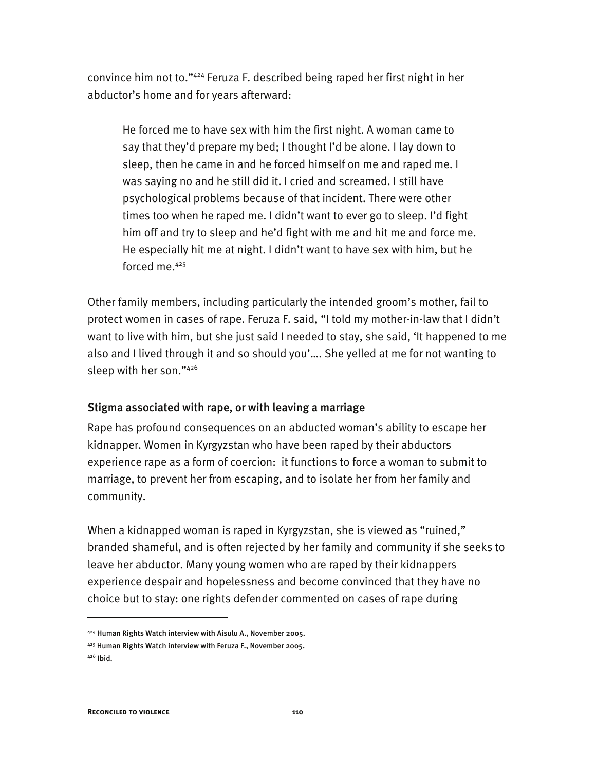convince him not to."424 Feruza F. described being raped her first night in her abductor's home and for years afterward:

He forced me to have sex with him the first night. A woman came to say that they'd prepare my bed; I thought I'd be alone. I lay down to sleep, then he came in and he forced himself on me and raped me. I was saying no and he still did it. I cried and screamed. I still have psychological problems because of that incident. There were other times too when he raped me. I didn't want to ever go to sleep. I'd fight him off and try to sleep and he'd fight with me and hit me and force me. He especially hit me at night. I didn't want to have sex with him, but he forced me.<sup>425</sup>

Other family members, including particularly the intended groom's mother, fail to protect women in cases of rape. Feruza F. said, "I told my mother-in-law that I didn't want to live with him, but she just said I needed to stay, she said, 'It happened to me also and I lived through it and so should you'…. She yelled at me for not wanting to sleep with her son."426

#### Stigma associated with rape, or with leaving a marriage

Rape has profound consequences on an abducted woman's ability to escape her kidnapper. Women in Kyrgyzstan who have been raped by their abductors experience rape as a form of coercion: it functions to force a woman to submit to marriage, to prevent her from escaping, and to isolate her from her family and community.

When a kidnapped woman is raped in Kyrgyzstan, she is viewed as "ruined," branded shameful, and is often rejected by her family and community if she seeks to leave her abductor. Many young women who are raped by their kidnappers experience despair and hopelessness and become convinced that they have no choice but to stay: one rights defender commented on cases of rape during

<sup>424</sup> Human Rights Watch interview with Aisulu A., November 2005.

<sup>425</sup> Human Rights Watch interview with Feruza F., November 2005.

<sup>426</sup> Ibid.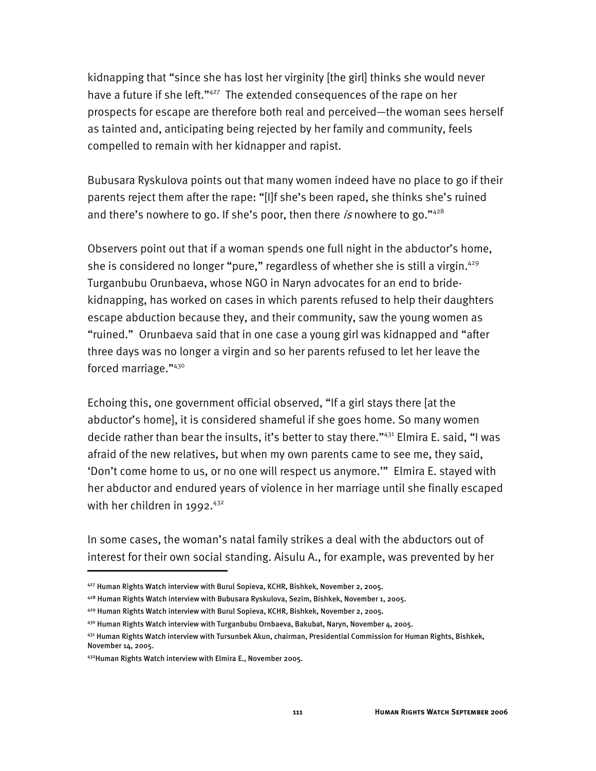kidnapping that "since she has lost her virginity [the girl] thinks she would never have a future if she left."<sup>427</sup> The extended consequences of the rape on her prospects for escape are therefore both real and perceived—the woman sees herself as tainted and, anticipating being rejected by her family and community, feels compelled to remain with her kidnapper and rapist.

Bubusara Ryskulova points out that many women indeed have no place to go if their parents reject them after the rape: "[I]f she's been raped, she thinks she's ruined and there's nowhere to go. If she's poor, then there is nowhere to go." $428$ 

Observers point out that if a woman spends one full night in the abductor's home, she is considered no longer "pure," regardless of whether she is still a virgin.<sup>429</sup> Turganbubu Orunbaeva, whose NGO in Naryn advocates for an end to bridekidnapping, has worked on cases in which parents refused to help their daughters escape abduction because they, and their community, saw the young women as "ruined." Orunbaeva said that in one case a young girl was kidnapped and "after three days was no longer a virgin and so her parents refused to let her leave the forced marriage."430

Echoing this, one government official observed, "If a girl stays there [at the abductor's home], it is considered shameful if she goes home. So many women decide rather than bear the insults, it's better to stay there."431 Elmira E. said, "I was afraid of the new relatives, but when my own parents came to see me, they said, 'Don't come home to us, or no one will respect us anymore.'" Elmira E. stayed with her abductor and endured years of violence in her marriage until she finally escaped with her children in 1992. $432$ 

In some cases, the woman's natal family strikes a deal with the abductors out of interest for their own social standing. Aisulu A., for example, was prevented by her

<sup>427</sup> Human Rights Watch interview with Burul Sopieva, KCHR, Bishkek, November 2, 2005.

<sup>428</sup> Human Rights Watch interview with Bubusara Ryskulova, Sezim, Bishkek, November 1, 2005.

<sup>429</sup> Human Rights Watch interview with Burul Sopieva, KCHR, Bishkek, November 2, 2005.

<sup>430</sup> Human Rights Watch interview with Turganbubu Ornbaeva, Bakubat, Naryn, November 4, 2005.

<sup>431</sup> Human Rights Watch interview with Tursunbek Akun, chairman, Presidential Commission for Human Rights, Bishkek, November 14, 2005.

<sup>432</sup>Human Rights Watch interview with Elmira E., November 2005.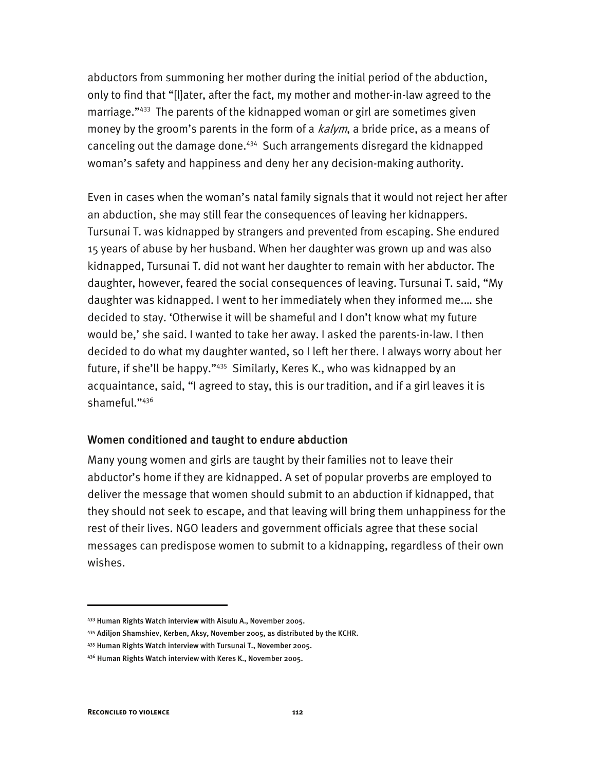abductors from summoning her mother during the initial period of the abduction, only to find that "[l]ater, after the fact, my mother and mother-in-law agreed to the marriage."433 The parents of the kidnapped woman or girl are sometimes given money by the groom's parents in the form of a  $kalym$ , a bride price, as a means of canceling out the damage done.<sup>434</sup> Such arrangements disregard the kidnapped woman's safety and happiness and deny her any decision-making authority.

Even in cases when the woman's natal family signals that it would not reject her after an abduction, she may still fear the consequences of leaving her kidnappers. Tursunai T. was kidnapped by strangers and prevented from escaping. She endured 15 years of abuse by her husband. When her daughter was grown up and was also kidnapped, Tursunai T. did not want her daughter to remain with her abductor. The daughter, however, feared the social consequences of leaving. Tursunai T. said, "My daughter was kidnapped. I went to her immediately when they informed me.… she decided to stay. 'Otherwise it will be shameful and I don't know what my future would be,' she said. I wanted to take her away. I asked the parents-in-law. I then decided to do what my daughter wanted, so I left her there. I always worry about her future, if she'll be happy."435 Similarly, Keres K., who was kidnapped by an acquaintance, said, "I agreed to stay, this is our tradition, and if a girl leaves it is shameful."436

#### Women conditioned and taught to endure abduction

Many young women and girls are taught by their families not to leave their abductor's home if they are kidnapped. A set of popular proverbs are employed to deliver the message that women should submit to an abduction if kidnapped, that they should not seek to escape, and that leaving will bring them unhappiness for the rest of their lives. NGO leaders and government officials agree that these social messages can predispose women to submit to a kidnapping, regardless of their own wishes.

<sup>433</sup> Human Rights Watch interview with Aisulu A., November 2005.

<sup>434</sup> Adiljon Shamshiev, Kerben, Aksy, November 2005, as distributed by the KCHR.

<sup>435</sup> Human Rights Watch interview with Tursunai T., November 2005.

<sup>436</sup> Human Rights Watch interview with Keres K., November 2005.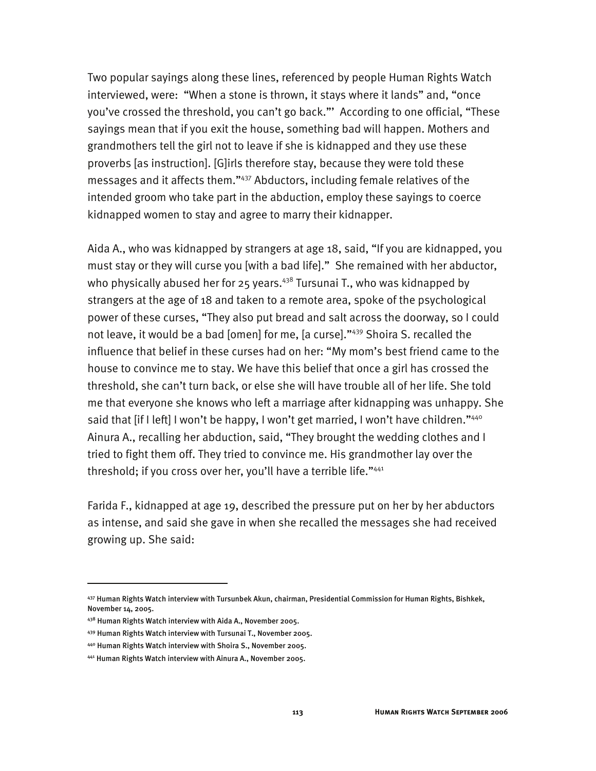Two popular sayings along these lines, referenced by people Human Rights Watch interviewed, were: "When a stone is thrown, it stays where it lands" and, "once you've crossed the threshold, you can't go back."' According to one official, "These sayings mean that if you exit the house, something bad will happen. Mothers and grandmothers tell the girl not to leave if she is kidnapped and they use these proverbs [as instruction]. [G]irls therefore stay, because they were told these messages and it affects them."437 Abductors, including female relatives of the intended groom who take part in the abduction, employ these sayings to coerce kidnapped women to stay and agree to marry their kidnapper.

Aida A., who was kidnapped by strangers at age 18, said, "If you are kidnapped, you must stay or they will curse you [with a bad life]." She remained with her abductor, who physically abused her for 25 years. $438$  Tursunai T., who was kidnapped by strangers at the age of 18 and taken to a remote area, spoke of the psychological power of these curses, "They also put bread and salt across the doorway, so I could not leave, it would be a bad [omen] for me, [a curse]."439 Shoira S. recalled the influence that belief in these curses had on her: "My mom's best friend came to the house to convince me to stay. We have this belief that once a girl has crossed the threshold, she can't turn back, or else she will have trouble all of her life. She told me that everyone she knows who left a marriage after kidnapping was unhappy. She said that [if I left] I won't be happy, I won't get married, I won't have children."<sup>440</sup> Ainura A., recalling her abduction, said, "They brought the wedding clothes and I tried to fight them off. They tried to convince me. His grandmother lay over the threshold; if you cross over her, you'll have a terrible life."441

Farida F., kidnapped at age 19, described the pressure put on her by her abductors as intense, and said she gave in when she recalled the messages she had received growing up. She said:

<sup>437</sup> Human Rights Watch interview with Tursunbek Akun, chairman, Presidential Commission for Human Rights, Bishkek, November 14, 2005.

<sup>438</sup> Human Rights Watch interview with Aida A., November 2005.

<sup>439</sup> Human Rights Watch interview with Tursunai T., November 2005.

<sup>440</sup> Human Rights Watch interview with Shoira S., November 2005.

<sup>441</sup> Human Rights Watch interview with Ainura A., November 2005.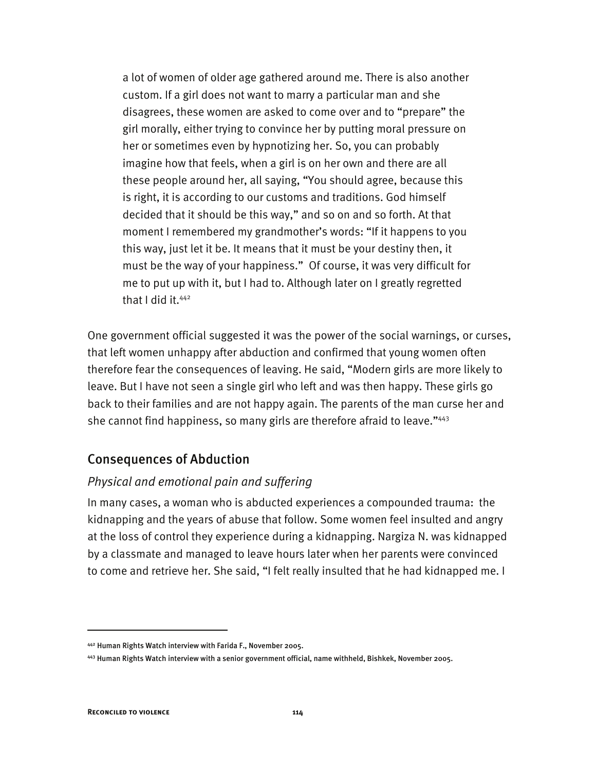a lot of women of older age gathered around me. There is also another custom. If a girl does not want to marry a particular man and she disagrees, these women are asked to come over and to "prepare" the girl morally, either trying to convince her by putting moral pressure on her or sometimes even by hypnotizing her. So, you can probably imagine how that feels, when a girl is on her own and there are all these people around her, all saying, "You should agree, because this is right, it is according to our customs and traditions. God himself decided that it should be this way," and so on and so forth. At that moment I remembered my grandmother's words: "If it happens to you this way, just let it be. It means that it must be your destiny then, it must be the way of your happiness." Of course, it was very difficult for me to put up with it, but I had to. Although later on I greatly regretted that I did it.<sup>442</sup>

One government official suggested it was the power of the social warnings, or curses, that left women unhappy after abduction and confirmed that young women often therefore fear the consequences of leaving. He said, "Modern girls are more likely to leave. But I have not seen a single girl who left and was then happy. These girls go back to their families and are not happy again. The parents of the man curse her and she cannot find happiness, so many girls are therefore afraid to leave."443

# Consequences of Abduction

# *Physical and emotional pain and suffering*

In many cases, a woman who is abducted experiences a compounded trauma: the kidnapping and the years of abuse that follow. Some women feel insulted and angry at the loss of control they experience during a kidnapping. Nargiza N. was kidnapped by a classmate and managed to leave hours later when her parents were convinced to come and retrieve her. She said, "I felt really insulted that he had kidnapped me. I

<sup>442</sup> Human Rights Watch interview with Farida F., November 2005.

<sup>443</sup> Human Rights Watch interview with a senior government official, name withheld, Bishkek, November 2005.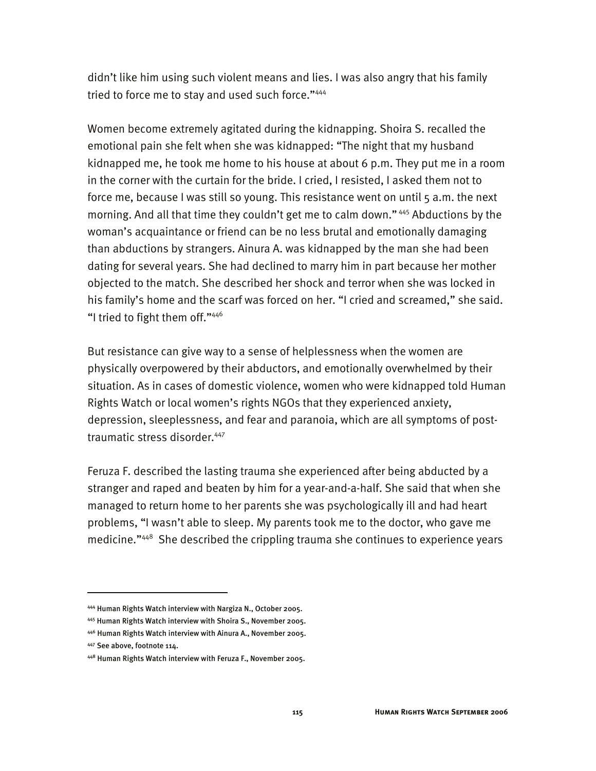didn't like him using such violent means and lies. I was also angry that his family tried to force me to stay and used such force."444

Women become extremely agitated during the kidnapping. Shoira S. recalled the emotional pain she felt when she was kidnapped: "The night that my husband kidnapped me, he took me home to his house at about 6 p.m. They put me in a room in the corner with the curtain for the bride. I cried, I resisted, I asked them not to force me, because I was still so young. This resistance went on until 5 a.m. the next morning. And all that time they couldn't get me to calm down." 445 Abductions by the woman's acquaintance or friend can be no less brutal and emotionally damaging than abductions by strangers. Ainura A. was kidnapped by the man she had been dating for several years. She had declined to marry him in part because her mother objected to the match. She described her shock and terror when she was locked in his family's home and the scarf was forced on her. "I cried and screamed," she said. "I tried to fight them off."446

But resistance can give way to a sense of helplessness when the women are physically overpowered by their abductors, and emotionally overwhelmed by their situation. As in cases of domestic violence, women who were kidnapped told Human Rights Watch or local women's rights NGOs that they experienced anxiety, depression, sleeplessness, and fear and paranoia, which are all symptoms of posttraumatic stress disorder.<sup>447</sup>

Feruza F. described the lasting trauma she experienced after being abducted by a stranger and raped and beaten by him for a year-and-a-half. She said that when she managed to return home to her parents she was psychologically ill and had heart problems, "I wasn't able to sleep. My parents took me to the doctor, who gave me medicine."448 She described the crippling trauma she continues to experience years

-

<sup>444</sup> Human Rights Watch interview with Nargiza N., October 2005.

<sup>445</sup> Human Rights Watch interview with Shoira S., November 2005.

<sup>446</sup> Human Rights Watch interview with Ainura A., November 2005.

<sup>447</sup> See above, footnote 114.

<sup>448</sup> Human Rights Watch interview with Feruza F., November 2005.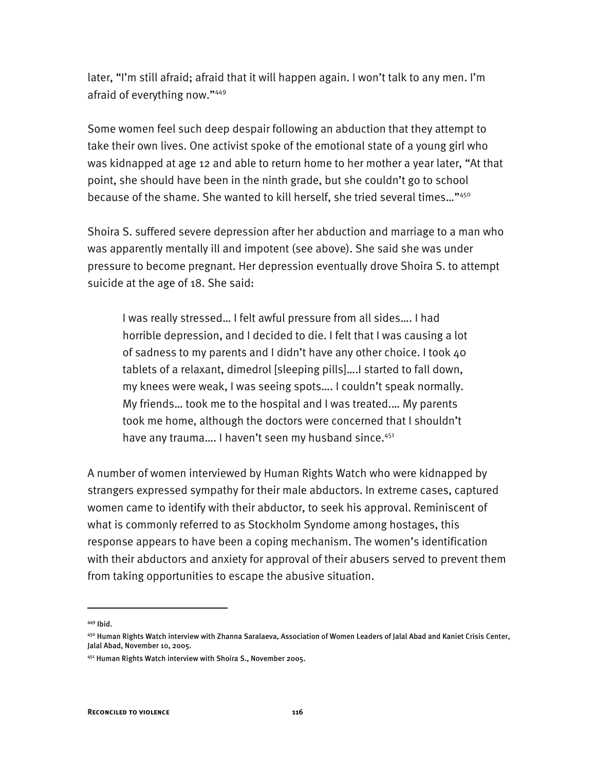later, "I'm still afraid; afraid that it will happen again. I won't talk to any men. I'm afraid of everything now."449

Some women feel such deep despair following an abduction that they attempt to take their own lives. One activist spoke of the emotional state of a young girl who was kidnapped at age 12 and able to return home to her mother a year later, "At that point, she should have been in the ninth grade, but she couldn't go to school because of the shame. She wanted to kill herself, she tried several times…"450

Shoira S. suffered severe depression after her abduction and marriage to a man who was apparently mentally ill and impotent (see above). She said she was under pressure to become pregnant. Her depression eventually drove Shoira S. to attempt suicide at the age of 18. She said:

I was really stressed… I felt awful pressure from all sides…. I had horrible depression, and I decided to die. I felt that I was causing a lot of sadness to my parents and I didn't have any other choice. I took 40 tablets of a relaxant, dimedrol [sleeping pills]….I started to fall down, my knees were weak, I was seeing spots…. I couldn't speak normally. My friends… took me to the hospital and I was treated.… My parents took me home, although the doctors were concerned that I shouldn't have any trauma.... I haven't seen my husband since.<sup>451</sup>

A number of women interviewed by Human Rights Watch who were kidnapped by strangers expressed sympathy for their male abductors. In extreme cases, captured women came to identify with their abductor, to seek his approval. Reminiscent of what is commonly referred to as Stockholm Syndome among hostages, this response appears to have been a coping mechanism. The women's identification with their abductors and anxiety for approval of their abusers served to prevent them from taking opportunities to escape the abusive situation.

<sup>449</sup> Ibid.

<sup>450</sup> Human Rights Watch interview with Zhanna Saralaeva, Association of Women Leaders of Jalal Abad and Kaniet Crisis Center, Jalal Abad, November 10, 2005.

<sup>451</sup> Human Rights Watch interview with Shoira S., November 2005.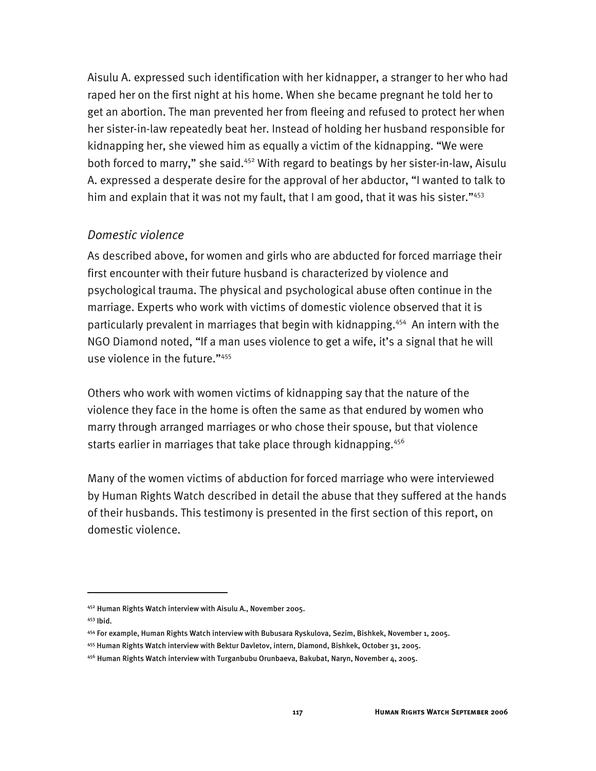Aisulu A. expressed such identification with her kidnapper, a stranger to her who had raped her on the first night at his home. When she became pregnant he told her to get an abortion. The man prevented her from fleeing and refused to protect her when her sister-in-law repeatedly beat her. Instead of holding her husband responsible for kidnapping her, she viewed him as equally a victim of the kidnapping. "We were both forced to marry," she said.<sup>452</sup> With regard to beatings by her sister-in-law, Aisulu A. expressed a desperate desire for the approval of her abductor, "I wanted to talk to him and explain that it was not my fault, that I am good, that it was his sister."453

### *Domestic violence*

As described above, for women and girls who are abducted for forced marriage their first encounter with their future husband is characterized by violence and psychological trauma. The physical and psychological abuse often continue in the marriage. Experts who work with victims of domestic violence observed that it is particularly prevalent in marriages that begin with kidnapping.454 An intern with the NGO Diamond noted, "If a man uses violence to get a wife, it's a signal that he will use violence in the future."455

Others who work with women victims of kidnapping say that the nature of the violence they face in the home is often the same as that endured by women who marry through arranged marriages or who chose their spouse, but that violence starts earlier in marriages that take place through kidnapping.<sup>456</sup>

Many of the women victims of abduction for forced marriage who were interviewed by Human Rights Watch described in detail the abuse that they suffered at the hands of their husbands. This testimony is presented in the first section of this report, on domestic violence.

<sup>452</sup> Human Rights Watch interview with Aisulu A., November 2005.

<sup>453</sup> Ibid.

<sup>454</sup> For example, Human Rights Watch interview with Bubusara Ryskulova, Sezim, Bishkek, November 1, 2005.

<sup>455</sup> Human Rights Watch interview with Bektur Davletov, intern, Diamond, Bishkek, October 31, 2005.

<sup>456</sup> Human Rights Watch interview with Turganbubu Orunbaeva, Bakubat, Naryn, November 4, 2005.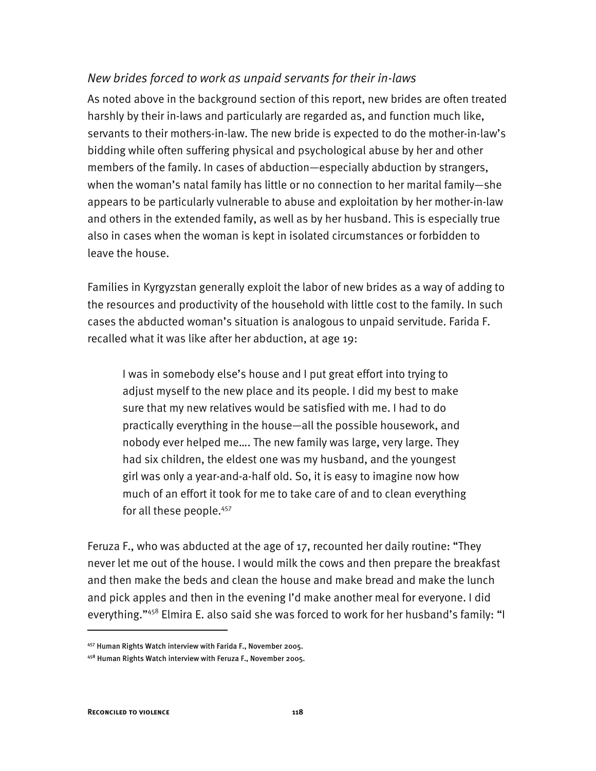### *New brides forced to work as unpaid servants for their in-laws*

As noted above in the background section of this report, new brides are often treated harshly by their in-laws and particularly are regarded as, and function much like, servants to their mothers-in-law. The new bride is expected to do the mother-in-law's bidding while often suffering physical and psychological abuse by her and other members of the family. In cases of abduction—especially abduction by strangers, when the woman's natal family has little or no connection to her marital family—she appears to be particularly vulnerable to abuse and exploitation by her mother-in-law and others in the extended family, as well as by her husband. This is especially true also in cases when the woman is kept in isolated circumstances or forbidden to leave the house.

Families in Kyrgyzstan generally exploit the labor of new brides as a way of adding to the resources and productivity of the household with little cost to the family. In such cases the abducted woman's situation is analogous to unpaid servitude. Farida F. recalled what it was like after her abduction, at age 19:

I was in somebody else's house and I put great effort into trying to adjust myself to the new place and its people. I did my best to make sure that my new relatives would be satisfied with me. I had to do practically everything in the house—all the possible housework, and nobody ever helped me…. The new family was large, very large. They had six children, the eldest one was my husband, and the youngest girl was only a year-and-a-half old. So, it is easy to imagine now how much of an effort it took for me to take care of and to clean everything for all these people.<sup>457</sup>

Feruza F., who was abducted at the age of 17, recounted her daily routine: "They never let me out of the house. I would milk the cows and then prepare the breakfast and then make the beds and clean the house and make bread and make the lunch and pick apples and then in the evening I'd make another meal for everyone. I did everything."<sup>458</sup> Elmira E. also said she was forced to work for her husband's family: "I

-

<sup>457</sup> Human Rights Watch interview with Farida F., November 2005.

<sup>458</sup> Human Rights Watch interview with Feruza F., November 2005.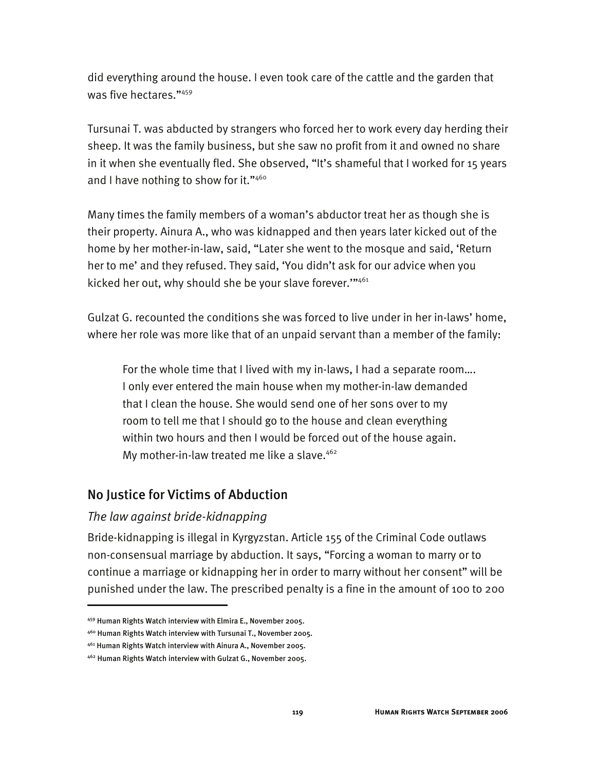did everything around the house. I even took care of the cattle and the garden that was five hectares."459

Tursunai T. was abducted by strangers who forced her to work every day herding their sheep. It was the family business, but she saw no profit from it and owned no share in it when she eventually fled. She observed, "It's shameful that I worked for 15 years and I have nothing to show for it." $460$ 

Many times the family members of a woman's abductor treat her as though she is their property. Ainura A., who was kidnapped and then years later kicked out of the home by her mother-in-law, said, "Later she went to the mosque and said, 'Return her to me' and they refused. They said, 'You didn't ask for our advice when you kicked her out, why should she be your slave forever.'"461

Gulzat G. recounted the conditions she was forced to live under in her in-laws' home, where her role was more like that of an unpaid servant than a member of the family:

For the whole time that I lived with my in-laws, I had a separate room…. I only ever entered the main house when my mother-in-law demanded that I clean the house. She would send one of her sons over to my room to tell me that I should go to the house and clean everything within two hours and then I would be forced out of the house again. My mother-in-law treated me like a slave. $462$ 

# No Justice for Victims of Abduction

### *The law against bride-kidnapping*

j

Bride-kidnapping is illegal in Kyrgyzstan. Article 155 of the Criminal Code outlaws non-consensual marriage by abduction. It says, "Forcing a woman to marry or to continue a marriage or kidnapping her in order to marry without her consent" will be punished under the law. The prescribed penalty is a fine in the amount of 100 to 200

<sup>459</sup> Human Rights Watch interview with Elmira E., November 2005.

<sup>460</sup> Human Rights Watch interview with Tursunai T., November 2005.

<sup>461</sup> Human Rights Watch interview with Ainura A., November 2005.

<sup>462</sup> Human Rights Watch interview with Gulzat G., November 2005.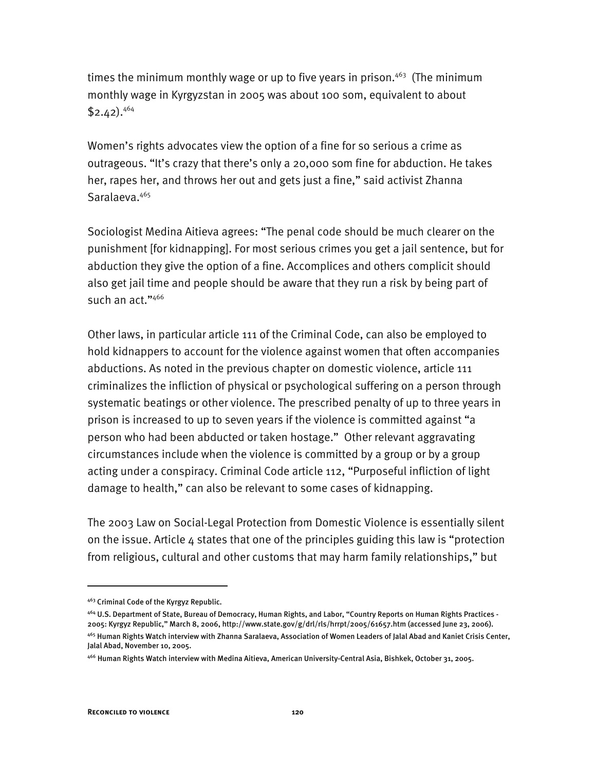times the minimum monthly wage or up to five years in prison.<sup>463</sup> (The minimum monthly wage in Kyrgyzstan in 2005 was about 100 som, equivalent to about  $$2.42$ ).<sup>464</sup>

Women's rights advocates view the option of a fine for so serious a crime as outrageous. "It's crazy that there's only a 20,000 som fine for abduction. He takes her, rapes her, and throws her out and gets just a fine," said activist Zhanna Saralaeva.<sup>465</sup>

Sociologist Medina Aitieva agrees: "The penal code should be much clearer on the punishment [for kidnapping]. For most serious crimes you get a jail sentence, but for abduction they give the option of a fine. Accomplices and others complicit should also get jail time and people should be aware that they run a risk by being part of such an act."466

Other laws, in particular article 111 of the Criminal Code, can also be employed to hold kidnappers to account for the violence against women that often accompanies abductions. As noted in the previous chapter on domestic violence, article 111 criminalizes the infliction of physical or psychological suffering on a person through systematic beatings or other violence. The prescribed penalty of up to three years in prison is increased to up to seven years if the violence is committed against "a person who had been abducted or taken hostage." Other relevant aggravating circumstances include when the violence is committed by a group or by a group acting under a conspiracy. Criminal Code article 112, "Purposeful infliction of light damage to health," can also be relevant to some cases of kidnapping.

The 2003 Law on Social-Legal Protection from Domestic Violence is essentially silent on the issue. Article 4 states that one of the principles guiding this law is "protection from religious, cultural and other customs that may harm family relationships," but

-

<sup>463</sup> Criminal Code of the Kyrgyz Republic.

<sup>464</sup> U.S. Department of State, Bureau of Democracy, Human Rights, and Labor, "Country Reports on Human Rights Practices - 2005: Kyrgyz Republic," March 8, 2006, http://www.state.gov/g/drl/rls/hrrpt/2005/61657.htm (accessed June 23, 2006). 465 Human Rights Watch interview with Zhanna Saralaeva, Association of Women Leaders of Jalal Abad and Kaniet Crisis Center, Jalal Abad, November 10, 2005.

<sup>466</sup> Human Rights Watch interview with Medina Aitieva, American University-Central Asia, Bishkek, October 31, 2005.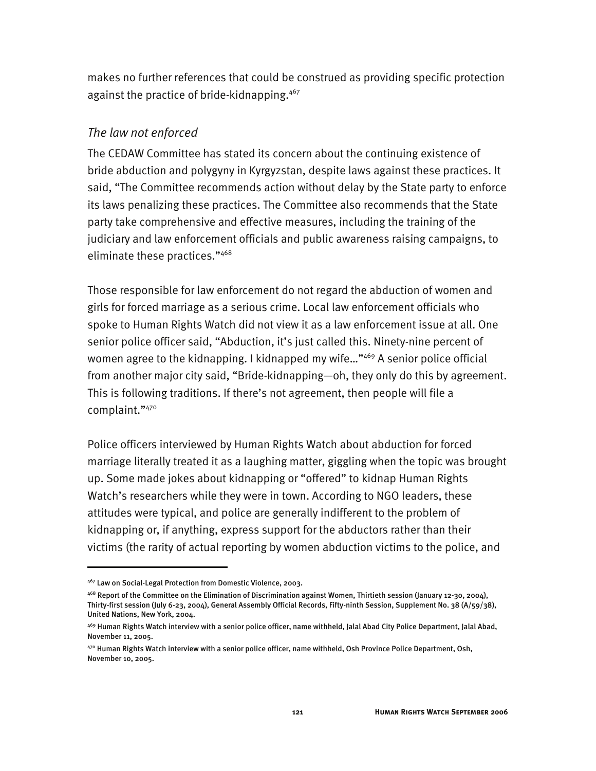makes no further references that could be construed as providing specific protection against the practice of bride-kidnapping.<sup>467</sup>

### *The law not enforced*

The CEDAW Committee has stated its concern about the continuing existence of bride abduction and polygyny in Kyrgyzstan, despite laws against these practices. It said, "The Committee recommends action without delay by the State party to enforce its laws penalizing these practices. The Committee also recommends that the State party take comprehensive and effective measures, including the training of the judiciary and law enforcement officials and public awareness raising campaigns, to eliminate these practices."468

Those responsible for law enforcement do not regard the abduction of women and girls for forced marriage as a serious crime. Local law enforcement officials who spoke to Human Rights Watch did not view it as a law enforcement issue at all. One senior police officer said, "Abduction, it's just called this. Ninety-nine percent of women agree to the kidnapping. I kidnapped my wife..."<sup>469</sup> A senior police official from another major city said, "Bride-kidnapping—oh, they only do this by agreement. This is following traditions. If there's not agreement, then people will file a complaint."470

Police officers interviewed by Human Rights Watch about abduction for forced marriage literally treated it as a laughing matter, giggling when the topic was brought up. Some made jokes about kidnapping or "offered" to kidnap Human Rights Watch's researchers while they were in town. According to NGO leaders, these attitudes were typical, and police are generally indifferent to the problem of kidnapping or, if anything, express support for the abductors rather than their victims (the rarity of actual reporting by women abduction victims to the police, and

-

<sup>467</sup> Law on Social-Legal Protection from Domestic Violence, 2003.

<sup>468</sup> Report of the Committee on the Elimination of Discrimination against Women, Thirtieth session (January 12-30, 2004), Thirty-first session (July 6-23, 2004), General Assembly Official Records, Fifty-ninth Session, Supplement No. 38 (A/59/38), United Nations, New York, 2004.

<sup>469</sup> Human Rights Watch interview with a senior police officer, name withheld, Jalal Abad City Police Department, Jalal Abad, November 11, 2005.

<sup>470</sup> Human Rights Watch interview with a senior police officer, name withheld, Osh Province Police Department, Osh, November 10, 2005.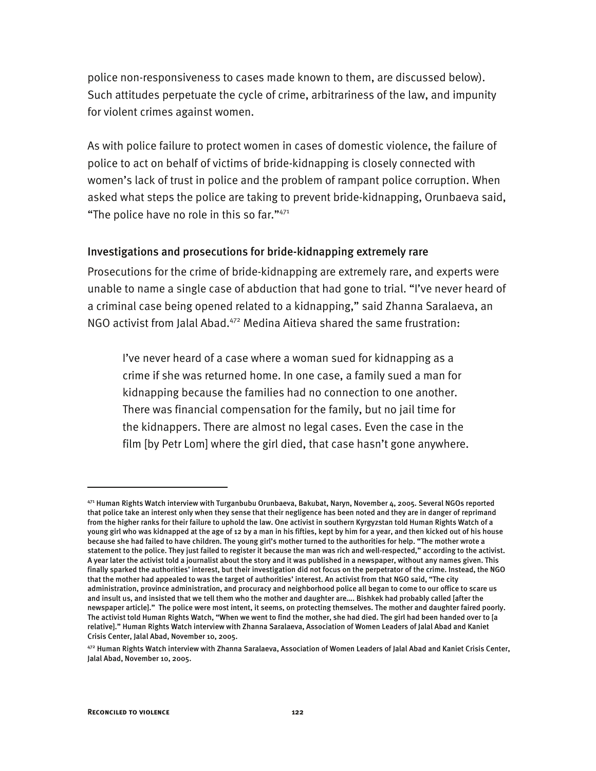police non-responsiveness to cases made known to them, are discussed below). Such attitudes perpetuate the cycle of crime, arbitrariness of the law, and impunity for violent crimes against women.

As with police failure to protect women in cases of domestic violence, the failure of police to act on behalf of victims of bride-kidnapping is closely connected with women's lack of trust in police and the problem of rampant police corruption. When asked what steps the police are taking to prevent bride-kidnapping, Orunbaeva said, "The police have no role in this so far."471

#### Investigations and prosecutions for bride-kidnapping extremely rare

Prosecutions for the crime of bride-kidnapping are extremely rare, and experts were unable to name a single case of abduction that had gone to trial. "I've never heard of a criminal case being opened related to a kidnapping," said Zhanna Saralaeva, an NGO activist from Jalal Abad.472 Medina Aitieva shared the same frustration:

I've never heard of a case where a woman sued for kidnapping as a crime if she was returned home. In one case, a family sued a man for kidnapping because the families had no connection to one another. There was financial compensation for the family, but no jail time for the kidnappers. There are almost no legal cases. Even the case in the film [by Petr Lom] where the girl died, that case hasn't gone anywhere.

<sup>471</sup> Human Rights Watch interview with Turganbubu Orunbaeva, Bakubat, Naryn, November 4, 2005. Several NGOs reported that police take an interest only when they sense that their negligence has been noted and they are in danger of reprimand from the higher ranks for their failure to uphold the law. One activist in southern Kyrgyzstan told Human Rights Watch of a young girl who was kidnapped at the age of 12 by a man in his fifties, kept by him for a year, and then kicked out of his house because she had failed to have children. The young girl's mother turned to the authorities for help. "The mother wrote a statement to the police. They just failed to register it because the man was rich and well-respected," according to the activist. A year later the activist told a journalist about the story and it was published in a newspaper, without any names given. This finally sparked the authorities' interest, but their investigation did not focus on the perpetrator of the crime. Instead, the NGO that the mother had appealed to was the target of authorities' interest. An activist from that NGO said, "The city administration, province administration, and procuracy and neighborhood police all began to come to our office to scare us and insult us, and insisted that we tell them who the mother and daughter are…. Bishkek had probably called [after the newspaper article]." The police were most intent, it seems, on protecting themselves. The mother and daughter faired poorly. The activist told Human Rights Watch, "When we went to find the mother, she had died. The girl had been handed over to [a relative]." Human Rights Watch interview with Zhanna Saralaeva, Association of Women Leaders of Jalal Abad and Kaniet Crisis Center, Jalal Abad, November 10, 2005.

<sup>472</sup> Human Rights Watch interview with Zhanna Saralaeva, Association of Women Leaders of Jalal Abad and Kaniet Crisis Center, Jalal Abad, November 10, 2005.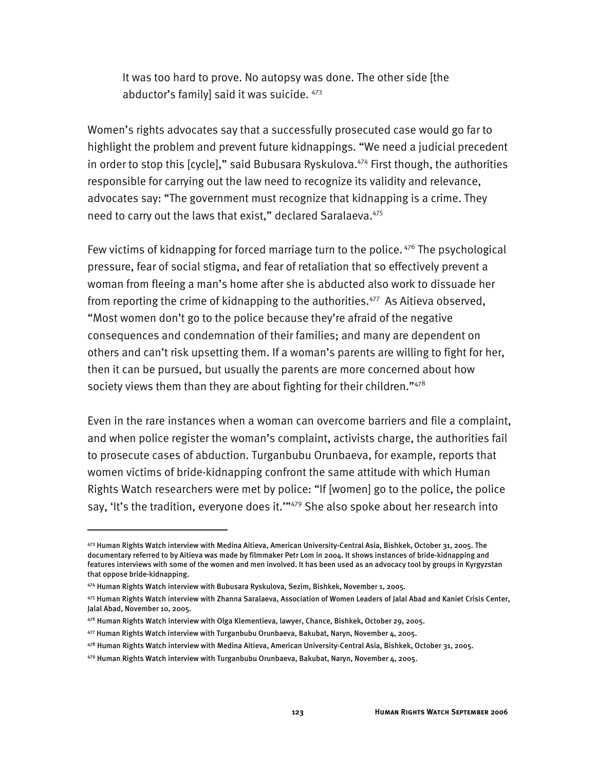It was too hard to prove. No autopsy was done. The other side [the abductor's family] said it was suicide.  $473$ 

Women's rights advocates say that a successfully prosecuted case would go far to highlight the problem and prevent future kidnappings. "We need a judicial precedent in order to stop this [cycle]," said Bubusara Ryskulova.<sup>474</sup> First though, the authorities responsible for carrying out the law need to recognize its validity and relevance, advocates say: "The government must recognize that kidnapping is a crime. They need to carry out the laws that exist," declared Saralaeva. 475

Few victims of kidnapping for forced marriage turn to the police.  $476$  The psychological pressure, fear of social stigma, and fear of retaliation that so effectively prevent a woman from fleeing a man's home after she is abducted also work to dissuade her from reporting the crime of kidnapping to the authorities.<sup>477</sup> As Aitieva observed, "Most women don't go to the police because they're afraid of the negative consequences and condemnation of their families; and many are dependent on others and can't risk upsetting them. If a woman's parents are willing to fight for her, then it can be pursued, but usually the parents are more concerned about how society views them than they are about fighting for their children."478

Even in the rare instances when a woman can overcome barriers and file a complaint, and when police register the woman's complaint, activists charge, the authorities fail to prosecute cases of abduction. Turganbubu Orunbaeva, for example, reports that women victims of bride-kidnapping confront the same attitude with which Human Rights Watch researchers were met by police: "If [women] go to the police, the police say, 'It's the tradition, everyone does it."<sup>479</sup> She also spoke about her research into

<sup>473</sup> Human Rights Watch interview with Medina Aitieva, American University-Central Asia, Bishkek, October 31, 2005. The documentary referred to by Aitieva was made by filmmaker Petr Lom in 2004. It shows instances of bride-kidnapping and features interviews with some of the women and men involved. It has been used as an advocacy tool by groups in Kyrgyzstan that oppose bride-kidnapping.

<sup>474</sup> Human Rights Watch interview with Bubusara Ryskulova, Sezim, Bishkek, November 1, 2005.

<sup>475</sup> Human Rights Watch interview with Zhanna Saralaeva, Association of Women Leaders of Jalal Abad and Kaniet Crisis Center, Jalal Abad, November 10, 2005.

<sup>476</sup> Human Rights Watch interview with Olga Klementieva, lawyer, Chance, Bishkek, October 29, 2005.

<sup>477</sup> Human Rights Watch interview with Turganbubu Orunbaeva, Bakubat, Naryn, November 4, 2005.

<sup>478</sup> Human Rights Watch interview with Medina Aitieva, American University-Central Asia, Bishkek, October 31, 2005.

<sup>479</sup> Human Rights Watch interview with Turganbubu Orunbaeva, Bakubat, Naryn, November 4, 2005.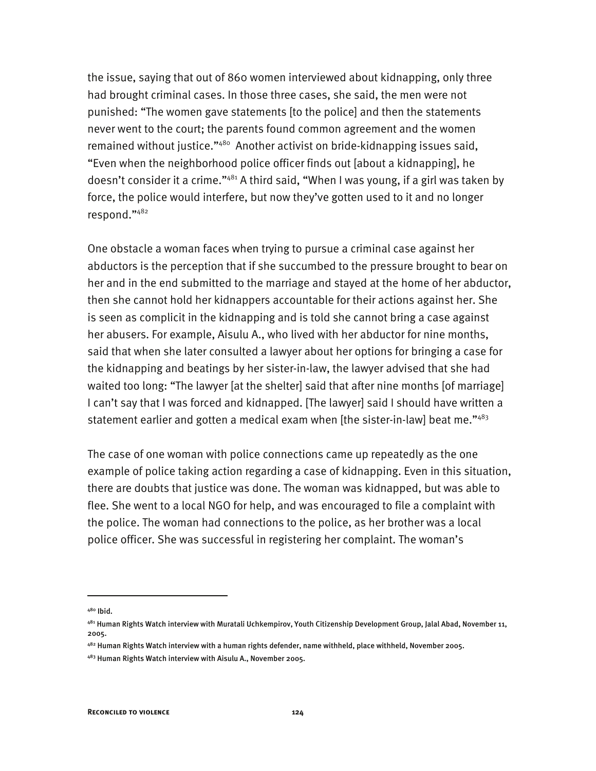the issue, saying that out of 860 women interviewed about kidnapping, only three had brought criminal cases. In those three cases, she said, the men were not punished: "The women gave statements [to the police] and then the statements never went to the court; the parents found common agreement and the women remained without justice."<sup>480</sup> Another activist on bride-kidnapping issues said, "Even when the neighborhood police officer finds out [about a kidnapping], he doesn't consider it a crime."<sup>481</sup> A third said, "When I was young, if a girl was taken by force, the police would interfere, but now they've gotten used to it and no longer respond."482

One obstacle a woman faces when trying to pursue a criminal case against her abductors is the perception that if she succumbed to the pressure brought to bear on her and in the end submitted to the marriage and stayed at the home of her abductor, then she cannot hold her kidnappers accountable for their actions against her. She is seen as complicit in the kidnapping and is told she cannot bring a case against her abusers. For example, Aisulu A., who lived with her abductor for nine months, said that when she later consulted a lawyer about her options for bringing a case for the kidnapping and beatings by her sister-in-law, the lawyer advised that she had waited too long: "The lawyer [at the shelter] said that after nine months [of marriage] I can't say that I was forced and kidnapped. [The lawyer] said I should have written a statement earlier and gotten a medical exam when [the sister-in-law] beat me."483

The case of one woman with police connections came up repeatedly as the one example of police taking action regarding a case of kidnapping. Even in this situation, there are doubts that justice was done. The woman was kidnapped, but was able to flee. She went to a local NGO for help, and was encouraged to file a complaint with the police. The woman had connections to the police, as her brother was a local police officer. She was successful in registering her complaint. The woman's

<sup>480</sup> Ibid.

<sup>481</sup> Human Rights Watch interview with Muratali Uchkempirov, Youth Citizenship Development Group, Jalal Abad, November 11, 2005.

<sup>482</sup> Human Rights Watch interview with a human rights defender, name withheld, place withheld, November 2005.

<sup>483</sup> Human Rights Watch interview with Aisulu A., November 2005.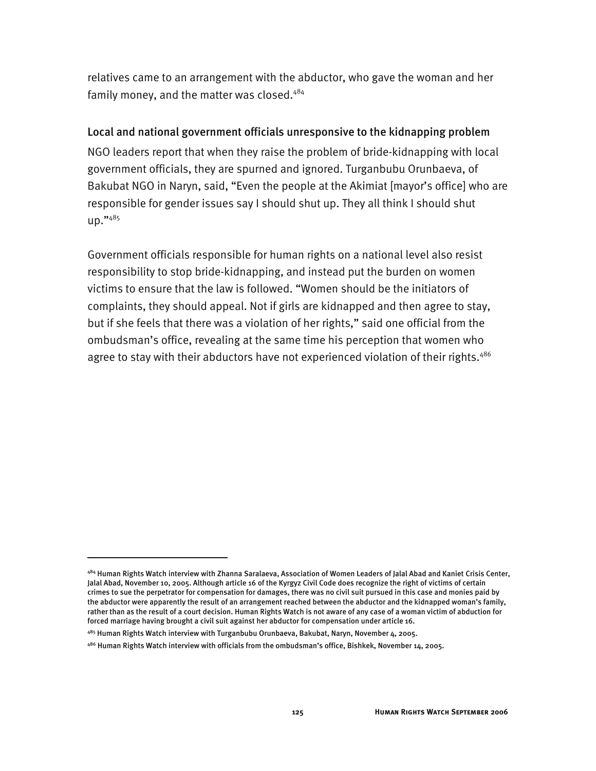relatives came to an arrangement with the abductor, who gave the woman and her family money, and the matter was closed.<sup>484</sup>

#### Local and national government officials unresponsive to the kidnapping problem

NGO leaders report that when they raise the problem of bride-kidnapping with local government officials, they are spurned and ignored. Turganbubu Orunbaeva, of Bakubat NGO in Naryn, said, "Even the people at the Akimiat [mayor's office] who are responsible for gender issues say I should shut up. They all think I should shut up."485

Government officials responsible for human rights on a national level also resist responsibility to stop bride-kidnapping, and instead put the burden on women victims to ensure that the law is followed. "Women should be the initiators of complaints, they should appeal. Not if girls are kidnapped and then agree to stay, but if she feels that there was a violation of her rights," said one official from the ombudsman's office, revealing at the same time his perception that women who agree to stay with their abductors have not experienced violation of their rights.<sup>486</sup>

-

<sup>484</sup> Human Rights Watch interview with Zhanna Saralaeva, Association of Women Leaders of Jalal Abad and Kaniet Crisis Center, Jalal Abad, November 10, 2005. Although article 16 of the Kyrgyz Civil Code does recognize the right of victims of certain crimes to sue the perpetrator for compensation for damages, there was no civil suit pursued in this case and monies paid by the abductor were apparently the result of an arrangement reached between the abductor and the kidnapped woman's family, rather than as the result of a court decision. Human Rights Watch is not aware of any case of a woman victim of abduction for forced marriage having brought a civil suit against her abductor for compensation under article 16.

 $485$  Human Rights Watch interview with Turganbubu Orunbaeva, Bakubat, Naryn, November 4, 2005.

 $486$  Human Rights Watch interview with officials from the ombudsman's office, Bishkek, November 14, 2005.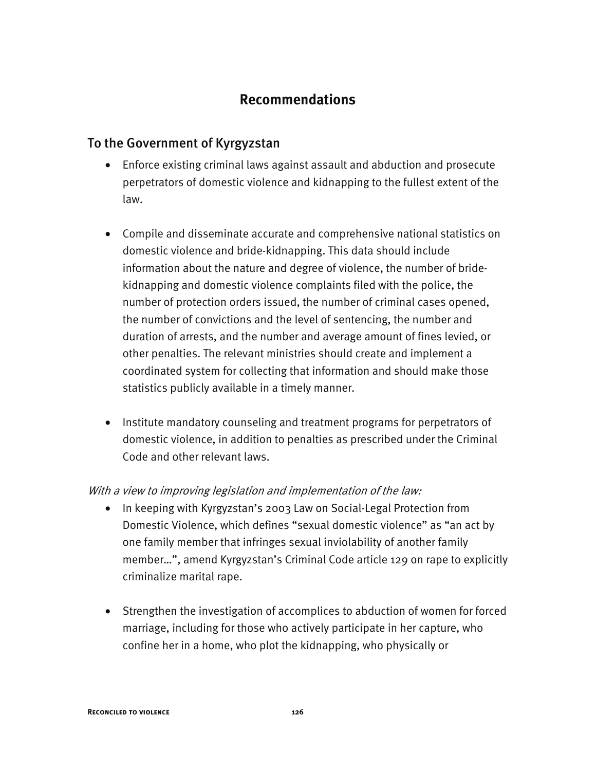# **Recommendations**

# To the Government of Kyrgyzstan

- Enforce existing criminal laws against assault and abduction and prosecute perpetrators of domestic violence and kidnapping to the fullest extent of the law.
- Compile and disseminate accurate and comprehensive national statistics on domestic violence and bride-kidnapping. This data should include information about the nature and degree of violence, the number of bridekidnapping and domestic violence complaints filed with the police, the number of protection orders issued, the number of criminal cases opened, the number of convictions and the level of sentencing, the number and duration of arrests, and the number and average amount of fines levied, or other penalties. The relevant ministries should create and implement a coordinated system for collecting that information and should make those statistics publicly available in a timely manner.
- Institute mandatory counseling and treatment programs for perpetrators of domestic violence, in addition to penalties as prescribed under the Criminal Code and other relevant laws.

### With a view to improving legislation and implementation of the law:

- In keeping with Kyrgyzstan's 2003 Law on Social-Legal Protection from Domestic Violence, which defines "sexual domestic violence" as "an act by one family member that infringes sexual inviolability of another family member…", amend Kyrgyzstan's Criminal Code article 129 on rape to explicitly criminalize marital rape.
- Strengthen the investigation of accomplices to abduction of women for forced marriage, including for those who actively participate in her capture, who confine her in a home, who plot the kidnapping, who physically or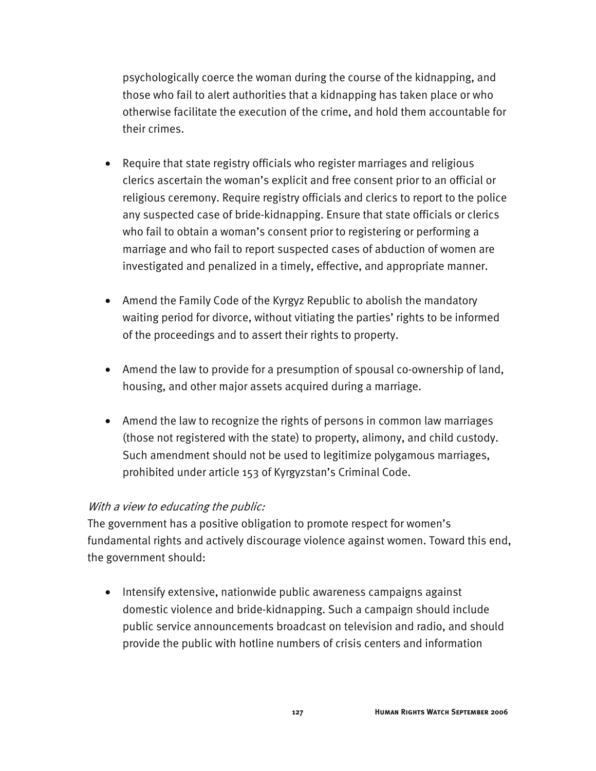psychologically coerce the woman during the course of the kidnapping, and those who fail to alert authorities that a kidnapping has taken place or who otherwise facilitate the execution of the crime, and hold them accountable for their crimes.

- Require that state registry officials who register marriages and religious clerics ascertain the woman's explicit and free consent prior to an official or religious ceremony. Require registry officials and clerics to report to the police any suspected case of bride-kidnapping. Ensure that state officials or clerics who fail to obtain a woman's consent prior to registering or performing a marriage and who fail to report suspected cases of abduction of women are investigated and penalized in a timely, effective, and appropriate manner.
- Amend the Family Code of the Kyrgyz Republic to abolish the mandatory waiting period for divorce, without vitiating the parties' rights to be informed of the proceedings and to assert their rights to property.
- Amend the law to provide for a presumption of spousal co-ownership of land, housing, and other major assets acquired during a marriage.
- Amend the law to recognize the rights of persons in common law marriages (those not registered with the state) to property, alimony, and child custody. Such amendment should not be used to legitimize polygamous marriages, prohibited under article 153 of Kyrgyzstan's Criminal Code.

### With a view to educating the public:

The government has a positive obligation to promote respect for women's fundamental rights and actively discourage violence against women. Toward this end, the government should:

• Intensify extensive, nationwide public awareness campaigns against domestic violence and bride-kidnapping. Such a campaign should include public service announcements broadcast on television and radio, and should provide the public with hotline numbers of crisis centers and information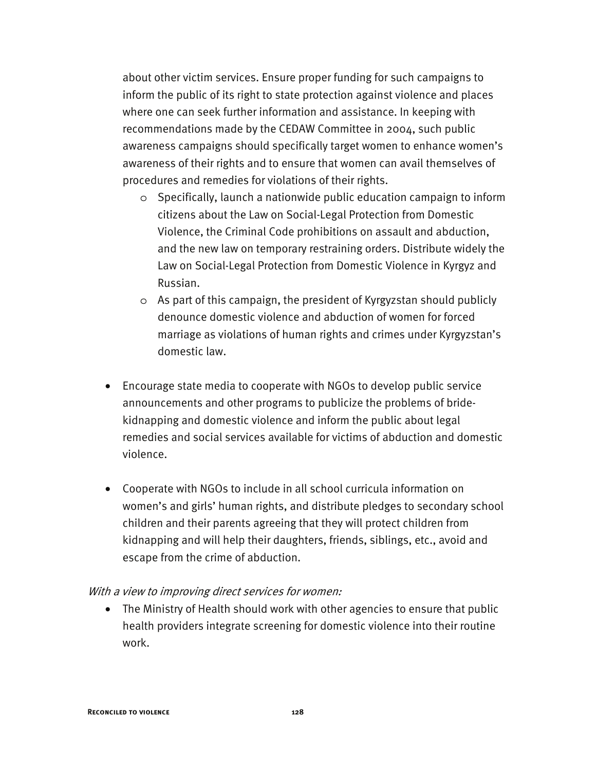about other victim services. Ensure proper funding for such campaigns to inform the public of its right to state protection against violence and places where one can seek further information and assistance. In keeping with recommendations made by the CEDAW Committee in 2004, such public awareness campaigns should specifically target women to enhance women's awareness of their rights and to ensure that women can avail themselves of procedures and remedies for violations of their rights.

- o Specifically, launch a nationwide public education campaign to inform citizens about the Law on Social-Legal Protection from Domestic Violence, the Criminal Code prohibitions on assault and abduction, and the new law on temporary restraining orders. Distribute widely the Law on Social-Legal Protection from Domestic Violence in Kyrgyz and Russian.
- o As part of this campaign, the president of Kyrgyzstan should publicly denounce domestic violence and abduction of women for forced marriage as violations of human rights and crimes under Kyrgyzstan's domestic law.
- Encourage state media to cooperate with NGOs to develop public service announcements and other programs to publicize the problems of bridekidnapping and domestic violence and inform the public about legal remedies and social services available for victims of abduction and domestic violence.
- Cooperate with NGOs to include in all school curricula information on women's and girls' human rights, and distribute pledges to secondary school children and their parents agreeing that they will protect children from kidnapping and will help their daughters, friends, siblings, etc., avoid and escape from the crime of abduction.

#### With a view to improving direct services for women:

• The Ministry of Health should work with other agencies to ensure that public health providers integrate screening for domestic violence into their routine work.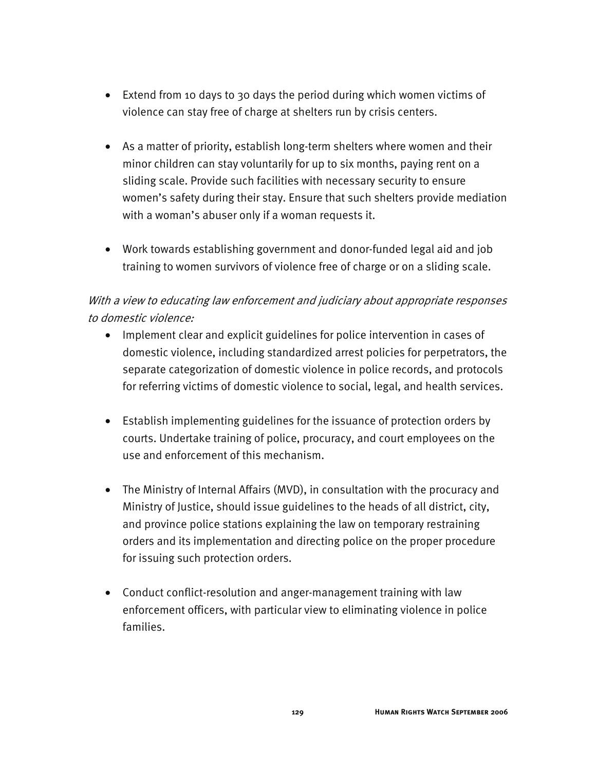- Extend from 10 days to 30 days the period during which women victims of violence can stay free of charge at shelters run by crisis centers.
- As a matter of priority, establish long-term shelters where women and their minor children can stay voluntarily for up to six months, paying rent on a sliding scale. Provide such facilities with necessary security to ensure women's safety during their stay. Ensure that such shelters provide mediation with a woman's abuser only if a woman requests it.
- Work towards establishing government and donor-funded legal aid and job training to women survivors of violence free of charge or on a sliding scale.

# With a view to educating law enforcement and judiciary about appropriate responses to domestic violence:

- Implement clear and explicit guidelines for police intervention in cases of domestic violence, including standardized arrest policies for perpetrators, the separate categorization of domestic violence in police records, and protocols for referring victims of domestic violence to social, legal, and health services.
- Establish implementing guidelines for the issuance of protection orders by courts. Undertake training of police, procuracy, and court employees on the use and enforcement of this mechanism.
- The Ministry of Internal Affairs (MVD), in consultation with the procuracy and Ministry of Justice, should issue guidelines to the heads of all district, city, and province police stations explaining the law on temporary restraining orders and its implementation and directing police on the proper procedure for issuing such protection orders.
- Conduct conflict-resolution and anger-management training with law enforcement officers, with particular view to eliminating violence in police families.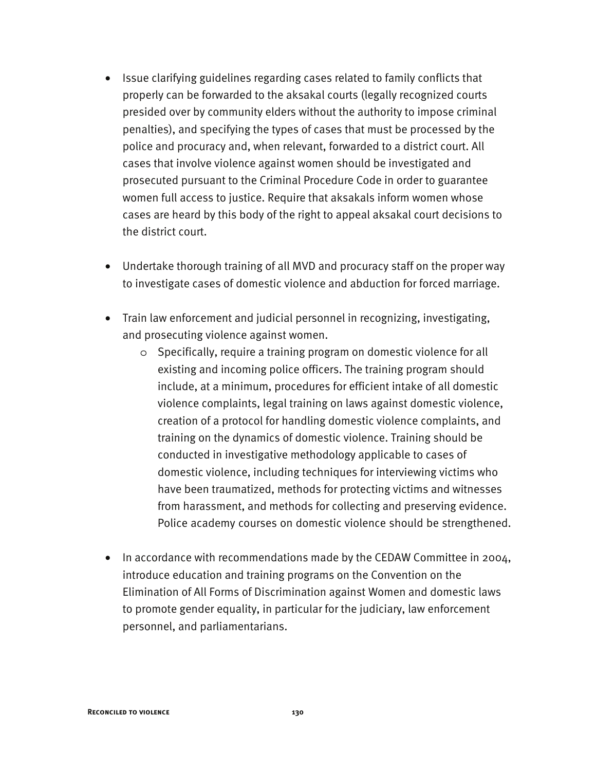- Issue clarifying guidelines regarding cases related to family conflicts that properly can be forwarded to the aksakal courts (legally recognized courts presided over by community elders without the authority to impose criminal penalties), and specifying the types of cases that must be processed by the police and procuracy and, when relevant, forwarded to a district court. All cases that involve violence against women should be investigated and prosecuted pursuant to the Criminal Procedure Code in order to guarantee women full access to justice. Require that aksakals inform women whose cases are heard by this body of the right to appeal aksakal court decisions to the district court.
- Undertake thorough training of all MVD and procuracy staff on the proper way to investigate cases of domestic violence and abduction for forced marriage.
- Train law enforcement and judicial personnel in recognizing, investigating, and prosecuting violence against women.
	- o Specifically, require a training program on domestic violence for all existing and incoming police officers. The training program should include, at a minimum, procedures for efficient intake of all domestic violence complaints, legal training on laws against domestic violence, creation of a protocol for handling domestic violence complaints, and training on the dynamics of domestic violence. Training should be conducted in investigative methodology applicable to cases of domestic violence, including techniques for interviewing victims who have been traumatized, methods for protecting victims and witnesses from harassment, and methods for collecting and preserving evidence. Police academy courses on domestic violence should be strengthened.
- In accordance with recommendations made by the CEDAW Committee in 2004, introduce education and training programs on the Convention on the Elimination of All Forms of Discrimination against Women and domestic laws to promote gender equality, in particular for the judiciary, law enforcement personnel, and parliamentarians.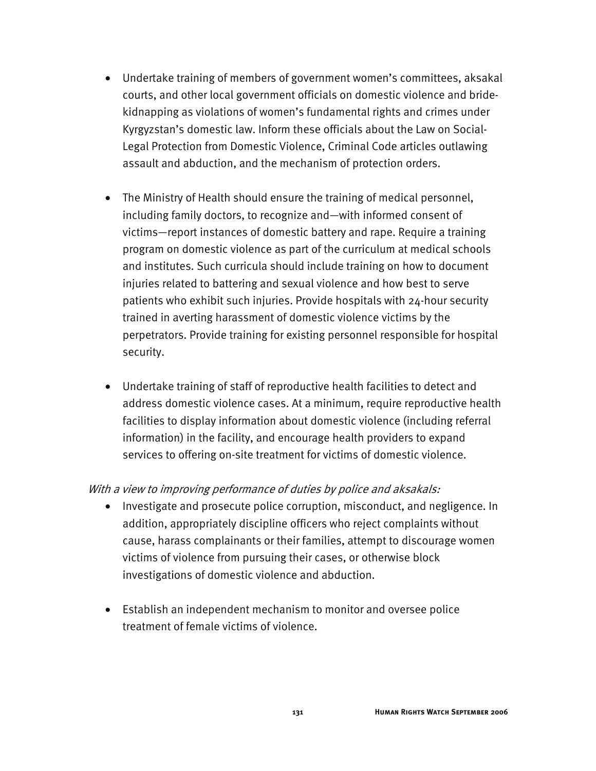- Undertake training of members of government women's committees, aksakal courts, and other local government officials on domestic violence and bridekidnapping as violations of women's fundamental rights and crimes under Kyrgyzstan's domestic law. Inform these officials about the Law on Social-Legal Protection from Domestic Violence, Criminal Code articles outlawing assault and abduction, and the mechanism of protection orders.
- The Ministry of Health should ensure the training of medical personnel, including family doctors, to recognize and—with informed consent of victims—report instances of domestic battery and rape. Require a training program on domestic violence as part of the curriculum at medical schools and institutes. Such curricula should include training on how to document injuries related to battering and sexual violence and how best to serve patients who exhibit such injuries. Provide hospitals with 24-hour security trained in averting harassment of domestic violence victims by the perpetrators. Provide training for existing personnel responsible for hospital security.
- Undertake training of staff of reproductive health facilities to detect and address domestic violence cases. At a minimum, require reproductive health facilities to display information about domestic violence (including referral information) in the facility, and encourage health providers to expand services to offering on-site treatment for victims of domestic violence.

### With a view to improving performance of duties by police and aksakals:

- Investigate and prosecute police corruption, misconduct, and negligence. In addition, appropriately discipline officers who reject complaints without cause, harass complainants or their families, attempt to discourage women victims of violence from pursuing their cases, or otherwise block investigations of domestic violence and abduction.
- Establish an independent mechanism to monitor and oversee police treatment of female victims of violence.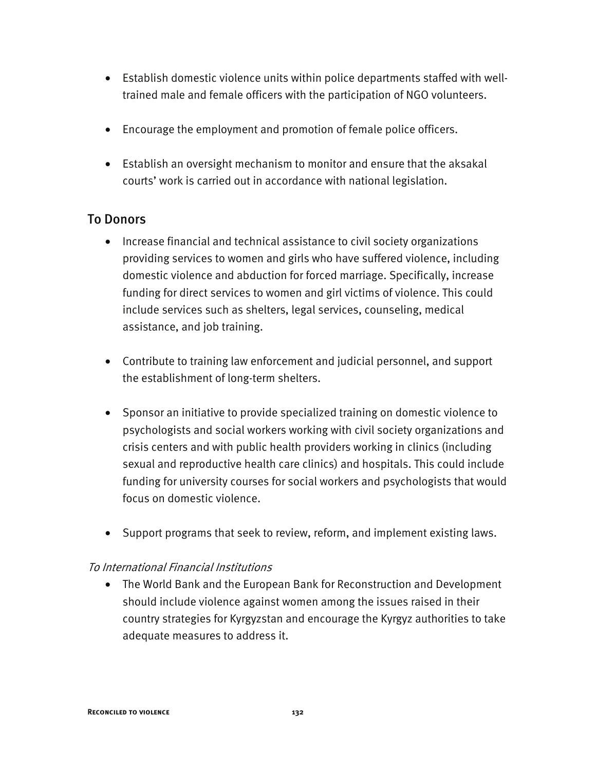- Establish domestic violence units within police departments staffed with welltrained male and female officers with the participation of NGO volunteers.
- Encourage the employment and promotion of female police officers.
- Establish an oversight mechanism to monitor and ensure that the aksakal courts' work is carried out in accordance with national legislation.

## To Donors

- Increase financial and technical assistance to civil society organizations providing services to women and girls who have suffered violence, including domestic violence and abduction for forced marriage. Specifically, increase funding for direct services to women and girl victims of violence. This could include services such as shelters, legal services, counseling, medical assistance, and job training.
- Contribute to training law enforcement and judicial personnel, and support the establishment of long-term shelters.
- Sponsor an initiative to provide specialized training on domestic violence to psychologists and social workers working with civil society organizations and crisis centers and with public health providers working in clinics (including sexual and reproductive health care clinics) and hospitals. This could include funding for university courses for social workers and psychologists that would focus on domestic violence.
- Support programs that seek to review, reform, and implement existing laws.

### To International Financial Institutions

• The World Bank and the European Bank for Reconstruction and Development should include violence against women among the issues raised in their country strategies for Kyrgyzstan and encourage the Kyrgyz authorities to take adequate measures to address it.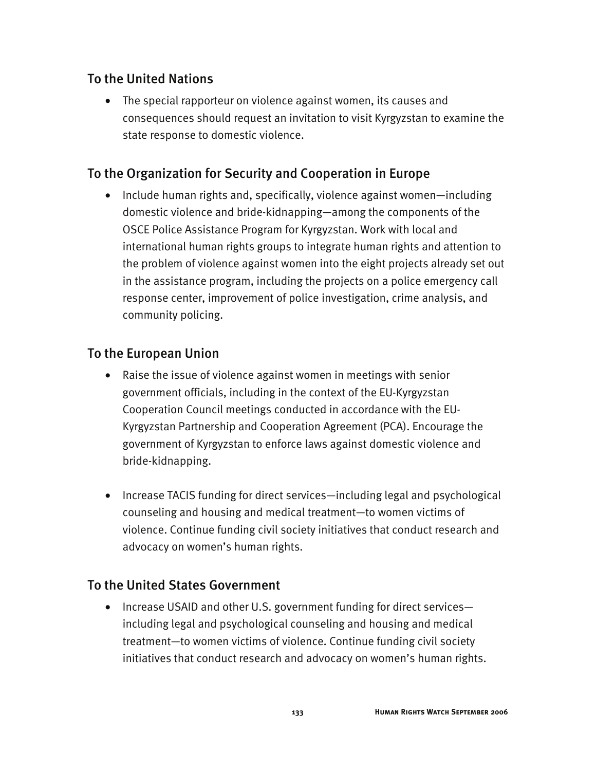# To the United Nations

• The special rapporteur on violence against women, its causes and consequences should request an invitation to visit Kyrgyzstan to examine the state response to domestic violence.

# To the Organization for Security and Cooperation in Europe

• Include human rights and, specifically, violence against women—including domestic violence and bride-kidnapping—among the components of the OSCE Police Assistance Program for Kyrgyzstan. Work with local and international human rights groups to integrate human rights and attention to the problem of violence against women into the eight projects already set out in the assistance program, including the projects on a police emergency call response center, improvement of police investigation, crime analysis, and community policing.

# To the European Union

- Raise the issue of violence against women in meetings with senior government officials, including in the context of the EU-Kyrgyzstan Cooperation Council meetings conducted in accordance with the EU-Kyrgyzstan Partnership and Cooperation Agreement (PCA). Encourage the government of Kyrgyzstan to enforce laws against domestic violence and bride-kidnapping.
- Increase TACIS funding for direct services—including legal and psychological counseling and housing and medical treatment—to women victims of violence. Continue funding civil society initiatives that conduct research and advocacy on women's human rights.

### To the United States Government

• Increase USAID and other U.S. government funding for direct services including legal and psychological counseling and housing and medical treatment—to women victims of violence. Continue funding civil society initiatives that conduct research and advocacy on women's human rights.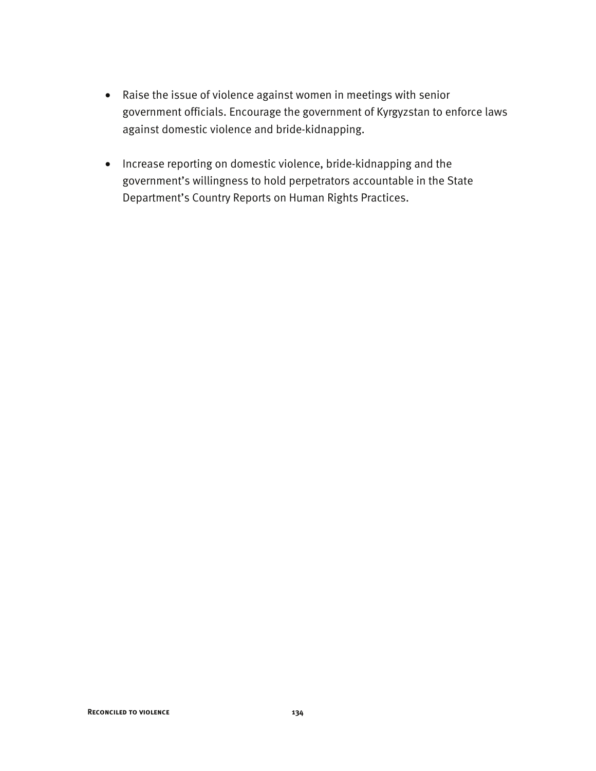- Raise the issue of violence against women in meetings with senior government officials. Encourage the government of Kyrgyzstan to enforce laws against domestic violence and bride-kidnapping.
- Increase reporting on domestic violence, bride-kidnapping and the government's willingness to hold perpetrators accountable in the State Department's Country Reports on Human Rights Practices.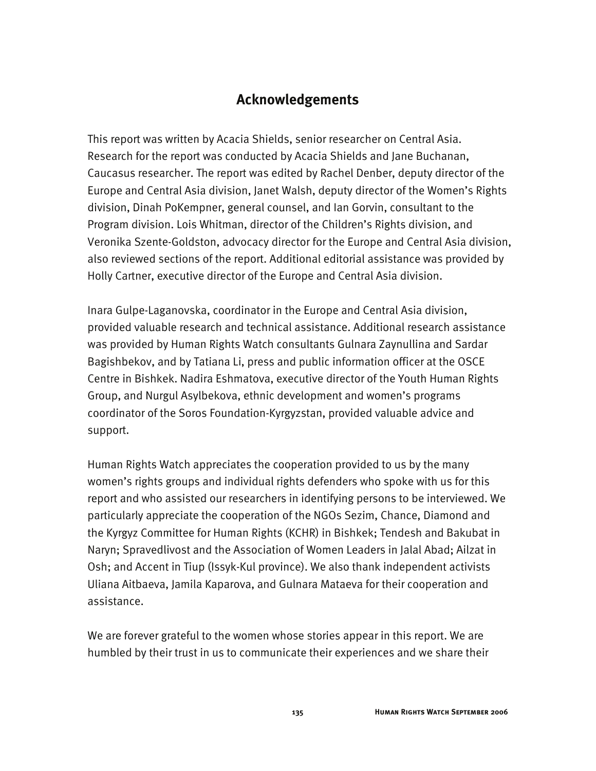# **Acknowledgements**

This report was written by Acacia Shields, senior researcher on Central Asia. Research for the report was conducted by Acacia Shields and Jane Buchanan, Caucasus researcher. The report was edited by Rachel Denber, deputy director of the Europe and Central Asia division, Janet Walsh, deputy director of the Women's Rights division, Dinah PoKempner, general counsel, and Ian Gorvin, consultant to the Program division. Lois Whitman, director of the Children's Rights division, and Veronika Szente-Goldston, advocacy director for the Europe and Central Asia division, also reviewed sections of the report. Additional editorial assistance was provided by Holly Cartner, executive director of the Europe and Central Asia division.

Inara Gulpe-Laganovska, coordinator in the Europe and Central Asia division, provided valuable research and technical assistance. Additional research assistance was provided by Human Rights Watch consultants Gulnara Zaynullina and Sardar Bagishbekov, and by Tatiana Li, press and public information officer at the OSCE Centre in Bishkek. Nadira Eshmatova, executive director of the Youth Human Rights Group, and Nurgul Asylbekova, ethnic development and women's programs coordinator of the Soros Foundation-Kyrgyzstan, provided valuable advice and support.

Human Rights Watch appreciates the cooperation provided to us by the many women's rights groups and individual rights defenders who spoke with us for this report and who assisted our researchers in identifying persons to be interviewed. We particularly appreciate the cooperation of the NGOs Sezim, Chance, Diamond and the Kyrgyz Committee for Human Rights (KCHR) in Bishkek; Tendesh and Bakubat in Naryn; Spravedlivost and the Association of Women Leaders in Jalal Abad; Ailzat in Osh; and Accent in Tiup (Issyk-Kul province). We also thank independent activists Uliana Aitbaeva, Jamila Kaparova, and Gulnara Mataeva for their cooperation and assistance.

We are forever grateful to the women whose stories appear in this report. We are humbled by their trust in us to communicate their experiences and we share their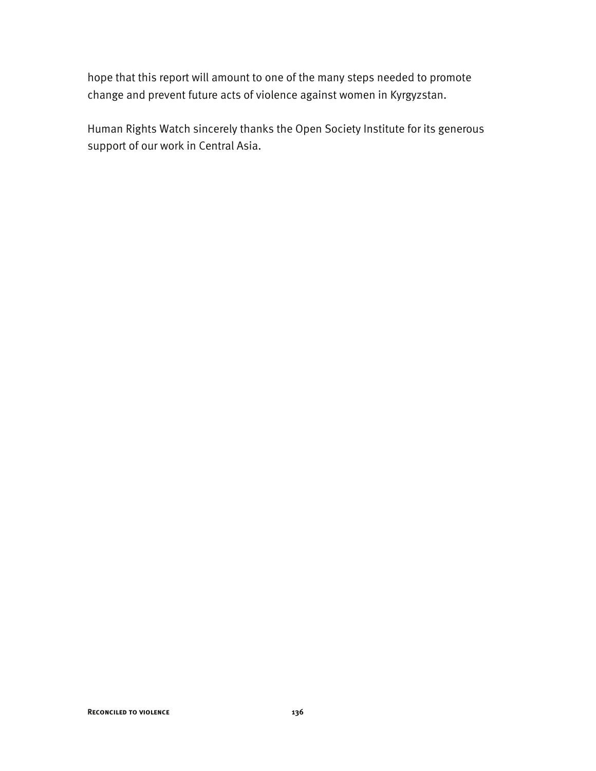hope that this report will amount to one of the many steps needed to promote change and prevent future acts of violence against women in Kyrgyzstan.

Human Rights Watch sincerely thanks the Open Society Institute for its generous support of our work in Central Asia.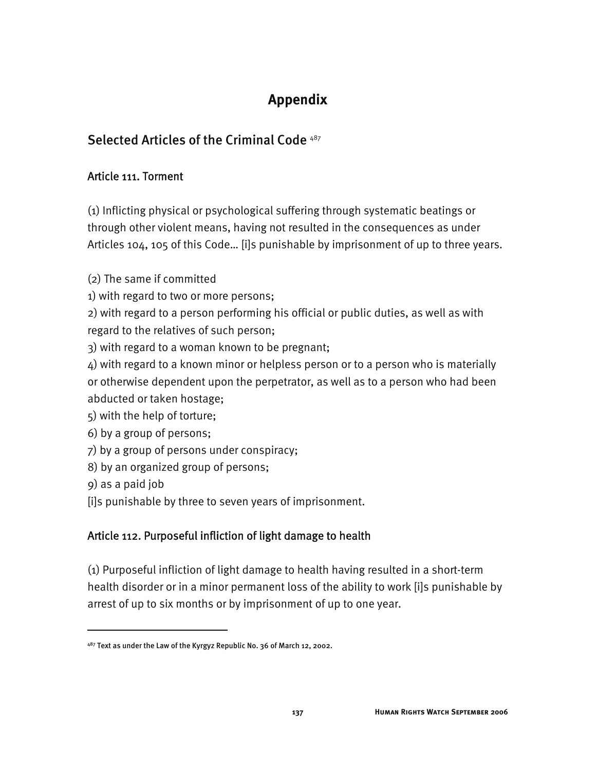# **Appendix**

# Selected Articles of the Criminal Code<sup>487</sup>

## Article 111. Torment

(1) Inflicting physical or psychological suffering through systematic beatings or through other violent means, having not resulted in the consequences as under Articles 104, 105 of this Code… [i]s punishable by imprisonment of up to three years.

(2) The same if committed

1) with regard to two or more persons;

2) with regard to a person performing his official or public duties, as well as with regard to the relatives of such person;

3) with regard to a woman known to be pregnant;

4) with regard to a known minor or helpless person or to a person who is materially or otherwise dependent upon the perpetrator, as well as to a person who had been abducted or taken hostage;

5) with the help of torture;

6) by a group of persons;

7) by a group of persons under conspiracy;

8) by an organized group of persons;

9) as a paid job

j

[i]s punishable by three to seven years of imprisonment.

# Article 112. Purposeful infliction of light damage to health

(1) Purposeful infliction of light damage to health having resulted in a short-term health disorder or in a minor permanent loss of the ability to work [i]s punishable by arrest of up to six months or by imprisonment of up to one year.

<sup>487</sup> Text as under the Law of the Kyrgyz Republic No. 36 of March 12, 2002.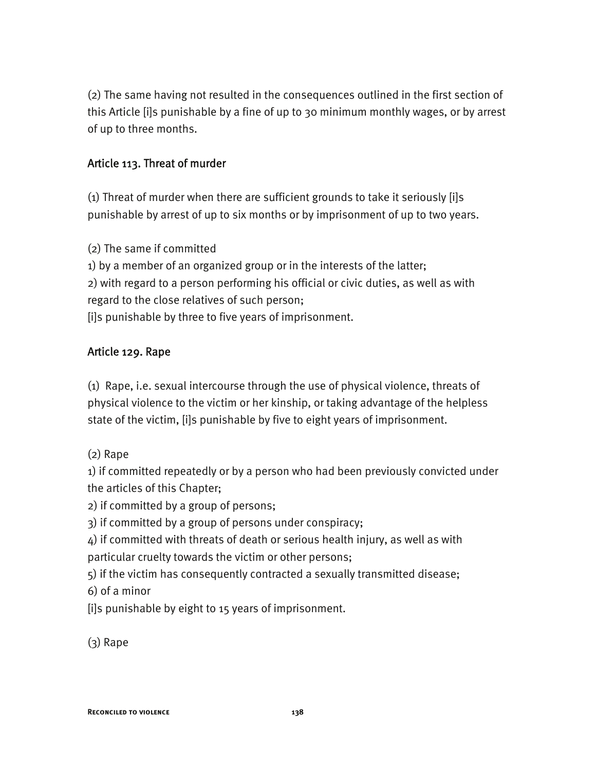(2) The same having not resulted in the consequences outlined in the first section of this Article [i]s punishable by a fine of up to 30 minimum monthly wages, or by arrest of up to three months.

## Article 113. Threat of murder

(1) Threat of murder when there are sufficient grounds to take it seriously [i]s punishable by arrest of up to six months or by imprisonment of up to two years.

(2) The same if committed

1) by a member of an organized group or in the interests of the latter; 2) with regard to a person performing his official or civic duties, as well as with regard to the close relatives of such person; [i]s punishable by three to five years of imprisonment.

# Article 129. Rape

(1) Rape, i.e. sexual intercourse through the use of physical violence, threats of physical violence to the victim or her kinship, or taking advantage of the helpless state of the victim, [i]s punishable by five to eight years of imprisonment.

(2) Rape

1) if committed repeatedly or by a person who had been previously convicted under the articles of this Chapter;

2) if committed by a group of persons;

3) if committed by a group of persons under conspiracy;

4) if committed with threats of death or serious health injury, as well as with particular cruelty towards the victim or other persons;

5) if the victim has consequently contracted a sexually transmitted disease; 6) of a minor

[i]s punishable by eight to 15 years of imprisonment.

(3) Rape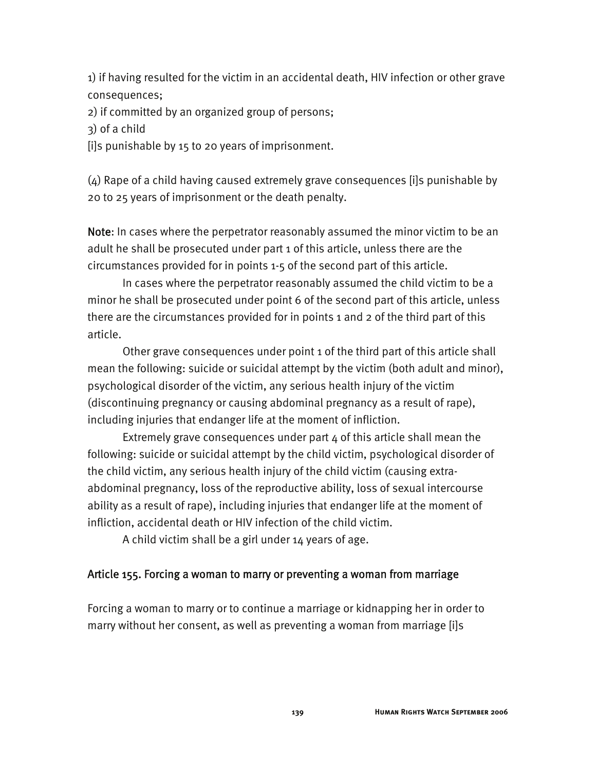1) if having resulted for the victim in an accidental death, HIV infection or other grave consequences;

2) if committed by an organized group of persons;

3) of a child

[i]s punishable by 15 to 20 years of imprisonment.

(4) Rape of a child having caused extremely grave consequences [i]s punishable by 20 to 25 years of imprisonment or the death penalty.

Note: In cases where the perpetrator reasonably assumed the minor victim to be an adult he shall be prosecuted under part 1 of this article, unless there are the circumstances provided for in points 1-5 of the second part of this article.

 In cases where the perpetrator reasonably assumed the child victim to be a minor he shall be prosecuted under point 6 of the second part of this article, unless there are the circumstances provided for in points 1 and 2 of the third part of this article.

 Other grave consequences under point 1 of the third part of this article shall mean the following: suicide or suicidal attempt by the victim (both adult and minor), psychological disorder of the victim, any serious health injury of the victim (discontinuing pregnancy or causing abdominal pregnancy as a result of rape), including injuries that endanger life at the moment of infliction.

 Extremely grave consequences under part 4 of this article shall mean the following: suicide or suicidal attempt by the child victim, psychological disorder of the child victim, any serious health injury of the child victim (causing extraabdominal pregnancy, loss of the reproductive ability, loss of sexual intercourse ability as a result of rape), including injuries that endanger life at the moment of infliction, accidental death or HIV infection of the child victim.

A child victim shall be a girl under 14 years of age.

### Article 155. Forcing a woman to marry or preventing a woman from marriage

Forcing a woman to marry or to continue a marriage or kidnapping her in order to marry without her consent, as well as preventing a woman from marriage [i]s